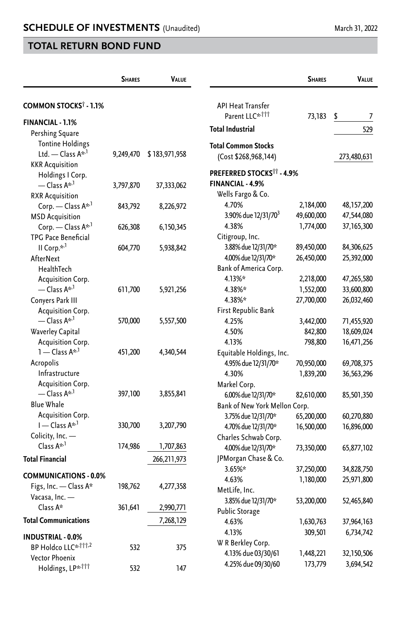|                                         | <b>SHARES</b> | <b>VALUE</b>  |                                       | <b>SHARES</b> | <b>VALUE</b> |
|-----------------------------------------|---------------|---------------|---------------------------------------|---------------|--------------|
| COMMON STOCKS <sup>†</sup> - 1.1%       |               |               | <b>API Heat Transfer</b>              |               |              |
| <b>FINANCIAL - 1.1%</b>                 |               |               | Parent LLC* <sup>111</sup>            | 73,183        | \$<br>7      |
| Pershing Square                         |               |               | <b>Total Industrial</b>               |               | 529          |
| <b>Tontine Holdings</b>                 |               |               | <b>Total Common Stocks</b>            |               |              |
| Ltd. — Class $A^{\star,1}$              | 9,249,470     | \$183,971,958 | (Cost \$268,968,144)                  |               | 273,480,631  |
| <b>KKR Acquisition</b>                  |               |               |                                       |               |              |
| Holdings I Corp.                        |               |               | PREFERRED STOCKS <sup>11</sup> - 4.9% |               |              |
| — Class A <sup>*</sup> <sup>1</sup>     | 3,797,870     | 37,333,062    | <b>FINANCIAL - 4.9%</b>               |               |              |
| <b>RXR Acquisition</b>                  |               |               | Wells Fargo & Co.                     |               |              |
| Corp. - Class A*,1                      | 843,792       | 8,226,972     | 4.70%                                 | 2,184,000     | 48,157,200   |
| <b>MSD Acquisition</b>                  |               |               | 3.90% due 12/31/70 <sup>3</sup>       | 49,600,000    | 47,544,080   |
| Corp. - Class A*,1                      | 626,308       | 6,150,345     | 4.38%                                 | 1,774,000     | 37,165,300   |
| <b>TPG Pace Beneficial</b>              |               |               | Citigroup, Inc.                       |               |              |
| II Corp. $\ast$ <sup>1</sup>            | 604,770       | 5,938,842     | 3.88% due 12/31/70*                   | 89,450,000    | 84,306,625   |
| <b>AfterNext</b>                        |               |               | 4.00% due 12/31/70*                   | 26,450,000    | 25,392,000   |
| HealthTech                              |               |               | Bank of America Corp.                 |               |              |
| <b>Acquisition Corp.</b>                |               |               | 4.13%*                                | 2,218,000     | 47,265,580   |
| — Class A <sup>*,1</sup>                | 611,700       | 5,921,256     | 4.38%*                                | 1,552,000     | 33,600,800   |
| Conyers Park III                        |               |               | 4.38%*                                | 27,700,000    | 26,032,460   |
| Acquisition Corp.                       |               |               | First Republic Bank                   |               |              |
| — Class A <sup>*</sup> <sup>1</sup>     | 570,000       | 5,557,500     | 4.25%                                 | 3,442,000     | 71,455,920   |
| <b>Waverley Capital</b>                 |               |               | 4.50%                                 | 842,800       | 18,609,024   |
| Acquisition Corp.                       |               |               | 4.13%                                 | 798,800       | 16,471,256   |
| $1 -$ Class A <sup>*</sup> <sup>1</sup> | 451,200       | 4,340,544     | Equitable Holdings, Inc.              |               |              |
| Acropolis                               |               |               | 4.95% due 12/31/70*                   | 70,950,000    | 69,708,375   |
| Infrastructure                          |               |               | 4.30%                                 | 1,839,200     | 36,563,296   |
| <b>Acquisition Corp.</b>                |               |               | Markel Corp.                          |               |              |
| — Class A <sup>*</sup> <sup>1</sup>     | 397,100       | 3,855,841     | 6.00% due 12/31/70*                   | 82,610,000    | 85,501,350   |
| <b>Blue Whale</b>                       |               |               | Bank of New York Mellon Corp.         |               |              |
| <b>Acquisition Corp.</b>                |               |               | 3.75% due 12/31/70*                   | 65,200,000    | 60,270,880   |
| $I - Class A^{*,1}$                     | 330,700       | 3,207,790     | 4.70% due 12/31/70*                   | 16,500,000    | 16,896,000   |
| Colicity, Inc. -                        |               |               | Charles Schwab Corp.                  |               |              |
| Class $A^{\star,1}$                     | 174,986       | 1,707,863     | 4.00% due 12/31/70*                   | 73,350,000    | 65,877,102   |
| <b>Total Financial</b>                  |               | 266,211,973   | JPMorgan Chase & Co.                  |               |              |
|                                         |               |               | 3.65%*                                | 37,250,000    | 34,828,750   |
| <b>COMMUNICATIONS - 0.0%</b>            |               |               | 4.63%                                 | 1,180,000     | 25,971,800   |
| Figs, Inc. - Class A*                   | 198,762       | 4,277,358     | MetLife, Inc.                         |               |              |
| Vacasa, Inc. -                          |               |               | 3.85% due 12/31/70*                   | 53,200,000    | 52,465,840   |
| Class A*                                | 361,641       | 2,990,771     | <b>Public Storage</b>                 |               |              |
| <b>Total Communications</b>             |               | 7,268,129     | 4.63%                                 | 1,630,763     | 37,964,163   |
| <b>INDUSTRIAL - 0.0%</b>                |               |               | 4.13%                                 | 309,501       | 6,734,742    |
| BP Holdco LLC* <sup>111,2</sup>         | 532           | 375           | W R Berkley Corp.                     |               |              |
| Vector Phoenix                          |               |               | 4.13% due 03/30/61                    | 1,448,221     | 32,150,506   |
| Holdings, LP*111                        | 532           | 147           | 4.25% due 09/30/60                    | 173,779       | 3,694,542    |
|                                         |               |               |                                       |               |              |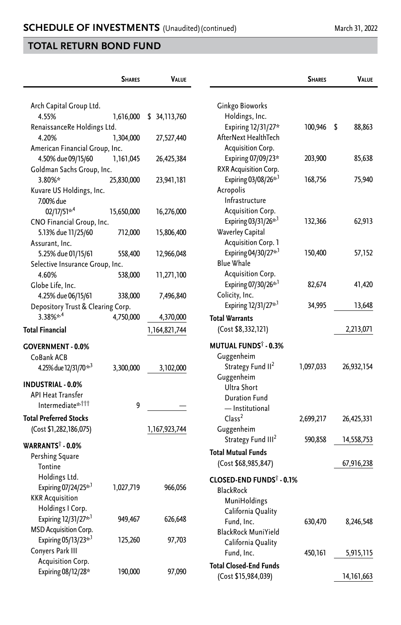|                                             | <b>SHARES</b> | <b>VALUE</b>  |                                            | <b>SHARES</b> | VALUE        |
|---------------------------------------------|---------------|---------------|--------------------------------------------|---------------|--------------|
|                                             |               |               |                                            |               |              |
| Arch Capital Group Ltd.                     |               |               | Ginkgo Bioworks<br>Holdings, Inc.          |               |              |
| 4.55%                                       | 1,616,000     | \$ 34,113,760 |                                            |               | 88,863<br>\$ |
| RenaissanceRe Holdings Ltd.                 |               |               | Expiring 12/31/27*<br>AfterNext HealthTech | 100,946       |              |
| 4.20%                                       | 1,304,000     | 27,527,440    |                                            |               |              |
| American Financial Group, Inc.              |               |               | Acquisition Corp.                          |               |              |
| 4.50% due 09/15/60                          | 1,161,045     | 26,425,384    | Expiring 07/09/23*                         | 203,900       | 85,638       |
| Goldman Sachs Group, Inc.                   |               |               | RXR Acquisition Corp.                      |               |              |
| 3.80%*                                      | 25,830,000    | 23,941,181    | Expiring 03/08/26*                         | 168,756       | 75,940       |
| Kuvare US Holdings, Inc.                    |               |               | Acropolis                                  |               |              |
| 7.00% due                                   |               |               | Infrastructure                             |               |              |
| $02/17/51**^4$                              | 15,650,000    | 16,276,000    | Acquisition Corp.                          |               |              |
| CNO Financial Group, Inc.                   |               |               | Expiring 03/31/26*'                        | 132,366       | 62,913       |
| 5.13% due 11/25/60                          | 712,000       | 15,806,400    | <b>Waverley Capital</b>                    |               |              |
| Assurant, Inc.                              |               |               | <b>Acquisition Corp. 1</b>                 |               |              |
| 5.25% due 01/15/61                          | 558,400       | 12,966,048    | Expiring 04/30/27*'                        | 150,400       | 57,152       |
| Selective Insurance Group, Inc.             |               |               | <b>Blue Whale</b>                          |               |              |
| 4.60%                                       | 538,000       | 11,271,100    | Acquisition Corp.                          |               |              |
| Globe Life, Inc.                            |               |               | Expiring 07/30/26* <sup>1</sup>            | 82,674        | 41,420       |
| 4.25% due 06/15/61                          | 338,000       | 7,496,840     | Colicity, Inc.                             |               |              |
| Depository Trust & Clearing Corp.           |               |               | Expiring 12/31/27* <sup>1</sup>            | 34,995        | 13,648       |
| $3.38\%**^{4}$                              | 4,750,000     | 4,370,000     | <b>Total Warrants</b>                      |               |              |
| <b>Total Financial</b>                      |               | 1,164,821,744 | (Cost \$8,332,121)                         |               | 2,213,071    |
| <b>GOVERNMENT - 0.0%</b>                    |               |               | MUTUAL FUNDS <sup>†</sup> - 0.3%           |               |              |
| CoBank ACB                                  |               |               | Guggenheim                                 |               |              |
|                                             |               |               | Strategy Fund II <sup>2</sup>              | 1,097,033     | 26,932,154   |
| 4.25% due 12/31/70 <sup>*3</sup>            | 3,300,000     | 3,102,000     |                                            |               |              |
| <b>INDUSTRIAL - 0.0%</b>                    |               |               | Guggenheim<br>Ultra Short                  |               |              |
| API Heat Transfer                           |               |               | <b>Duration Fund</b>                       |               |              |
| Intermediate* <sup>111</sup>                | 9             |               |                                            |               |              |
| <b>Total Preferred Stocks</b>               |               |               | - Institutional<br>Class <sup>2</sup>      |               |              |
|                                             |               |               |                                            | 2,699,217     | 26,425,331   |
| (Cost \$1,282,186,075)                      |               | 1,167,923,744 | Guggenheim                                 |               |              |
| <b>WARRANTS<sup>†</sup> - 0.0%</b>          |               |               | Strategy Fund III <sup>2</sup>             | 590,858       | 14,558,753   |
| Pershing Square                             |               |               | <b>Total Mutual Funds</b>                  |               |              |
| Tontine                                     |               |               | (Cost \$68,985,847)                        |               | 67,916,238   |
| Holdings Ltd.                               |               |               | CLOSED-END FUNDS <sup>†</sup> - 0.1%       |               |              |
| Expiring 07/24/25 <sup>**,1</sup>           | 1,027,719     | 966,056       | <b>BlackRock</b>                           |               |              |
| <b>KKR Acquisition</b>                      |               |               |                                            |               |              |
| Holdings I Corp.                            |               |               | MuniHoldings                               |               |              |
| Expiring 12/31/27 <sup>*</sup> <sup>1</sup> | 949,467       | 626,648       | California Quality                         |               |              |
| <b>MSD Acquisition Corp.</b>                |               |               | Fund, Inc.                                 | 630,470       | 8,246,548    |
| Expiring 05/13/23*                          | 125,260       | 97,703        | BlackRock MuniYield                        |               |              |
| Conyers Park III                            |               |               | California Quality                         |               |              |
|                                             |               |               | Fund, Inc.                                 | 450,161       | 5,915,115    |
| Acquisition Corp.                           |               |               | <b>Total Closed-End Funds</b>              |               |              |
| Expiring 08/12/28*                          | 190,000       | 97,090        | (Cost \$15,984,039)                        |               | 14, 161, 663 |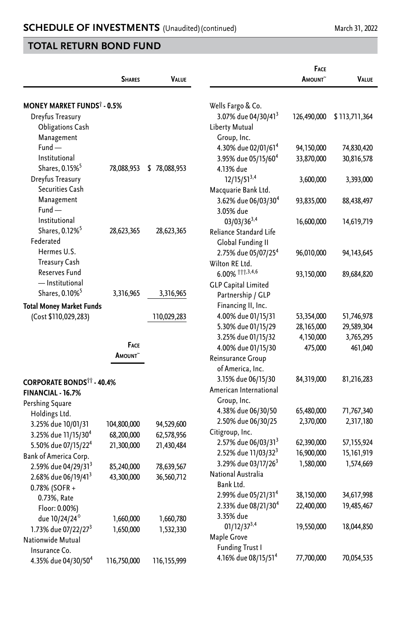|                                              |               |              |                                                        | FACE                |               |
|----------------------------------------------|---------------|--------------|--------------------------------------------------------|---------------------|---------------|
|                                              | <b>SHARES</b> | <b>VALUE</b> |                                                        | AMOUNT <sup>~</sup> | <b>VALUE</b>  |
|                                              |               |              |                                                        |                     |               |
| <b>MONEY MARKET FUNDS<sup>®</sup> - 0.5%</b> |               |              | Wells Fargo & Co.                                      |                     |               |
| Dreyfus Treasury                             |               |              | 3.07% due 04/30/41 <sup>3</sup>                        | 126,490,000         | \$113,711,364 |
| <b>Obligations Cash</b>                      |               |              | Liberty Mutual                                         |                     |               |
| Management                                   |               |              | Group, Inc.                                            |                     |               |
| $Fund -$                                     |               |              | 4.30% due 02/01/61 <sup>4</sup>                        | 94,150,000          | 74,830,420    |
| Institutional<br>Shares, 0.15% <sup>5</sup>  |               |              | 3.95% due 05/15/60 <sup>4</sup>                        | 33,870,000          | 30,816,578    |
|                                              | 78,088,953    | \$78,088,953 | 4.13% due                                              |                     |               |
| Dreyfus Treasury<br>Securities Cash          |               |              | $12/15/51^{3,4}$                                       | 3,600,000           | 3,393,000     |
| Management                                   |               |              | Macquarie Bank Ltd.<br>3.62% due 06/03/30 <sup>4</sup> |                     | 88,438,497    |
| $Fund -$                                     |               |              | 3.05% due                                              | 93,835,000          |               |
| Institutional                                |               |              | $03/03/36^{3,4}$                                       | 16,600,000          | 14,619,719    |
| Shares, 0.12% <sup>5</sup>                   | 28,623,365    | 28,623,365   | Reliance Standard Life                                 |                     |               |
| Federated                                    |               |              | Global Funding II                                      |                     |               |
| Hermes U.S.                                  |               |              | 2.75% due 05/07/25 <sup>4</sup>                        | 96,010,000          | 94,143,645    |
| <b>Treasury Cash</b>                         |               |              | Wilton RE Ltd.                                         |                     |               |
| Reserves Fund                                |               |              | 6.00% 111,3,4,6                                        | 93,150,000          | 89,684,820    |
| - Institutional                              |               |              | <b>GLP Capital Limited</b>                             |                     |               |
| Shares, 0.10% <sup>5</sup>                   | 3,316,965     | 3,316,965    | Partnership / GLP                                      |                     |               |
| <b>Total Money Market Funds</b>              |               |              | Financing II, Inc.                                     |                     |               |
| (Cost \$110,029,283)                         |               | 110,029,283  | 4.00% due 01/15/31                                     | 53,354,000          | 51,746,978    |
|                                              |               |              | 5.30% due 01/15/29                                     | 28,165,000          | 29,589,304    |
|                                              |               |              | 3.25% due 01/15/32                                     | 4,150,000           | 3,765,295     |
|                                              | FACE          |              | 4.00% due 01/15/30                                     | 475,000             | 461,040       |
|                                              | Amount~       |              | Reinsurance Group                                      |                     |               |
|                                              |               |              | of America, Inc.                                       |                     |               |
| <b>CORPORATE BONDS<sup>TT</sup> - 40.4%</b>  |               |              | 3.15% due 06/15/30                                     | 84,319,000          | 81,216,283    |
| FINANCIAL - 16.7%                            |               |              | American International                                 |                     |               |
| Pershing Square                              |               |              | Group, Inc.                                            |                     |               |
| Holdings Ltd.                                |               |              | 4.38% due 06/30/50                                     | 65,480,000          | 71,767,340    |
| 3.25% due 10/01/31                           | 104,800,000   | 94,529,600   | 2.50% due 06/30/25                                     | 2,370,000           | 2,317,180     |
| 3.25% due 11/15/30 <sup>4</sup>              | 68,200,000    | 62,578,956   | Citigroup, Inc.                                        |                     |               |
| 5.50% due 07/15/22 <sup>4</sup>              | 21,300,000    | 21,430,484   | 2.57% due 06/03/31 <sup>3</sup>                        | 62,390,000          | 57,155,924    |
| Bank of America Corp.                        |               |              | 2.52% due 11/03/32 <sup>3</sup>                        | 16,900,000          | 15,161,919    |
| 2.59% due 04/29/313                          | 85,240,000    | 78,639,567   | 3.29% due 03/17/26 <sup>3</sup>                        | 1,580,000           | 1,574,669     |
| 2.68% due 06/19/41 <sup>3</sup>              | 43,300,000    | 36,560,712   | National Australia                                     |                     |               |
| 0.78% (SOFR +                                |               |              | Bank Ltd.                                              |                     |               |
| 0.73%, Rate                                  |               |              | 2.99% due 05/21/31 <sup>4</sup>                        | 38,150,000          | 34,617,998    |
| Floor: 0.00%)                                |               |              | 2.33% due 08/21/30 <sup>4</sup>                        | 22,400,000          | 19,485,467    |
| due 10/24/24 <sup>6</sup>                    | 1,660,000     | 1,660,780    | 3.35% due                                              |                     |               |
| 1.73% due 07/22/27 <sup>3</sup>              | 1,650,000     | 1,532,330    | $01/12/37^{3,4}$                                       | 19,550,000          | 18,044,850    |
| Nationwide Mutual                            |               |              | Maple Grove                                            |                     |               |
| Insurance Co.                                |               |              | <b>Funding Trust I</b>                                 |                     |               |
| 4.35% due 04/30/50 <sup>4</sup>              | 116,750,000   | 116,155,999  | 4.16% due 08/15/51 <sup>4</sup>                        | 77,700,000          | 70,054,535    |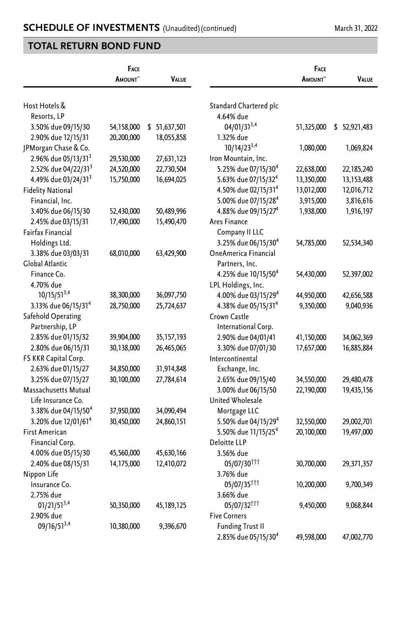|                                 | FACE                |               |                                 | FACE                |              |
|---------------------------------|---------------------|---------------|---------------------------------|---------------------|--------------|
|                                 | AMOUNT <sup>~</sup> | <b>VALUE</b>  |                                 | AMOUNT <sup>~</sup> | <b>VALUE</b> |
|                                 |                     |               |                                 |                     |              |
| Host Hotels &                   |                     |               | Standard Chartered plc          |                     |              |
| Resorts, LP                     |                     |               | 4.64% due                       |                     |              |
| 3.50% due 09/15/30              | 54,158,000          | \$ 51,637,501 | 04/01/313,4                     | 51,325,000          | \$52,921,483 |
| 2.90% due 12/15/31              | 20,200,000          | 18,055,858    | 1.32% due                       |                     |              |
| JPMorgan Chase & Co.            |                     |               | $10/14/23^{3,4}$                | 1,080,000           | 1,069,824    |
| 2.96% due 05/13/31 <sup>3</sup> | 29,530,000          | 27,631,123    | Iron Mountain, Inc.             |                     |              |
| 2.52% due 04/22/313             | 24,520,000          | 22,730,504    | 5.25% due 07/15/30 <sup>4</sup> | 22,638,000          | 22,185,240   |
| 4.49% due 03/24/313             | 15,750,000          | 16,694,025    | 5.63% due 07/15/32 <sup>4</sup> | 13,350,000          | 13,153,488   |
| <b>Fidelity National</b>        |                     |               | 4.50% due 02/15/31 <sup>4</sup> | 13,012,000          | 12,016,712   |
| Financial, Inc.                 |                     |               | 5.00% due 07/15/28 <sup>4</sup> | 3,915,000           | 3,816,616    |
| 3.40% due 06/15/30              | 52,430,000          | 50,489,996    | 4.88% due 09/15/27 <sup>4</sup> | 1,938,000           | 1,916,197    |
| 2.45% due 03/15/31              | 17,490,000          | 15,490,470    | Ares Finance                    |                     |              |
| Fairfax Financial               |                     |               | Company II LLC                  |                     |              |
| Holdings Ltd.                   |                     |               | 3.25% due 06/15/30 <sup>4</sup> | 54,785,000          | 52,534,340   |
| 3.38% due 03/03/31              | 68,010,000          | 63,429,900    | OneAmerica Financial            |                     |              |
| Global Atlantic                 |                     |               | Partners, Inc.                  |                     |              |
| Finance Co.                     |                     |               | 4.25% due 10/15/50 <sup>4</sup> | 54,430,000          | 52,397,002   |
| 4.70% due                       |                     |               | LPL Holdings, Inc.              |                     |              |
| $10/15/51^{3,4}$                | 38,300,000          | 36,097,750    | 4.00% due 03/15/29 <sup>4</sup> | 44,950,000          | 42,656,588   |
| 3.13% due 06/15/31 <sup>4</sup> | 28,750,000          | 25,724,637    | 4.38% due 05/15/31 <sup>4</sup> | 9,350,000           | 9,040,936    |
| Safehold Operating              |                     |               | Crown Castle                    |                     |              |
| Partnership, LP                 |                     |               | International Corp.             |                     |              |
| 2.85% due 01/15/32              | 39,904,000          | 35, 157, 193  | 2.90% due 04/01/41              | 41,150,000          | 34,062,369   |
| 2.80% due 06/15/31              | 30,138,000          | 26,465,065    | 3.30% due 07/01/30              | 17,657,000          | 16,885,884   |
| FS KKR Capital Corp.            |                     |               | Intercontinental                |                     |              |
| 2.63% due 01/15/27              | 34,850,000          | 31,914,848    | Exchange, Inc.                  |                     |              |
| 3.25% due 07/15/27              | 30,100,000          | 27,784,614    | 2.65% due 09/15/40              | 34,550,000          | 29,480,478   |
| Massachusetts Mutual            |                     |               | 3.00% due 06/15/50              | 22,190,000          | 19,435,156   |
| Life Insurance Co.              |                     |               | United Wholesale                |                     |              |
| 3.38% due 04/15/50 <sup>4</sup> | 37,950,000          | 34,090,494    | Mortgage LLC                    |                     |              |
| 3.20% due 12/01/61 <sup>4</sup> | 30,450,000          | 24,860,151    | 5.50% due 04/15/29 <sup>4</sup> | 32,550,000          | 29,002,701   |
| First American                  |                     |               | 5.50% due 11/15/25 <sup>4</sup> | 20,100,000          | 19,497,000   |
| Financial Corp.                 |                     |               | Deloitte LLP                    |                     |              |
| 4.00% due 05/15/30              | 45,560,000          | 45,630,166    | 3.56% due                       |                     |              |
|                                 |                     |               |                                 |                     |              |
| 2.40% due 08/15/31              | 14,175,000          | 12,410,072    | 05/07/30 <sup>†††</sup>         | 30,700,000          | 29,371,357   |
| Nippon Life                     |                     |               | 3.76% due                       |                     |              |
| Insurance Co.                   |                     |               | 05/07/35 11                     | 10,200,000          | 9,700,349    |
| 2.75% due                       |                     |               | 3.66% due                       |                     |              |
| $01/21/51^{3,4}$                | 50,350,000          | 45,189,125    | 05/07/32 <sup>†††</sup>         | 9,450,000           | 9,068,844    |
| 2.90% due                       |                     |               | <b>Five Corners</b>             |                     |              |
| 09/16/513,4                     | 10,380,000          | 9,396,670     | <b>Funding Trust II</b>         |                     |              |
|                                 |                     |               | 2.85% due 05/15/30 <sup>4</sup> | 49,598,000          | 47,002,770   |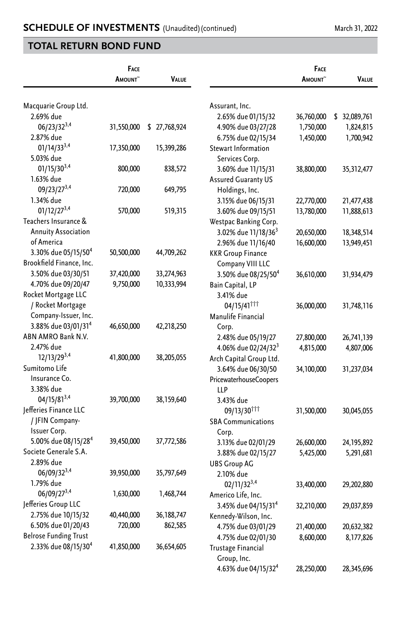|                                 | FACE                |               |                                 | FACE                |               |
|---------------------------------|---------------------|---------------|---------------------------------|---------------------|---------------|
|                                 | AMOUNT <sup>~</sup> | <b>VALUE</b>  |                                 | AMOUNT <sup>~</sup> | <b>VALUE</b>  |
|                                 |                     |               |                                 |                     |               |
| Macquarie Group Ltd.            |                     |               | Assurant, Inc.                  |                     |               |
| 2.69% due                       |                     |               | 2.65% due 01/15/32              | 36,760,000          | \$ 32,089,761 |
| 06/23/32 <sup>3,4</sup>         | 31,550,000          | \$ 27,768,924 | 4.90% due 03/27/28              | 1,750,000           | 1,824,815     |
| 2.87% due                       |                     |               | 6.75% due 02/15/34              | 1,450,000           | 1,700,942     |
| $01/14/33^{3,4}$                | 17,350,000          | 15,399,286    | Stewart Information             |                     |               |
| 5.03% due                       |                     |               | Services Corp.                  |                     |               |
| $01/15/30^{3,4}$                | 800,000             | 838,572       | 3.60% due 11/15/31              | 38,800,000          | 35,312,477    |
| 1.63% due                       |                     |               | <b>Assured Guaranty US</b>      |                     |               |
| 09/23/27 <sup>3,4</sup>         | 720,000             | 649,795       | Holdings, Inc.                  |                     |               |
| 1.34% due                       |                     |               | 3.15% due 06/15/31              | 22,770,000          | 21,477,438    |
| $01/12/27^{3,4}$                | 570,000             | 519,315       | 3.60% due 09/15/51              | 13,780,000          | 11,888,613    |
| Teachers Insurance &            |                     |               | Westpac Banking Corp.           |                     |               |
| <b>Annuity Association</b>      |                     |               | 3.02% due 11/18/36 <sup>3</sup> | 20,650,000          | 18,348,514    |
| of America                      |                     |               | 2.96% due 11/16/40              | 16,600,000          | 13,949,451    |
| 3.30% due 05/15/50 <sup>4</sup> | 50,500,000          | 44,709,262    | <b>KKR Group Finance</b>        |                     |               |
| Brookfield Finance, Inc.        |                     |               | Company VIII LLC                |                     |               |
| 3.50% due 03/30/51              | 37,420,000          | 33,274,963    | 3.50% due 08/25/50 <sup>4</sup> | 36,610,000          | 31,934,479    |
| 4.70% due 09/20/47              | 9,750,000           | 10,333,994    | Bain Capital, LP                |                     |               |
| Rocket Mortgage LLC             |                     |               | 3.41% due                       |                     |               |
| / Rocket Mortgage               |                     |               | 04/15/41 111                    | 36,000,000          | 31,748,116    |
| Company-Issuer, Inc.            |                     |               | Manulife Financial              |                     |               |
| 3.88% due 03/01/31 <sup>4</sup> | 46,650,000          | 42,218,250    | Corp.                           |                     |               |
| ABN AMRO Bank N.V.              |                     |               | 2.48% due 05/19/27              | 27,800,000          | 26,741,139    |
| 2.47% due                       |                     |               | 4.06% due 02/24/32 <sup>3</sup> | 4,815,000           | 4,807,006     |
| $12/13/29^{3,4}$                | 41,800,000          | 38,205,055    | Arch Capital Group Ltd.         |                     |               |
| Sumitomo Life                   |                     |               | 3.64% due 06/30/50              | 34,100,000          | 31,237,034    |
| Insurance Co.                   |                     |               | PricewaterhouseCoopers          |                     |               |
| 3.38% due                       |                     |               | <b>LLP</b>                      |                     |               |
| 04/15/813,4                     | 39,700,000          | 38,159,640    | 3.43% due                       |                     |               |
| Jefferies Finance LLC           |                     |               | 09/13/30 111                    | 31,500,000          | 30,045,055    |
| / JFIN Company-                 |                     |               | <b>SBA Communications</b>       |                     |               |
| Issuer Corp.                    |                     |               | Corp.                           |                     |               |
| 5.00% due 08/15/28 <sup>4</sup> | 39,450,000          | 37,772,586    | 3.13% due 02/01/29              | 26,600,000          | 24,195,892    |
| Societe Generale S.A.           |                     |               | 3.88% due 02/15/27              | 5,425,000           | 5,291,681     |
| 2.89% due                       |                     |               | <b>UBS Group AG</b>             |                     |               |
| 06/09/32 <sup>3,4</sup>         | 39,950,000          | 35,797,649    | 2.10% due                       |                     |               |
| 1.79% due                       |                     |               | 02/11/32 <sup>3,4</sup>         | 33,400,000          | 29,202,880    |
| 06/09/27 <sup>3,4</sup>         | 1,630,000           | 1,468,744     | Americo Life, Inc.              |                     |               |
| Jefferies Group LLC             |                     |               | 3.45% due 04/15/31 <sup>4</sup> | 32,210,000          | 29,037,859    |
| 2.75% due 10/15/32              | 40,440,000          | 36, 188, 747  | Kennedy-Wilson, Inc.            |                     |               |
| 6.50% due 01/20/43              | 720,000             | 862,585       | 4.75% due 03/01/29              | 21,400,000          | 20,632,382    |
| <b>Belrose Funding Trust</b>    |                     |               | 4.75% due 02/01/30              | 8,600,000           | 8,177,826     |
| 2.33% due 08/15/30 <sup>4</sup> | 41,850,000          | 36,654,605    | Trustage Financial              |                     |               |
|                                 |                     |               | Group, Inc.                     |                     |               |
|                                 |                     |               | 4.63% due 04/15/32 <sup>4</sup> | 28,250,000          | 28,345,696    |
|                                 |                     |               |                                 |                     |               |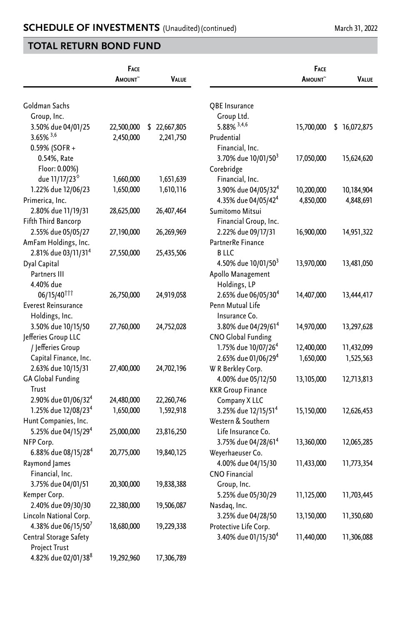|                                 | FACE            |              |                                 | FACE                |              |
|---------------------------------|-----------------|--------------|---------------------------------|---------------------|--------------|
|                                 | <b>A</b> mount~ | VALUE        |                                 | AMOUNT <sup>~</sup> | <b>VALUE</b> |
| Goldman Sachs                   |                 |              | QBE Insurance                   |                     |              |
| Group, Inc.                     |                 |              | Group Ltd.                      |                     |              |
| 3.50% due 04/01/25              | 22,500,000      | \$22,667,805 | 5.88% 3,4,6                     | 15,700,000          | \$16,072,875 |
| $3.65\%$ <sup>3,6</sup>         | 2,450,000       | 2,241,750    | Prudential                      |                     |              |
| 0.59% (SOFR +                   |                 |              | Financial, Inc.                 |                     |              |
| 0.54%, Rate                     |                 |              | 3.70% due 10/01/50 <sup>3</sup> | 17,050,000          | 15,624,620   |
| Floor: 0.00%)                   |                 |              | Corebridge                      |                     |              |
| due 11/17/23 <sup>6</sup>       | 1,660,000       | 1,651,639    | Financial, Inc.                 |                     |              |
| 1.22% due 12/06/23              | 1,650,000       | 1,610,116    | 3.90% due 04/05/32 <sup>4</sup> | 10,200,000          | 10,184,904   |
| Primerica, Inc.                 |                 |              | 4.35% due 04/05/42 <sup>4</sup> | 4,850,000           | 4,848,691    |
| 2.80% due 11/19/31              | 28,625,000      | 26,407,464   | Sumitomo Mitsui                 |                     |              |
| Fifth Third Bancorp             |                 |              | Financial Group, Inc.           |                     |              |
| 2.55% due 05/05/27              | 27,190,000      | 26,269,969   | 2.22% due 09/17/31              | 16,900,000          | 14,951,322   |
| AmFam Holdings, Inc.            |                 |              | PartnerRe Finance               |                     |              |
| 2.81% due 03/11/31 <sup>4</sup> | 27,550,000      | 25,435,506   | <b>BLLC</b>                     |                     |              |
| Dyal Capital                    |                 |              | 4.50% due 10/01/50 <sup>3</sup> | 13,970,000          | 13,481,050   |
| Partners III                    |                 |              | Apollo Management               |                     |              |
| 4.40% due                       |                 |              | Holdings, LP                    |                     |              |
| 06/15/40 <sup>111</sup>         | 26,750,000      | 24,919,058   | 2.65% due 06/05/30 <sup>4</sup> | 14,407,000          | 13,444,417   |
| <b>Everest Reinsurance</b>      |                 |              | Penn Mutual Life                |                     |              |
| Holdings, Inc.                  |                 |              | Insurance Co.                   |                     |              |
| 3.50% due 10/15/50              | 27,760,000      | 24,752,028   | 3.80% due 04/29/61 <sup>4</sup> | 14,970,000          | 13,297,628   |
| Jefferies Group LLC             |                 |              | <b>CNO Global Funding</b>       |                     |              |
| / Jefferies Group               |                 |              | 1.75% due 10/07/26 <sup>4</sup> | 12,400,000          | 11,432,099   |
| Capital Finance, Inc.           |                 |              | 2.65% due 01/06/29 <sup>4</sup> | 1,650,000           | 1,525,563    |
| 2.63% due 10/15/31              | 27,400,000      | 24,702,196   | W R Berkley Corp.               |                     |              |
| <b>GA Global Funding</b>        |                 |              | 4.00% due 05/12/50              | 13,105,000          | 12,713,813   |
| Trust                           |                 |              | <b>KKR Group Finance</b>        |                     |              |
| 2.90% due 01/06/32 <sup>4</sup> | 24,480,000      | 22,260,746   | Company X LLC                   |                     |              |
| 1.25% due 12/08/23 <sup>4</sup> | 1,650,000       | 1,592,918    | 3.25% due 12/15/51 <sup>4</sup> | 15,150,000          | 12,626,453   |
| Hunt Companies, Inc.            |                 |              | Western & Southern              |                     |              |
| 5.25% due 04/15/29 <sup>4</sup> | 25,000,000      | 23,816,250   | Life Insurance Co.              |                     |              |
| NFP Corp.                       |                 |              | 3.75% due 04/28/61 <sup>4</sup> | 13,360,000          | 12,065,285   |
| 6.88% due 08/15/28 <sup>4</sup> | 20,775,000      | 19,840,125   | Weyerhaeuser Co.                |                     |              |
| Raymond James                   |                 |              | 4.00% due 04/15/30              | 11,433,000          | 11,773,354   |
| Financial, Inc.                 |                 |              | <b>CNO</b> Financial            |                     |              |
| 3.75% due 04/01/51              | 20,300,000      | 19,838,388   | Group, Inc.                     |                     |              |
| Kemper Corp.                    |                 |              | 5.25% due 05/30/29              | 11,125,000          | 11,703,445   |
| 2.40% due 09/30/30              | 22,380,000      | 19,506,087   | Nasdaq, Inc.                    |                     |              |
| Lincoln National Corp.          |                 |              | 3.25% due 04/28/50              | 13,150,000          | 11,350,680   |
| 4.38% due 06/15/50 <sup>7</sup> | 18,680,000      | 19,229,338   | Protective Life Corp.           |                     |              |
| Central Storage Safety          |                 |              | 3.40% due 01/15/30 <sup>4</sup> | 11,440,000          | 11,306,088   |
| <b>Project Trust</b>            |                 |              |                                 |                     |              |
| 4.82% due 02/01/388             | 19,292,960      | 17,306,789   |                                 |                     |              |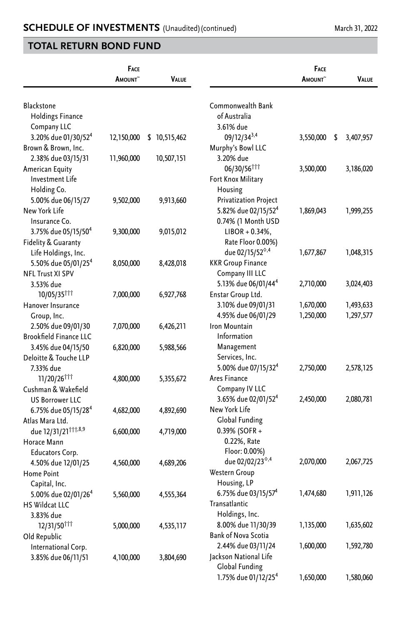| Blackstone<br>Commonwealth Bank<br><b>Holdings Finance</b><br>of Australia<br>Company LLC<br>3.61% due<br>09/12/34 <sup>3,4</sup><br>3.20% due 01/30/52 <sup>4</sup><br>12,150,000<br>\$10,515,462<br>3,550,000<br>\$<br>3,407,957<br>Brown & Brown, Inc.<br>Murphy's Bowl LLC<br>2.38% due 03/15/31<br>3.20% due<br>11,960,000<br>10,507,151<br>06/30/56111<br>3,500,000<br>3,186,020<br>American Equity<br><b>Investment Life</b><br>Fort Knox Military<br>Holding Co.<br>Housing<br>5.00% due 06/15/27<br>9,502,000<br>9,913,660<br>Privatization Project<br>5.82% due 02/15/52 <sup>4</sup><br>New York Life<br>1,869,043<br>1,999,255<br>Insurance Co.<br>0.74% (1 Month USD<br>3.75% due 05/15/50 <sup>4</sup><br>9,300,000<br>9,015,012<br>$LIBOR + 0.34%$ ,<br>Rate Floor 0.00%)<br>Fidelity & Guaranty<br>due 02/15/52 <sup>6,4</sup><br>Life Holdings, Inc.<br>1,677,867<br>1,048,315<br><b>KKR Group Finance</b><br>5.50% due 05/01/25 <sup>4</sup><br>8,050,000<br>8,428,018<br>Company III LLC<br><b>NFL Trust XI SPV</b><br>5.13% due 06/01/44 <sup>4</sup><br>2,710,000<br>3,024,403<br>3.53% due<br>10/05/35 111<br>Enstar Group Ltd.<br>7,000,000<br>6,927,768<br>3.10% due 09/01/31<br>Hanover Insurance<br>1,670,000<br>1,493,633<br>4.95% due 06/01/29<br>Group, Inc.<br>1,250,000<br>1,297,577<br>2.50% due 09/01/30<br>Iron Mountain<br>7,070,000<br>6,426,211<br>Information<br><b>Brookfield Finance LLC</b><br>Management<br>3.45% due 04/15/50<br>6,820,000<br>5,988,566<br>Services, Inc.<br>Deloitte & Touche LLP<br>5.00% due 07/15/32 <sup>4</sup><br>2,750,000<br>2,578,125<br>7.33% due<br>11/20/26 111<br>Ares Finance<br>4,800,000<br>5,355,672<br>Cushman & Wakefield<br>Company IV LLC<br>3.65% due 02/01/52 <sup>4</sup><br>2,450,000<br>2,080,781<br><b>US Borrower LLC</b><br>New York Life<br>6.75% due 05/15/28 <sup>4</sup><br>4,682,000<br>4,892,690<br>Global Funding<br>Atlas Mara Ltd.<br>due 12/31/21 <sup>†††,8,9</sup><br>0.39% (SOFR +<br>6,600,000<br>4,719,000<br>0.22%, Rate<br>Horace Mann<br>Floor: 0.00%)<br><b>Educators Corp.</b><br>due 02/02/23 <sup>6,4</sup><br>2,070,000<br>2,067,725<br>4.50% due 12/01/25<br>4,689,206<br>4,560,000<br>Western Group<br>Home Point<br>Housing, LP<br>Capital, Inc.<br>6.75% due 03/15/57 <sup>4</sup><br>1,474,680<br>1,911,126<br>5.00% due 02/01/26 <sup>4</sup><br>4,555,364<br>5,560,000<br>Transatlantic<br><b>HS Wildcat LLC</b><br>Holdings, Inc.<br>3.83% due<br>8.00% due 11/30/39<br>1,135,000<br>1,635,602<br>12/31/50 <sup>†††</sup><br>4,535,117<br>5,000,000<br><b>Bank of Nova Scotia</b><br>Old Republic<br>2.44% due 03/11/24<br>1,600,000<br>1,592,780<br>International Corp.<br>Jackson National Life<br>3.85% due 06/11/51<br>4,100,000<br>3,804,690<br>Global Funding<br>1.75% due 01/12/25 <sup>4</sup><br>1,650,000<br>1,580,060 | <b>FACE</b><br><b>A</b> mount~ | <b>VALUE</b> | <b>FACE</b><br><b>A</b> MOUNT~ | <b>VALUE</b> |
|----------------------------------------------------------------------------------------------------------------------------------------------------------------------------------------------------------------------------------------------------------------------------------------------------------------------------------------------------------------------------------------------------------------------------------------------------------------------------------------------------------------------------------------------------------------------------------------------------------------------------------------------------------------------------------------------------------------------------------------------------------------------------------------------------------------------------------------------------------------------------------------------------------------------------------------------------------------------------------------------------------------------------------------------------------------------------------------------------------------------------------------------------------------------------------------------------------------------------------------------------------------------------------------------------------------------------------------------------------------------------------------------------------------------------------------------------------------------------------------------------------------------------------------------------------------------------------------------------------------------------------------------------------------------------------------------------------------------------------------------------------------------------------------------------------------------------------------------------------------------------------------------------------------------------------------------------------------------------------------------------------------------------------------------------------------------------------------------------------------------------------------------------------------------------------------------------------------------------------------------------------------------------------------------------------------------------------------------------------------------------------------------------------------------------------------------------------------------------------------------------------------------------------------------------------------------------------------------------------------------------------------------------------------------------------------------------------------------------------------------------------------------------------------------------------------------------------------------------------|--------------------------------|--------------|--------------------------------|--------------|
|                                                                                                                                                                                                                                                                                                                                                                                                                                                                                                                                                                                                                                                                                                                                                                                                                                                                                                                                                                                                                                                                                                                                                                                                                                                                                                                                                                                                                                                                                                                                                                                                                                                                                                                                                                                                                                                                                                                                                                                                                                                                                                                                                                                                                                                                                                                                                                                                                                                                                                                                                                                                                                                                                                                                                                                                                                                          |                                |              |                                |              |
|                                                                                                                                                                                                                                                                                                                                                                                                                                                                                                                                                                                                                                                                                                                                                                                                                                                                                                                                                                                                                                                                                                                                                                                                                                                                                                                                                                                                                                                                                                                                                                                                                                                                                                                                                                                                                                                                                                                                                                                                                                                                                                                                                                                                                                                                                                                                                                                                                                                                                                                                                                                                                                                                                                                                                                                                                                                          |                                |              |                                |              |
|                                                                                                                                                                                                                                                                                                                                                                                                                                                                                                                                                                                                                                                                                                                                                                                                                                                                                                                                                                                                                                                                                                                                                                                                                                                                                                                                                                                                                                                                                                                                                                                                                                                                                                                                                                                                                                                                                                                                                                                                                                                                                                                                                                                                                                                                                                                                                                                                                                                                                                                                                                                                                                                                                                                                                                                                                                                          |                                |              |                                |              |
|                                                                                                                                                                                                                                                                                                                                                                                                                                                                                                                                                                                                                                                                                                                                                                                                                                                                                                                                                                                                                                                                                                                                                                                                                                                                                                                                                                                                                                                                                                                                                                                                                                                                                                                                                                                                                                                                                                                                                                                                                                                                                                                                                                                                                                                                                                                                                                                                                                                                                                                                                                                                                                                                                                                                                                                                                                                          |                                |              |                                |              |
|                                                                                                                                                                                                                                                                                                                                                                                                                                                                                                                                                                                                                                                                                                                                                                                                                                                                                                                                                                                                                                                                                                                                                                                                                                                                                                                                                                                                                                                                                                                                                                                                                                                                                                                                                                                                                                                                                                                                                                                                                                                                                                                                                                                                                                                                                                                                                                                                                                                                                                                                                                                                                                                                                                                                                                                                                                                          |                                |              |                                |              |
|                                                                                                                                                                                                                                                                                                                                                                                                                                                                                                                                                                                                                                                                                                                                                                                                                                                                                                                                                                                                                                                                                                                                                                                                                                                                                                                                                                                                                                                                                                                                                                                                                                                                                                                                                                                                                                                                                                                                                                                                                                                                                                                                                                                                                                                                                                                                                                                                                                                                                                                                                                                                                                                                                                                                                                                                                                                          |                                |              |                                |              |
|                                                                                                                                                                                                                                                                                                                                                                                                                                                                                                                                                                                                                                                                                                                                                                                                                                                                                                                                                                                                                                                                                                                                                                                                                                                                                                                                                                                                                                                                                                                                                                                                                                                                                                                                                                                                                                                                                                                                                                                                                                                                                                                                                                                                                                                                                                                                                                                                                                                                                                                                                                                                                                                                                                                                                                                                                                                          |                                |              |                                |              |
|                                                                                                                                                                                                                                                                                                                                                                                                                                                                                                                                                                                                                                                                                                                                                                                                                                                                                                                                                                                                                                                                                                                                                                                                                                                                                                                                                                                                                                                                                                                                                                                                                                                                                                                                                                                                                                                                                                                                                                                                                                                                                                                                                                                                                                                                                                                                                                                                                                                                                                                                                                                                                                                                                                                                                                                                                                                          |                                |              |                                |              |
|                                                                                                                                                                                                                                                                                                                                                                                                                                                                                                                                                                                                                                                                                                                                                                                                                                                                                                                                                                                                                                                                                                                                                                                                                                                                                                                                                                                                                                                                                                                                                                                                                                                                                                                                                                                                                                                                                                                                                                                                                                                                                                                                                                                                                                                                                                                                                                                                                                                                                                                                                                                                                                                                                                                                                                                                                                                          |                                |              |                                |              |
|                                                                                                                                                                                                                                                                                                                                                                                                                                                                                                                                                                                                                                                                                                                                                                                                                                                                                                                                                                                                                                                                                                                                                                                                                                                                                                                                                                                                                                                                                                                                                                                                                                                                                                                                                                                                                                                                                                                                                                                                                                                                                                                                                                                                                                                                                                                                                                                                                                                                                                                                                                                                                                                                                                                                                                                                                                                          |                                |              |                                |              |
|                                                                                                                                                                                                                                                                                                                                                                                                                                                                                                                                                                                                                                                                                                                                                                                                                                                                                                                                                                                                                                                                                                                                                                                                                                                                                                                                                                                                                                                                                                                                                                                                                                                                                                                                                                                                                                                                                                                                                                                                                                                                                                                                                                                                                                                                                                                                                                                                                                                                                                                                                                                                                                                                                                                                                                                                                                                          |                                |              |                                |              |
|                                                                                                                                                                                                                                                                                                                                                                                                                                                                                                                                                                                                                                                                                                                                                                                                                                                                                                                                                                                                                                                                                                                                                                                                                                                                                                                                                                                                                                                                                                                                                                                                                                                                                                                                                                                                                                                                                                                                                                                                                                                                                                                                                                                                                                                                                                                                                                                                                                                                                                                                                                                                                                                                                                                                                                                                                                                          |                                |              |                                |              |
|                                                                                                                                                                                                                                                                                                                                                                                                                                                                                                                                                                                                                                                                                                                                                                                                                                                                                                                                                                                                                                                                                                                                                                                                                                                                                                                                                                                                                                                                                                                                                                                                                                                                                                                                                                                                                                                                                                                                                                                                                                                                                                                                                                                                                                                                                                                                                                                                                                                                                                                                                                                                                                                                                                                                                                                                                                                          |                                |              |                                |              |
|                                                                                                                                                                                                                                                                                                                                                                                                                                                                                                                                                                                                                                                                                                                                                                                                                                                                                                                                                                                                                                                                                                                                                                                                                                                                                                                                                                                                                                                                                                                                                                                                                                                                                                                                                                                                                                                                                                                                                                                                                                                                                                                                                                                                                                                                                                                                                                                                                                                                                                                                                                                                                                                                                                                                                                                                                                                          |                                |              |                                |              |
|                                                                                                                                                                                                                                                                                                                                                                                                                                                                                                                                                                                                                                                                                                                                                                                                                                                                                                                                                                                                                                                                                                                                                                                                                                                                                                                                                                                                                                                                                                                                                                                                                                                                                                                                                                                                                                                                                                                                                                                                                                                                                                                                                                                                                                                                                                                                                                                                                                                                                                                                                                                                                                                                                                                                                                                                                                                          |                                |              |                                |              |
|                                                                                                                                                                                                                                                                                                                                                                                                                                                                                                                                                                                                                                                                                                                                                                                                                                                                                                                                                                                                                                                                                                                                                                                                                                                                                                                                                                                                                                                                                                                                                                                                                                                                                                                                                                                                                                                                                                                                                                                                                                                                                                                                                                                                                                                                                                                                                                                                                                                                                                                                                                                                                                                                                                                                                                                                                                                          |                                |              |                                |              |
|                                                                                                                                                                                                                                                                                                                                                                                                                                                                                                                                                                                                                                                                                                                                                                                                                                                                                                                                                                                                                                                                                                                                                                                                                                                                                                                                                                                                                                                                                                                                                                                                                                                                                                                                                                                                                                                                                                                                                                                                                                                                                                                                                                                                                                                                                                                                                                                                                                                                                                                                                                                                                                                                                                                                                                                                                                                          |                                |              |                                |              |
|                                                                                                                                                                                                                                                                                                                                                                                                                                                                                                                                                                                                                                                                                                                                                                                                                                                                                                                                                                                                                                                                                                                                                                                                                                                                                                                                                                                                                                                                                                                                                                                                                                                                                                                                                                                                                                                                                                                                                                                                                                                                                                                                                                                                                                                                                                                                                                                                                                                                                                                                                                                                                                                                                                                                                                                                                                                          |                                |              |                                |              |
|                                                                                                                                                                                                                                                                                                                                                                                                                                                                                                                                                                                                                                                                                                                                                                                                                                                                                                                                                                                                                                                                                                                                                                                                                                                                                                                                                                                                                                                                                                                                                                                                                                                                                                                                                                                                                                                                                                                                                                                                                                                                                                                                                                                                                                                                                                                                                                                                                                                                                                                                                                                                                                                                                                                                                                                                                                                          |                                |              |                                |              |
|                                                                                                                                                                                                                                                                                                                                                                                                                                                                                                                                                                                                                                                                                                                                                                                                                                                                                                                                                                                                                                                                                                                                                                                                                                                                                                                                                                                                                                                                                                                                                                                                                                                                                                                                                                                                                                                                                                                                                                                                                                                                                                                                                                                                                                                                                                                                                                                                                                                                                                                                                                                                                                                                                                                                                                                                                                                          |                                |              |                                |              |
|                                                                                                                                                                                                                                                                                                                                                                                                                                                                                                                                                                                                                                                                                                                                                                                                                                                                                                                                                                                                                                                                                                                                                                                                                                                                                                                                                                                                                                                                                                                                                                                                                                                                                                                                                                                                                                                                                                                                                                                                                                                                                                                                                                                                                                                                                                                                                                                                                                                                                                                                                                                                                                                                                                                                                                                                                                                          |                                |              |                                |              |
|                                                                                                                                                                                                                                                                                                                                                                                                                                                                                                                                                                                                                                                                                                                                                                                                                                                                                                                                                                                                                                                                                                                                                                                                                                                                                                                                                                                                                                                                                                                                                                                                                                                                                                                                                                                                                                                                                                                                                                                                                                                                                                                                                                                                                                                                                                                                                                                                                                                                                                                                                                                                                                                                                                                                                                                                                                                          |                                |              |                                |              |
|                                                                                                                                                                                                                                                                                                                                                                                                                                                                                                                                                                                                                                                                                                                                                                                                                                                                                                                                                                                                                                                                                                                                                                                                                                                                                                                                                                                                                                                                                                                                                                                                                                                                                                                                                                                                                                                                                                                                                                                                                                                                                                                                                                                                                                                                                                                                                                                                                                                                                                                                                                                                                                                                                                                                                                                                                                                          |                                |              |                                |              |
|                                                                                                                                                                                                                                                                                                                                                                                                                                                                                                                                                                                                                                                                                                                                                                                                                                                                                                                                                                                                                                                                                                                                                                                                                                                                                                                                                                                                                                                                                                                                                                                                                                                                                                                                                                                                                                                                                                                                                                                                                                                                                                                                                                                                                                                                                                                                                                                                                                                                                                                                                                                                                                                                                                                                                                                                                                                          |                                |              |                                |              |
|                                                                                                                                                                                                                                                                                                                                                                                                                                                                                                                                                                                                                                                                                                                                                                                                                                                                                                                                                                                                                                                                                                                                                                                                                                                                                                                                                                                                                                                                                                                                                                                                                                                                                                                                                                                                                                                                                                                                                                                                                                                                                                                                                                                                                                                                                                                                                                                                                                                                                                                                                                                                                                                                                                                                                                                                                                                          |                                |              |                                |              |
|                                                                                                                                                                                                                                                                                                                                                                                                                                                                                                                                                                                                                                                                                                                                                                                                                                                                                                                                                                                                                                                                                                                                                                                                                                                                                                                                                                                                                                                                                                                                                                                                                                                                                                                                                                                                                                                                                                                                                                                                                                                                                                                                                                                                                                                                                                                                                                                                                                                                                                                                                                                                                                                                                                                                                                                                                                                          |                                |              |                                |              |
|                                                                                                                                                                                                                                                                                                                                                                                                                                                                                                                                                                                                                                                                                                                                                                                                                                                                                                                                                                                                                                                                                                                                                                                                                                                                                                                                                                                                                                                                                                                                                                                                                                                                                                                                                                                                                                                                                                                                                                                                                                                                                                                                                                                                                                                                                                                                                                                                                                                                                                                                                                                                                                                                                                                                                                                                                                                          |                                |              |                                |              |
|                                                                                                                                                                                                                                                                                                                                                                                                                                                                                                                                                                                                                                                                                                                                                                                                                                                                                                                                                                                                                                                                                                                                                                                                                                                                                                                                                                                                                                                                                                                                                                                                                                                                                                                                                                                                                                                                                                                                                                                                                                                                                                                                                                                                                                                                                                                                                                                                                                                                                                                                                                                                                                                                                                                                                                                                                                                          |                                |              |                                |              |
|                                                                                                                                                                                                                                                                                                                                                                                                                                                                                                                                                                                                                                                                                                                                                                                                                                                                                                                                                                                                                                                                                                                                                                                                                                                                                                                                                                                                                                                                                                                                                                                                                                                                                                                                                                                                                                                                                                                                                                                                                                                                                                                                                                                                                                                                                                                                                                                                                                                                                                                                                                                                                                                                                                                                                                                                                                                          |                                |              |                                |              |
|                                                                                                                                                                                                                                                                                                                                                                                                                                                                                                                                                                                                                                                                                                                                                                                                                                                                                                                                                                                                                                                                                                                                                                                                                                                                                                                                                                                                                                                                                                                                                                                                                                                                                                                                                                                                                                                                                                                                                                                                                                                                                                                                                                                                                                                                                                                                                                                                                                                                                                                                                                                                                                                                                                                                                                                                                                                          |                                |              |                                |              |
|                                                                                                                                                                                                                                                                                                                                                                                                                                                                                                                                                                                                                                                                                                                                                                                                                                                                                                                                                                                                                                                                                                                                                                                                                                                                                                                                                                                                                                                                                                                                                                                                                                                                                                                                                                                                                                                                                                                                                                                                                                                                                                                                                                                                                                                                                                                                                                                                                                                                                                                                                                                                                                                                                                                                                                                                                                                          |                                |              |                                |              |
|                                                                                                                                                                                                                                                                                                                                                                                                                                                                                                                                                                                                                                                                                                                                                                                                                                                                                                                                                                                                                                                                                                                                                                                                                                                                                                                                                                                                                                                                                                                                                                                                                                                                                                                                                                                                                                                                                                                                                                                                                                                                                                                                                                                                                                                                                                                                                                                                                                                                                                                                                                                                                                                                                                                                                                                                                                                          |                                |              |                                |              |
|                                                                                                                                                                                                                                                                                                                                                                                                                                                                                                                                                                                                                                                                                                                                                                                                                                                                                                                                                                                                                                                                                                                                                                                                                                                                                                                                                                                                                                                                                                                                                                                                                                                                                                                                                                                                                                                                                                                                                                                                                                                                                                                                                                                                                                                                                                                                                                                                                                                                                                                                                                                                                                                                                                                                                                                                                                                          |                                |              |                                |              |
|                                                                                                                                                                                                                                                                                                                                                                                                                                                                                                                                                                                                                                                                                                                                                                                                                                                                                                                                                                                                                                                                                                                                                                                                                                                                                                                                                                                                                                                                                                                                                                                                                                                                                                                                                                                                                                                                                                                                                                                                                                                                                                                                                                                                                                                                                                                                                                                                                                                                                                                                                                                                                                                                                                                                                                                                                                                          |                                |              |                                |              |
|                                                                                                                                                                                                                                                                                                                                                                                                                                                                                                                                                                                                                                                                                                                                                                                                                                                                                                                                                                                                                                                                                                                                                                                                                                                                                                                                                                                                                                                                                                                                                                                                                                                                                                                                                                                                                                                                                                                                                                                                                                                                                                                                                                                                                                                                                                                                                                                                                                                                                                                                                                                                                                                                                                                                                                                                                                                          |                                |              |                                |              |
|                                                                                                                                                                                                                                                                                                                                                                                                                                                                                                                                                                                                                                                                                                                                                                                                                                                                                                                                                                                                                                                                                                                                                                                                                                                                                                                                                                                                                                                                                                                                                                                                                                                                                                                                                                                                                                                                                                                                                                                                                                                                                                                                                                                                                                                                                                                                                                                                                                                                                                                                                                                                                                                                                                                                                                                                                                                          |                                |              |                                |              |
|                                                                                                                                                                                                                                                                                                                                                                                                                                                                                                                                                                                                                                                                                                                                                                                                                                                                                                                                                                                                                                                                                                                                                                                                                                                                                                                                                                                                                                                                                                                                                                                                                                                                                                                                                                                                                                                                                                                                                                                                                                                                                                                                                                                                                                                                                                                                                                                                                                                                                                                                                                                                                                                                                                                                                                                                                                                          |                                |              |                                |              |
|                                                                                                                                                                                                                                                                                                                                                                                                                                                                                                                                                                                                                                                                                                                                                                                                                                                                                                                                                                                                                                                                                                                                                                                                                                                                                                                                                                                                                                                                                                                                                                                                                                                                                                                                                                                                                                                                                                                                                                                                                                                                                                                                                                                                                                                                                                                                                                                                                                                                                                                                                                                                                                                                                                                                                                                                                                                          |                                |              |                                |              |
|                                                                                                                                                                                                                                                                                                                                                                                                                                                                                                                                                                                                                                                                                                                                                                                                                                                                                                                                                                                                                                                                                                                                                                                                                                                                                                                                                                                                                                                                                                                                                                                                                                                                                                                                                                                                                                                                                                                                                                                                                                                                                                                                                                                                                                                                                                                                                                                                                                                                                                                                                                                                                                                                                                                                                                                                                                                          |                                |              |                                |              |
|                                                                                                                                                                                                                                                                                                                                                                                                                                                                                                                                                                                                                                                                                                                                                                                                                                                                                                                                                                                                                                                                                                                                                                                                                                                                                                                                                                                                                                                                                                                                                                                                                                                                                                                                                                                                                                                                                                                                                                                                                                                                                                                                                                                                                                                                                                                                                                                                                                                                                                                                                                                                                                                                                                                                                                                                                                                          |                                |              |                                |              |
|                                                                                                                                                                                                                                                                                                                                                                                                                                                                                                                                                                                                                                                                                                                                                                                                                                                                                                                                                                                                                                                                                                                                                                                                                                                                                                                                                                                                                                                                                                                                                                                                                                                                                                                                                                                                                                                                                                                                                                                                                                                                                                                                                                                                                                                                                                                                                                                                                                                                                                                                                                                                                                                                                                                                                                                                                                                          |                                |              |                                |              |
|                                                                                                                                                                                                                                                                                                                                                                                                                                                                                                                                                                                                                                                                                                                                                                                                                                                                                                                                                                                                                                                                                                                                                                                                                                                                                                                                                                                                                                                                                                                                                                                                                                                                                                                                                                                                                                                                                                                                                                                                                                                                                                                                                                                                                                                                                                                                                                                                                                                                                                                                                                                                                                                                                                                                                                                                                                                          |                                |              |                                |              |
|                                                                                                                                                                                                                                                                                                                                                                                                                                                                                                                                                                                                                                                                                                                                                                                                                                                                                                                                                                                                                                                                                                                                                                                                                                                                                                                                                                                                                                                                                                                                                                                                                                                                                                                                                                                                                                                                                                                                                                                                                                                                                                                                                                                                                                                                                                                                                                                                                                                                                                                                                                                                                                                                                                                                                                                                                                                          |                                |              |                                |              |
|                                                                                                                                                                                                                                                                                                                                                                                                                                                                                                                                                                                                                                                                                                                                                                                                                                                                                                                                                                                                                                                                                                                                                                                                                                                                                                                                                                                                                                                                                                                                                                                                                                                                                                                                                                                                                                                                                                                                                                                                                                                                                                                                                                                                                                                                                                                                                                                                                                                                                                                                                                                                                                                                                                                                                                                                                                                          |                                |              |                                |              |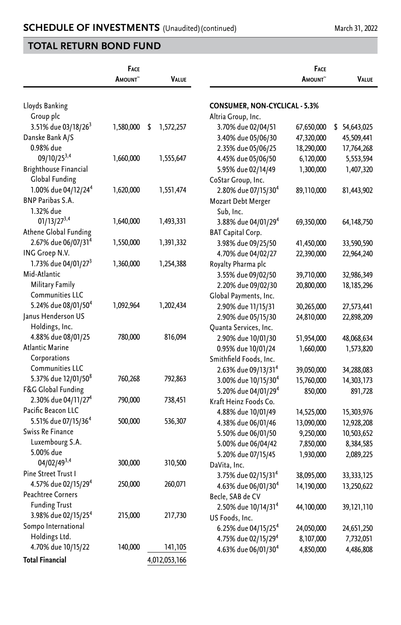|                                                       | <b>FACE</b>         |    |               | <b>FACE</b>                              |                     |              |  |
|-------------------------------------------------------|---------------------|----|---------------|------------------------------------------|---------------------|--------------|--|
|                                                       | AMOUNT <sup>~</sup> |    | VALUE         |                                          | AMOUNT <sup>~</sup> | Value        |  |
| Lloyds Banking                                        |                     |    |               | <b>CONSUMER, NON-CYCLICAL - 5.3%</b>     |                     |              |  |
| Group plc                                             |                     |    |               | Altria Group, Inc.                       |                     |              |  |
| 3.51% due 03/18/26 <sup>3</sup>                       | 1,580,000           | \$ | 1,572,257     | 3.70% due 02/04/51                       | 67,650,000          | \$54,643,025 |  |
| Danske Bank A/S                                       |                     |    |               | 3.40% due 05/06/30                       | 47,320,000          | 45,509,441   |  |
| 0.98% due                                             |                     |    |               | 2.35% due 05/06/25                       | 18,290,000          | 17,764,268   |  |
| 09/10/25 <sup>3,4</sup>                               | 1,660,000           |    | 1,555,647     | 4.45% due 05/06/50                       | 6,120,000           | 5,553,594    |  |
| Brighthouse Financial                                 |                     |    |               | 5.95% due 02/14/49                       | 1,300,000           | 1,407,320    |  |
| Global Funding                                        |                     |    |               | CoStar Group, Inc.                       |                     |              |  |
| 1.00% due 04/12/24 <sup>4</sup>                       | 1,620,000           |    | 1,551,474     | 2.80% due 07/15/30 <sup>4</sup>          | 89,110,000          | 81,443,902   |  |
| <b>BNP Paribas S.A.</b>                               |                     |    |               | Mozart Debt Merger                       |                     |              |  |
| 1.32% due                                             |                     |    |               | Sub, Inc.                                |                     |              |  |
| $01/13/27^{3,4}$                                      | 1,640,000           |    | 1,493,331     | 3.88% due 04/01/29 <sup>4</sup>          | 69,350,000          | 64,148,750   |  |
| Athene Global Funding                                 |                     |    |               | <b>BAT Capital Corp.</b>                 |                     |              |  |
| 2.67% due 06/07/31 <sup>4</sup>                       | 1,550,000           |    | 1,391,332     | 3.98% due 09/25/50                       | 41,450,000          | 33,590,590   |  |
| ING Groep N.V.                                        |                     |    |               | 4.70% due 04/02/27                       | 22,390,000          | 22,964,240   |  |
| 1.73% due 04/01/27 <sup>3</sup>                       | 1,360,000           |    | 1,254,388     | Royalty Pharma plc                       |                     |              |  |
| Mid-Atlantic                                          |                     |    |               | 3.55% due 09/02/50                       | 39,710,000          | 32,986,349   |  |
| <b>Military Family</b>                                |                     |    |               | 2.20% due 09/02/30                       | 20,800,000          | 18, 185, 296 |  |
| Communities LLC                                       |                     |    |               | Global Payments, Inc.                    |                     |              |  |
| 5.24% due 08/01/50 <sup>4</sup>                       | 1,092,964           |    | 1,202,434     | 2.90% due 11/15/31                       | 30,265,000          | 27,573,441   |  |
| Janus Henderson US                                    |                     |    |               | 2.90% due 05/15/30                       | 24,810,000          | 22,898,209   |  |
| Holdings, Inc.                                        |                     |    |               | Quanta Services, Inc.                    |                     |              |  |
| 4.88% due 08/01/25                                    | 780,000             |    | 816,094       | 2.90% due 10/01/30                       | 51,954,000          | 48,068,634   |  |
| <b>Atlantic Marine</b>                                |                     |    |               | 0.95% due 10/01/24                       | 1,660,000           | 1,573,820    |  |
| Corporations                                          |                     |    |               | Smithfield Foods, Inc.                   |                     |              |  |
| Communities LLC                                       |                     |    |               | 2.63% due 09/13/31 <sup>4</sup>          | 39,050,000          | 34,288,083   |  |
| 5.37% due 12/01/50 <sup>8</sup>                       | 760,268             |    | 792,863       | 3.00% due 10/15/30 <sup>4</sup>          | 15,760,000          | 14,303,173   |  |
| F&G Global Funding<br>2.30% due 04/11/27 <sup>4</sup> | 790,000             |    |               | 5.20% due 04/01/29 <sup>4</sup>          | 850,000             | 891,728      |  |
| Pacific Beacon LLC                                    |                     |    | 738,451       | Kraft Heinz Foods Co.                    |                     |              |  |
| 5.51% due 07/15/36 <sup>4</sup>                       | 500,000             |    | 536,307       | 4.88% due 10/01/49                       | 14,525,000          | 15,303,976   |  |
| Swiss Re Finance                                      |                     |    |               | 4.38% due 06/01/46                       | 13,090,000          | 12,928,208   |  |
| Luxembourg S.A.                                       |                     |    |               | 5.50% due 06/01/50<br>5.00% due 06/04/42 | 9,250,000           | 10,503,652   |  |
| 5.00% due                                             |                     |    |               | 5.20% due 07/15/45                       | 7,850,000           | 8,384,585    |  |
| 04/02/493,4                                           | 300,000             |    | 310,500       | DaVita, Inc.                             | 1,930,000           | 2,089,225    |  |
| Pine Street Trust I                                   |                     |    |               | 3.75% due 02/15/31 <sup>4</sup>          | 38,095,000          | 33,333,125   |  |
| 4.57% due 02/15/29 <sup>4</sup>                       | 250,000             |    | 260,071       | 4.63% due 06/01/30 <sup>4</sup>          | 14,190,000          | 13,250,622   |  |
| Peachtree Corners                                     |                     |    |               | Becle, SAB de CV                         |                     |              |  |
| <b>Funding Trust</b>                                  |                     |    |               | 2.50% due 10/14/31 <sup>4</sup>          | 44,100,000          | 39,121,110   |  |
| 3.98% due 02/15/25 <sup>4</sup>                       | 215,000             |    | 217,730       | US Foods, Inc.                           |                     |              |  |
| Sompo International                                   |                     |    |               | 6.25% due 04/15/25 <sup>4</sup>          | 24,050,000          | 24,651,250   |  |
| Holdings Ltd.                                         |                     |    |               | 4.75% due 02/15/29 <sup>4</sup>          | 8,107,000           | 7,732,051    |  |
| 4.70% due 10/15/22                                    | 140,000             |    | 141,105       | 4.63% due 06/01/30 <sup>4</sup>          | 4,850,000           | 4,486,808    |  |
| <b>Total Financial</b>                                |                     |    | 4,012,053,166 |                                          |                     |              |  |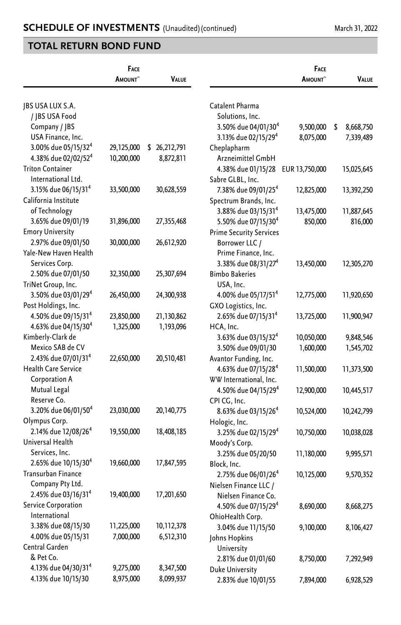|                                 | <b>FACE</b><br>AMOUNT~ | <b>VALUE</b>  |                                 | <b>FACE</b><br>AMOUNT~ | <b>VALUE</b>    |
|---------------------------------|------------------------|---------------|---------------------------------|------------------------|-----------------|
|                                 |                        |               |                                 |                        |                 |
| JBS USA LUX S.A.                |                        |               | Catalent Pharma                 |                        |                 |
| / JBS USA Food                  |                        |               | Solutions, Inc.                 |                        |                 |
| Company / JBS                   |                        |               | 3.50% due 04/01/30 <sup>4</sup> | 9,500,000              | \$<br>8,668,750 |
| USA Finance, Inc.               |                        |               | 3.13% due 02/15/29 <sup>4</sup> | 8,075,000              | 7,339,489       |
| 3.00% due 05/15/32 <sup>4</sup> | 29,125,000             | \$ 26,212,791 | Cheplapharm                     |                        |                 |
| 4.38% due 02/02/52 <sup>4</sup> | 10,200,000             | 8,872,811     | Arzneimittel GmbH               |                        |                 |
| <b>Triton Container</b>         |                        |               | 4.38% due 01/15/28              | EUR 13,750,000         | 15,025,645      |
| International Ltd.              |                        |               | Sabre GLBL, Inc.                |                        |                 |
| 3.15% due 06/15/31 <sup>4</sup> | 33,500,000             | 30,628,559    | 7.38% due 09/01/25 <sup>4</sup> | 12,825,000             | 13,392,250      |
| California Institute            |                        |               | Spectrum Brands, Inc.           |                        |                 |
| of Technology                   |                        |               | 3.88% due 03/15/31 <sup>4</sup> | 13,475,000             | 11,887,645      |
| 3.65% due 09/01/19              | 31,896,000             | 27,355,468    | 5.50% due 07/15/30 <sup>4</sup> | 850,000                | 816,000         |
| <b>Emory University</b>         |                        |               | <b>Prime Security Services</b>  |                        |                 |
| 2.97% due 09/01/50              | 30,000,000             | 26,612,920    | Borrower LLC /                  |                        |                 |
| Yale-New Haven Health           |                        |               | Prime Finance, Inc.             |                        |                 |
| Services Corp.                  |                        |               | 3.38% due 08/31/27 <sup>4</sup> | 13,450,000             | 12,305,270      |
| 2.50% due 07/01/50              | 32,350,000             | 25,307,694    | <b>Bimbo Bakeries</b>           |                        |                 |
| TriNet Group, Inc.              |                        |               | USA, Inc.                       |                        |                 |
| 3.50% due 03/01/29 <sup>4</sup> | 26,450,000             | 24,300,938    | 4.00% due 05/17/51 <sup>4</sup> | 12,775,000             | 11,920,650      |
| Post Holdings, Inc.             |                        |               | GXO Logistics, Inc.             |                        |                 |
| 4.50% due 09/15/31 <sup>4</sup> | 23,850,000             | 21,130,862    | 2.65% due 07/15/31 <sup>4</sup> | 13,725,000             | 11,900,947      |
| 4.63% due 04/15/30 <sup>4</sup> | 1,325,000              | 1,193,096     | HCA, Inc.                       |                        |                 |
| Kimberly-Clark de               |                        |               | 3.63% due 03/15/32 <sup>4</sup> | 10,050,000             | 9,848,546       |
| Mexico SAB de CV                |                        |               | 3.50% due 09/01/30              | 1,600,000              | 1,545,702       |
| 2.43% due 07/01/31 <sup>4</sup> | 22,650,000             | 20,510,481    | Avantor Funding, Inc.           |                        |                 |
| <b>Health Care Service</b>      |                        |               | 4.63% due 07/15/28 <sup>4</sup> | 11,500,000             | 11,373,500      |
| Corporation A                   |                        |               | WW International, Inc.          |                        |                 |
| Mutual Legal                    |                        |               | 4.50% due 04/15/29 <sup>4</sup> | 12,900,000             | 10,445,517      |
| Reserve Co.                     |                        |               | CPI CG, Inc.                    |                        |                 |
| 3.20% due 06/01/50 <sup>4</sup> | 23,030,000             | 20,140,775    | 8.63% due 03/15/26 <sup>4</sup> | 10,524,000             | 10,242,799      |
| Olympus Corp.                   |                        |               | Hologic, Inc.                   |                        |                 |
| 2.14% due 12/08/26 <sup>4</sup> | 19,550,000             | 18,408,185    | 3.25% due 02/15/29 <sup>4</sup> | 10,750,000             | 10,038,028      |
| Universal Health                |                        |               | Moody's Corp.                   |                        |                 |
| Services, Inc.                  |                        |               | 3.25% due 05/20/50              | 11,180,000             | 9,995,571       |
| 2.65% due 10/15/30 <sup>4</sup> | 19,660,000             | 17,847,595    | Block, Inc.                     |                        |                 |
| Transurban Finance              |                        |               | 2.75% due 06/01/26 <sup>4</sup> | 10,125,000             | 9,570,352       |
| Company Pty Ltd.                |                        |               | Nielsen Finance LLC /           |                        |                 |
| 2.45% due 03/16/31 <sup>4</sup> | 19,400,000             | 17,201,650    | Nielsen Finance Co.             |                        |                 |
| Service Corporation             |                        |               | 4.50% due 07/15/29 <sup>4</sup> | 8,690,000              | 8,668,275       |
| International                   |                        |               | OhioHealth Corp.                |                        |                 |
| 3.38% due 08/15/30              | 11,225,000             | 10,112,378    | 3.04% due 11/15/50              | 9,100,000              | 8,106,427       |
| 4.00% due 05/15/31              | 7,000,000              | 6,512,310     | Johns Hopkins                   |                        |                 |
| Central Garden                  |                        |               | University                      |                        |                 |
| & Pet Co.                       |                        |               | 2.81% due 01/01/60              | 8,750,000              | 7,292,949       |
| 4.13% due 04/30/31 <sup>4</sup> | 9,275,000              | 8,347,500     | Duke University                 |                        |                 |
| 4.13% due 10/15/30              | 8,975,000              | 8,099,937     | 2.83% due 10/01/55              | 7,894,000              | 6,928,529       |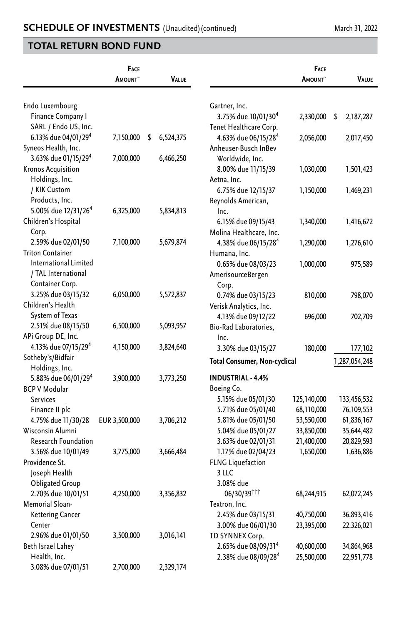| Endo Luxembourg<br>Gartner, Inc.<br>Finance Company I<br>3.75% due 10/01/30 <sup>4</sup><br>2,330,000<br>\$<br>2,187,287<br>SARL / Endo US, Inc.<br>Tenet Healthcare Corp.<br>6.13% due 04/01/29 <sup>4</sup><br>7,150,000<br>4.63% due 06/15/28 <sup>4</sup><br>\$<br>6,524,375<br>2,056,000<br>2,017,450<br>Syneos Health, Inc.<br>Anheuser-Busch InBev<br>3.63% due 01/15/29 <sup>4</sup><br>7,000,000<br>6,466,250<br>Worldwide, Inc.<br>Kronos Acquisition<br>8.00% due 11/15/39<br>1,030,000<br>1,501,423<br>Holdings, Inc.<br>Aetna, Inc.<br>/ KIK Custom<br>6.75% due 12/15/37<br>1,150,000<br>1,469,231<br>Products, Inc.<br>Reynolds American,<br>5.00% due 12/31/26 <sup>4</sup><br>6,325,000<br>5,834,813<br>Inc.<br>Children's Hospital<br>6.15% due 09/15/43<br>1,340,000<br>1,416,672<br>Corp.<br>Molina Healthcare, Inc.<br>2.59% due 02/01/50<br>7,100,000<br>5,679,874<br>4.38% due 06/15/28 <sup>4</sup><br>1,290,000<br>1,276,610<br><b>Triton Container</b><br>Humana, Inc.<br>International Limited<br>0.65% due 08/03/23<br>1,000,000<br>975,589<br>/ TAL International<br>AmerisourceBergen<br>Container Corp.<br>Corp.<br>3.25% due 03/15/32<br>6,050,000<br>5,572,837<br>0.74% due 03/15/23<br>810,000<br>798,070<br>Children's Health<br>Verisk Analytics, Inc.<br>System of Texas<br>4.13% due 09/12/22<br>696,000<br>702,709<br>2.51% due 08/15/50<br>6,500,000<br>5,093,957<br>Bio-Rad Laboratories,<br>APi Group DE, Inc.<br>Inc.<br>4.13% due 07/15/29 <sup>4</sup><br>4,150,000<br>3,824,640<br>3.30% due 03/15/27<br>180,000<br>177,102<br>Sotheby's/Bidfair<br><b>Total Consumer, Non-cyclical</b><br>1,287,054,248<br>Holdings, Inc.<br><b>INDUSTRIAL - 4.4%</b><br>5.88% due 06/01/29 <sup>4</sup><br>3,900,000<br>3,773,250<br><b>BCP V Modular</b><br>Boeing Co.<br>5.15% due 05/01/30<br>125,140,000<br>133,456,532<br><b>Services</b><br>5.71% due 05/01/40<br>68,110,000<br>76,109,553<br>Finance II plc<br>5.81% due 05/01/50<br>4.75% due 11/30/28<br>EUR 3,500,000<br>53,550,000<br>61,836,167<br>3,706,212<br>5.04% due 05/01/27<br>Wisconsin Alumni<br>33,850,000<br>35,644,482<br>Research Foundation<br>3.63% due 02/01/31<br>21,400,000<br>20,829,593<br>3.56% due 10/01/49<br>1.17% due 02/04/23<br>3,775,000<br>3,666,484<br>1,650,000<br>1,636,886<br><b>FLNG</b> Liquefaction<br>Providence St.<br>Joseph Health<br>3 LLC<br><b>Obligated Group</b><br>3.08% due<br>06/30/39111<br>2.70% due 10/01/51<br>4,250,000<br>3,356,832<br>68,244,915<br>62,072,245<br>Memorial Sloan-<br>Textron, Inc.<br>Kettering Cancer<br>2.45% due 03/15/31<br>40,750,000<br>36,893,416<br>Center<br>3.00% due 06/01/30<br>23,395,000<br>22,326,021<br>2.96% due 01/01/50<br>3,500,000<br>3,016,141<br>TD SYNNEX Corp.<br>Beth Israel Lahey<br>2.65% due 08/09/31 <sup>4</sup><br>40,600,000<br>34,864,968<br>Health, Inc.<br>2.38% due 08/09/28 <sup>4</sup><br>22,951,778<br>25,500,000 |                    | FACE<br>AMOUNT <sup>~</sup> | <b>VALUE</b> | FACE<br>AMOUNT <sup>~</sup> | VALUE |
|-------------------------------------------------------------------------------------------------------------------------------------------------------------------------------------------------------------------------------------------------------------------------------------------------------------------------------------------------------------------------------------------------------------------------------------------------------------------------------------------------------------------------------------------------------------------------------------------------------------------------------------------------------------------------------------------------------------------------------------------------------------------------------------------------------------------------------------------------------------------------------------------------------------------------------------------------------------------------------------------------------------------------------------------------------------------------------------------------------------------------------------------------------------------------------------------------------------------------------------------------------------------------------------------------------------------------------------------------------------------------------------------------------------------------------------------------------------------------------------------------------------------------------------------------------------------------------------------------------------------------------------------------------------------------------------------------------------------------------------------------------------------------------------------------------------------------------------------------------------------------------------------------------------------------------------------------------------------------------------------------------------------------------------------------------------------------------------------------------------------------------------------------------------------------------------------------------------------------------------------------------------------------------------------------------------------------------------------------------------------------------------------------------------------------------------------------------------------------------------------------------------------------------------------------------------------------------------------------------------------------------------------------------------------------------------------------------------------------------------------------------------------------------------------------------------------------------------------------------------------------------------------------------------------------------|--------------------|-----------------------------|--------------|-----------------------------|-------|
|                                                                                                                                                                                                                                                                                                                                                                                                                                                                                                                                                                                                                                                                                                                                                                                                                                                                                                                                                                                                                                                                                                                                                                                                                                                                                                                                                                                                                                                                                                                                                                                                                                                                                                                                                                                                                                                                                                                                                                                                                                                                                                                                                                                                                                                                                                                                                                                                                                                                                                                                                                                                                                                                                                                                                                                                                                                                                                                               |                    |                             |              |                             |       |
|                                                                                                                                                                                                                                                                                                                                                                                                                                                                                                                                                                                                                                                                                                                                                                                                                                                                                                                                                                                                                                                                                                                                                                                                                                                                                                                                                                                                                                                                                                                                                                                                                                                                                                                                                                                                                                                                                                                                                                                                                                                                                                                                                                                                                                                                                                                                                                                                                                                                                                                                                                                                                                                                                                                                                                                                                                                                                                                               |                    |                             |              |                             |       |
|                                                                                                                                                                                                                                                                                                                                                                                                                                                                                                                                                                                                                                                                                                                                                                                                                                                                                                                                                                                                                                                                                                                                                                                                                                                                                                                                                                                                                                                                                                                                                                                                                                                                                                                                                                                                                                                                                                                                                                                                                                                                                                                                                                                                                                                                                                                                                                                                                                                                                                                                                                                                                                                                                                                                                                                                                                                                                                                               |                    |                             |              |                             |       |
|                                                                                                                                                                                                                                                                                                                                                                                                                                                                                                                                                                                                                                                                                                                                                                                                                                                                                                                                                                                                                                                                                                                                                                                                                                                                                                                                                                                                                                                                                                                                                                                                                                                                                                                                                                                                                                                                                                                                                                                                                                                                                                                                                                                                                                                                                                                                                                                                                                                                                                                                                                                                                                                                                                                                                                                                                                                                                                                               |                    |                             |              |                             |       |
|                                                                                                                                                                                                                                                                                                                                                                                                                                                                                                                                                                                                                                                                                                                                                                                                                                                                                                                                                                                                                                                                                                                                                                                                                                                                                                                                                                                                                                                                                                                                                                                                                                                                                                                                                                                                                                                                                                                                                                                                                                                                                                                                                                                                                                                                                                                                                                                                                                                                                                                                                                                                                                                                                                                                                                                                                                                                                                                               |                    |                             |              |                             |       |
|                                                                                                                                                                                                                                                                                                                                                                                                                                                                                                                                                                                                                                                                                                                                                                                                                                                                                                                                                                                                                                                                                                                                                                                                                                                                                                                                                                                                                                                                                                                                                                                                                                                                                                                                                                                                                                                                                                                                                                                                                                                                                                                                                                                                                                                                                                                                                                                                                                                                                                                                                                                                                                                                                                                                                                                                                                                                                                                               |                    |                             |              |                             |       |
|                                                                                                                                                                                                                                                                                                                                                                                                                                                                                                                                                                                                                                                                                                                                                                                                                                                                                                                                                                                                                                                                                                                                                                                                                                                                                                                                                                                                                                                                                                                                                                                                                                                                                                                                                                                                                                                                                                                                                                                                                                                                                                                                                                                                                                                                                                                                                                                                                                                                                                                                                                                                                                                                                                                                                                                                                                                                                                                               |                    |                             |              |                             |       |
|                                                                                                                                                                                                                                                                                                                                                                                                                                                                                                                                                                                                                                                                                                                                                                                                                                                                                                                                                                                                                                                                                                                                                                                                                                                                                                                                                                                                                                                                                                                                                                                                                                                                                                                                                                                                                                                                                                                                                                                                                                                                                                                                                                                                                                                                                                                                                                                                                                                                                                                                                                                                                                                                                                                                                                                                                                                                                                                               |                    |                             |              |                             |       |
|                                                                                                                                                                                                                                                                                                                                                                                                                                                                                                                                                                                                                                                                                                                                                                                                                                                                                                                                                                                                                                                                                                                                                                                                                                                                                                                                                                                                                                                                                                                                                                                                                                                                                                                                                                                                                                                                                                                                                                                                                                                                                                                                                                                                                                                                                                                                                                                                                                                                                                                                                                                                                                                                                                                                                                                                                                                                                                                               |                    |                             |              |                             |       |
|                                                                                                                                                                                                                                                                                                                                                                                                                                                                                                                                                                                                                                                                                                                                                                                                                                                                                                                                                                                                                                                                                                                                                                                                                                                                                                                                                                                                                                                                                                                                                                                                                                                                                                                                                                                                                                                                                                                                                                                                                                                                                                                                                                                                                                                                                                                                                                                                                                                                                                                                                                                                                                                                                                                                                                                                                                                                                                                               |                    |                             |              |                             |       |
|                                                                                                                                                                                                                                                                                                                                                                                                                                                                                                                                                                                                                                                                                                                                                                                                                                                                                                                                                                                                                                                                                                                                                                                                                                                                                                                                                                                                                                                                                                                                                                                                                                                                                                                                                                                                                                                                                                                                                                                                                                                                                                                                                                                                                                                                                                                                                                                                                                                                                                                                                                                                                                                                                                                                                                                                                                                                                                                               |                    |                             |              |                             |       |
|                                                                                                                                                                                                                                                                                                                                                                                                                                                                                                                                                                                                                                                                                                                                                                                                                                                                                                                                                                                                                                                                                                                                                                                                                                                                                                                                                                                                                                                                                                                                                                                                                                                                                                                                                                                                                                                                                                                                                                                                                                                                                                                                                                                                                                                                                                                                                                                                                                                                                                                                                                                                                                                                                                                                                                                                                                                                                                                               |                    |                             |              |                             |       |
|                                                                                                                                                                                                                                                                                                                                                                                                                                                                                                                                                                                                                                                                                                                                                                                                                                                                                                                                                                                                                                                                                                                                                                                                                                                                                                                                                                                                                                                                                                                                                                                                                                                                                                                                                                                                                                                                                                                                                                                                                                                                                                                                                                                                                                                                                                                                                                                                                                                                                                                                                                                                                                                                                                                                                                                                                                                                                                                               |                    |                             |              |                             |       |
|                                                                                                                                                                                                                                                                                                                                                                                                                                                                                                                                                                                                                                                                                                                                                                                                                                                                                                                                                                                                                                                                                                                                                                                                                                                                                                                                                                                                                                                                                                                                                                                                                                                                                                                                                                                                                                                                                                                                                                                                                                                                                                                                                                                                                                                                                                                                                                                                                                                                                                                                                                                                                                                                                                                                                                                                                                                                                                                               |                    |                             |              |                             |       |
|                                                                                                                                                                                                                                                                                                                                                                                                                                                                                                                                                                                                                                                                                                                                                                                                                                                                                                                                                                                                                                                                                                                                                                                                                                                                                                                                                                                                                                                                                                                                                                                                                                                                                                                                                                                                                                                                                                                                                                                                                                                                                                                                                                                                                                                                                                                                                                                                                                                                                                                                                                                                                                                                                                                                                                                                                                                                                                                               |                    |                             |              |                             |       |
|                                                                                                                                                                                                                                                                                                                                                                                                                                                                                                                                                                                                                                                                                                                                                                                                                                                                                                                                                                                                                                                                                                                                                                                                                                                                                                                                                                                                                                                                                                                                                                                                                                                                                                                                                                                                                                                                                                                                                                                                                                                                                                                                                                                                                                                                                                                                                                                                                                                                                                                                                                                                                                                                                                                                                                                                                                                                                                                               |                    |                             |              |                             |       |
|                                                                                                                                                                                                                                                                                                                                                                                                                                                                                                                                                                                                                                                                                                                                                                                                                                                                                                                                                                                                                                                                                                                                                                                                                                                                                                                                                                                                                                                                                                                                                                                                                                                                                                                                                                                                                                                                                                                                                                                                                                                                                                                                                                                                                                                                                                                                                                                                                                                                                                                                                                                                                                                                                                                                                                                                                                                                                                                               |                    |                             |              |                             |       |
|                                                                                                                                                                                                                                                                                                                                                                                                                                                                                                                                                                                                                                                                                                                                                                                                                                                                                                                                                                                                                                                                                                                                                                                                                                                                                                                                                                                                                                                                                                                                                                                                                                                                                                                                                                                                                                                                                                                                                                                                                                                                                                                                                                                                                                                                                                                                                                                                                                                                                                                                                                                                                                                                                                                                                                                                                                                                                                                               |                    |                             |              |                             |       |
|                                                                                                                                                                                                                                                                                                                                                                                                                                                                                                                                                                                                                                                                                                                                                                                                                                                                                                                                                                                                                                                                                                                                                                                                                                                                                                                                                                                                                                                                                                                                                                                                                                                                                                                                                                                                                                                                                                                                                                                                                                                                                                                                                                                                                                                                                                                                                                                                                                                                                                                                                                                                                                                                                                                                                                                                                                                                                                                               |                    |                             |              |                             |       |
|                                                                                                                                                                                                                                                                                                                                                                                                                                                                                                                                                                                                                                                                                                                                                                                                                                                                                                                                                                                                                                                                                                                                                                                                                                                                                                                                                                                                                                                                                                                                                                                                                                                                                                                                                                                                                                                                                                                                                                                                                                                                                                                                                                                                                                                                                                                                                                                                                                                                                                                                                                                                                                                                                                                                                                                                                                                                                                                               |                    |                             |              |                             |       |
|                                                                                                                                                                                                                                                                                                                                                                                                                                                                                                                                                                                                                                                                                                                                                                                                                                                                                                                                                                                                                                                                                                                                                                                                                                                                                                                                                                                                                                                                                                                                                                                                                                                                                                                                                                                                                                                                                                                                                                                                                                                                                                                                                                                                                                                                                                                                                                                                                                                                                                                                                                                                                                                                                                                                                                                                                                                                                                                               |                    |                             |              |                             |       |
|                                                                                                                                                                                                                                                                                                                                                                                                                                                                                                                                                                                                                                                                                                                                                                                                                                                                                                                                                                                                                                                                                                                                                                                                                                                                                                                                                                                                                                                                                                                                                                                                                                                                                                                                                                                                                                                                                                                                                                                                                                                                                                                                                                                                                                                                                                                                                                                                                                                                                                                                                                                                                                                                                                                                                                                                                                                                                                                               |                    |                             |              |                             |       |
|                                                                                                                                                                                                                                                                                                                                                                                                                                                                                                                                                                                                                                                                                                                                                                                                                                                                                                                                                                                                                                                                                                                                                                                                                                                                                                                                                                                                                                                                                                                                                                                                                                                                                                                                                                                                                                                                                                                                                                                                                                                                                                                                                                                                                                                                                                                                                                                                                                                                                                                                                                                                                                                                                                                                                                                                                                                                                                                               |                    |                             |              |                             |       |
|                                                                                                                                                                                                                                                                                                                                                                                                                                                                                                                                                                                                                                                                                                                                                                                                                                                                                                                                                                                                                                                                                                                                                                                                                                                                                                                                                                                                                                                                                                                                                                                                                                                                                                                                                                                                                                                                                                                                                                                                                                                                                                                                                                                                                                                                                                                                                                                                                                                                                                                                                                                                                                                                                                                                                                                                                                                                                                                               |                    |                             |              |                             |       |
|                                                                                                                                                                                                                                                                                                                                                                                                                                                                                                                                                                                                                                                                                                                                                                                                                                                                                                                                                                                                                                                                                                                                                                                                                                                                                                                                                                                                                                                                                                                                                                                                                                                                                                                                                                                                                                                                                                                                                                                                                                                                                                                                                                                                                                                                                                                                                                                                                                                                                                                                                                                                                                                                                                                                                                                                                                                                                                                               |                    |                             |              |                             |       |
|                                                                                                                                                                                                                                                                                                                                                                                                                                                                                                                                                                                                                                                                                                                                                                                                                                                                                                                                                                                                                                                                                                                                                                                                                                                                                                                                                                                                                                                                                                                                                                                                                                                                                                                                                                                                                                                                                                                                                                                                                                                                                                                                                                                                                                                                                                                                                                                                                                                                                                                                                                                                                                                                                                                                                                                                                                                                                                                               |                    |                             |              |                             |       |
|                                                                                                                                                                                                                                                                                                                                                                                                                                                                                                                                                                                                                                                                                                                                                                                                                                                                                                                                                                                                                                                                                                                                                                                                                                                                                                                                                                                                                                                                                                                                                                                                                                                                                                                                                                                                                                                                                                                                                                                                                                                                                                                                                                                                                                                                                                                                                                                                                                                                                                                                                                                                                                                                                                                                                                                                                                                                                                                               |                    |                             |              |                             |       |
|                                                                                                                                                                                                                                                                                                                                                                                                                                                                                                                                                                                                                                                                                                                                                                                                                                                                                                                                                                                                                                                                                                                                                                                                                                                                                                                                                                                                                                                                                                                                                                                                                                                                                                                                                                                                                                                                                                                                                                                                                                                                                                                                                                                                                                                                                                                                                                                                                                                                                                                                                                                                                                                                                                                                                                                                                                                                                                                               |                    |                             |              |                             |       |
|                                                                                                                                                                                                                                                                                                                                                                                                                                                                                                                                                                                                                                                                                                                                                                                                                                                                                                                                                                                                                                                                                                                                                                                                                                                                                                                                                                                                                                                                                                                                                                                                                                                                                                                                                                                                                                                                                                                                                                                                                                                                                                                                                                                                                                                                                                                                                                                                                                                                                                                                                                                                                                                                                                                                                                                                                                                                                                                               |                    |                             |              |                             |       |
|                                                                                                                                                                                                                                                                                                                                                                                                                                                                                                                                                                                                                                                                                                                                                                                                                                                                                                                                                                                                                                                                                                                                                                                                                                                                                                                                                                                                                                                                                                                                                                                                                                                                                                                                                                                                                                                                                                                                                                                                                                                                                                                                                                                                                                                                                                                                                                                                                                                                                                                                                                                                                                                                                                                                                                                                                                                                                                                               |                    |                             |              |                             |       |
|                                                                                                                                                                                                                                                                                                                                                                                                                                                                                                                                                                                                                                                                                                                                                                                                                                                                                                                                                                                                                                                                                                                                                                                                                                                                                                                                                                                                                                                                                                                                                                                                                                                                                                                                                                                                                                                                                                                                                                                                                                                                                                                                                                                                                                                                                                                                                                                                                                                                                                                                                                                                                                                                                                                                                                                                                                                                                                                               |                    |                             |              |                             |       |
|                                                                                                                                                                                                                                                                                                                                                                                                                                                                                                                                                                                                                                                                                                                                                                                                                                                                                                                                                                                                                                                                                                                                                                                                                                                                                                                                                                                                                                                                                                                                                                                                                                                                                                                                                                                                                                                                                                                                                                                                                                                                                                                                                                                                                                                                                                                                                                                                                                                                                                                                                                                                                                                                                                                                                                                                                                                                                                                               |                    |                             |              |                             |       |
|                                                                                                                                                                                                                                                                                                                                                                                                                                                                                                                                                                                                                                                                                                                                                                                                                                                                                                                                                                                                                                                                                                                                                                                                                                                                                                                                                                                                                                                                                                                                                                                                                                                                                                                                                                                                                                                                                                                                                                                                                                                                                                                                                                                                                                                                                                                                                                                                                                                                                                                                                                                                                                                                                                                                                                                                                                                                                                                               |                    |                             |              |                             |       |
|                                                                                                                                                                                                                                                                                                                                                                                                                                                                                                                                                                                                                                                                                                                                                                                                                                                                                                                                                                                                                                                                                                                                                                                                                                                                                                                                                                                                                                                                                                                                                                                                                                                                                                                                                                                                                                                                                                                                                                                                                                                                                                                                                                                                                                                                                                                                                                                                                                                                                                                                                                                                                                                                                                                                                                                                                                                                                                                               |                    |                             |              |                             |       |
|                                                                                                                                                                                                                                                                                                                                                                                                                                                                                                                                                                                                                                                                                                                                                                                                                                                                                                                                                                                                                                                                                                                                                                                                                                                                                                                                                                                                                                                                                                                                                                                                                                                                                                                                                                                                                                                                                                                                                                                                                                                                                                                                                                                                                                                                                                                                                                                                                                                                                                                                                                                                                                                                                                                                                                                                                                                                                                                               |                    |                             |              |                             |       |
|                                                                                                                                                                                                                                                                                                                                                                                                                                                                                                                                                                                                                                                                                                                                                                                                                                                                                                                                                                                                                                                                                                                                                                                                                                                                                                                                                                                                                                                                                                                                                                                                                                                                                                                                                                                                                                                                                                                                                                                                                                                                                                                                                                                                                                                                                                                                                                                                                                                                                                                                                                                                                                                                                                                                                                                                                                                                                                                               |                    |                             |              |                             |       |
|                                                                                                                                                                                                                                                                                                                                                                                                                                                                                                                                                                                                                                                                                                                                                                                                                                                                                                                                                                                                                                                                                                                                                                                                                                                                                                                                                                                                                                                                                                                                                                                                                                                                                                                                                                                                                                                                                                                                                                                                                                                                                                                                                                                                                                                                                                                                                                                                                                                                                                                                                                                                                                                                                                                                                                                                                                                                                                                               |                    |                             |              |                             |       |
|                                                                                                                                                                                                                                                                                                                                                                                                                                                                                                                                                                                                                                                                                                                                                                                                                                                                                                                                                                                                                                                                                                                                                                                                                                                                                                                                                                                                                                                                                                                                                                                                                                                                                                                                                                                                                                                                                                                                                                                                                                                                                                                                                                                                                                                                                                                                                                                                                                                                                                                                                                                                                                                                                                                                                                                                                                                                                                                               |                    |                             |              |                             |       |
|                                                                                                                                                                                                                                                                                                                                                                                                                                                                                                                                                                                                                                                                                                                                                                                                                                                                                                                                                                                                                                                                                                                                                                                                                                                                                                                                                                                                                                                                                                                                                                                                                                                                                                                                                                                                                                                                                                                                                                                                                                                                                                                                                                                                                                                                                                                                                                                                                                                                                                                                                                                                                                                                                                                                                                                                                                                                                                                               |                    |                             |              |                             |       |
|                                                                                                                                                                                                                                                                                                                                                                                                                                                                                                                                                                                                                                                                                                                                                                                                                                                                                                                                                                                                                                                                                                                                                                                                                                                                                                                                                                                                                                                                                                                                                                                                                                                                                                                                                                                                                                                                                                                                                                                                                                                                                                                                                                                                                                                                                                                                                                                                                                                                                                                                                                                                                                                                                                                                                                                                                                                                                                                               |                    |                             |              |                             |       |
|                                                                                                                                                                                                                                                                                                                                                                                                                                                                                                                                                                                                                                                                                                                                                                                                                                                                                                                                                                                                                                                                                                                                                                                                                                                                                                                                                                                                                                                                                                                                                                                                                                                                                                                                                                                                                                                                                                                                                                                                                                                                                                                                                                                                                                                                                                                                                                                                                                                                                                                                                                                                                                                                                                                                                                                                                                                                                                                               |                    |                             |              |                             |       |
|                                                                                                                                                                                                                                                                                                                                                                                                                                                                                                                                                                                                                                                                                                                                                                                                                                                                                                                                                                                                                                                                                                                                                                                                                                                                                                                                                                                                                                                                                                                                                                                                                                                                                                                                                                                                                                                                                                                                                                                                                                                                                                                                                                                                                                                                                                                                                                                                                                                                                                                                                                                                                                                                                                                                                                                                                                                                                                                               |                    |                             |              |                             |       |
|                                                                                                                                                                                                                                                                                                                                                                                                                                                                                                                                                                                                                                                                                                                                                                                                                                                                                                                                                                                                                                                                                                                                                                                                                                                                                                                                                                                                                                                                                                                                                                                                                                                                                                                                                                                                                                                                                                                                                                                                                                                                                                                                                                                                                                                                                                                                                                                                                                                                                                                                                                                                                                                                                                                                                                                                                                                                                                                               |                    |                             |              |                             |       |
|                                                                                                                                                                                                                                                                                                                                                                                                                                                                                                                                                                                                                                                                                                                                                                                                                                                                                                                                                                                                                                                                                                                                                                                                                                                                                                                                                                                                                                                                                                                                                                                                                                                                                                                                                                                                                                                                                                                                                                                                                                                                                                                                                                                                                                                                                                                                                                                                                                                                                                                                                                                                                                                                                                                                                                                                                                                                                                                               | 3.08% due 07/01/51 | 2,700,000                   | 2,329,174    |                             |       |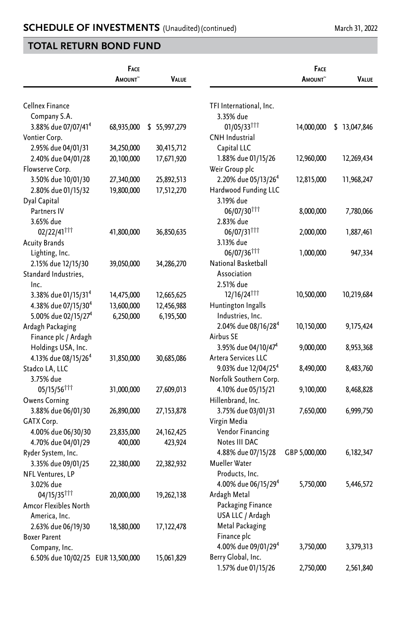|                                   | FACE<br>Amount~ | VALUE        |                                 | FACE<br>Amount~ | <b>VALUE</b> |
|-----------------------------------|-----------------|--------------|---------------------------------|-----------------|--------------|
|                                   |                 |              |                                 |                 |              |
| Cellnex Finance                   |                 |              | TFI International, Inc.         |                 |              |
| Company S.A.                      |                 |              | 3.35% due                       |                 |              |
| 3.88% due 07/07/41 <sup>4</sup>   | 68,935,000      | \$55,997,279 | $01/05/33$ <sup>†††</sup>       | 14,000,000      | \$13,047,846 |
| Vontier Corp.                     |                 |              | <b>CNH</b> Industrial           |                 |              |
| 2.95% due 04/01/31                | 34,250,000      | 30,415,712   | Capital LLC                     |                 |              |
| 2.40% due 04/01/28                | 20,100,000      | 17,671,920   | 1.88% due 01/15/26              | 12,960,000      | 12,269,434   |
| Flowserve Corp.                   |                 |              | Weir Group plc                  |                 |              |
| 3.50% due 10/01/30                | 27,340,000      | 25,892,513   | 2.20% due 05/13/26 <sup>4</sup> | 12,815,000      | 11,968,247   |
| 2.80% due 01/15/32                | 19,800,000      | 17,512,270   | Hardwood Funding LLC            |                 |              |
| Dyal Capital                      |                 |              | 3.19% due                       |                 |              |
| Partners IV                       |                 |              | 06/07/30 <sup>111</sup>         | 8,000,000       | 7,780,066    |
| 3.65% due                         |                 |              | 2.83% due                       |                 |              |
| 02/22/41111                       | 41,800,000      | 36,850,635   | 06/07/31111                     | 2,000,000       | 1,887,461    |
| <b>Acuity Brands</b>              |                 |              | 3.13% due                       |                 |              |
| Lighting, Inc.                    |                 |              | 06/07/36                        | 1,000,000       | 947,334      |
| 2.15% due 12/15/30                | 39,050,000      | 34,286,270   | National Basketball             |                 |              |
| Standard Industries,              |                 |              | Association                     |                 |              |
| Inc.                              |                 |              | 2.51% due                       |                 |              |
| 3.38% due 01/15/31 <sup>4</sup>   | 14,475,000      | 12,665,625   | 12/16/24 111                    | 10,500,000      | 10,219,684   |
| 4.38% due 07/15/30 <sup>4</sup>   | 13,600,000      | 12,456,988   | Huntington Ingalls              |                 |              |
| 5.00% due 02/15/27 <sup>4</sup>   | 6,250,000       | 6,195,500    | Industries, Inc.                |                 |              |
| Ardagh Packaging                  |                 |              | 2.04% due 08/16/28 <sup>4</sup> | 10,150,000      | 9,175,424    |
| Finance plc / Ardagh              |                 |              | Airbus SE                       |                 |              |
| Holdings USA, Inc.                |                 |              | 3.95% due 04/10/47 <sup>4</sup> | 9,000,000       | 8,953,368    |
| 4.13% due 08/15/26 <sup>4</sup>   | 31,850,000      | 30,685,086   | Artera Services LLC             |                 |              |
| Stadco LA, LLC                    |                 |              | 9.03% due 12/04/25 <sup>4</sup> | 8,490,000       | 8,483,760    |
| 3.75% due                         |                 |              | Norfolk Southern Corp.          |                 |              |
| 05/15/56†††                       | 31,000,000      | 27,609,013   | 4.10% due 05/15/21              | 9,100,000       | 8,468,828    |
| <b>Owens Corning</b>              |                 |              | Hillenbrand, Inc.               |                 |              |
| 3.88% due 06/01/30                | 26,890,000      | 27, 153, 878 | 3.75% due 03/01/31              | 7,650,000       | 6,999,750    |
| GATX Corp.                        |                 |              | Virgin Media                    |                 |              |
| 4.00% due 06/30/30                | 23,835,000      | 24, 162, 425 | Vendor Financing                |                 |              |
| 4.70% due 04/01/29                | 400,000         | 423,924      | Notes III DAC                   |                 |              |
| Ryder System, Inc.                |                 |              | 4.88% due 07/15/28              | GBP 5,000,000   | 6, 182, 347  |
| 3.35% due 09/01/25                | 22,380,000      | 22,382,932   | Mueller Water                   |                 |              |
| NFL Ventures, LP                  |                 |              | Products, Inc.                  |                 |              |
| 3.02% due                         |                 |              | 4.00% due 06/15/29 <sup>4</sup> | 5,750,000       | 5,446,572    |
| 04/15/35 111                      | 20,000,000      | 19,262,138   | Ardagh Metal                    |                 |              |
| Amcor Flexibles North             |                 |              | Packaging Finance               |                 |              |
| America, Inc.                     |                 |              | USA LLC / Ardagh                |                 |              |
| 2.63% due 06/19/30                | 18,580,000      | 17,122,478   | Metal Packaging                 |                 |              |
| <b>Boxer Parent</b>               |                 |              | Finance plc                     |                 |              |
| Company, Inc.                     |                 |              | 4.00% due 09/01/29 <sup>4</sup> | 3,750,000       | 3,379,313    |
| 6.50% due 10/02/25 EUR 13,500,000 |                 | 15,061,829   | Berry Global, Inc.              |                 |              |
|                                   |                 |              | 1.57% due 01/15/26              | 2,750,000       | 2,561,840    |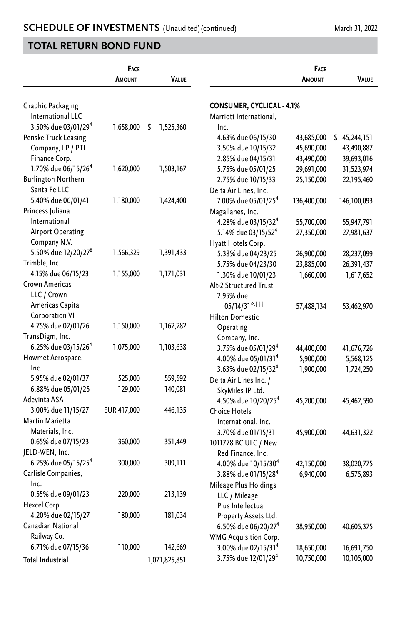|                                 | <b>FACE</b> |                 |                                  | <b>FACE</b>         |              |
|---------------------------------|-------------|-----------------|----------------------------------|---------------------|--------------|
|                                 | Amount~     | <b>VALUE</b>    |                                  | AMOUNT <sup>~</sup> | VALUE        |
| Graphic Packaging               |             |                 | <b>CONSUMER, CYCLICAL - 4.1%</b> |                     |              |
| <b>International LLC</b>        |             |                 | Marriott International,          |                     |              |
| 3.50% due 03/01/29 <sup>4</sup> | 1,658,000   | \$<br>1,525,360 | Inc.                             |                     |              |
| Penske Truck Leasing            |             |                 | 4.63% due 06/15/30               | 43,685,000          | \$45,244,151 |
| Company, LP / PTL               |             |                 | 3.50% due 10/15/32               | 45,690,000          | 43,490,887   |
| Finance Corp.                   |             |                 | 2.85% due 04/15/31               | 43,490,000          | 39,693,016   |
| 1.70% due 06/15/26 <sup>4</sup> | 1,620,000   | 1,503,167       | 5.75% due 05/01/25               | 29,691,000          | 31,523,974   |
| <b>Burlington Northern</b>      |             |                 | 2.75% due 10/15/33               | 25,150,000          | 22,195,460   |
| Santa Fe LLC                    |             |                 | Delta Air Lines, Inc.            |                     |              |
| 5.40% due 06/01/41              | 1,180,000   | 1,424,400       | 7.00% due 05/01/25 <sup>4</sup>  | 136,400,000         | 146,100,093  |
| Princess Juliana                |             |                 | Magallanes, Inc.                 |                     |              |
| International                   |             |                 | 4.28% due 03/15/32 <sup>4</sup>  | 55,700,000          | 55,947,791   |
| <b>Airport Operating</b>        |             |                 | 5.14% due 03/15/52 <sup>4</sup>  | 27,350,000          | 27,981,637   |
| Company N.V.                    |             |                 | Hyatt Hotels Corp.               |                     |              |
| 5.50% due 12/20/27 <sup>8</sup> | 1,566,329   | 1,391,433       | 5.38% due 04/23/25               | 26,900,000          | 28,237,099   |
| Trimble, Inc.                   |             |                 | 5.75% due 04/23/30               | 23,885,000          | 26,391,437   |
| 4.15% due 06/15/23              | 1,155,000   | 1,171,031       | 1.30% due 10/01/23               | 1,660,000           | 1,617,652    |
| Crown Americas                  |             |                 | Alt-2 Structured Trust           |                     |              |
| LLC / Crown                     |             |                 | 2.95% due                        |                     |              |
| Americas Capital                |             |                 | 05/14/31 <sup>6,†††</sup>        | 57,488,134          | 53,462,970   |
| <b>Corporation VI</b>           |             |                 | <b>Hilton Domestic</b>           |                     |              |
| 4.75% due 02/01/26              | 1,150,000   | 1,162,282       | Operating                        |                     |              |
| TransDigm, Inc.                 |             |                 | Company, Inc.                    |                     |              |
| 6.25% due 03/15/26 <sup>4</sup> | 1,075,000   | 1,103,638       | 3.75% due 05/01/29 <sup>4</sup>  | 44,400,000          | 41,676,726   |
| Howmet Aerospace,               |             |                 | 4.00% due 05/01/31 <sup>4</sup>  | 5,900,000           | 5,568,125    |
| Inc.                            |             |                 | 3.63% due 02/15/32 <sup>4</sup>  | 1,900,000           | 1,724,250    |
| 5.95% due 02/01/37              | 525,000     | 559,592         | Delta Air Lines Inc. /           |                     |              |
| 6.88% due 05/01/25              | 129,000     | 140,081         | SkyMiles IP Ltd.                 |                     |              |
| Adevinta ASA                    |             |                 | 4.50% due 10/20/25 <sup>4</sup>  | 45,200,000          | 45,462,590   |
| 3.00% due 11/15/27              | EUR 417,000 | 446,135         | Choice Hotels                    |                     |              |
| Martin Marietta                 |             |                 | International, Inc.              |                     |              |
| Materials, Inc.                 |             |                 | 3.70% due 01/15/31               | 45,900,000          | 44,631,322   |
| 0.65% due 07/15/23              | 360,000     | 351,449         | 1011778 BC ULC / New             |                     |              |
| JELD-WEN, Inc.                  |             |                 | Red Finance, Inc.                |                     |              |
| 6.25% due 05/15/25 <sup>4</sup> | 300,000     | 309,111         | 4.00% due 10/15/30 <sup>4</sup>  | 42,150,000          | 38,020,775   |
| Carlisle Companies,             |             |                 | 3.88% due 01/15/28 <sup>4</sup>  | 6,940,000           | 6,575,893    |
| Inc.                            |             |                 | Mileage Plus Holdings            |                     |              |
| 0.55% due 09/01/23              | 220,000     | 213,139         | LLC / Mileage                    |                     |              |
| Hexcel Corp.                    |             |                 | Plus Intellectual                |                     |              |
| 4.20% due 02/15/27              | 180,000     | 181,034         | Property Assets Ltd.             |                     |              |
| Canadian National               |             |                 | 6.50% due 06/20/27 <sup>4</sup>  | 38,950,000          | 40,605,375   |
| Railway Co.                     |             |                 | <b>WMG Acquisition Corp.</b>     |                     |              |
| 6.71% due 07/15/36              | 110,000     | 142,669         | 3.00% due 02/15/31 <sup>4</sup>  | 18,650,000          | 16,691,750   |
| <b>Total Industrial</b>         |             | 1,071,825,851   | 3.75% due 12/01/29 <sup>4</sup>  | 10,750,000          | 10,105,000   |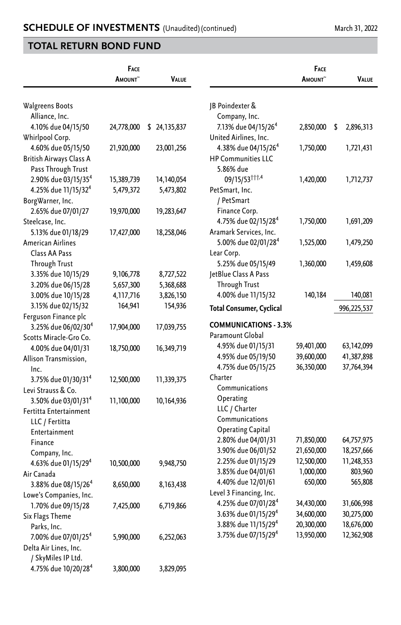|                                 | <b>FACE</b><br>AMOUNT~ | VALUE        |                                                                    | FACE<br>AMOUNT~ | VALUE           |
|---------------------------------|------------------------|--------------|--------------------------------------------------------------------|-----------------|-----------------|
|                                 |                        |              |                                                                    |                 |                 |
| Walgreens Boots                 |                        |              | JB Poindexter &                                                    |                 |                 |
| Alliance, Inc.                  |                        |              | Company, Inc.                                                      |                 |                 |
| 4.10% due 04/15/50              | 24,778,000             | \$24,135,837 | 7.13% due 04/15/26 <sup>4</sup>                                    | 2,850,000       | \$<br>2,896,313 |
| Whirlpool Corp.                 |                        |              | United Airlines, Inc.                                              |                 |                 |
| 4.60% due 05/15/50              | 21,920,000             | 23,001,256   | 4.38% due 04/15/26 <sup>4</sup>                                    | 1,750,000       | 1,721,431       |
| <b>British Airways Class A</b>  |                        |              | <b>HP Communities LLC</b>                                          |                 |                 |
| Pass Through Trust              |                        |              | 5.86% due                                                          |                 |                 |
| 2.90% due 03/15/35 <sup>4</sup> | 15,389,739             | 14,140,054   | 09/15/53 111,4                                                     | 1,420,000       | 1,712,737       |
| 4.25% due 11/15/32 <sup>4</sup> | 5,479,372              | 5,473,802    | PetSmart, Inc.                                                     |                 |                 |
| BorgWarner, Inc.                |                        |              | / PetSmart                                                         |                 |                 |
| 2.65% due 07/01/27              | 19,970,000             | 19,283,647   | Finance Corp.                                                      |                 |                 |
| Steelcase, Inc.                 |                        |              | 4.75% due 02/15/28 <sup>4</sup>                                    | 1,750,000       | 1,691,209       |
| 5.13% due 01/18/29              | 17,427,000             | 18,258,046   | Aramark Services, Inc.                                             |                 |                 |
| <b>American Airlines</b>        |                        |              | 5.00% due 02/01/28 <sup>4</sup>                                    | 1,525,000       | 1,479,250       |
| Class AA Pass                   |                        |              | Lear Corp.                                                         |                 |                 |
| <b>Through Trust</b>            |                        |              | 5.25% due 05/15/49                                                 | 1,360,000       | 1,459,608       |
| 3.35% due 10/15/29              | 9,106,778              | 8,727,522    | JetBlue Class A Pass                                               |                 |                 |
| 3.20% due 06/15/28              | 5,657,300              | 5,368,688    | <b>Through Trust</b>                                               |                 |                 |
| 3.00% due 10/15/28              | 4,117,716              | 3,826,150    | 4.00% due 11/15/32                                                 | 140,184         | 140,081         |
| 3.15% due 02/15/32              | 164,941                | 154,936      | <b>Total Consumer, Cyclical</b>                                    |                 | 996,225,537     |
| Ferguson Finance plc            |                        |              |                                                                    |                 |                 |
| 3.25% due 06/02/30 <sup>4</sup> | 17,904,000             | 17,039,755   | <b>COMMUNICATIONS - 3.3%</b>                                       |                 |                 |
| Scotts Miracle-Gro Co.          |                        |              | Paramount Global                                                   |                 |                 |
| 4.00% due 04/01/31              | 18,750,000             | 16,349,719   | 4.95% due 01/15/31                                                 | 59,401,000      | 63,142,099      |
| Allison Transmission,           |                        |              | 4.95% due 05/19/50                                                 | 39,600,000      | 41,387,898      |
| Inc.                            |                        |              | 4.75% due 05/15/25                                                 | 36,350,000      | 37,764,394      |
| 3.75% due 01/30/31 <sup>4</sup> | 12,500,000             | 11,339,375   | Charter                                                            |                 |                 |
| Levi Strauss & Co.              |                        |              | Communications                                                     |                 |                 |
| 3.50% due 03/01/31 <sup>4</sup> | 11,100,000             | 10,164,936   | Operating                                                          |                 |                 |
| Fertitta Entertainment          |                        |              | LLC / Charter<br>Communications                                    |                 |                 |
| LLC / Fertitta                  |                        |              |                                                                    |                 |                 |
| Entertainment                   |                        |              | <b>Operating Capital</b><br>2.80% due 04/01/31                     | 71,850,000      | 64,757,975      |
| Finance                         |                        |              | 3.90% due 06/01/52                                                 | 21,650,000      | 18,257,666      |
| Company, Inc.                   |                        |              | 2.25% due 01/15/29                                                 | 12,500,000      | 11,248,353      |
| 4.63% due 01/15/29 <sup>4</sup> | 10,500,000             | 9,948,750    | 3.85% due 04/01/61                                                 | 1,000,000       | 803,960         |
| Air Canada                      |                        |              |                                                                    | 650,000         | 565,808         |
| 3.88% due 08/15/26 <sup>4</sup> | 8,650,000              | 8,163,438    | 4.40% due 12/01/61<br>Level 3 Financing, Inc.                      |                 |                 |
| Lowe's Companies, Inc.          |                        |              |                                                                    | 34,430,000      |                 |
| 1.70% due 09/15/28              | 7,425,000              | 6,719,866    | 4.25% due 07/01/28 <sup>4</sup><br>3.63% due 01/15/29 <sup>4</sup> | 34,600,000      | 31,606,998      |
| Six Flags Theme                 |                        |              | 3.88% due 11/15/29 <sup>4</sup>                                    |                 | 30,275,000      |
| Parks, Inc.                     |                        |              | 3.75% due 07/15/29 <sup>4</sup>                                    | 20,300,000      | 18,676,000      |
| 7.00% due 07/01/25 <sup>4</sup> | 5,990,000              | 6,252,063    |                                                                    | 13,950,000      | 12,362,908      |
| Delta Air Lines, Inc.           |                        |              |                                                                    |                 |                 |
| / SkyMiles IP Ltd.              |                        |              |                                                                    |                 |                 |
| 4.75% due 10/20/28 <sup>4</sup> | 3,800,000              | 3,829,095    |                                                                    |                 |                 |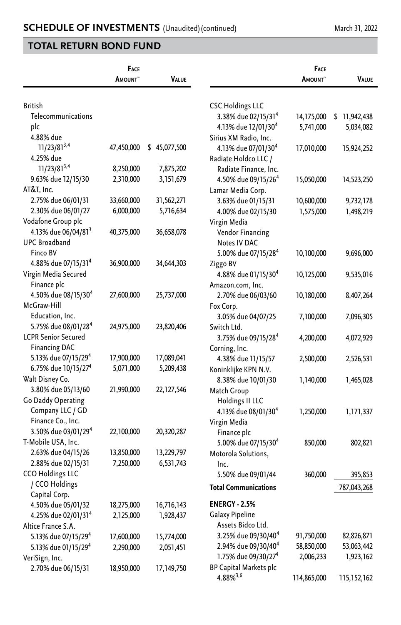|                                 | <b>FACE</b><br>AMOUNT <sup>~</sup> | VALUE            |                                                 | <b>FACE</b><br><b>A</b> MOUNT~ | <b>VALUE</b> |
|---------------------------------|------------------------------------|------------------|-------------------------------------------------|--------------------------------|--------------|
|                                 |                                    |                  |                                                 |                                |              |
| <b>British</b>                  |                                    |                  | <b>CSC Holdings LLC</b>                         |                                |              |
| Telecommunications              |                                    |                  | 3.38% due 02/15/31 <sup>4</sup>                 | 14,175,000                     | \$11,942,438 |
| plc                             |                                    |                  | 4.13% due 12/01/30 <sup>4</sup>                 | 5,741,000                      | 5,034,082    |
| 4.88% due                       |                                    |                  | Sirius XM Radio, Inc.                           |                                |              |
| $11/23/81^{3,4}$                | 47,450,000                         | \$<br>45,077,500 | 4.13% due 07/01/30 <sup>4</sup>                 | 17,010,000                     | 15,924,252   |
| 4.25% due                       |                                    |                  | Radiate Holdco LLC /                            |                                |              |
| 11/23/81 <sup>3,4</sup>         | 8,250,000                          | 7,875,202        | Radiate Finance, Inc.                           |                                |              |
| 9.63% due 12/15/30              | 2,310,000                          | 3,151,679        | 4.50% due 09/15/26 <sup>4</sup>                 | 15,050,000                     | 14,523,250   |
| AT&T, Inc.                      |                                    |                  | Lamar Media Corp.                               |                                |              |
| 2.75% due 06/01/31              | 33,660,000                         | 31,562,271       | 3.63% due 01/15/31                              | 10,600,000                     | 9,732,178    |
| 2.30% due 06/01/27              | 6,000,000                          | 5,716,634        | 4.00% due 02/15/30                              | 1,575,000                      | 1,498,219    |
| Vodafone Group plc              |                                    |                  | Virgin Media                                    |                                |              |
| 4.13% due 06/04/81 <sup>3</sup> | 40,375,000                         | 36,658,078       | Vendor Financing                                |                                |              |
| <b>UPC Broadband</b>            |                                    |                  | Notes IV DAC                                    |                                |              |
| Finco BV                        |                                    |                  | 5.00% due 07/15/28 <sup>4</sup>                 | 10,100,000                     | 9,696,000    |
| 4.88% due 07/15/31 <sup>4</sup> | 36,900,000                         | 34,644,303       | Ziggo BV                                        |                                |              |
| Virgin Media Secured            |                                    |                  | 4.88% due 01/15/30 <sup>4</sup>                 | 10,125,000                     | 9,535,016    |
| Finance plc                     |                                    |                  | Amazon.com, Inc.                                |                                |              |
| 4.50% due 08/15/30 <sup>4</sup> | 27,600,000                         | 25,737,000       | 2.70% due 06/03/60                              | 10,180,000                     | 8,407,264    |
| McGraw-Hill                     |                                    |                  | Fox Corp.                                       |                                |              |
| Education, Inc.                 |                                    |                  | 3.05% due 04/07/25                              | 7,100,000                      | 7,096,305    |
| 5.75% due 08/01/28 <sup>4</sup> | 24,975,000                         | 23,820,406       | Switch Ltd.                                     |                                |              |
| <b>LCPR Senior Secured</b>      |                                    |                  | 3.75% due 09/15/28 <sup>4</sup>                 | 4,200,000                      | 4,072,929    |
| <b>Financing DAC</b>            |                                    |                  | Corning, Inc.                                   |                                |              |
| 5.13% due 07/15/29 <sup>4</sup> | 17,900,000                         | 17,089,041       | 4.38% due 11/15/57                              | 2,500,000                      | 2,526,531    |
| 6.75% due 10/15/27 <sup>4</sup> | 5,071,000                          | 5,209,438        | Koninklijke KPN N.V.                            |                                |              |
| Walt Disney Co.                 |                                    |                  | 8.38% due 10/01/30                              | 1,140,000                      | 1,465,028    |
| 3.80% due 05/13/60              | 21,990,000                         | 22,127,546       | Match Group                                     |                                |              |
| Go Daddy Operating              |                                    |                  | Holdings II LLC                                 |                                |              |
| Company LLC / GD                |                                    |                  | 4.13% due 08/01/30 <sup>4</sup>                 | 1,250,000                      | 1,171,337    |
| Finance Co., Inc.               |                                    |                  | Virgin Media                                    |                                |              |
| 3.50% due 03/01/29 <sup>4</sup> | 22,100,000                         | 20,320,287       | Finance plc                                     |                                |              |
| T-Mobile USA, Inc.              |                                    |                  | 5.00% due 07/15/30 <sup>4</sup>                 | 850,000                        | 802,821      |
| 2.63% due 04/15/26              | 13,850,000                         | 13,229,797       | Motorola Solutions,                             |                                |              |
| 2.88% due 02/15/31              | 7,250,000                          | 6,531,743        | Inc.                                            |                                |              |
| <b>CCO Holdings LLC</b>         |                                    |                  | 5.50% due 09/01/44                              | 360,000                        | 395,853      |
| / CCO Holdings                  |                                    |                  | <b>Total Communications</b>                     |                                | 787,043,268  |
| Capital Corp.                   |                                    |                  |                                                 |                                |              |
| 4.50% due 05/01/32              | 18,275,000                         | 16,716,143       | <b>ENERGY - 2.5%</b>                            |                                |              |
| 4.25% due 02/01/31 <sup>4</sup> | 2,125,000                          | 1,928,437        | <b>Galaxy Pipeline</b>                          |                                |              |
| Altice France S.A.              |                                    |                  | Assets Bidco Ltd.                               |                                |              |
| 5.13% due 07/15/29 <sup>4</sup> | 17,600,000                         | 15,774,000       | 3.25% due 09/30/40 <sup>4</sup>                 | 91,750,000                     | 82,826,871   |
| 5.13% due 01/15/29 <sup>4</sup> | 2,290,000                          | 2,051,451        | 2.94% due 09/30/40 <sup>4</sup>                 | 58,850,000                     | 53,063,442   |
| VeriSign, Inc.                  |                                    |                  | 1.75% due 09/30/27 <sup>4</sup>                 | 2,006,233                      | 1,923,162    |
| 2.70% due 06/15/31              | 18,950,000                         | 17,149,750       | <b>BP Capital Markets plc</b><br>$4.88\%^{3,6}$ | 114,865,000                    | 115,152,162  |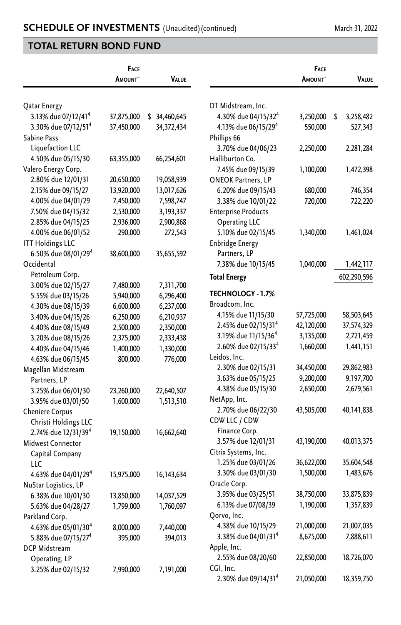|                                 | <b>FACE</b><br>AMOUNT~ | VALUE        |                                              | <b>FACE</b><br>AMOUNT~ | VALUE           |
|---------------------------------|------------------------|--------------|----------------------------------------------|------------------------|-----------------|
|                                 |                        |              |                                              |                        |                 |
| Qatar Energy                    |                        |              | DT Midstream, Inc.                           |                        |                 |
| 3.13% due 07/12/41 <sup>4</sup> | 37,875,000             | \$34,460,645 | 4.30% due 04/15/32 <sup>4</sup>              | 3,250,000              | \$<br>3,258,482 |
| 3.30% due 07/12/51 <sup>4</sup> | 37,450,000             | 34,372,434   | 4.13% due 06/15/29 <sup>4</sup>              | 550,000                | 527,343         |
| Sabine Pass                     |                        |              | Phillips 66                                  |                        |                 |
| Liquefaction LLC                |                        |              | 3.70% due 04/06/23                           | 2,250,000              | 2,281,284       |
| 4.50% due 05/15/30              | 63,355,000             | 66,254,601   | Halliburton Co.                              |                        |                 |
| Valero Energy Corp.             |                        |              | 7.45% due 09/15/39                           | 1,100,000              | 1,472,398       |
| 2.80% due 12/01/31              | 20,650,000             | 19,058,939   | <b>ONEOK Partners, LP</b>                    |                        |                 |
| 2.15% due 09/15/27              | 13,920,000             | 13,017,626   | 6.20% due 09/15/43                           | 680,000                | 746,354         |
| 4.00% due 04/01/29              | 7,450,000              | 7,598,747    | 3.38% due 10/01/22                           | 720,000                | 722,220         |
| 7.50% due 04/15/32              | 2,530,000              | 3,193,337    | <b>Enterprise Products</b>                   |                        |                 |
| 2.85% due 04/15/25              | 2,936,000              | 2,900,868    | <b>Operating LLC</b>                         |                        |                 |
| 4.00% due 06/01/52              | 290,000                | 272,543      | 5.10% due 02/15/45                           | 1,340,000              | 1,461,024       |
| <b>ITT Holdings LLC</b>         |                        |              | <b>Enbridge Energy</b>                       |                        |                 |
| 6.50% due 08/01/29 <sup>4</sup> | 38,600,000             | 35,655,592   | Partners, LP                                 |                        |                 |
| Occidental                      |                        |              | 7.38% due 10/15/45                           | 1,040,000              | 1,442,117       |
| Petroleum Corp.                 |                        |              | <b>Total Energy</b>                          |                        | 602,290,596     |
| 3.00% due 02/15/27              | 7,480,000              | 7,311,700    | <b>TECHNOLOGY - 1.7%</b>                     |                        |                 |
| 5.55% due 03/15/26              | 5,940,000              | 6,296,400    | Broadcom, Inc.                               |                        |                 |
| 4.30% due 08/15/39              | 6,600,000              | 6,237,000    | 4.15% due 11/15/30                           | 57,725,000             | 58,503,645      |
| 3.40% due 04/15/26              | 6,250,000              | 6,210,937    | 2.45% due 02/15/31 <sup>4</sup>              | 42,120,000             | 37,574,329      |
| 4.40% due 08/15/49              | 2,500,000              | 2,350,000    | 3.19% due 11/15/36 <sup>4</sup>              | 3,135,000              | 2,721,459       |
| 3.20% due 08/15/26              | 2,375,000              | 2,333,438    | 2.60% due 02/15/33 <sup>4</sup>              | 1,660,000              | 1,441,151       |
| 4.40% due 04/15/46              | 1,400,000              | 1,330,000    | Leidos, Inc.                                 |                        |                 |
| 4.63% due 06/15/45              | 800,000                | 776,000      | 2.30% due 02/15/31                           | 34,450,000             | 29,862,983      |
| Magellan Midstream              |                        |              | 3.63% due 05/15/25                           | 9,200,000              | 9,197,700       |
| Partners, LP                    |                        |              | 4.38% due 05/15/30                           | 2,650,000              | 2,679,561       |
| 3.25% due 06/01/30              | 23,260,000             | 22,640,507   | NetApp, Inc.                                 |                        |                 |
| 3.95% due 03/01/50              | 1,600,000              | 1,513,510    |                                              | 43,505,000             |                 |
| <b>Cheniere Corpus</b>          |                        |              | 2.70% due 06/22/30<br>CDW LLC / CDW          |                        | 40,141,838      |
| Christi Holdings LLC            |                        |              | Finance Corp.                                |                        |                 |
| 2.74% due 12/31/39 <sup>4</sup> | 19,150,000             | 16,662,640   | 3.57% due 12/01/31                           | 43,190,000             | 40,013,375      |
| Midwest Connector               |                        |              | Citrix Systems, Inc.                         |                        |                 |
| Capital Company                 |                        |              | 1.25% due 03/01/26                           | 36,622,000             | 35,604,548      |
| LLC                             |                        |              | 3.30% due 03/01/30                           | 1,500,000              | 1,483,676       |
| 4.63% due 04/01/29 <sup>4</sup> | 15,975,000             | 16,143,634   |                                              |                        |                 |
| NuStar Logistics, LP            |                        |              | Oracle Corp.                                 |                        |                 |
| 6.38% due 10/01/30              | 13,850,000             | 14,037,529   | 3.95% due 03/25/51                           | 38,750,000             | 33,875,839      |
| 5.63% due 04/28/27              | 1,799,000              | 1,760,097    | 6.13% due 07/08/39                           | 1,190,000              | 1,357,839       |
| Parkland Corp.                  |                        |              | Qorvo, Inc.<br>4.38% due 10/15/29            |                        |                 |
| 4.63% due 05/01/30 <sup>4</sup> | 8,000,000              | 7,440,000    |                                              | 21,000,000             | 21,007,035      |
| 5.88% due 07/15/27 <sup>4</sup> | 395,000                | 394,013      | 3.38% due 04/01/31 <sup>4</sup>              | 8,675,000              | 7,888,611       |
| <b>DCP Midstream</b>            |                        |              | Apple, Inc.                                  |                        |                 |
| Operating, LP                   |                        |              | 2.55% due 08/20/60                           | 22,850,000             | 18,726,070      |
| 3.25% due 02/15/32              | 7,990,000              | 7,191,000    | CGI, Inc.<br>2.30% due 09/14/31 <sup>4</sup> |                        |                 |
|                                 |                        |              |                                              | 21,050,000             | 18,359,750      |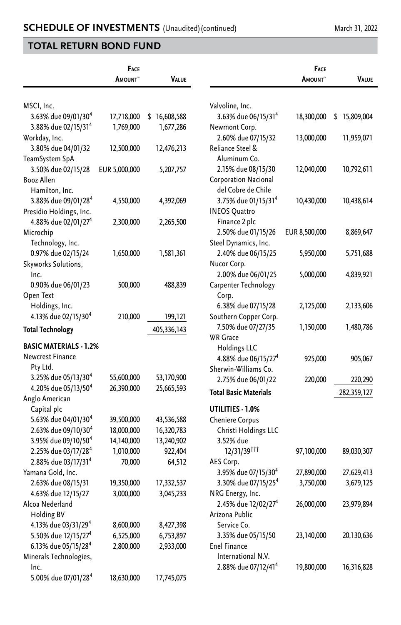|                                 | FACE          |              |                                 | FACE                |              |
|---------------------------------|---------------|--------------|---------------------------------|---------------------|--------------|
|                                 | AMOUNT~       | VALUE        |                                 | AMOUNT <sup>~</sup> | VALUE        |
| MSCI, Inc.                      |               |              | Valvoline, Inc.                 |                     |              |
| 3.63% due 09/01/30 <sup>4</sup> | 17,718,000    | \$16,608,588 | 3.63% due 06/15/31 <sup>4</sup> | 18,300,000          | \$15,809,004 |
| 3.88% due 02/15/31 <sup>4</sup> | 1,769,000     | 1,677,286    | Newmont Corp.                   |                     |              |
| Workday, Inc.                   |               |              | 2.60% due 07/15/32              | 13,000,000          | 11,959,071   |
| 3.80% due 04/01/32              | 12,500,000    | 12,476,213   | Reliance Steel &                |                     |              |
| TeamSystem SpA                  |               |              | Aluminum Co.                    |                     |              |
| 3.50% due 02/15/28              | EUR 5,000,000 | 5,207,757    | 2.15% due 08/15/30              | 12,040,000          | 10,792,611   |
| Booz Allen                      |               |              | Corporation Nacional            |                     |              |
| Hamilton, Inc.                  |               |              | del Cobre de Chile              |                     |              |
| 3.88% due 09/01/28 <sup>4</sup> | 4,550,000     | 4,392,069    | 3.75% due 01/15/31 <sup>4</sup> | 10,430,000          | 10,438,614   |
| Presidio Holdings, Inc.         |               |              | <b>INEOS Quattro</b>            |                     |              |
| 4.88% due 02/01/27 <sup>4</sup> | 2,300,000     | 2,265,500    | Finance 2 plc                   |                     |              |
| Microchip                       |               |              | 2.50% due 01/15/26              | EUR 8,500,000       | 8,869,647    |
| Technology, Inc.                |               |              | Steel Dynamics, Inc.            |                     |              |
| 0.97% due 02/15/24              | 1,650,000     | 1,581,361    | 2.40% due 06/15/25              | 5,950,000           | 5,751,688    |
| Skyworks Solutions,             |               |              | Nucor Corp.                     |                     |              |
| Inc.                            |               |              | 2.00% due 06/01/25              | 5,000,000           | 4,839,921    |
| 0.90% due 06/01/23              | 500,000       | 488,839      | Carpenter Technology            |                     |              |
| Open Text                       |               |              | Corp.                           |                     |              |
| Holdings, Inc.                  |               |              | 6.38% due 07/15/28              | 2,125,000           | 2,133,606    |
| 4.13% due 02/15/30 <sup>4</sup> | 210,000       | 199,121      | Southern Copper Corp.           |                     |              |
| <b>Total Technology</b>         |               | 405,336,143  | 7.50% due 07/27/35              | 1,150,000           | 1,480,786    |
|                                 |               |              | <b>WR Grace</b>                 |                     |              |
| <b>BASIC MATERIALS - 1.2%</b>   |               |              | <b>Holdings LLC</b>             |                     |              |
| Newcrest Finance                |               |              | 4.88% due 06/15/27 <sup>4</sup> | 925,000             | 905,067      |
| Pty Ltd.                        |               |              | Sherwin-Williams Co.            |                     |              |
| 3.25% due 05/13/30 <sup>4</sup> | 55,600,000    | 53,170,900   | 2.75% due 06/01/22              | 220,000             | 220,290      |
| 4.20% due 05/13/50 <sup>4</sup> | 26,390,000    | 25,665,593   | <b>Total Basic Materials</b>    |                     | 282,359,127  |
| Anglo American                  |               |              |                                 |                     |              |
| Capital plc                     |               |              | UTILITIES - 1.0%                |                     |              |
| 5.63% due 04/01/30 <sup>4</sup> | 39,500,000    | 43,536,588   | <b>Cheniere Corpus</b>          |                     |              |
| 2.63% due 09/10/30 <sup>4</sup> | 18,000,000    | 16,320,783   | Christi Holdings LLC            |                     |              |
| 3.95% due 09/10/50 <sup>4</sup> | 14,140,000    | 13,240,902   | 3.52% due                       |                     |              |
| 2.25% due 03/17/28 <sup>4</sup> | 1,010,000     | 922,404      | 12/31/39TTT                     | 97,100,000          | 89,030,307   |
| 2.88% due 03/17/31 <sup>4</sup> | 70,000        | 64,512       | AES Corp.                       |                     |              |
| Yamana Gold, Inc.               |               |              | 3.95% due 07/15/30 <sup>4</sup> | 27,890,000          | 27,629,413   |
| 2.63% due 08/15/31              | 19,350,000    | 17,332,537   | 3.30% due 07/15/25 <sup>4</sup> | 3,750,000           | 3,679,125    |
| 4.63% due 12/15/27              | 3,000,000     | 3,045,233    | NRG Energy, Inc.                |                     |              |
| Alcoa Nederland                 |               |              | 2.45% due 12/02/27 <sup>4</sup> | 26,000,000          | 23,979,894   |
| <b>Holding BV</b>               |               |              | Arizona Public                  |                     |              |
| 4.13% due 03/31/29 <sup>4</sup> | 8,600,000     | 8,427,398    | Service Co.                     |                     |              |
| 5.50% due 12/15/27 <sup>4</sup> | 6,525,000     | 6,753,897    | 3.35% due 05/15/50              | 23,140,000          | 20,130,636   |
| 6.13% due 05/15/28 <sup>4</sup> | 2,800,000     | 2,933,000    | Enel Finance                    |                     |              |
| Minerals Technologies,          |               |              | International N.V.              |                     |              |
| Inc.                            |               |              | 2.88% due 07/12/41 <sup>4</sup> | 19,800,000          | 16,316,828   |
| 5.00% due 07/01/28 <sup>4</sup> | 18,630,000    | 17,745,075   |                                 |                     |              |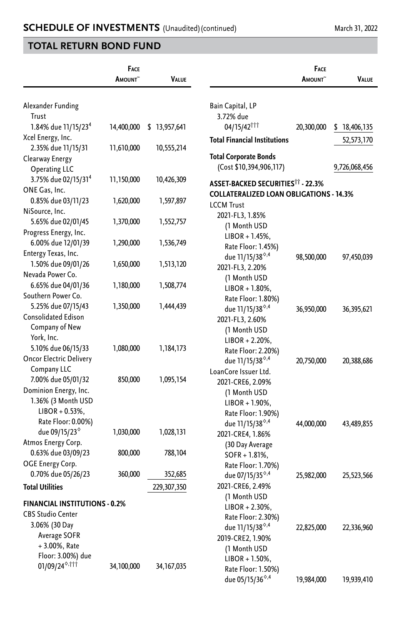| Alexander Funding<br>Bain Capital, LP<br>Trust<br>3.72% due<br>04/15/42 <sup>†††</sup><br>1.84% due 11/15/23 <sup>4</sup><br>14,400,000<br>\$13,957,641<br>20,300,000<br>\$ 18,406,135<br><b>Total Financial Institutions</b><br>52,573,170<br>2.35% due 11/15/31<br>11,610,000<br>10,555,214<br><b>Total Corporate Bonds</b><br>Clearway Energy<br>(Cost \$10,394,906,117)<br>9,726,068,456<br>Operating LLC<br>3.75% due 02/15/31 <sup>4</sup><br>11,150,000<br>10,426,309<br><b>ASSET-BACKED SECURITIES<sup>TT</sup> - 22.3%</b><br><b>COLLATERALIZED LOAN OBLIGATIONS - 14.3%</b><br>0.85% due 03/11/23<br>1,620,000<br>1,597,897<br><b>LCCM Trust</b><br>NiSource, Inc.<br>2021-FL3, 1.85%<br>5.65% due 02/01/45<br>1,370,000<br>1,552,757<br>(1 Month USD<br>Progress Energy, Inc.<br>$LIBOR + 1.45%$ ,<br>6.00% due 12/01/39<br>1,290,000<br>1,536,749<br>Rate Floor: 1.45%)<br>Entergy Texas, Inc.<br>due 11/15/38 <sup>6,4</sup><br>98,500,000<br>97,450,039<br>1.50% due 09/01/26<br>1,650,000<br>1,513,120<br>2021-FL3, 2.20%<br>Nevada Power Co.<br>(1 Month USD<br>6.65% due 04/01/36<br>1,180,000<br>1,508,774<br>$LIBOR + 1.80\%$ ,<br>Southern Power Co.<br>Rate Floor: 1.80%)<br>5.25% due 07/15/43<br>1,350,000<br>1,444,439<br>due 11/15/38 <sup>0,4</sup><br>36,950,000<br>36,395,621<br>Consolidated Edison<br>2021-FL3, 2.60%<br>Company of New<br>(1 Month USD<br>York, Inc.<br>$LIBOR + 2.20%$ ,<br>5.10% due 06/15/33<br>1,080,000<br>1,184,173<br>Rate Floor: 2.20%)<br><b>Oncor Electric Delivery</b><br>due 11/15/38 <sup>6,4</sup><br>20,750,000<br>20,388,686<br>Company LLC<br>LoanCore Issuer Ltd.<br>7.00% due 05/01/32<br>850,000<br>1,095,154<br>2021-CRE6, 2.09%<br>Dominion Energy, Inc.<br>(1 Month USD<br>1.36% (3 Month USD<br>$LIBOR + 1.90\%$ ,<br>$LIBOR + 0.53%$<br>Rate Floor: 1.90%)<br>Rate Floor: 0.00%)<br>due 11/15/38 <sup>6,4</sup><br>44,000,000<br>43,489,855<br>due 09/15/23 $^{\circ}$<br>1,030,000<br>1,028,131<br>2021-CRE4, 1.86%<br>Atmos Energy Corp.<br>(30 Day Average<br>0.63% due 03/09/23<br>800,000<br>788,104<br>$SOFR + 1.81%$<br>OGE Energy Corp.<br>Rate Floor: 1.70%)<br>0.70% due 05/26/23<br>360,000<br>352,685<br>due 07/15/35 <sup>°</sup> <sup>,4</sup><br>25,982,000<br>25,523,566<br>2021-CRE6, 2.49%<br><b>Total Utilities</b><br>229,307,350<br>(1 Month USD<br><b>FINANCIAL INSTITUTIONS - 0.2%</b><br>$LIBOR + 2.30\%,$<br><b>CBS Studio Center</b><br>Rate Floor: 2.30%)<br>3.06% (30 Day<br>due 11/15/38 <sup>6,4</sup><br>22,825,000<br>22,336,960<br>Average SOFR<br>2019-CRE2, 1.90%<br>$+3.00\%$ , Rate<br>(1 Month USD<br>Floor: 3.00%) due<br>$LIBOR + 1.50\%,$ |                                                 | <b>FACE</b><br>AMOUNT <sup>~</sup> | <b>VALUE</b> | <b>FACE</b><br>Amount~ | <b>VALUE</b> |
|------------------------------------------------------------------------------------------------------------------------------------------------------------------------------------------------------------------------------------------------------------------------------------------------------------------------------------------------------------------------------------------------------------------------------------------------------------------------------------------------------------------------------------------------------------------------------------------------------------------------------------------------------------------------------------------------------------------------------------------------------------------------------------------------------------------------------------------------------------------------------------------------------------------------------------------------------------------------------------------------------------------------------------------------------------------------------------------------------------------------------------------------------------------------------------------------------------------------------------------------------------------------------------------------------------------------------------------------------------------------------------------------------------------------------------------------------------------------------------------------------------------------------------------------------------------------------------------------------------------------------------------------------------------------------------------------------------------------------------------------------------------------------------------------------------------------------------------------------------------------------------------------------------------------------------------------------------------------------------------------------------------------------------------------------------------------------------------------------------------------------------------------------------------------------------------------------------------------------------------------------------------------------------------------------------------------------------------------------------------------------------------------------------------------------------------------------------------------------------------------------------------------------------------------------------------------------------------------------------------------------------------------------------|-------------------------------------------------|------------------------------------|--------------|------------------------|--------------|
|                                                                                                                                                                                                                                                                                                                                                                                                                                                                                                                                                                                                                                                                                                                                                                                                                                                                                                                                                                                                                                                                                                                                                                                                                                                                                                                                                                                                                                                                                                                                                                                                                                                                                                                                                                                                                                                                                                                                                                                                                                                                                                                                                                                                                                                                                                                                                                                                                                                                                                                                                                                                                                                            |                                                 |                                    |              |                        |              |
|                                                                                                                                                                                                                                                                                                                                                                                                                                                                                                                                                                                                                                                                                                                                                                                                                                                                                                                                                                                                                                                                                                                                                                                                                                                                                                                                                                                                                                                                                                                                                                                                                                                                                                                                                                                                                                                                                                                                                                                                                                                                                                                                                                                                                                                                                                                                                                                                                                                                                                                                                                                                                                                            |                                                 |                                    |              |                        |              |
|                                                                                                                                                                                                                                                                                                                                                                                                                                                                                                                                                                                                                                                                                                                                                                                                                                                                                                                                                                                                                                                                                                                                                                                                                                                                                                                                                                                                                                                                                                                                                                                                                                                                                                                                                                                                                                                                                                                                                                                                                                                                                                                                                                                                                                                                                                                                                                                                                                                                                                                                                                                                                                                            |                                                 |                                    |              |                        |              |
|                                                                                                                                                                                                                                                                                                                                                                                                                                                                                                                                                                                                                                                                                                                                                                                                                                                                                                                                                                                                                                                                                                                                                                                                                                                                                                                                                                                                                                                                                                                                                                                                                                                                                                                                                                                                                                                                                                                                                                                                                                                                                                                                                                                                                                                                                                                                                                                                                                                                                                                                                                                                                                                            | Xcel Energy, Inc.                               |                                    |              |                        |              |
|                                                                                                                                                                                                                                                                                                                                                                                                                                                                                                                                                                                                                                                                                                                                                                                                                                                                                                                                                                                                                                                                                                                                                                                                                                                                                                                                                                                                                                                                                                                                                                                                                                                                                                                                                                                                                                                                                                                                                                                                                                                                                                                                                                                                                                                                                                                                                                                                                                                                                                                                                                                                                                                            |                                                 |                                    |              |                        |              |
|                                                                                                                                                                                                                                                                                                                                                                                                                                                                                                                                                                                                                                                                                                                                                                                                                                                                                                                                                                                                                                                                                                                                                                                                                                                                                                                                                                                                                                                                                                                                                                                                                                                                                                                                                                                                                                                                                                                                                                                                                                                                                                                                                                                                                                                                                                                                                                                                                                                                                                                                                                                                                                                            |                                                 |                                    |              |                        |              |
|                                                                                                                                                                                                                                                                                                                                                                                                                                                                                                                                                                                                                                                                                                                                                                                                                                                                                                                                                                                                                                                                                                                                                                                                                                                                                                                                                                                                                                                                                                                                                                                                                                                                                                                                                                                                                                                                                                                                                                                                                                                                                                                                                                                                                                                                                                                                                                                                                                                                                                                                                                                                                                                            |                                                 |                                    |              |                        |              |
|                                                                                                                                                                                                                                                                                                                                                                                                                                                                                                                                                                                                                                                                                                                                                                                                                                                                                                                                                                                                                                                                                                                                                                                                                                                                                                                                                                                                                                                                                                                                                                                                                                                                                                                                                                                                                                                                                                                                                                                                                                                                                                                                                                                                                                                                                                                                                                                                                                                                                                                                                                                                                                                            |                                                 |                                    |              |                        |              |
|                                                                                                                                                                                                                                                                                                                                                                                                                                                                                                                                                                                                                                                                                                                                                                                                                                                                                                                                                                                                                                                                                                                                                                                                                                                                                                                                                                                                                                                                                                                                                                                                                                                                                                                                                                                                                                                                                                                                                                                                                                                                                                                                                                                                                                                                                                                                                                                                                                                                                                                                                                                                                                                            | ONE Gas, Inc.                                   |                                    |              |                        |              |
|                                                                                                                                                                                                                                                                                                                                                                                                                                                                                                                                                                                                                                                                                                                                                                                                                                                                                                                                                                                                                                                                                                                                                                                                                                                                                                                                                                                                                                                                                                                                                                                                                                                                                                                                                                                                                                                                                                                                                                                                                                                                                                                                                                                                                                                                                                                                                                                                                                                                                                                                                                                                                                                            |                                                 |                                    |              |                        |              |
|                                                                                                                                                                                                                                                                                                                                                                                                                                                                                                                                                                                                                                                                                                                                                                                                                                                                                                                                                                                                                                                                                                                                                                                                                                                                                                                                                                                                                                                                                                                                                                                                                                                                                                                                                                                                                                                                                                                                                                                                                                                                                                                                                                                                                                                                                                                                                                                                                                                                                                                                                                                                                                                            |                                                 |                                    |              |                        |              |
|                                                                                                                                                                                                                                                                                                                                                                                                                                                                                                                                                                                                                                                                                                                                                                                                                                                                                                                                                                                                                                                                                                                                                                                                                                                                                                                                                                                                                                                                                                                                                                                                                                                                                                                                                                                                                                                                                                                                                                                                                                                                                                                                                                                                                                                                                                                                                                                                                                                                                                                                                                                                                                                            |                                                 |                                    |              |                        |              |
|                                                                                                                                                                                                                                                                                                                                                                                                                                                                                                                                                                                                                                                                                                                                                                                                                                                                                                                                                                                                                                                                                                                                                                                                                                                                                                                                                                                                                                                                                                                                                                                                                                                                                                                                                                                                                                                                                                                                                                                                                                                                                                                                                                                                                                                                                                                                                                                                                                                                                                                                                                                                                                                            |                                                 |                                    |              |                        |              |
|                                                                                                                                                                                                                                                                                                                                                                                                                                                                                                                                                                                                                                                                                                                                                                                                                                                                                                                                                                                                                                                                                                                                                                                                                                                                                                                                                                                                                                                                                                                                                                                                                                                                                                                                                                                                                                                                                                                                                                                                                                                                                                                                                                                                                                                                                                                                                                                                                                                                                                                                                                                                                                                            |                                                 |                                    |              |                        |              |
|                                                                                                                                                                                                                                                                                                                                                                                                                                                                                                                                                                                                                                                                                                                                                                                                                                                                                                                                                                                                                                                                                                                                                                                                                                                                                                                                                                                                                                                                                                                                                                                                                                                                                                                                                                                                                                                                                                                                                                                                                                                                                                                                                                                                                                                                                                                                                                                                                                                                                                                                                                                                                                                            |                                                 |                                    |              |                        |              |
|                                                                                                                                                                                                                                                                                                                                                                                                                                                                                                                                                                                                                                                                                                                                                                                                                                                                                                                                                                                                                                                                                                                                                                                                                                                                                                                                                                                                                                                                                                                                                                                                                                                                                                                                                                                                                                                                                                                                                                                                                                                                                                                                                                                                                                                                                                                                                                                                                                                                                                                                                                                                                                                            |                                                 |                                    |              |                        |              |
|                                                                                                                                                                                                                                                                                                                                                                                                                                                                                                                                                                                                                                                                                                                                                                                                                                                                                                                                                                                                                                                                                                                                                                                                                                                                                                                                                                                                                                                                                                                                                                                                                                                                                                                                                                                                                                                                                                                                                                                                                                                                                                                                                                                                                                                                                                                                                                                                                                                                                                                                                                                                                                                            |                                                 |                                    |              |                        |              |
|                                                                                                                                                                                                                                                                                                                                                                                                                                                                                                                                                                                                                                                                                                                                                                                                                                                                                                                                                                                                                                                                                                                                                                                                                                                                                                                                                                                                                                                                                                                                                                                                                                                                                                                                                                                                                                                                                                                                                                                                                                                                                                                                                                                                                                                                                                                                                                                                                                                                                                                                                                                                                                                            |                                                 |                                    |              |                        |              |
|                                                                                                                                                                                                                                                                                                                                                                                                                                                                                                                                                                                                                                                                                                                                                                                                                                                                                                                                                                                                                                                                                                                                                                                                                                                                                                                                                                                                                                                                                                                                                                                                                                                                                                                                                                                                                                                                                                                                                                                                                                                                                                                                                                                                                                                                                                                                                                                                                                                                                                                                                                                                                                                            |                                                 |                                    |              |                        |              |
|                                                                                                                                                                                                                                                                                                                                                                                                                                                                                                                                                                                                                                                                                                                                                                                                                                                                                                                                                                                                                                                                                                                                                                                                                                                                                                                                                                                                                                                                                                                                                                                                                                                                                                                                                                                                                                                                                                                                                                                                                                                                                                                                                                                                                                                                                                                                                                                                                                                                                                                                                                                                                                                            |                                                 |                                    |              |                        |              |
|                                                                                                                                                                                                                                                                                                                                                                                                                                                                                                                                                                                                                                                                                                                                                                                                                                                                                                                                                                                                                                                                                                                                                                                                                                                                                                                                                                                                                                                                                                                                                                                                                                                                                                                                                                                                                                                                                                                                                                                                                                                                                                                                                                                                                                                                                                                                                                                                                                                                                                                                                                                                                                                            |                                                 |                                    |              |                        |              |
|                                                                                                                                                                                                                                                                                                                                                                                                                                                                                                                                                                                                                                                                                                                                                                                                                                                                                                                                                                                                                                                                                                                                                                                                                                                                                                                                                                                                                                                                                                                                                                                                                                                                                                                                                                                                                                                                                                                                                                                                                                                                                                                                                                                                                                                                                                                                                                                                                                                                                                                                                                                                                                                            |                                                 |                                    |              |                        |              |
|                                                                                                                                                                                                                                                                                                                                                                                                                                                                                                                                                                                                                                                                                                                                                                                                                                                                                                                                                                                                                                                                                                                                                                                                                                                                                                                                                                                                                                                                                                                                                                                                                                                                                                                                                                                                                                                                                                                                                                                                                                                                                                                                                                                                                                                                                                                                                                                                                                                                                                                                                                                                                                                            |                                                 |                                    |              |                        |              |
|                                                                                                                                                                                                                                                                                                                                                                                                                                                                                                                                                                                                                                                                                                                                                                                                                                                                                                                                                                                                                                                                                                                                                                                                                                                                                                                                                                                                                                                                                                                                                                                                                                                                                                                                                                                                                                                                                                                                                                                                                                                                                                                                                                                                                                                                                                                                                                                                                                                                                                                                                                                                                                                            |                                                 |                                    |              |                        |              |
|                                                                                                                                                                                                                                                                                                                                                                                                                                                                                                                                                                                                                                                                                                                                                                                                                                                                                                                                                                                                                                                                                                                                                                                                                                                                                                                                                                                                                                                                                                                                                                                                                                                                                                                                                                                                                                                                                                                                                                                                                                                                                                                                                                                                                                                                                                                                                                                                                                                                                                                                                                                                                                                            |                                                 |                                    |              |                        |              |
|                                                                                                                                                                                                                                                                                                                                                                                                                                                                                                                                                                                                                                                                                                                                                                                                                                                                                                                                                                                                                                                                                                                                                                                                                                                                                                                                                                                                                                                                                                                                                                                                                                                                                                                                                                                                                                                                                                                                                                                                                                                                                                                                                                                                                                                                                                                                                                                                                                                                                                                                                                                                                                                            |                                                 |                                    |              |                        |              |
|                                                                                                                                                                                                                                                                                                                                                                                                                                                                                                                                                                                                                                                                                                                                                                                                                                                                                                                                                                                                                                                                                                                                                                                                                                                                                                                                                                                                                                                                                                                                                                                                                                                                                                                                                                                                                                                                                                                                                                                                                                                                                                                                                                                                                                                                                                                                                                                                                                                                                                                                                                                                                                                            |                                                 |                                    |              |                        |              |
|                                                                                                                                                                                                                                                                                                                                                                                                                                                                                                                                                                                                                                                                                                                                                                                                                                                                                                                                                                                                                                                                                                                                                                                                                                                                                                                                                                                                                                                                                                                                                                                                                                                                                                                                                                                                                                                                                                                                                                                                                                                                                                                                                                                                                                                                                                                                                                                                                                                                                                                                                                                                                                                            |                                                 |                                    |              |                        |              |
|                                                                                                                                                                                                                                                                                                                                                                                                                                                                                                                                                                                                                                                                                                                                                                                                                                                                                                                                                                                                                                                                                                                                                                                                                                                                                                                                                                                                                                                                                                                                                                                                                                                                                                                                                                                                                                                                                                                                                                                                                                                                                                                                                                                                                                                                                                                                                                                                                                                                                                                                                                                                                                                            |                                                 |                                    |              |                        |              |
|                                                                                                                                                                                                                                                                                                                                                                                                                                                                                                                                                                                                                                                                                                                                                                                                                                                                                                                                                                                                                                                                                                                                                                                                                                                                                                                                                                                                                                                                                                                                                                                                                                                                                                                                                                                                                                                                                                                                                                                                                                                                                                                                                                                                                                                                                                                                                                                                                                                                                                                                                                                                                                                            |                                                 |                                    |              |                        |              |
|                                                                                                                                                                                                                                                                                                                                                                                                                                                                                                                                                                                                                                                                                                                                                                                                                                                                                                                                                                                                                                                                                                                                                                                                                                                                                                                                                                                                                                                                                                                                                                                                                                                                                                                                                                                                                                                                                                                                                                                                                                                                                                                                                                                                                                                                                                                                                                                                                                                                                                                                                                                                                                                            |                                                 |                                    |              |                        |              |
|                                                                                                                                                                                                                                                                                                                                                                                                                                                                                                                                                                                                                                                                                                                                                                                                                                                                                                                                                                                                                                                                                                                                                                                                                                                                                                                                                                                                                                                                                                                                                                                                                                                                                                                                                                                                                                                                                                                                                                                                                                                                                                                                                                                                                                                                                                                                                                                                                                                                                                                                                                                                                                                            |                                                 |                                    |              |                        |              |
|                                                                                                                                                                                                                                                                                                                                                                                                                                                                                                                                                                                                                                                                                                                                                                                                                                                                                                                                                                                                                                                                                                                                                                                                                                                                                                                                                                                                                                                                                                                                                                                                                                                                                                                                                                                                                                                                                                                                                                                                                                                                                                                                                                                                                                                                                                                                                                                                                                                                                                                                                                                                                                                            |                                                 |                                    |              |                        |              |
|                                                                                                                                                                                                                                                                                                                                                                                                                                                                                                                                                                                                                                                                                                                                                                                                                                                                                                                                                                                                                                                                                                                                                                                                                                                                                                                                                                                                                                                                                                                                                                                                                                                                                                                                                                                                                                                                                                                                                                                                                                                                                                                                                                                                                                                                                                                                                                                                                                                                                                                                                                                                                                                            |                                                 |                                    |              |                        |              |
|                                                                                                                                                                                                                                                                                                                                                                                                                                                                                                                                                                                                                                                                                                                                                                                                                                                                                                                                                                                                                                                                                                                                                                                                                                                                                                                                                                                                                                                                                                                                                                                                                                                                                                                                                                                                                                                                                                                                                                                                                                                                                                                                                                                                                                                                                                                                                                                                                                                                                                                                                                                                                                                            |                                                 |                                    |              |                        |              |
|                                                                                                                                                                                                                                                                                                                                                                                                                                                                                                                                                                                                                                                                                                                                                                                                                                                                                                                                                                                                                                                                                                                                                                                                                                                                                                                                                                                                                                                                                                                                                                                                                                                                                                                                                                                                                                                                                                                                                                                                                                                                                                                                                                                                                                                                                                                                                                                                                                                                                                                                                                                                                                                            |                                                 |                                    |              |                        |              |
|                                                                                                                                                                                                                                                                                                                                                                                                                                                                                                                                                                                                                                                                                                                                                                                                                                                                                                                                                                                                                                                                                                                                                                                                                                                                                                                                                                                                                                                                                                                                                                                                                                                                                                                                                                                                                                                                                                                                                                                                                                                                                                                                                                                                                                                                                                                                                                                                                                                                                                                                                                                                                                                            |                                                 |                                    |              |                        |              |
|                                                                                                                                                                                                                                                                                                                                                                                                                                                                                                                                                                                                                                                                                                                                                                                                                                                                                                                                                                                                                                                                                                                                                                                                                                                                                                                                                                                                                                                                                                                                                                                                                                                                                                                                                                                                                                                                                                                                                                                                                                                                                                                                                                                                                                                                                                                                                                                                                                                                                                                                                                                                                                                            |                                                 |                                    |              |                        |              |
|                                                                                                                                                                                                                                                                                                                                                                                                                                                                                                                                                                                                                                                                                                                                                                                                                                                                                                                                                                                                                                                                                                                                                                                                                                                                                                                                                                                                                                                                                                                                                                                                                                                                                                                                                                                                                                                                                                                                                                                                                                                                                                                                                                                                                                                                                                                                                                                                                                                                                                                                                                                                                                                            |                                                 |                                    |              |                        |              |
|                                                                                                                                                                                                                                                                                                                                                                                                                                                                                                                                                                                                                                                                                                                                                                                                                                                                                                                                                                                                                                                                                                                                                                                                                                                                                                                                                                                                                                                                                                                                                                                                                                                                                                                                                                                                                                                                                                                                                                                                                                                                                                                                                                                                                                                                                                                                                                                                                                                                                                                                                                                                                                                            |                                                 |                                    |              |                        |              |
|                                                                                                                                                                                                                                                                                                                                                                                                                                                                                                                                                                                                                                                                                                                                                                                                                                                                                                                                                                                                                                                                                                                                                                                                                                                                                                                                                                                                                                                                                                                                                                                                                                                                                                                                                                                                                                                                                                                                                                                                                                                                                                                                                                                                                                                                                                                                                                                                                                                                                                                                                                                                                                                            |                                                 |                                    |              |                        |              |
|                                                                                                                                                                                                                                                                                                                                                                                                                                                                                                                                                                                                                                                                                                                                                                                                                                                                                                                                                                                                                                                                                                                                                                                                                                                                                                                                                                                                                                                                                                                                                                                                                                                                                                                                                                                                                                                                                                                                                                                                                                                                                                                                                                                                                                                                                                                                                                                                                                                                                                                                                                                                                                                            |                                                 |                                    |              |                        |              |
|                                                                                                                                                                                                                                                                                                                                                                                                                                                                                                                                                                                                                                                                                                                                                                                                                                                                                                                                                                                                                                                                                                                                                                                                                                                                                                                                                                                                                                                                                                                                                                                                                                                                                                                                                                                                                                                                                                                                                                                                                                                                                                                                                                                                                                                                                                                                                                                                                                                                                                                                                                                                                                                            |                                                 |                                    |              |                        |              |
| Rate Floor: 1.50%)                                                                                                                                                                                                                                                                                                                                                                                                                                                                                                                                                                                                                                                                                                                                                                                                                                                                                                                                                                                                                                                                                                                                                                                                                                                                                                                                                                                                                                                                                                                                                                                                                                                                                                                                                                                                                                                                                                                                                                                                                                                                                                                                                                                                                                                                                                                                                                                                                                                                                                                                                                                                                                         | $01/09/24$ <sup><math>\diamond</math>,†††</sup> | 34,100,000                         | 34, 167, 035 |                        |              |
| due 05/15/36 <sup>6,4</sup><br>19,984,000<br>19,939,410                                                                                                                                                                                                                                                                                                                                                                                                                                                                                                                                                                                                                                                                                                                                                                                                                                                                                                                                                                                                                                                                                                                                                                                                                                                                                                                                                                                                                                                                                                                                                                                                                                                                                                                                                                                                                                                                                                                                                                                                                                                                                                                                                                                                                                                                                                                                                                                                                                                                                                                                                                                                    |                                                 |                                    |              |                        |              |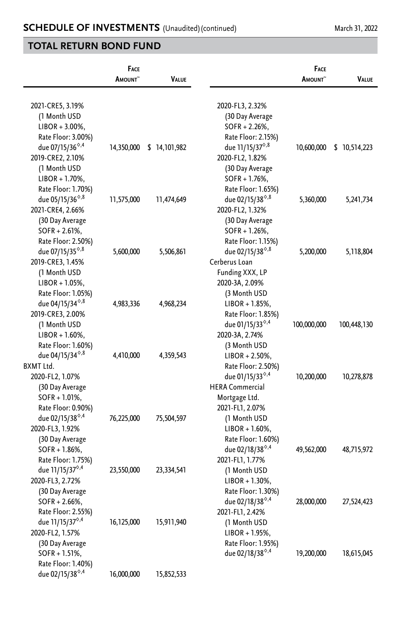|                                         | FACE<br>AMOUNT~ | VALUE        |                                                   | <b>FACE</b><br><b>A</b> MOUNT | VALUE        |
|-----------------------------------------|-----------------|--------------|---------------------------------------------------|-------------------------------|--------------|
| 2021-CRE5, 3.19%                        |                 |              | 2020-FL3, 2.32%                                   |                               |              |
| (1 Month USD                            |                 |              | (30 Day Average                                   |                               |              |
| $LIBOR + 3.00\%$ ,                      |                 |              | $SOFR + 2.26%$                                    |                               |              |
| Rate Floor: 3.00%)                      |                 |              | Rate Floor: 2.15%)                                |                               |              |
| due 07/15/36 $8,4$                      | 14,350,000      | \$14,101,982 | due 11/15/37 <sup>0,8</sup>                       | 10,600,000                    | \$10,514,223 |
| 2019-CRE2, 2.10%                        |                 |              | 2020-FL2, 1.82%                                   |                               |              |
| (1 Month USD                            |                 |              | (30 Day Average                                   |                               |              |
| $LIBOR + 1.70\%$ ,                      |                 |              | $SOFR + 1.76%$                                    |                               |              |
| Rate Floor: 1.70%)                      |                 |              | Rate Floor: 1.65%)                                |                               |              |
| due 05/15/36 <sup>6,8</sup>             | 11,575,000      | 11,474,649   | due 02/15/38 <sup>°,8</sup>                       | 5,360,000                     | 5,241,734    |
| 2021-CRE4, 2.66%                        |                 |              | 2020-FL2, 1.32%                                   |                               |              |
| (30 Day Average                         |                 |              | (30 Day Average                                   |                               |              |
| $SOFR + 2.61%$                          |                 |              | $SOFR + 1.26%$                                    |                               |              |
| Rate Floor: 2.50%)                      |                 |              | Rate Floor: 1.15%)                                |                               |              |
| due 07/15/35 <sup>6,8</sup>             | 5,600,000       | 5,506,861    | due 02/15/38 <sup>6,8</sup>                       | 5,200,000                     | 5,118,804    |
| 2019-CRE3, 1.45%                        |                 |              | Cerberus Loan                                     |                               |              |
| (1 Month USD                            |                 |              | Funding XXX, LP                                   |                               |              |
| $LIBOR + 1.05%$ ,                       |                 |              | 2020-3A, 2.09%                                    |                               |              |
| Rate Floor: 1.05%)                      |                 |              | (3 Month USD                                      |                               |              |
| due 04/15/34 <sup>6,8</sup>             | 4,983,336       | 4,968,234    | $LIBOR + 1.85\%,$                                 |                               |              |
| 2019-CRE3, 2.00%                        |                 |              | Rate Floor: 1.85%)                                |                               |              |
| (1 Month USD                            |                 |              | due 01/15/33 <sup>0,4</sup>                       | 100,000,000                   | 100,448,130  |
| $LIBOR + 1.60\%,$                       |                 |              | 2020-3A, 2.74%                                    |                               |              |
| Rate Floor: 1.60%)                      |                 |              | (3 Month USD                                      |                               |              |
| due 04/15/34 <sup>6,8</sup>             | 4,410,000       | 4,359,543    | $LIBOR + 2.50\%,$                                 |                               |              |
| BXMT Ltd.                               |                 |              | Rate Floor: 2.50%)                                |                               |              |
| 2020-FL2, 1.07%                         |                 |              | due 01/15/33 <sup>0,4</sup>                       | 10,200,000                    | 10,278,878   |
| (30 Day Average                         |                 |              | <b>HERA Commercial</b>                            |                               |              |
| $SOFR + 1.01%$                          |                 |              | Mortgage Ltd.                                     |                               |              |
| Rate Floor: 0.90%)                      |                 |              | 2021-FL1, 2.07%                                   |                               |              |
| due 02/15/38 <sup>°</sup> <sup>,4</sup> | 76,225,000      | 75,504,597   | (1 Month USD                                      |                               |              |
| 2020-FL3, 1.92%                         |                 |              | $LIBOR + 1.60\%$ ,                                |                               |              |
| (30 Day Average                         |                 |              | Rate Floor: 1.60%)                                |                               |              |
| $SOFR + 1.86%$                          |                 |              | due 02/18/38 <sup>6,4</sup>                       | 49,562,000                    | 48,715,972   |
| Rate Floor: 1.75%)                      |                 |              | 2021-FL1, 1.77%                                   |                               |              |
| due 11/15/37 <sup>6,4</sup>             | 23,550,000      | 23,334,541   | (1 Month USD                                      |                               |              |
| 2020-FL3, 2.72%                         |                 |              | $LIBOR + 1.30\%,$                                 |                               |              |
| (30 Day Average                         |                 |              | Rate Floor: 1.30%)                                |                               |              |
| $SOFR + 2.66%$                          |                 |              | due 02/18/38 <sup>6,4</sup>                       | 28,000,000                    | 27,524,423   |
| Rate Floor: 2.55%)                      |                 |              | 2021-FL1, 2.42%                                   |                               |              |
| due 11/15/37 <sup>0,4</sup>             | 16,125,000      | 15,911,940   | (1 Month USD                                      |                               |              |
| 2020-FL2, 1.57%                         |                 |              | $LIBOR + 1.95%$                                   |                               |              |
| (30 Day Average                         |                 |              | Rate Floor: 1.95%)<br>due 02/18/38 <sup>6,4</sup> |                               |              |
| $SOFR + 1.51%$<br>Rate Floor: 1.40%)    |                 |              |                                                   | 19,200,000                    | 18,615,045   |
| due 02/15/38 <sup>6,4</sup>             | 16,000,000      | 15,852,533   |                                                   |                               |              |
|                                         |                 |              |                                                   |                               |              |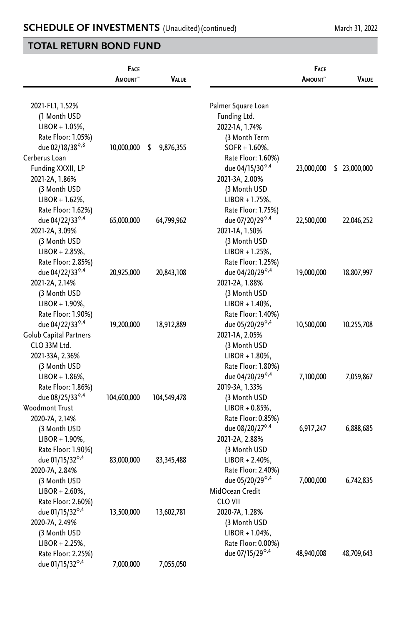|                                               | <b>FACE</b><br>AMOUNT~ | VALUE          |                                               | FACE<br>AMOUNT <sup>~</sup> | VALUE         |
|-----------------------------------------------|------------------------|----------------|-----------------------------------------------|-----------------------------|---------------|
| 2021-FL1, 1.52%                               |                        |                | Palmer Square Loan                            |                             |               |
| (1 Month USD                                  |                        |                | Funding Ltd.                                  |                             |               |
| $LIBOR + 1.05%$ ,                             |                        |                | 2022-1A, 1.74%                                |                             |               |
| Rate Floor: 1.05%)                            |                        |                | (3 Month Term                                 |                             |               |
| due 02/18/38 <sup>6,8</sup>                   | 10,000,000             | S<br>9,876,355 | $SOFR + 1.60\%$                               |                             |               |
| Cerberus Loan                                 |                        |                | Rate Floor: 1.60%)                            |                             |               |
| Funding XXXII, LP                             |                        |                | due 04/15/30 <sup>6,4</sup>                   | 23,000,000                  | \$ 23,000,000 |
| 2021-2A, 1.86%                                |                        |                | 2021-3A, 2.00%                                |                             |               |
| (3 Month USD                                  |                        |                | (3 Month USD                                  |                             |               |
| $LIBOR + 1.62\%$                              |                        |                | $LIBOR + 1.75%$                               |                             |               |
| Rate Floor: 1.62%)                            |                        |                | Rate Floor: 1.75%)                            |                             |               |
| due 04/22/33 <sup>0,4</sup>                   | 65,000,000             | 64,799,962     | due 07/20/29 <sup>0,4</sup>                   | 22,500,000                  | 22,046,252    |
| 2021-2A, 3.09%                                |                        |                | 2021-1A, 1.50%                                |                             |               |
| (3 Month USD                                  |                        |                | (3 Month USD                                  |                             |               |
| $LIBOR + 2.85\%,$                             |                        |                | $LIBOR + 1.25%$                               |                             |               |
| Rate Floor: 2.85%)                            |                        |                | Rate Floor: 1.25%)                            |                             |               |
| due 04/22/33 <sup>0,4</sup><br>2021-2A, 2.14% | 20,925,000             | 20,843,108     | due 04/20/29 <sup>0,4</sup><br>2021-2A, 1.88% | 19,000,000                  | 18,807,997    |
| (3 Month USD                                  |                        |                | (3 Month USD                                  |                             |               |
| $LIBOR + 1.90\%,$                             |                        |                | $LIBOR + 1.40\%$ ,                            |                             |               |
| Rate Floor: 1.90%)                            |                        |                | Rate Floor: 1.40%)                            |                             |               |
| due 04/22/33 <sup>6,4</sup>                   | 19,200,000             | 18,912,889     | due 05/20/29 <sup>0,4</sup>                   | 10,500,000                  | 10,255,708    |
| Golub Capital Partners                        |                        |                | 2021-1A, 2.05%                                |                             |               |
| CLO 33M Ltd.                                  |                        |                | (3 Month USD                                  |                             |               |
| 2021-33A, 2.36%                               |                        |                | $LIBOR + 1.80\%,$                             |                             |               |
| (3 Month USD                                  |                        |                | Rate Floor: 1.80%)                            |                             |               |
| $LIBOR + 1.86\%$                              |                        |                | due 04/20/29 <sup>0,4</sup>                   | 7,100,000                   | 7,059,867     |
| Rate Floor: 1.86%)                            |                        |                | 2019-3A, 1.33%                                |                             |               |
| due 08/25/33 <sup>0,4</sup>                   | 104,600,000            | 104,549,478    | (3 Month USD                                  |                             |               |
| Woodmont Trust                                |                        |                | $LIBOR + 0.85\%,$                             |                             |               |
| 2020-7A, 2.14%                                |                        |                | Rate Floor: 0.85%)                            |                             |               |
| (3 Month USD                                  |                        |                | due 08/20/27 <sup>0,4</sup>                   | 6,917,247                   | 6,888,685     |
| $LIBOR + 1.90\%,$                             |                        |                | 2021-2A, 2.88%                                |                             |               |
| Rate Floor: 1.90%)                            |                        |                | (3 Month USD                                  |                             |               |
| due 01/15/32 <sup>°</sup> <sup>,4</sup>       | 83,000,000             | 83,345,488     | $LIBOR + 2.40\%,$                             |                             |               |
| 2020-7A, 2.84%                                |                        |                | Rate Floor: 2.40%)                            |                             |               |
| (3 Month USD                                  |                        |                | due 05/20/29 <sup>0,4</sup>                   | 7,000,000                   | 6,742,835     |
| $LIBOR + 2.60\%,$                             |                        |                | MidOcean Credit                               |                             |               |
| Rate Floor: 2.60%)                            |                        |                | <b>CLO VII</b>                                |                             |               |
| due 01/15/32 <sup>6,4</sup>                   | 13,500,000             | 13,602,781     | 2020-7A, 1.28%                                |                             |               |
| 2020-7A, 2.49%                                |                        |                | (3 Month USD                                  |                             |               |
| (3 Month USD                                  |                        |                | $LIBOR + 1.04%$ ,                             |                             |               |
| $LIBOR + 2.25%$                               |                        |                | Rate Floor: 0.00%)                            |                             |               |
| Rate Floor: 2.25%)                            |                        |                | due 07/15/29 <sup>°,4</sup>                   | 48,940,008                  | 48,709,643    |
| due 01/15/32 <sup>6,4</sup>                   | 7,000,000              | 7,055,050      |                                               |                             |               |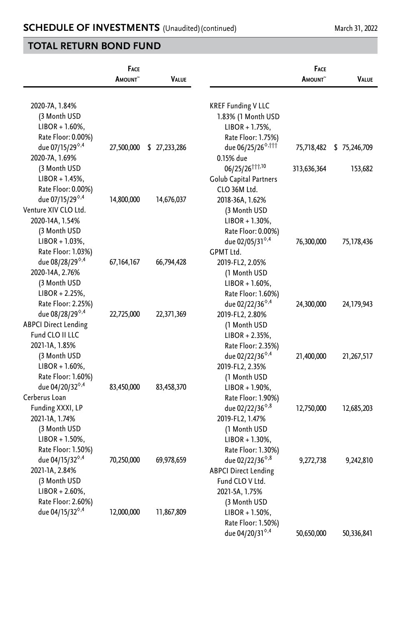|                             | <b>FACE</b><br>Amount~ | <b>VALUE</b> |                               | FACE<br>Amount~ | <b>VALUE</b> |
|-----------------------------|------------------------|--------------|-------------------------------|-----------------|--------------|
| 2020-7A, 1.84%              |                        |              | <b>KREF Funding V LLC</b>     |                 |              |
| (3 Month USD                |                        |              | 1.83% (1 Month USD            |                 |              |
| $LIBOR + 1.60\%$            |                        |              | $LIBOR + 1.75%$ .             |                 |              |
| Rate Floor: 0.00%)          |                        |              | Rate Floor: 1.75%)            |                 |              |
| due 07/15/29 <sup>6,4</sup> | 27,500,000             | \$27,233,286 | due 06/25/26 <sup>0,111</sup> | 75,718,482      | \$75,246,709 |
| 2020-7A, 1.69%              |                        |              | 0.15% due                     |                 |              |
| (3 Month USD                |                        |              | 06/25/26 111,10               | 313,636,364     | 153,682      |
| $LIBOR + 1.45%$             |                        |              | Golub Capital Partners        |                 |              |
| Rate Floor: 0.00%)          |                        |              | CLO 36M Ltd.                  |                 |              |
| due 07/15/29 <sup>6,4</sup> | 14,800,000             | 14,676,037   | 2018-36A, 1.62%               |                 |              |
| Venture XIV CLO Ltd.        |                        |              | (3 Month USD                  |                 |              |
| 2020-14A, 1.54%             |                        |              | $LIBOR + 1.30\%,$             |                 |              |
| (3 Month USD                |                        |              | Rate Floor: 0.00%)            |                 |              |
| $LIBOR + 1.03%$             |                        |              | due 02/05/31 <sup>6,4</sup>   | 76,300,000      | 75,178,436   |
| Rate Floor: 1.03%)          |                        |              | GPMT Ltd.                     |                 |              |
| due 08/28/29 <sup>6,4</sup> | 67, 164, 167           | 66,794,428   | 2019-FL2, 2.05%               |                 |              |
| 2020-14A, 2.76%             |                        |              | (1 Month USD                  |                 |              |
| (3 Month USD                |                        |              | $LIBOR + 1.60\%,$             |                 |              |
| $LIBOR + 2.25%$             |                        |              | Rate Floor: 1.60%)            |                 |              |
| Rate Floor: 2.25%)          |                        |              | due 02/22/36 <sup>6,4</sup>   | 24,300,000      | 24,179,943   |
| due 08/28/29 <sup>6,4</sup> | 22,725,000             | 22,371,369   | 2019-FL2, 2.80%               |                 |              |
| <b>ABPCI Direct Lending</b> |                        |              | (1 Month USD                  |                 |              |
| Fund CLO II LLC             |                        |              | $LIBOR + 2.35%$               |                 |              |
| 2021-1A, 1.85%              |                        |              | Rate Floor: 2.35%)            |                 |              |
| (3 Month USD                |                        |              | due 02/22/36 <sup>6,4</sup>   | 21,400,000      | 21, 267, 517 |
| $LIBOR + 1.60\%,$           |                        |              | 2019-FL2, 2.35%               |                 |              |
| Rate Floor: 1.60%)          |                        |              | (1 Month USD                  |                 |              |
| due 04/20/32 <sup>0,4</sup> | 83,450,000             | 83,458,370   | $LIBOR + 1.90\%$              |                 |              |
| Cerberus Loan               |                        |              | Rate Floor: 1.90%)            |                 |              |
| Funding XXXI, LP            |                        |              | due 02/22/36 <sup>6,8</sup>   | 12,750,000      | 12,685,203   |
| 2021-1A, 1.74%              |                        |              | 2019-FL2, 1.47%               |                 |              |
| (3 Month USD                |                        |              | (1 Month USD                  |                 |              |
| $LIBOR + 1.50\%,$           |                        |              | $LIBOR + 1.30\%,$             |                 |              |
| Rate Floor: 1.50%)          |                        |              | Rate Floor: 1.30%)            |                 |              |
| due 04/15/32 <sup>6,4</sup> | 70,250,000             | 69,978,659   | due 02/22/36 <sup>6,8</sup>   | 9,272,738       | 9,242,810    |
| 2021-1A, 2.84%              |                        |              | <b>ABPCI Direct Lending</b>   |                 |              |
| (3 Month USD                |                        |              | Fund CLO V Ltd.               |                 |              |
| $LIBOR + 2.60\%,$           |                        |              | 2021-5A, 1.75%                |                 |              |
| Rate Floor: 2.60%)          |                        |              | (3 Month USD                  |                 |              |
| due 04/15/32 <sup>6,4</sup> | 12,000,000             | 11,867,809   | $LIBOR + 1.50\%,$             |                 |              |
|                             |                        |              | Rate Floor: 1.50%)            |                 |              |
|                             |                        |              | due 04/20/31 <sup>6,4</sup>   | 50,650,000      | 50,336,841   |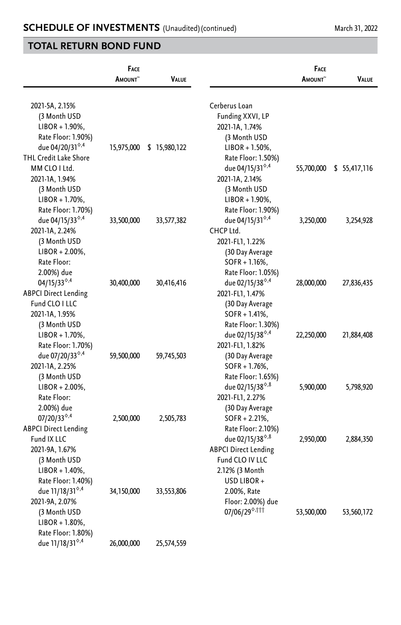|                                                                                                                                             | FACE<br><b>A</b> mount^ | <b>VALUE</b> |                                                                                                                                                   | FACE<br><b>A</b> MOUNT   | VALUE                    |
|---------------------------------------------------------------------------------------------------------------------------------------------|-------------------------|--------------|---------------------------------------------------------------------------------------------------------------------------------------------------|--------------------------|--------------------------|
| 2021-5A, 2.15%<br>(3 Month USD<br>$LIBOR + 1.90\%$ ,<br>Rate Floor: 1.90%)<br>due 04/20/31 <sup>6,4</sup>                                   | 15,975,000              | \$15,980,122 | Cerberus Loan<br>Funding XXVI, LP<br>2021-1A, 1.74%<br>(3 Month USD<br>$LIBOR + 1.50\%$                                                           |                          |                          |
| <b>THL Credit Lake Shore</b><br>MM CLO I Ltd.<br>2021-1A, 1.94%<br>(3 Month USD<br>$LIBOR + 1.70\%$ ,<br>Rate Floor: 1.70%)                 |                         |              | Rate Floor: 1.50%)<br>due 04/15/31 <sup>6,4</sup><br>2021-1A, 2.14%<br>(3 Month USD<br>$LIBOR + 1.90\%$ ,<br>Rate Floor: 1.90%)                   | 55,700,000               | \$55,417,116             |
| due 04/15/33 <sup>0,4</sup><br>2021-1A, 2.24%<br>(3 Month USD<br>$LIBOR + 2.00\%$<br>Rate Floor:<br>2.00%) due                              | 33,500,000              | 33,577,382   | due 04/15/31 <sup>6,4</sup><br>CHCP Ltd.<br>2021-FL1, 1.22%<br>(30 Day Average<br>$SOFR + 1.16%$<br>Rate Floor: 1.05%)                            | 3,250,000                | 3,254,928                |
| $04/15/33^{\circ.4}$<br><b>ABPCI Direct Lending</b><br>Fund CLO I LLC<br>2021-1A, 1.95%<br>(3 Month USD<br>$LIBOR + 1.70\%$ ,               | 30,400,000              | 30,416,416   | due 02/15/38 $8,4$<br>2021-FL1, 1.47%<br>(30 Day Average<br>$SOFR + 1.41%$<br>Rate Floor: 1.30%)<br>due 02/15/38 $\%$ <sup>4</sup>                | 28,000,000<br>22,250,000 | 27,836,435<br>21,884,408 |
| Rate Floor: 1.70%)<br>due 07/20/33 <sup>0,4</sup><br>2021-1A, 2.25%<br>(3 Month USD<br>$LIBOR + 2.00\%$ ,<br>Rate Floor:                    | 59,500,000              | 59,745,503   | 2021-FL1, 1.82%<br>(30 Day Average<br>$SOFR + 1.76%$<br>Rate Floor: 1.65%)<br>due 02/15/38 <sup>6,8</sup><br>2021-FL1, 2.27%                      | 5,900,000                | 5,798,920                |
| 2.00%) due<br>$07/20/33^{\diamond,4}$<br><b>ABPCI Direct Lending</b><br>Fund IX LLC<br>2021-9A, 1.67%<br>(3 Month USD<br>$LIBOR + 1.40\%$ , | 2,500,000               | 2,505,783    | (30 Day Average<br>$SOFR + 2.21%$<br>Rate Floor: 2.10%)<br>due 02/15/38 $8,8$<br><b>ABPCI Direct Lending</b><br>Fund CLO IV LLC<br>2.12% (3 Month | 2,950,000                | 2,884,350                |
| Rate Floor: 1.40%)<br>due 11/18/31 <sup>6,4</sup><br>2021-9A, 2.07%<br>(3 Month USD<br>$LIBOR + 1.80\%,$<br>Rate Floor: 1.80%)              | 34,150,000              | 33,553,806   | USD LIBOR +<br>2.00%, Rate<br>Floor: 2.00%) due<br>$07/06/29^{\diamond, \dagger \dagger \dagger}$                                                 | 53,500,000               | 53,560,172               |
| due 11/18/31 <sup>6,4</sup>                                                                                                                 | 26,000,000              | 25,574,559   |                                                                                                                                                   |                          |                          |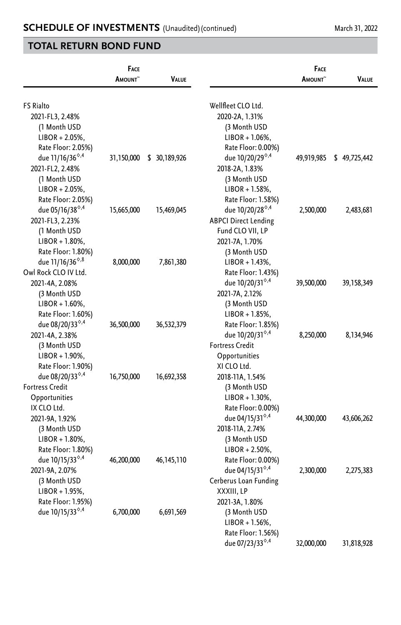|                                               | <b>FACE</b><br><b>A</b> MOUNT~ | VALUE         |                                                 | FACE<br><b>A</b> MOUNT | VALUE        |
|-----------------------------------------------|--------------------------------|---------------|-------------------------------------------------|------------------------|--------------|
| <b>FS Rialto</b>                              |                                |               | Wellfleet CLO Ltd.                              |                        |              |
| 2021-FL3, 2.48%                               |                                |               | 2020-2A, 1.31%                                  |                        |              |
| (1 Month USD                                  |                                |               | (3 Month USD                                    |                        |              |
| $LIBOR + 2.05\%,$                             |                                |               | $LIBOR + 1.06\%,$                               |                        |              |
| Rate Floor: 2.05%)                            |                                |               | Rate Floor: 0.00%)                              |                        |              |
| due 11/16/36 <sup>6,4</sup>                   | 31,150,000                     | \$ 30,189,926 | due 10/20/29 <sup>6,4</sup>                     | 49,919,985             | \$49,725,442 |
| 2021-FL2, 2.48%                               |                                |               | 2018-2A, 1.83%                                  |                        |              |
| (1 Month USD                                  |                                |               | (3 Month USD                                    |                        |              |
| $LIBOR + 2.05%$                               |                                |               | $LIBOR + 1.58%$                                 |                        |              |
| Rate Floor: 2.05%)                            |                                |               | Rate Floor: 1.58%)                              |                        |              |
| due 05/16/38 <sup>6,4</sup>                   | 15,665,000                     | 15,469,045    | due 10/20/28 <sup><math>\diamond,4</math></sup> | 2,500,000              | 2,483,681    |
| 2021-FL3, 2.23%                               |                                |               | <b>ABPCI Direct Lending</b>                     |                        |              |
| (1 Month USD                                  |                                |               | Fund CLO VII, LP                                |                        |              |
| $LIBOR + 1.80\%,$                             |                                |               | 2021-7A, 1.70%                                  |                        |              |
| Rate Floor: 1.80%)                            |                                |               | (3 Month USD                                    |                        |              |
| due 11/16/36 <sup>6,8</sup>                   | 8,000,000                      | 7,861,380     | $LIBOR + 1.43%$ ,                               |                        |              |
| Owl Rock CLO IV Ltd.                          |                                |               | Rate Floor: 1.43%)                              |                        |              |
| 2021-4A, 2.08%                                |                                |               | due 10/20/31 <sup>6,4</sup>                     | 39,500,000             | 39,158,349   |
| (3 Month USD                                  |                                |               | 2021-7A, 2.12%                                  |                        |              |
| $LIBOR + 1.60\%$ ,                            |                                |               | (3 Month USD                                    |                        |              |
| Rate Floor: 1.60%)                            |                                |               | $LIBOR + 1.85%$<br>Rate Floor: 1.85%)           |                        |              |
| due 08/20/33 <sup>8,4</sup><br>2021-4A, 2.38% | 36,500,000                     | 36,532,379    | due 10/20/31 <sup>6,4</sup>                     | 8,250,000              | 8,134,946    |
| (3 Month USD                                  |                                |               | <b>Fortress Credit</b>                          |                        |              |
| $LIBOR + 1.90\%$ ,                            |                                |               | Opportunities                                   |                        |              |
| Rate Floor: 1.90%)                            |                                |               | XI CLO Ltd.                                     |                        |              |
| due 08/20/33 <sup>0,4</sup>                   | 16,750,000                     | 16,692,358    | 2018-11A, 1.54%                                 |                        |              |
| <b>Fortress Credit</b>                        |                                |               | (3 Month USD                                    |                        |              |
| Opportunities                                 |                                |               | $LIBOR + 1.30\%$                                |                        |              |
| IX CLO Ltd.                                   |                                |               | Rate Floor: 0.00%)                              |                        |              |
| 2021-9A, 1.92%                                |                                |               | due 04/15/31 <sup>6,4</sup>                     | 44,300,000             | 43,606,262   |
| (3 Month USD                                  |                                |               | 2018-11A, 2.74%                                 |                        |              |
| $LIBOR + 1.80\%,$                             |                                |               | (3 Month USD                                    |                        |              |
| Rate Floor: 1.80%)                            |                                |               | $LIBOR + 2.50\%$ ,                              |                        |              |
| due 10/15/33 <sup>8,4</sup>                   | 46,200,000                     | 46, 145, 110  | Rate Floor: 0.00%)                              |                        |              |
| 2021-9A, 2.07%                                |                                |               | due 04/15/31 <sup>6,4</sup>                     | 2,300,000              | 2,275,383    |
| (3 Month USD                                  |                                |               | Cerberus Loan Funding                           |                        |              |
| $LIBOR + 1.95\%,$                             |                                |               | XXXIII, LP                                      |                        |              |
| Rate Floor: 1.95%)                            |                                |               | 2021-3A, 1.80%                                  |                        |              |
| due 10/15/33 <sup>6,4</sup>                   | 6,700,000                      | 6,691,569     | (3 Month USD                                    |                        |              |
|                                               |                                |               | $LIBOR + 1.56\%,$                               |                        |              |
|                                               |                                |               | Rate Floor: 1.56%)                              |                        |              |
|                                               |                                |               | due 07/23/33 <sup>6,4</sup>                     | 32,000,000             | 31,818,928   |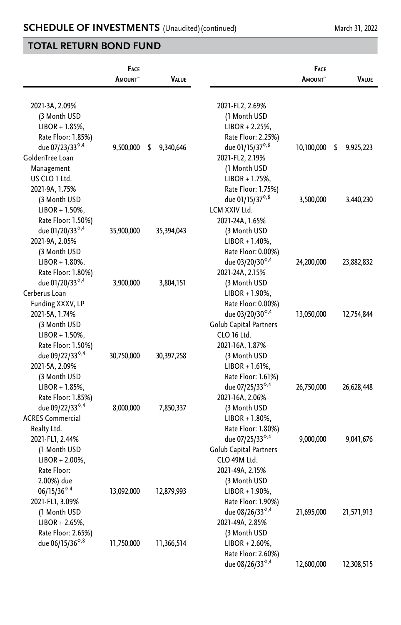|                                   | FACE<br><b>A</b> mount^ | <b>VALUE</b>    |                                                   | FACE<br>AMOUNT <sup>~</sup> | VALUE           |
|-----------------------------------|-------------------------|-----------------|---------------------------------------------------|-----------------------------|-----------------|
| 2021-3A, 2.09%<br>(3 Month USD    |                         |                 | 2021-FL2, 2.69%<br>(1 Month USD                   |                             |                 |
| $LIBOR + 1.85%$                   |                         |                 | $LIBOR + 2.25%$                                   |                             |                 |
| Rate Floor: 1.85%)                |                         |                 | Rate Floor: 2.25%)                                |                             |                 |
| due 07/23/33 <sup>6,4</sup>       | 9,500,000               | \$<br>9,340,646 | due 01/15/37 <sup>6,8</sup>                       | 10,100,000                  | \$<br>9,925,223 |
| GoldenTree Loan                   |                         |                 | 2021-FL2, 2.19%                                   |                             |                 |
| Management                        |                         |                 | (1 Month USD                                      |                             |                 |
| US CLO 1 Ltd.                     |                         |                 | $LIBOR + 1.75%$ ,                                 |                             |                 |
| 2021-9A, 1.75%                    |                         |                 | Rate Floor: 1.75%)                                |                             |                 |
| (3 Month USD                      |                         |                 | due 01/15/37 <sup>6,8</sup>                       | 3,500,000                   | 3,440,230       |
| $LIBOR + 1.50\%,$                 |                         |                 | LCM XXIV Ltd.                                     |                             |                 |
| Rate Floor: 1.50%)                |                         |                 | 2021-24A, 1.65%                                   |                             |                 |
| due 01/20/33 <sup>°,4</sup>       | 35,900,000              | 35,394,043      | (3 Month USD                                      |                             |                 |
| 2021-9A, 2.05%                    |                         |                 | $LIBOR + 1.40\%$ ,                                |                             |                 |
| (3 Month USD<br>$LIBOR + 1.80\%,$ |                         |                 | Rate Floor: 0.00%)<br>due 03/20/30 <sup>6,4</sup> | 24,200,000                  | 23,882,832      |
| Rate Floor: 1.80%)                |                         |                 | 2021-24A, 2.15%                                   |                             |                 |
| due 01/20/33 <sup>6,4</sup>       | 3,900,000               | 3,804,151       | (3 Month USD                                      |                             |                 |
| Cerberus Loan                     |                         |                 | $LIBOR + 1.90\%$ ,                                |                             |                 |
| Funding XXXV, LP                  |                         |                 | Rate Floor: 0.00%)                                |                             |                 |
| 2021-5A, 1.74%                    |                         |                 | due 03/20/30 <sup>6,4</sup>                       | 13,050,000                  | 12,754,844      |
| (3 Month USD                      |                         |                 | Golub Capital Partners                            |                             |                 |
| $LIBOR + 1.50\%,$                 |                         |                 | CLO 16 Ltd.                                       |                             |                 |
| Rate Floor: 1.50%)                |                         |                 | 2021-16A, 1.87%                                   |                             |                 |
| due 09/22/33 <sup>0,4</sup>       | 30,750,000              | 30,397,258      | (3 Month USD                                      |                             |                 |
| 2021-5A, 2.09%                    |                         |                 | $LIBOR + 1.61\%,$                                 |                             |                 |
| (3 Month USD                      |                         |                 | Rate Floor: 1.61%)                                |                             |                 |
| $LIBOR + 1.85%$                   |                         |                 | due 07/25/33 <sup>0,4</sup>                       | 26,750,000                  | 26,628,448      |
| Rate Floor: 1.85%)                |                         |                 | 2021-16A, 2.06%                                   |                             |                 |
| due 09/22/33 <sup>0,4</sup>       | 8,000,000               | 7,850,337       | (3 Month USD                                      |                             |                 |
| <b>ACRES Commercial</b>           |                         |                 | $LIBOR + 1.80\%,$                                 |                             |                 |
| Realty Ltd.                       |                         |                 | Rate Floor: 1.80%)<br>due 07/25/33 <sup>6,4</sup> | 9,000,000                   |                 |
| 2021-FL1, 2.44%<br>(1 Month USD   |                         |                 | Golub Capital Partners                            |                             | 9,041,676       |
| $LIBOR + 2.00\%$ .                |                         |                 | CLO 49M Ltd.                                      |                             |                 |
| Rate Floor:                       |                         |                 | 2021-49A, 2.15%                                   |                             |                 |
| 2.00%) due                        |                         |                 | (3 Month USD                                      |                             |                 |
| $06/15/36^{\diamond,4}$           | 13,092,000              | 12,879,993      | $LIBOR + 1.90\%,$                                 |                             |                 |
| 2021-FL1, 3.09%                   |                         |                 | Rate Floor: 1.90%)                                |                             |                 |
| (1 Month USD                      |                         |                 | due $08/26/33^{\circ,4}$                          | 21,695,000                  | 21,571,913      |
| $LIBOR + 2.65\%,$                 |                         |                 | 2021-49A, 2.85%                                   |                             |                 |
| Rate Floor: 2.65%)                |                         |                 | (3 Month USD                                      |                             |                 |
| due 06/15/36 <sup>6,8</sup>       | 11,750,000              | 11,366,514      | $LIBOR + 2.60\%,$                                 |                             |                 |
|                                   |                         |                 | Rate Floor: 2.60%)                                |                             |                 |
|                                   |                         |                 | due 08/26/33 <sup>0,4</sup>                       | 12,600,000                  | 12,308,515      |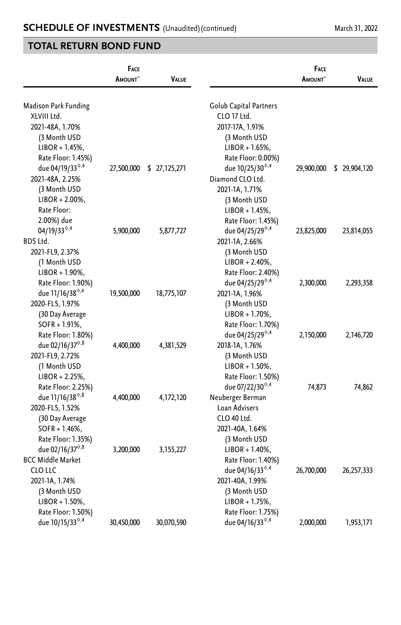|                             | <b>FACE</b><br><b>A</b> mount~ | VALUE        |                                | <b>FACE</b><br><b>A</b> MOUNT | VALUE        |
|-----------------------------|--------------------------------|--------------|--------------------------------|-------------------------------|--------------|
|                             |                                |              |                                |                               |              |
| Madison Park Funding        |                                |              | Golub Capital Partners         |                               |              |
| XLVIII Ltd.                 |                                |              | CLO 17 Ltd.                    |                               |              |
| 2021-48A, 1.70%             |                                |              | 2017-17A, 1.91%                |                               |              |
| (3 Month USD                |                                |              | (3 Month USD                   |                               |              |
| $LIBOR + 1.45%$             |                                |              | $LIBOR + 1.65%$                |                               |              |
| Rate Floor: 1.45%)          |                                |              | Rate Floor: 0.00%)             |                               |              |
| due 04/19/33 <sup>6,4</sup> | 27,500,000                     | \$27,125,271 | due 10/25/30 <sup>6,4</sup>    | 29,900,000                    | \$29,904,120 |
| 2021-48A, 2.25%             |                                |              | Diamond CLO Ltd.               |                               |              |
| (3 Month USD                |                                |              | 2021-1A, 1.71%                 |                               |              |
| $LIBOR + 2.00\%$            |                                |              | (3 Month USD                   |                               |              |
| Rate Floor:                 |                                |              | $LIBOR + 1.45%$                |                               |              |
| 2.00%) due                  |                                |              | Rate Floor: 1.45%)             |                               |              |
| $04/19/33^{\diamond,4}$     | 5,900,000                      | 5,877,727    | due 04/25/29 $\%$ <sup>4</sup> | 23,825,000                    | 23,814,055   |
| BDS Ltd.                    |                                |              | 2021-1A, 2.66%                 |                               |              |
| 2021-FL9, 2.37%             |                                |              | (3 Month USD                   |                               |              |
| (1 Month USD                |                                |              | $LIBOR + 2.40\%,$              |                               |              |
| $LIBOR + 1.90\%,$           |                                |              | Rate Floor: 2.40%)             |                               |              |
| Rate Floor: 1.90%)          |                                |              | due 04/25/29 <sup>0,4</sup>    | 2,300,000                     | 2,293,358    |
| due 11/16/38 <sup>6,4</sup> | 19,500,000                     | 18,775,107   | 2021-1A, 1.96%                 |                               |              |
| 2020-FL5, 1.97%             |                                |              | (3 Month USD                   |                               |              |
| (30 Day Average             |                                |              | $LIBOR + 1.70\%$ ,             |                               |              |
| $SOFR + 1.91\%,$            |                                |              | Rate Floor: 1.70%)             |                               |              |
| Rate Floor: 1.80%)          |                                |              | due 04/25/29 <sup>6,4</sup>    | 2,150,000                     | 2,146,720    |
| due 02/16/37 <sup>6,8</sup> | 4,400,000                      | 4,381,529    | 2018-1A, 1.76%                 |                               |              |
| 2021-FL9, 2.72%             |                                |              | (3 Month USD                   |                               |              |
| (1 Month USD                |                                |              | $LIBOR + 1.50\%,$              |                               |              |
| $LIBOR + 2.25%$             |                                |              | Rate Floor: 1.50%)             |                               |              |
| Rate Floor: 2.25%)          |                                |              | due 07/22/30 <sup>6,4</sup>    | 74,873                        | 74,862       |
| due 11/16/38 <sup>6,8</sup> | 4,400,000                      | 4,172,120    | Neuberger Berman               |                               |              |
| 2020-FL5, 1.52%             |                                |              | Loan Advisers                  |                               |              |
| (30 Day Average             |                                |              | CLO 40 Ltd.                    |                               |              |
| SOFR + 1.46%,               |                                |              | 2021-40A, 1.64%                |                               |              |
| Rate Floor: 1.35%)          |                                |              | (3 Month USD                   |                               |              |
| due 02/16/37 <sup>6,8</sup> | 3,200,000                      | 3,155,227    | $LIBOR + 1.40\%$ ,             |                               |              |
| <b>BCC Middle Market</b>    |                                |              | Rate Floor: 1.40%)             |                               |              |
| CLO LLC                     |                                |              | due 04/16/33 $\diamond$ ,4     | 26,700,000                    | 26,257,333   |
| 2021-1A, 1.74%              |                                |              | 2021-40A, 1.99%                |                               |              |
| (3 Month USD                |                                |              | (3 Month USD                   |                               |              |
| $LIBOR + 1.50\%,$           |                                |              | $LIBOR + 1.75%$                |                               |              |
| Rate Floor: 1.50%)          |                                |              | Rate Floor: 1.75%)             |                               |              |
| due 10/15/33 <sup>6,4</sup> | 30,450,000                     | 30,070,590   | due 04/16/33 <sup>6,4</sup>    | 2,000,000                     | 1,953,171    |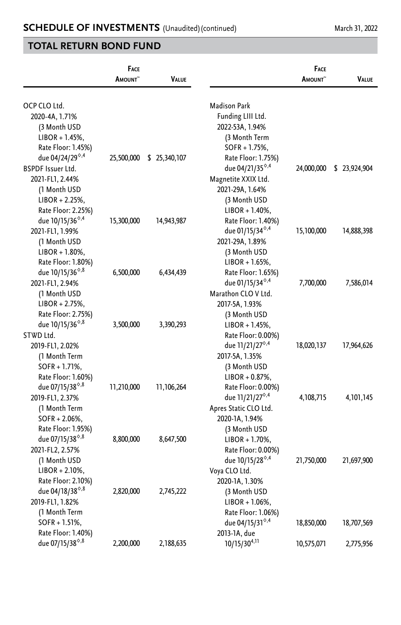|                                                   | <b>FACE</b><br>AMOUNT <sup>~</sup> | VALUE        |                                                    | FACE<br><b>AMOUNT</b> | VALUE        |
|---------------------------------------------------|------------------------------------|--------------|----------------------------------------------------|-----------------------|--------------|
| OCP CLO Ltd.                                      |                                    |              | Madison Park                                       |                       |              |
| 2020-4A, 1.71%                                    |                                    |              | Funding LIII Ltd.                                  |                       |              |
| (3 Month USD                                      |                                    |              | 2022-53A, 1.94%                                    |                       |              |
| $LIBOR + 1.45\%,$                                 |                                    |              | (3 Month Term                                      |                       |              |
| Rate Floor: 1.45%)                                |                                    |              | $SOFR + 1.75%$                                     |                       |              |
| due 04/24/29 <sup>6,4</sup>                       | 25,500,000                         | \$25,340,107 | Rate Floor: 1.75%)                                 |                       |              |
| <b>BSPDF Issuer Ltd.</b>                          |                                    |              | due 04/21/35 <sup>6,4</sup>                        | 24,000,000            | \$23,924,904 |
| 2021-FL1, 2.44%                                   |                                    |              | Magnetite XXIX Ltd.                                |                       |              |
| (1 Month USD                                      |                                    |              | 2021-29A, 1.64%                                    |                       |              |
| $LIBOR + 2.25%$                                   |                                    |              | (3 Month USD                                       |                       |              |
| Rate Floor: 2.25%)                                |                                    |              | $LIBOR + 1.40\%,$                                  |                       |              |
| due 10/15/36 <sup>6,4</sup>                       | 15,300,000                         | 14,943,987   | Rate Floor: 1.40%)                                 |                       |              |
| 2021-FL1, 1.99%                                   |                                    |              | due 01/15/34 <sup>9,4</sup>                        | 15,100,000            | 14,888,398   |
| (1 Month USD                                      |                                    |              | 2021-29A, 1.89%                                    |                       |              |
| $LIBOR + 1.80\%$ ,                                |                                    |              | (3 Month USD                                       |                       |              |
| Rate Floor: 1.80%)                                |                                    |              | $LIBOR + 1.65%$ ,                                  |                       |              |
| due 10/15/36 <sup>6,8</sup>                       | 6,500,000                          | 6,434,439    | Rate Floor: 1.65%)                                 |                       |              |
| 2021-FL1, 2.94%                                   |                                    |              | due 01/15/34 <sup>6,4</sup><br>Marathon CLO V Ltd. | 7,700,000             | 7,586,014    |
| (1 Month USD                                      |                                    |              |                                                    |                       |              |
| $LIBOR + 2.75%$ ,                                 |                                    |              | 2017-5A, 1.93%                                     |                       |              |
| Rate Floor: 2.75%)<br>due 10/15/36 <sup>0,8</sup> | 3,500,000                          | 3,390,293    | (3 Month USD                                       |                       |              |
| STWD Ltd.                                         |                                    |              | $LIBOR + 1.45%$<br>Rate Floor: 0.00%)              |                       |              |
| 2019-FL1, 2.02%                                   |                                    |              | due 11/21/27 <sup>0,4</sup>                        | 18,020,137            | 17,964,626   |
| (1 Month Term                                     |                                    |              | 2017-5A, 1.35%                                     |                       |              |
| $SOFR + 1.71%$                                    |                                    |              | (3 Month USD                                       |                       |              |
| Rate Floor: 1.60%)                                |                                    |              | $LIBOR + 0.87%$ ,                                  |                       |              |
| due 07/15/38 <sup>6,8</sup>                       | 11,210,000                         | 11,106,264   | Rate Floor: 0.00%)                                 |                       |              |
| 2019-FL1, 2.37%                                   |                                    |              | due 11/21/27 <sup>6,4</sup>                        | 4, 108, 715           | 4, 101, 145  |
| (1 Month Term                                     |                                    |              | Apres Static CLO Ltd.                              |                       |              |
| $SOFR + 2.06%$                                    |                                    |              | 2020-1A, 1.94%                                     |                       |              |
| Rate Floor: 1.95%)                                |                                    |              | (3 Month USD                                       |                       |              |
| due 07/15/38 <sup>6,8</sup>                       | 8,800,000                          | 8,647,500    | $LIBOR + 1.70\%$                                   |                       |              |
| 2021-FL2, 2.57%                                   |                                    |              | Rate Floor: 0.00%)                                 |                       |              |
| (1 Month USD                                      |                                    |              | due 10/15/28 <sup>6,4</sup>                        | 21,750,000            | 21,697,900   |
| $LIBOR + 2.10\%$ ,                                |                                    |              | Voya CLO Ltd.                                      |                       |              |
| Rate Floor: 2.10%)                                |                                    |              | 2020-1A, 1.30%                                     |                       |              |
| due 04/18/38 <sup>0,8</sup>                       | 2,820,000                          | 2,745,222    | (3 Month USD                                       |                       |              |
| 2019-FL1, 1.82%                                   |                                    |              | $LIBOR + 1.06\%,$                                  |                       |              |
| (1 Month Term                                     |                                    |              | Rate Floor: 1.06%)                                 |                       |              |
| $SOFR + 1.51%$                                    |                                    |              | due 04/15/31 <sup>6,4</sup>                        | 18,850,000            | 18,707,569   |
| Rate Floor: 1.40%)                                |                                    |              | 2013-1A, due                                       |                       |              |
| due 07/15/38 <sup>6,8</sup>                       | 2,200,000                          | 2,188,635    | $10/15/30^{4,11}$                                  | 10,575,071            | 2,775,956    |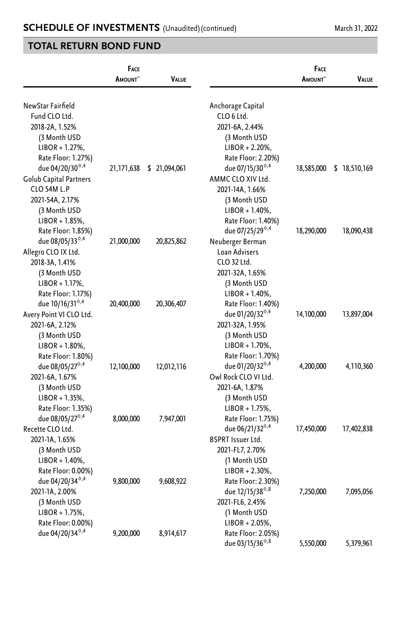|                                       | <b>FACE</b><br><b>A</b> MOUNT~ | VALUE         |                                   | FACE<br><b>A</b> MOUNT | Value        |
|---------------------------------------|--------------------------------|---------------|-----------------------------------|------------------------|--------------|
| NewStar Fairfield                     |                                |               | Anchorage Capital                 |                        |              |
| Fund CLO Ltd.                         |                                |               | CLO 6 Ltd.                        |                        |              |
| 2018-2A, 1.52%                        |                                |               | 2021-6A, 2.44%                    |                        |              |
| (3 Month USD                          |                                |               | (3 Month USD                      |                        |              |
| $LIBOR + 1.27%$ ,                     |                                |               | $LIBOR + 2.20%$ ,                 |                        |              |
| Rate Floor: 1.27%)                    |                                |               | Rate Floor: 2.20%)                |                        |              |
| due 04/20/30 <sup>6,4</sup>           | 21,171,638                     | \$ 21,094,061 | due 07/15/30 $8,4$                | 18,585,000             | \$18,510,169 |
| Golub Capital Partners                |                                |               | AMMC CLO XIV Ltd.                 |                        |              |
| CLO 54M L.P                           |                                |               | 2021-14A, 1.66%                   |                        |              |
| 2021-54A, 2.17%                       |                                |               | (3 Month USD                      |                        |              |
| (3 Month USD                          |                                |               | $LIBOR + 1.40\%,$                 |                        |              |
| $LIBOR + 1.85%$                       |                                |               | Rate Floor: 1.40%)                |                        |              |
| Rate Floor: 1.85%)                    |                                |               | due 07/25/29 <sup>6,4</sup>       | 18,290,000             | 18,090,438   |
| due 08/05/33 <sup>0,4</sup>           | 21,000,000                     | 20,825,862    | Neuberger Berman                  |                        |              |
| Allegro CLO IX Ltd.                   |                                |               | Loan Advisers                     |                        |              |
| 2018-3A, 1.41%                        |                                |               | CLO 32 Ltd.                       |                        |              |
| (3 Month USD                          |                                |               | 2021-32A, 1.65%                   |                        |              |
| $LIBOR + 1.17\%$                      |                                |               | (3 Month USD                      |                        |              |
| Rate Floor: 1.17%)                    |                                |               | $LIBOR + 1.40\%,$                 |                        |              |
| due 10/16/31 <sup>6,4</sup>           | 20,400,000                     | 20,306,407    | Rate Floor: 1.40%)                |                        |              |
| Avery Point VI CLO Ltd.               |                                |               | due 01/20/32 <sup>6,4</sup>       | 14,100,000             | 13,897,004   |
| 2021-6A, 2.12%                        |                                |               | 2021-32A, 1.95%                   |                        |              |
| (3 Month USD                          |                                |               | (3 Month USD                      |                        |              |
| $LIBOR + 1.80\%$ ,                    |                                |               | $LIBOR + 1.70\%$ ,                |                        |              |
| Rate Floor: 1.80%)                    |                                |               | Rate Floor: 1.70%)                |                        |              |
| due 08/05/27 <sup>6,4</sup>           | 12,100,000                     | 12,012,116    | due 01/20/32 <sup>6,4</sup>       | 4,200,000              | 4,110,360    |
| 2021-6A, 1.67%                        |                                |               | Owl Rock CLO VI Ltd.              |                        |              |
| (3 Month USD                          |                                |               | 2021-6A, 1.87%                    |                        |              |
| $LIBOR + 1.35%$<br>Rate Floor: 1.35%) |                                |               | (3 Month USD<br>$LIBOR + 1.75%$ , |                        |              |
| due 08/05/27 <sup>6,4</sup>           | 8,000,000                      | 7,947,001     | Rate Floor: 1.75%)                |                        |              |
| Recette CLO Ltd.                      |                                |               | due 06/21/32 <sup>0,4</sup>       | 17,450,000             | 17,402,838   |
| 2021-1A, 1.65%                        |                                |               | <b>BSPRT Issuer Ltd.</b>          |                        |              |
| (3 Month USD                          |                                |               | 2021-FL7, 2.70%                   |                        |              |
| $LIBOR + 1.40\%$ ,                    |                                |               | (1 Month USD                      |                        |              |
| Rate Floor: 0.00%)                    |                                |               | $LIBOR + 2.30\%,$                 |                        |              |
| due 04/20/34 <sup>6,4</sup>           | 9,800,000                      | 9,608,922     | Rate Floor: 2.30%)                |                        |              |
| 2021-1A, 2.00%                        |                                |               | due 12/15/38 <sup>6,8</sup>       | 7,250,000              | 7,095,056    |
| (3 Month USD                          |                                |               | 2021-FL6, 2.45%                   |                        |              |
| $LIBOR + 1.75\%,$                     |                                |               | (1 Month USD                      |                        |              |
| Rate Floor: 0.00%)                    |                                |               | $LIBOR + 2.05\%,$                 |                        |              |
| due 04/20/34 <sup>6,4</sup>           | 9,200,000                      | 8,914,617     | Rate Floor: 2.05%)                |                        |              |
|                                       |                                |               | due 03/15/36 <sup>6,8</sup>       | 5,550,000              | 5,379,961    |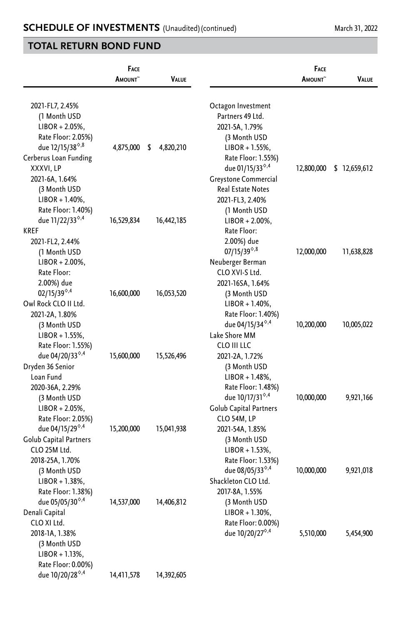|                                                   | <b>FACE</b><br>AMOUNT <sup>~</sup> | <b>VALUE</b>    |                                                   | <b>FACE</b><br><b>AMOUNT</b> | VALUE        |
|---------------------------------------------------|------------------------------------|-----------------|---------------------------------------------------|------------------------------|--------------|
| 2021-FL7, 2.45%                                   |                                    |                 | Octagon Investment                                |                              |              |
| (1 Month USD                                      |                                    |                 | Partners 49 Ltd.                                  |                              |              |
| $LIBOR + 2.05\%,$                                 |                                    |                 | 2021-5A, 1.79%                                    |                              |              |
| Rate Floor: 2.05%)                                |                                    |                 | (3 Month USD                                      |                              |              |
| due 12/15/38 <sup>6,8</sup>                       | 4,875,000                          | \$<br>4,820,210 | $LIBOR + 1.55%$ ,                                 |                              |              |
| Cerberus Loan Funding<br>XXXVI, LP                |                                    |                 | Rate Floor: 1.55%)<br>due 01/15/33 <sup>0,4</sup> | 12,800,000                   | \$12,659,612 |
| 2021-6A, 1.64%                                    |                                    |                 | Greystone Commercial                              |                              |              |
| (3 Month USD                                      |                                    |                 | <b>Real Estate Notes</b>                          |                              |              |
| $LIBOR + 1.40\%,$                                 |                                    |                 | 2021-FL3, 2.40%                                   |                              |              |
| Rate Floor: 1.40%)                                |                                    |                 | (1 Month USD                                      |                              |              |
| due 11/22/33 <sup>6,4</sup>                       | 16,529,834                         | 16,442,185      | $LIBOR + 2.00\%$                                  |                              |              |
| <b>KREF</b>                                       |                                    |                 | Rate Floor:                                       |                              |              |
| 2021-FL2, 2.44%                                   |                                    |                 | 2.00%) due                                        |                              |              |
| (1 Month USD                                      |                                    |                 | $07/15/39^{\diamond,8}$                           | 12,000,000                   | 11,638,828   |
| $LIBOR + 2.00\%,$                                 |                                    |                 | Neuberger Berman                                  |                              |              |
| Rate Floor:                                       |                                    |                 | CLO XVI-S Ltd.                                    |                              |              |
| 2.00%) due                                        |                                    |                 | 2021-16SA, 1.64%                                  |                              |              |
| $02/15/39^{\diamond,4}$                           | 16,600,000                         | 16,053,520      | (3 Month USD                                      |                              |              |
| Owl Rock CLO II Ltd.                              |                                    |                 | $LIBOR + 1.40\%,$                                 |                              |              |
| 2021-2A, 1.80%                                    |                                    |                 | Rate Floor: 1.40%)                                |                              |              |
| (3 Month USD                                      |                                    |                 | due 04/15/34 <sup>6,4</sup>                       | 10,200,000                   | 10,005,022   |
| $LIBOR + 1.55%$                                   |                                    |                 | Lake Shore MM                                     |                              |              |
| Rate Floor: 1.55%)                                |                                    |                 | CLO III LLC                                       |                              |              |
| due 04/20/33 <sup>0,4</sup>                       | 15,600,000                         | 15,526,496      | 2021-2A, 1.72%                                    |                              |              |
| Dryden 36 Senior                                  |                                    |                 | (3 Month USD                                      |                              |              |
| Loan Fund                                         |                                    |                 | $LIBOR + 1.48%$ ,                                 |                              |              |
| 2020-36A, 2.29%                                   |                                    |                 | Rate Floor: 1.48%)                                |                              |              |
| (3 Month USD                                      |                                    |                 | due 10/17/31 <sup>6,4</sup>                       | 10,000,000                   | 9,921,166    |
| $LIBOR + 2.05\%,$                                 |                                    |                 | Golub Capital Partners                            |                              |              |
| Rate Floor: 2.05%)<br>due 04/15/29 <sup>6,4</sup> | 15,200,000                         | 15,041,938      | CLO 54M, LP<br>2021-54A, 1.85%                    |                              |              |
| <b>Golub Capital Partners</b>                     |                                    |                 | (3 Month USD                                      |                              |              |
| CLO 25M Ltd.                                      |                                    |                 | $LIBOR + 1.53%$                                   |                              |              |
| 2018-25A, 1.70%                                   |                                    |                 | Rate Floor: 1.53%)                                |                              |              |
| (3 Month USD                                      |                                    |                 | due 08/05/33 <sup>°</sup> <sup>,4</sup>           | 10,000,000                   | 9,921,018    |
| $LIBOR + 1.38%$                                   |                                    |                 | Shackleton CLO Ltd.                               |                              |              |
| Rate Floor: 1.38%)                                |                                    |                 | 2017-8A, 1.55%                                    |                              |              |
| due 05/05/30 <sup>0,4</sup>                       | 14,537,000                         | 14,406,812      | (3 Month USD                                      |                              |              |
| Denali Capital                                    |                                    |                 | $LIBOR + 1.30\%,$                                 |                              |              |
| CLO XI Ltd.                                       |                                    |                 | Rate Floor: 0.00%)                                |                              |              |
| 2018-1A, 1.38%                                    |                                    |                 | due 10/20/27 <sup>6,4</sup>                       | 5,510,000                    | 5,454,900    |
| (3 Month USD                                      |                                    |                 |                                                   |                              |              |
| $LIBOR + 1.13%$                                   |                                    |                 |                                                   |                              |              |
| Rate Floor: 0.00%)                                |                                    |                 |                                                   |                              |              |
| due 10/20/28 <sup>6,4</sup>                       | 14,411,578                         | 14,392,605      |                                                   |                              |              |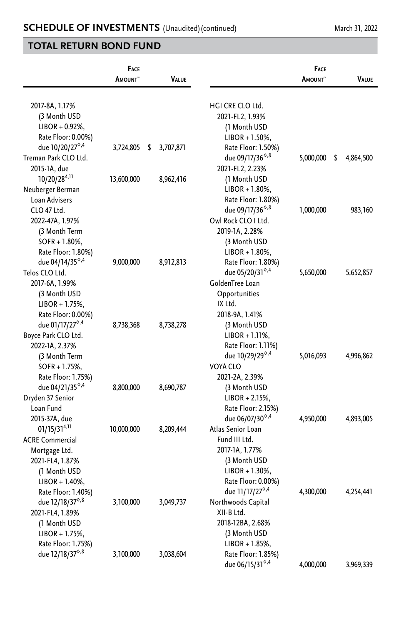|                                        | FACE<br><b>AMOUNT</b> | VALUE           |                                                   | FACE<br><b>A</b> mount^ | VALUE           |
|----------------------------------------|-----------------------|-----------------|---------------------------------------------------|-------------------------|-----------------|
|                                        |                       |                 |                                                   |                         |                 |
| 2017-8A, 1.17%                         |                       |                 | HGI CRE CLO Ltd.                                  |                         |                 |
| (3 Month USD                           |                       |                 | 2021-FL2, 1.93%                                   |                         |                 |
| $LIBOR + 0.92\%$<br>Rate Floor: 0.00%) |                       |                 | (1 Month USD                                      |                         |                 |
| due 10/20/27 <sup>6,4</sup>            | 3,724,805             | 3,707,871<br>\$ | $LIBOR + 1.50\%,$<br>Rate Floor: 1.50%)           |                         |                 |
| Treman Park CLO Ltd.                   |                       |                 | due 09/17/36 <sup>8,8</sup>                       | 5,000,000               | \$<br>4,864,500 |
| 2015-1A, due                           |                       |                 | 2021-FL2, 2.23%                                   |                         |                 |
| $10/20/28^{4,11}$                      | 13,600,000            | 8,962,416       | (1 Month USD                                      |                         |                 |
| Neuberger Berman                       |                       |                 | $LIBOR + 1.80\%,$                                 |                         |                 |
| Loan Advisers                          |                       |                 | Rate Floor: 1.80%)                                |                         |                 |
| CLO 47 Ltd.                            |                       |                 | due 09/17/36 <sup>0,8</sup>                       | 1,000,000               | 983,160         |
| 2022-47A, 1.97%                        |                       |                 | Owl Rock CLO I Ltd.                               |                         |                 |
| (3 Month Term                          |                       |                 | 2019-1A, 2.28%                                    |                         |                 |
| $SOFR + 1.80%$                         |                       |                 | (3 Month USD                                      |                         |                 |
| Rate Floor: 1.80%)                     |                       |                 | $LIBOR + 1.80\%$ ,                                |                         |                 |
| due 04/14/35 <sup>8,4</sup>            | 9,000,000             | 8,912,813       | Rate Floor: 1.80%)                                |                         |                 |
| Telos CLO Ltd.                         |                       |                 | due 05/20/31 <sup>6,4</sup>                       | 5,650,000               | 5,652,857       |
| 2017-6A, 1.99%                         |                       |                 | GoldenTree Loan                                   |                         |                 |
| (3 Month USD                           |                       |                 | Opportunities                                     |                         |                 |
| $LIBOR + 1.75\%,$                      |                       |                 | IX Ltd.                                           |                         |                 |
| Rate Floor: 0.00%)                     |                       |                 | 2018-9A, 1.41%                                    |                         |                 |
| due 01/17/27 <sup>6,4</sup>            | 8,738,368             | 8,738,278       | (3 Month USD                                      |                         |                 |
| Boyce Park CLO Ltd.                    |                       |                 | $LIBOR + 1.11\%,$                                 |                         |                 |
| 2022-1A, 2.37%                         |                       |                 | Rate Floor: 1.11%)                                |                         |                 |
| (3 Month Term                          |                       |                 | due 10/29/29 <sup>0,4</sup>                       | 5,016,093               | 4,996,862       |
| $SOFR + 1.75%$                         |                       |                 | VOYA CLO                                          |                         |                 |
| Rate Floor: 1.75%)                     |                       |                 | 2021-2A, 2.39%                                    |                         |                 |
| due 04/21/35 <sup>°,4</sup>            | 8,800,000             | 8,690,787       | (3 Month USD                                      |                         |                 |
| Dryden 37 Senior                       |                       |                 | $LIBOR + 2.15%$                                   |                         |                 |
| Loan Fund                              |                       |                 | Rate Floor: 2.15%)                                |                         |                 |
| 2015-37A, due                          |                       |                 | due 06/07/30 <sup>6,4</sup>                       | 4,950,000               | 4,893,005       |
| $01/15/31^{4,11}$                      | 10,000,000            | 8,209,444       | Atlas Senior Loan                                 |                         |                 |
| <b>ACRE Commercial</b>                 |                       |                 | Fund III Ltd.                                     |                         |                 |
| Mortgage Ltd.                          |                       |                 | 2017-1A, 1.77%                                    |                         |                 |
| 2021-FL4, 1.87%                        |                       |                 | (3 Month USD                                      |                         |                 |
| (1 Month USD                           |                       |                 | $LIBOR + 1.30\%,$                                 |                         |                 |
| $LIBOR + 1.40\%$ ,                     |                       |                 | Rate Floor: 0.00%)                                |                         |                 |
| Rate Floor: 1.40%)                     |                       |                 | due 11/17/27 <sup>6,4</sup>                       | 4,300,000               | 4,254,441       |
| due 12/18/37 <sup>6,8</sup>            | 3,100,000             | 3,049,737       | Northwoods Capital                                |                         |                 |
| 2021-FL4, 1.89%                        |                       |                 | XII-B Ltd.                                        |                         |                 |
| (1 Month USD                           |                       |                 | 2018-12BA, 2.68%                                  |                         |                 |
| $LIBOR + 1.75%$                        |                       |                 | (3 Month USD                                      |                         |                 |
| Rate Floor: 1.75%)                     |                       |                 | $LIBOR + 1.85%$                                   |                         |                 |
| due 12/18/37 <sup>6,8</sup>            | 3,100,000             | 3,038,604       | Rate Floor: 1.85%)<br>due 06/15/31 <sup>6,4</sup> | 4,000,000               | 3,969,339       |
|                                        |                       |                 |                                                   |                         |                 |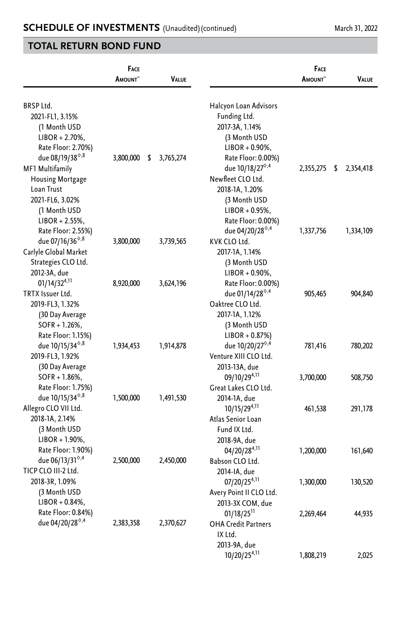| BRSP Ltd.<br>Halcyon Loan Advisors<br>Funding Ltd.<br>2021-FL1, 3.15%<br>2017-3A, 1.14%<br>(1 Month USD<br>$LIBOR + 2.70\%,$<br>(3 Month USD<br>Rate Floor: 2.70%)<br>$LIBOR + 0.90\%$ ,<br>due 08/19/38 <sup>6,8</sup><br>3,800,000<br>\$<br>3,765,274<br>Rate Floor: 0.00%)<br>MF1 Multifamily<br>due 10/18/27 <sup>0,4</sup><br>2,355,275<br>\$<br>2,354,418<br>Newfleet CLO Ltd.<br>Housing Mortgage<br>Loan Trust<br>2018-1A, 1.20%<br>2021-FL6, 3.02%<br>(3 Month USD<br>(1 Month USD<br>$LIBOR + 0.95\%,$<br>$LIBOR + 2.55%$<br>Rate Floor: 0.00%)<br>due 04/20/28 <sup><math>\diamond</math>,4</sup><br>Rate Floor: 2.55%)<br>1,337,756<br>1,334,109<br>due 07/16/36 <sup><math>\diamond</math>,8</sup><br>3,800,000<br>KVK CLO Ltd.<br>3,739,565<br>Carlyle Global Market<br>2017-1A, 1.14%<br>Strategies CLO Ltd.<br>(3 Month USD<br>2012-3A, due<br>$LIBOR + 0.90\%$ ,<br>$01/14/32^{4,11}$<br>8,920,000<br>Rate Floor: 0.00%)<br>3,624,196<br>due 01/14/28 <sup><math>\diamond</math>,4</sup><br>TRTX Issuer Ltd.<br>905,465<br>904,840<br>Oaktree CLO Ltd.<br>2019-FL3, 1.32%<br>2017-1A, 1.12%<br>(30 Day Average<br>SOFR + 1.26%,<br>(3 Month USD<br>Rate Floor: 1.15%)<br>$LIBOR + 0.87\%)$<br>due 10/15/34 <sup>6,8</sup><br>due 10/20/27 <sup>6,4</sup><br>1,934,453<br>1,914,878<br>781,416<br>780,202<br>Venture XIII CLO Ltd.<br>2019-FL3, 1.92%<br>2013-13A, due<br>(30 Day Average<br>09/10/294,11<br>$SOFR + 1.86%$<br>3,700,000<br>508,750<br>Rate Floor: 1.75%)<br>Great Lakes CLO Ltd.<br>due 10/15/34 <sup>6,8</sup><br>1,500,000<br>1,491,530<br>2014-1A, due<br>10/15/29 <sup>4,11</sup><br>Allegro CLO VII Ltd.<br>291,178<br>461,538<br>2018-1A, 2.14%<br>Atlas Senior Loan<br>(3 Month USD<br>Fund IX Ltd.<br>$LIBOR + 1.90\%$ ,<br>2018-9A, due<br>Rate Floor: 1.90%)<br>$04/20/28^{4,11}$<br>1,200,000<br>161,640<br>due 06/13/31 <sup>6,4</sup><br>2,500,000<br>2,450,000<br>Babson CLO Ltd.<br>TICP CLO III-2 Ltd.<br>2014-IA, due<br>2018-3R, 1.09%<br>07/20/254,11<br>130,520<br>1,300,000<br>(3 Month USD<br>Avery Point II CLO Ltd.<br>$LIBOR + 0.84\%,$<br>2013-3X COM, due<br>Rate Floor: 0.84%)<br>$01/18/25$ <sup>11</sup><br>2,269,464<br>44,935<br>due 04/20/28 <sup>8,4</sup><br>2,383,358<br>2,370,627<br><b>OHA Credit Partners</b><br>IX Ltd. | <b>FACE</b><br>AMOUNT <sup>~</sup> | VALUE | <b>FACE</b><br><b>A</b> MOUNT | <b>VALUE</b> |
|--------------------------------------------------------------------------------------------------------------------------------------------------------------------------------------------------------------------------------------------------------------------------------------------------------------------------------------------------------------------------------------------------------------------------------------------------------------------------------------------------------------------------------------------------------------------------------------------------------------------------------------------------------------------------------------------------------------------------------------------------------------------------------------------------------------------------------------------------------------------------------------------------------------------------------------------------------------------------------------------------------------------------------------------------------------------------------------------------------------------------------------------------------------------------------------------------------------------------------------------------------------------------------------------------------------------------------------------------------------------------------------------------------------------------------------------------------------------------------------------------------------------------------------------------------------------------------------------------------------------------------------------------------------------------------------------------------------------------------------------------------------------------------------------------------------------------------------------------------------------------------------------------------------------------------------------------------------------------------------------------------------------------------------------------------------------------------------------------------------------------------------------------------------------------------------------------------------------------------------------------------------------------------------------------|------------------------------------|-------|-------------------------------|--------------|
|                                                                                                                                                                                                                                                                                                                                                                                                                                                                                                                                                                                                                                                                                                                                                                                                                                                                                                                                                                                                                                                                                                                                                                                                                                                                                                                                                                                                                                                                                                                                                                                                                                                                                                                                                                                                                                                                                                                                                                                                                                                                                                                                                                                                                                                                                                  |                                    |       |                               |              |
|                                                                                                                                                                                                                                                                                                                                                                                                                                                                                                                                                                                                                                                                                                                                                                                                                                                                                                                                                                                                                                                                                                                                                                                                                                                                                                                                                                                                                                                                                                                                                                                                                                                                                                                                                                                                                                                                                                                                                                                                                                                                                                                                                                                                                                                                                                  |                                    |       |                               |              |
|                                                                                                                                                                                                                                                                                                                                                                                                                                                                                                                                                                                                                                                                                                                                                                                                                                                                                                                                                                                                                                                                                                                                                                                                                                                                                                                                                                                                                                                                                                                                                                                                                                                                                                                                                                                                                                                                                                                                                                                                                                                                                                                                                                                                                                                                                                  |                                    |       |                               |              |
|                                                                                                                                                                                                                                                                                                                                                                                                                                                                                                                                                                                                                                                                                                                                                                                                                                                                                                                                                                                                                                                                                                                                                                                                                                                                                                                                                                                                                                                                                                                                                                                                                                                                                                                                                                                                                                                                                                                                                                                                                                                                                                                                                                                                                                                                                                  |                                    |       |                               |              |
|                                                                                                                                                                                                                                                                                                                                                                                                                                                                                                                                                                                                                                                                                                                                                                                                                                                                                                                                                                                                                                                                                                                                                                                                                                                                                                                                                                                                                                                                                                                                                                                                                                                                                                                                                                                                                                                                                                                                                                                                                                                                                                                                                                                                                                                                                                  |                                    |       |                               |              |
|                                                                                                                                                                                                                                                                                                                                                                                                                                                                                                                                                                                                                                                                                                                                                                                                                                                                                                                                                                                                                                                                                                                                                                                                                                                                                                                                                                                                                                                                                                                                                                                                                                                                                                                                                                                                                                                                                                                                                                                                                                                                                                                                                                                                                                                                                                  |                                    |       |                               |              |
|                                                                                                                                                                                                                                                                                                                                                                                                                                                                                                                                                                                                                                                                                                                                                                                                                                                                                                                                                                                                                                                                                                                                                                                                                                                                                                                                                                                                                                                                                                                                                                                                                                                                                                                                                                                                                                                                                                                                                                                                                                                                                                                                                                                                                                                                                                  |                                    |       |                               |              |
|                                                                                                                                                                                                                                                                                                                                                                                                                                                                                                                                                                                                                                                                                                                                                                                                                                                                                                                                                                                                                                                                                                                                                                                                                                                                                                                                                                                                                                                                                                                                                                                                                                                                                                                                                                                                                                                                                                                                                                                                                                                                                                                                                                                                                                                                                                  |                                    |       |                               |              |
|                                                                                                                                                                                                                                                                                                                                                                                                                                                                                                                                                                                                                                                                                                                                                                                                                                                                                                                                                                                                                                                                                                                                                                                                                                                                                                                                                                                                                                                                                                                                                                                                                                                                                                                                                                                                                                                                                                                                                                                                                                                                                                                                                                                                                                                                                                  |                                    |       |                               |              |
|                                                                                                                                                                                                                                                                                                                                                                                                                                                                                                                                                                                                                                                                                                                                                                                                                                                                                                                                                                                                                                                                                                                                                                                                                                                                                                                                                                                                                                                                                                                                                                                                                                                                                                                                                                                                                                                                                                                                                                                                                                                                                                                                                                                                                                                                                                  |                                    |       |                               |              |
|                                                                                                                                                                                                                                                                                                                                                                                                                                                                                                                                                                                                                                                                                                                                                                                                                                                                                                                                                                                                                                                                                                                                                                                                                                                                                                                                                                                                                                                                                                                                                                                                                                                                                                                                                                                                                                                                                                                                                                                                                                                                                                                                                                                                                                                                                                  |                                    |       |                               |              |
|                                                                                                                                                                                                                                                                                                                                                                                                                                                                                                                                                                                                                                                                                                                                                                                                                                                                                                                                                                                                                                                                                                                                                                                                                                                                                                                                                                                                                                                                                                                                                                                                                                                                                                                                                                                                                                                                                                                                                                                                                                                                                                                                                                                                                                                                                                  |                                    |       |                               |              |
|                                                                                                                                                                                                                                                                                                                                                                                                                                                                                                                                                                                                                                                                                                                                                                                                                                                                                                                                                                                                                                                                                                                                                                                                                                                                                                                                                                                                                                                                                                                                                                                                                                                                                                                                                                                                                                                                                                                                                                                                                                                                                                                                                                                                                                                                                                  |                                    |       |                               |              |
|                                                                                                                                                                                                                                                                                                                                                                                                                                                                                                                                                                                                                                                                                                                                                                                                                                                                                                                                                                                                                                                                                                                                                                                                                                                                                                                                                                                                                                                                                                                                                                                                                                                                                                                                                                                                                                                                                                                                                                                                                                                                                                                                                                                                                                                                                                  |                                    |       |                               |              |
|                                                                                                                                                                                                                                                                                                                                                                                                                                                                                                                                                                                                                                                                                                                                                                                                                                                                                                                                                                                                                                                                                                                                                                                                                                                                                                                                                                                                                                                                                                                                                                                                                                                                                                                                                                                                                                                                                                                                                                                                                                                                                                                                                                                                                                                                                                  |                                    |       |                               |              |
|                                                                                                                                                                                                                                                                                                                                                                                                                                                                                                                                                                                                                                                                                                                                                                                                                                                                                                                                                                                                                                                                                                                                                                                                                                                                                                                                                                                                                                                                                                                                                                                                                                                                                                                                                                                                                                                                                                                                                                                                                                                                                                                                                                                                                                                                                                  |                                    |       |                               |              |
|                                                                                                                                                                                                                                                                                                                                                                                                                                                                                                                                                                                                                                                                                                                                                                                                                                                                                                                                                                                                                                                                                                                                                                                                                                                                                                                                                                                                                                                                                                                                                                                                                                                                                                                                                                                                                                                                                                                                                                                                                                                                                                                                                                                                                                                                                                  |                                    |       |                               |              |
|                                                                                                                                                                                                                                                                                                                                                                                                                                                                                                                                                                                                                                                                                                                                                                                                                                                                                                                                                                                                                                                                                                                                                                                                                                                                                                                                                                                                                                                                                                                                                                                                                                                                                                                                                                                                                                                                                                                                                                                                                                                                                                                                                                                                                                                                                                  |                                    |       |                               |              |
|                                                                                                                                                                                                                                                                                                                                                                                                                                                                                                                                                                                                                                                                                                                                                                                                                                                                                                                                                                                                                                                                                                                                                                                                                                                                                                                                                                                                                                                                                                                                                                                                                                                                                                                                                                                                                                                                                                                                                                                                                                                                                                                                                                                                                                                                                                  |                                    |       |                               |              |
|                                                                                                                                                                                                                                                                                                                                                                                                                                                                                                                                                                                                                                                                                                                                                                                                                                                                                                                                                                                                                                                                                                                                                                                                                                                                                                                                                                                                                                                                                                                                                                                                                                                                                                                                                                                                                                                                                                                                                                                                                                                                                                                                                                                                                                                                                                  |                                    |       |                               |              |
|                                                                                                                                                                                                                                                                                                                                                                                                                                                                                                                                                                                                                                                                                                                                                                                                                                                                                                                                                                                                                                                                                                                                                                                                                                                                                                                                                                                                                                                                                                                                                                                                                                                                                                                                                                                                                                                                                                                                                                                                                                                                                                                                                                                                                                                                                                  |                                    |       |                               |              |
|                                                                                                                                                                                                                                                                                                                                                                                                                                                                                                                                                                                                                                                                                                                                                                                                                                                                                                                                                                                                                                                                                                                                                                                                                                                                                                                                                                                                                                                                                                                                                                                                                                                                                                                                                                                                                                                                                                                                                                                                                                                                                                                                                                                                                                                                                                  |                                    |       |                               |              |
|                                                                                                                                                                                                                                                                                                                                                                                                                                                                                                                                                                                                                                                                                                                                                                                                                                                                                                                                                                                                                                                                                                                                                                                                                                                                                                                                                                                                                                                                                                                                                                                                                                                                                                                                                                                                                                                                                                                                                                                                                                                                                                                                                                                                                                                                                                  |                                    |       |                               |              |
|                                                                                                                                                                                                                                                                                                                                                                                                                                                                                                                                                                                                                                                                                                                                                                                                                                                                                                                                                                                                                                                                                                                                                                                                                                                                                                                                                                                                                                                                                                                                                                                                                                                                                                                                                                                                                                                                                                                                                                                                                                                                                                                                                                                                                                                                                                  |                                    |       |                               |              |
|                                                                                                                                                                                                                                                                                                                                                                                                                                                                                                                                                                                                                                                                                                                                                                                                                                                                                                                                                                                                                                                                                                                                                                                                                                                                                                                                                                                                                                                                                                                                                                                                                                                                                                                                                                                                                                                                                                                                                                                                                                                                                                                                                                                                                                                                                                  |                                    |       |                               |              |
|                                                                                                                                                                                                                                                                                                                                                                                                                                                                                                                                                                                                                                                                                                                                                                                                                                                                                                                                                                                                                                                                                                                                                                                                                                                                                                                                                                                                                                                                                                                                                                                                                                                                                                                                                                                                                                                                                                                                                                                                                                                                                                                                                                                                                                                                                                  |                                    |       |                               |              |
|                                                                                                                                                                                                                                                                                                                                                                                                                                                                                                                                                                                                                                                                                                                                                                                                                                                                                                                                                                                                                                                                                                                                                                                                                                                                                                                                                                                                                                                                                                                                                                                                                                                                                                                                                                                                                                                                                                                                                                                                                                                                                                                                                                                                                                                                                                  |                                    |       |                               |              |
|                                                                                                                                                                                                                                                                                                                                                                                                                                                                                                                                                                                                                                                                                                                                                                                                                                                                                                                                                                                                                                                                                                                                                                                                                                                                                                                                                                                                                                                                                                                                                                                                                                                                                                                                                                                                                                                                                                                                                                                                                                                                                                                                                                                                                                                                                                  |                                    |       |                               |              |
|                                                                                                                                                                                                                                                                                                                                                                                                                                                                                                                                                                                                                                                                                                                                                                                                                                                                                                                                                                                                                                                                                                                                                                                                                                                                                                                                                                                                                                                                                                                                                                                                                                                                                                                                                                                                                                                                                                                                                                                                                                                                                                                                                                                                                                                                                                  |                                    |       |                               |              |
|                                                                                                                                                                                                                                                                                                                                                                                                                                                                                                                                                                                                                                                                                                                                                                                                                                                                                                                                                                                                                                                                                                                                                                                                                                                                                                                                                                                                                                                                                                                                                                                                                                                                                                                                                                                                                                                                                                                                                                                                                                                                                                                                                                                                                                                                                                  |                                    |       |                               |              |
|                                                                                                                                                                                                                                                                                                                                                                                                                                                                                                                                                                                                                                                                                                                                                                                                                                                                                                                                                                                                                                                                                                                                                                                                                                                                                                                                                                                                                                                                                                                                                                                                                                                                                                                                                                                                                                                                                                                                                                                                                                                                                                                                                                                                                                                                                                  |                                    |       |                               |              |
|                                                                                                                                                                                                                                                                                                                                                                                                                                                                                                                                                                                                                                                                                                                                                                                                                                                                                                                                                                                                                                                                                                                                                                                                                                                                                                                                                                                                                                                                                                                                                                                                                                                                                                                                                                                                                                                                                                                                                                                                                                                                                                                                                                                                                                                                                                  |                                    |       |                               |              |
|                                                                                                                                                                                                                                                                                                                                                                                                                                                                                                                                                                                                                                                                                                                                                                                                                                                                                                                                                                                                                                                                                                                                                                                                                                                                                                                                                                                                                                                                                                                                                                                                                                                                                                                                                                                                                                                                                                                                                                                                                                                                                                                                                                                                                                                                                                  |                                    |       |                               |              |
|                                                                                                                                                                                                                                                                                                                                                                                                                                                                                                                                                                                                                                                                                                                                                                                                                                                                                                                                                                                                                                                                                                                                                                                                                                                                                                                                                                                                                                                                                                                                                                                                                                                                                                                                                                                                                                                                                                                                                                                                                                                                                                                                                                                                                                                                                                  |                                    |       |                               |              |
|                                                                                                                                                                                                                                                                                                                                                                                                                                                                                                                                                                                                                                                                                                                                                                                                                                                                                                                                                                                                                                                                                                                                                                                                                                                                                                                                                                                                                                                                                                                                                                                                                                                                                                                                                                                                                                                                                                                                                                                                                                                                                                                                                                                                                                                                                                  |                                    |       |                               |              |
|                                                                                                                                                                                                                                                                                                                                                                                                                                                                                                                                                                                                                                                                                                                                                                                                                                                                                                                                                                                                                                                                                                                                                                                                                                                                                                                                                                                                                                                                                                                                                                                                                                                                                                                                                                                                                                                                                                                                                                                                                                                                                                                                                                                                                                                                                                  |                                    |       |                               |              |
|                                                                                                                                                                                                                                                                                                                                                                                                                                                                                                                                                                                                                                                                                                                                                                                                                                                                                                                                                                                                                                                                                                                                                                                                                                                                                                                                                                                                                                                                                                                                                                                                                                                                                                                                                                                                                                                                                                                                                                                                                                                                                                                                                                                                                                                                                                  |                                    |       |                               |              |
|                                                                                                                                                                                                                                                                                                                                                                                                                                                                                                                                                                                                                                                                                                                                                                                                                                                                                                                                                                                                                                                                                                                                                                                                                                                                                                                                                                                                                                                                                                                                                                                                                                                                                                                                                                                                                                                                                                                                                                                                                                                                                                                                                                                                                                                                                                  |                                    |       |                               |              |
|                                                                                                                                                                                                                                                                                                                                                                                                                                                                                                                                                                                                                                                                                                                                                                                                                                                                                                                                                                                                                                                                                                                                                                                                                                                                                                                                                                                                                                                                                                                                                                                                                                                                                                                                                                                                                                                                                                                                                                                                                                                                                                                                                                                                                                                                                                  |                                    |       |                               |              |
|                                                                                                                                                                                                                                                                                                                                                                                                                                                                                                                                                                                                                                                                                                                                                                                                                                                                                                                                                                                                                                                                                                                                                                                                                                                                                                                                                                                                                                                                                                                                                                                                                                                                                                                                                                                                                                                                                                                                                                                                                                                                                                                                                                                                                                                                                                  |                                    |       |                               |              |
|                                                                                                                                                                                                                                                                                                                                                                                                                                                                                                                                                                                                                                                                                                                                                                                                                                                                                                                                                                                                                                                                                                                                                                                                                                                                                                                                                                                                                                                                                                                                                                                                                                                                                                                                                                                                                                                                                                                                                                                                                                                                                                                                                                                                                                                                                                  |                                    |       |                               |              |
| 2013-9A, due                                                                                                                                                                                                                                                                                                                                                                                                                                                                                                                                                                                                                                                                                                                                                                                                                                                                                                                                                                                                                                                                                                                                                                                                                                                                                                                                                                                                                                                                                                                                                                                                                                                                                                                                                                                                                                                                                                                                                                                                                                                                                                                                                                                                                                                                                     |                                    |       |                               |              |
| 10/20/254,11<br>1,808,219<br>2,025                                                                                                                                                                                                                                                                                                                                                                                                                                                                                                                                                                                                                                                                                                                                                                                                                                                                                                                                                                                                                                                                                                                                                                                                                                                                                                                                                                                                                                                                                                                                                                                                                                                                                                                                                                                                                                                                                                                                                                                                                                                                                                                                                                                                                                                               |                                    |       |                               |              |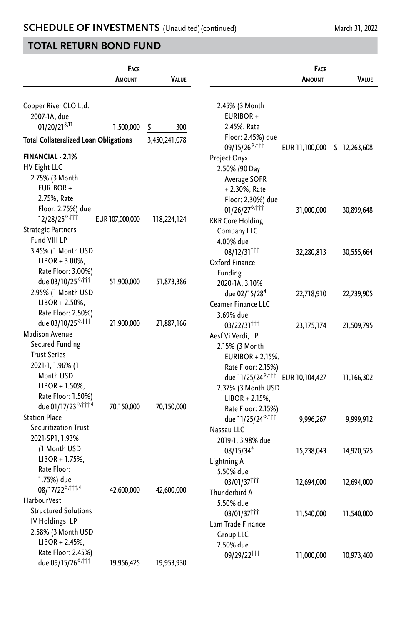|                                                                | FACE<br>AMOUNT <sup>~</sup> | VALUE         |                                                 | FACE<br>AMOUNT~ | VALUE        |
|----------------------------------------------------------------|-----------------------------|---------------|-------------------------------------------------|-----------------|--------------|
| Copper River CLO Ltd.<br>2007-1A, due                          |                             |               | 2.45% (3 Month<br>EURIBOR+                      |                 |              |
| $01/20/21^{8,11}$                                              | 1,500,000                   | 300<br>\$     | 2.45%, Rate                                     |                 |              |
|                                                                |                             |               | Floor: 2.45%) due                               |                 |              |
| <b>Total Collateralized Loan Obligations</b>                   |                             | 3,450,241,078 | 09/15/26 <sup>6,†††</sup>                       | EUR 11,100,000  | \$12,263,608 |
| <b>FINANCIAL - 2.1%</b>                                        |                             |               | Project Onyx                                    |                 |              |
| HV Eight LLC                                                   |                             |               | 2.50% (90 Day                                   |                 |              |
| 2.75% (3 Month                                                 |                             |               | Average SOFR                                    |                 |              |
| EURIBOR+                                                       |                             |               | + 2.30%, Rate                                   |                 |              |
| 2.75%, Rate                                                    |                             |               | Floor: 2.30%) due                               |                 |              |
| Floor: 2.75%) due                                              |                             |               | $01/26/27^{\circ, \dagger \dagger \dagger}$     | 31,000,000      | 30,899,648   |
| 12/28/25 <sup>6,†††</sup>                                      | EUR 107,000,000             | 118,224,124   | <b>KKR Core Holding</b>                         |                 |              |
| <b>Strategic Partners</b>                                      |                             |               | Company LLC                                     |                 |              |
| Fund VIII LP                                                   |                             |               | 4.00% due                                       |                 |              |
| 3.45% (1 Month USD                                             |                             |               | 08/12/31111                                     | 32,280,813      | 30,555,664   |
| $LIBOR + 3.00\%$ ,                                             |                             |               | Oxford Finance                                  |                 |              |
| Rate Floor: 3.00%)<br>due 03/10/25 <sup>°</sup> <sup>111</sup> | 51,900,000                  | 51,873,386    | Funding                                         |                 |              |
| 2.95% (1 Month USD                                             |                             |               | 2020-1A, 3.10%                                  |                 |              |
| $LIBOR + 2.50\%$ ,                                             |                             |               | due 02/15/28 <sup>4</sup><br>Ceamer Finance LLC | 22,718,910      | 22,739,905   |
| Rate Floor: 2.50%)                                             |                             |               | 3.69% due                                       |                 |              |
| due 03/10/25 <sup>°</sup> <sup>111</sup>                       | 21,900,000                  | 21,887,166    | $03/22/31$ <sup>TTT</sup>                       | 23, 175, 174    | 21,509,795   |
| <b>Madison Avenue</b>                                          |                             |               | Aesf Vi Verdi, LP                               |                 |              |
| Secured Funding                                                |                             |               | 2.15% (3 Month                                  |                 |              |
| <b>Trust Series</b>                                            |                             |               | EURIBOR + 2.15%,                                |                 |              |
| 2021-1, 1.96% (1                                               |                             |               | Rate Floor: 2.15%)                              |                 |              |
| Month USD                                                      |                             |               | due 11/25/24 <sup>°,†††</sup> EUR 10,104,427    |                 | 11,166,302   |
| $LIBOR + 1.50\%,$                                              |                             |               | 2.37% (3 Month USD                              |                 |              |
| Rate Floor: 1.50%)                                             |                             |               | $LIBOR + 2.15%$                                 |                 |              |
| due 01/17/23 <sup>°</sup> 111.4                                | 70,150,000                  | 70,150,000    | Rate Floor: 2.15%)                              |                 |              |
| <b>Station Place</b>                                           |                             |               | due 11/25/24 <sup>°</sup> *111                  | 9,996,267       | 9,999,912    |
| Securitization Trust                                           |                             |               | Nassau LLC                                      |                 |              |
| 2021-SP1, 1.93%                                                |                             |               | 2019-1, 3.98% due                               |                 |              |
| (1 Month USD                                                   |                             |               | 08/15/34 <sup>4</sup>                           | 15,238,043      | 14,970,525   |
| $LIBOR + 1.75%$                                                |                             |               | Lightning A                                     |                 |              |
| Rate Floor:                                                    |                             |               | 5.50% due                                       |                 |              |
| 1.75%) due<br>08/17/22 <sup>0,†††,4</sup>                      | 42,600,000                  | 42,600,000    | 03/01/37111                                     | 12,694,000      | 12,694,000   |
| HarbourVest                                                    |                             |               | Thunderbird A                                   |                 |              |
| <b>Structured Solutions</b>                                    |                             |               | 5.50% due                                       |                 |              |
| IV Holdings, LP                                                |                             |               | 03/01/37111                                     | 11,540,000      | 11,540,000   |
| 2.58% (3 Month USD                                             |                             |               | Lam Trade Finance                               |                 |              |
| $LIBOR + 2.45%$                                                |                             |               | <b>Group LLC</b><br>2.50% due                   |                 |              |
| Rate Floor: 2.45%)                                             |                             |               | 09/29/22111                                     | 11,000,000      | 10,973,460   |
| due 09/15/26 <sup>6,111</sup>                                  | 19,956,425                  | 19,953,930    |                                                 |                 |              |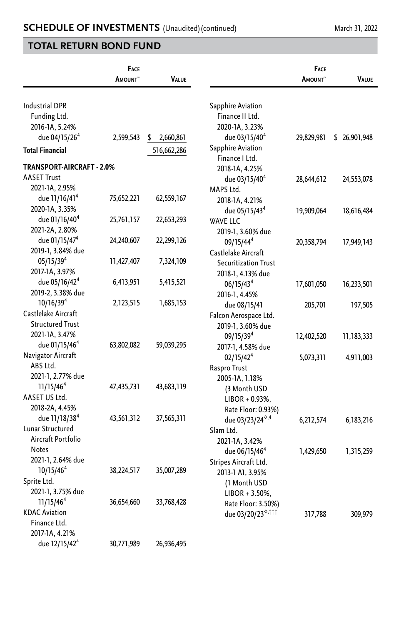|                                        | FACE<br>AMOUNT <sup>~</sup> | VALUE           |                                           | FACE<br><b>A</b> MOUNT~ | <b>VALUE</b>  |
|----------------------------------------|-----------------------------|-----------------|-------------------------------------------|-------------------------|---------------|
| <b>Industrial DPR</b>                  |                             |                 | Sapphire Aviation                         |                         |               |
| Funding Ltd.                           |                             |                 | Finance II Ltd.                           |                         |               |
| 2016-1A, 5.24%                         |                             |                 | 2020-1A, 3.23%                            |                         |               |
| due 04/15/26 <sup>4</sup>              | 2,599,543                   | 2,660,861<br>\$ | due 03/15/40 <sup>4</sup>                 | 29,829,981              | \$ 26,901,948 |
| <b>Total Financial</b>                 |                             |                 | Sapphire Aviation                         |                         |               |
|                                        |                             | 516,662,286     | Finance I Ltd.                            |                         |               |
| TRANSPORT-AIRCRAFT - 2.0%              |                             |                 | 2018-1A, 4.25%                            |                         |               |
| <b>AASET Trust</b>                     |                             |                 | due 03/15/40 <sup>4</sup>                 | 28,644,612              | 24,553,078    |
| 2021-1A, 2.95%                         |                             |                 | MAPS Ltd.                                 |                         |               |
| due 11/16/41 <sup>4</sup>              | 75,652,221                  | 62,559,167      | 2018-1A, 4.21%                            |                         |               |
| 2020-1A, 3.35%                         |                             |                 | due 05/15/43 <sup>4</sup>                 | 19,909,064              | 18,616,484    |
| due 01/16/40 <sup>4</sup>              | 25,761,157                  | 22,653,293      | <b>WAVE LLC</b>                           |                         |               |
| 2021-2A, 2.80%                         |                             |                 | 2019-1, 3.60% due                         |                         |               |
| due 01/15/47 <sup>4</sup>              | 24,240,607                  | 22,299,126      | 09/15/44 <sup>4</sup>                     | 20,358,794              | 17,949,143    |
| 2019-1, 3.84% due                      |                             |                 | Castlelake Aircraft                       |                         |               |
| 05/15/39 <sup>4</sup>                  | 11,427,407                  | 7,324,109       | Securitization Trust                      |                         |               |
| 2017-1A, 3.97%                         |                             |                 | 2018-1, 4.13% due                         |                         |               |
| due 05/16/42 <sup>4</sup>              | 6,413,951                   | 5,415,521       | 06/15/43 <sup>4</sup>                     | 17,601,050              | 16,233,501    |
| 2019-2, 3.38% due                      |                             |                 | 2016-1, 4.45%                             |                         |               |
| 10/16/39 <sup>4</sup>                  | 2,123,515                   | 1,685,153       | due 08/15/41                              | 205,701                 | 197,505       |
| Castlelake Aircraft                    |                             |                 | Falcon Aerospace Ltd.                     |                         |               |
| <b>Structured Trust</b>                |                             |                 | 2019-1, 3.60% due                         |                         |               |
| 2021-1A, 3.47%                         |                             |                 | 09/15/39 <sup>4</sup>                     | 12,402,520              | 11, 183, 333  |
| due 01/15/46 <sup>4</sup>              | 63,802,082                  | 59,039,295      | 2017-1, 4.58% due                         |                         |               |
| Navigator Aircraft                     |                             |                 | 02/15/42 <sup>4</sup>                     | 5,073,311               | 4,911,003     |
| ABS Ltd.                               |                             |                 | Raspro Trust                              |                         |               |
| 2021-1, 2.77% due                      |                             |                 | 2005-1A, 1.18%                            |                         |               |
| 11/15/46 <sup>4</sup><br>AASET US Ltd. | 47,435,731                  | 43,683,119      | (3 Month USD                              |                         |               |
| 2018-2A, 4.45%                         |                             |                 | $LIBOR + 0.93\%,$                         |                         |               |
| due 11/18/38 <sup>4</sup>              | 43,561,312                  | 37,565,311      | Rate Floor: 0.93%)                        |                         |               |
| Lunar Structured                       |                             |                 | due 03/23/24 <sup>°,4</sup>               | 6,212,574               | 6, 183, 216   |
| Aircraft Portfolio                     |                             |                 | Slam Ltd.                                 |                         |               |
| <b>Notes</b>                           |                             |                 | 2021-1A, 3.42%                            |                         |               |
| 2021-1, 2.64% due                      |                             |                 | due 06/15/46 <sup>4</sup>                 | 1,429,650               | 1,315,259     |
| 10/15/46 <sup>4</sup>                  | 38,224,517                  | 35,007,289      | Stripes Aircraft Ltd.<br>2013-1 A1, 3.95% |                         |               |
| Sprite Ltd.                            |                             |                 | (1 Month USD                              |                         |               |
| 2021-1, 3.75% due                      |                             |                 | $LIBOR + 3.50\%,$                         |                         |               |
| 11/15/46 <sup>4</sup>                  | 36,654,660                  | 33,768,428      | Rate Floor: 3.50%)                        |                         |               |
| <b>KDAC Aviation</b>                   |                             |                 | due 03/20/23 <sup>0,†††</sup>             | 317,788                 | 309,979       |
| Finance Ltd.                           |                             |                 |                                           |                         |               |
| 2017-1A, 4.21%                         |                             |                 |                                           |                         |               |
| due 12/15/42 <sup>4</sup>              | 30,771,989                  | 26,936,495      |                                           |                         |               |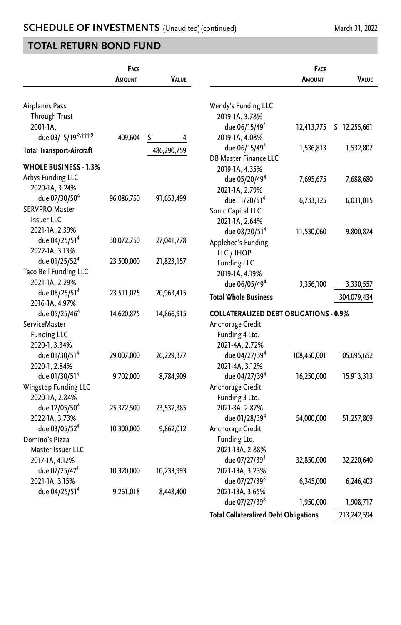|                                             | FACE<br>AMOUNT <sup>~</sup> | <b>VALUE</b> |                                                                                  | <b>FACE</b><br>AMOUNT <sup>~</sup> | <b>VALUE</b> |
|---------------------------------------------|-----------------------------|--------------|----------------------------------------------------------------------------------|------------------------------------|--------------|
|                                             |                             |              |                                                                                  |                                    |              |
| Airplanes Pass                              |                             |              | Wendy's Funding LLC                                                              |                                    |              |
| <b>Through Trust</b>                        |                             |              | 2019-1A, 3.78%                                                                   |                                    |              |
| 2001-1A,                                    |                             |              | due 06/15/49 <sup>4</sup>                                                        | 12,413,775                         | \$12,255,661 |
| due 03/15/19 <sup>6,†††,9</sup>             | 409,604                     | \$<br>4      | 2019-1A, 4.08%                                                                   |                                    |              |
| <b>Total Transport-Aircraft</b>             |                             | 486,290,759  | due 06/15/49 <sup>4</sup>                                                        | 1,536,813                          | 1,532,807    |
|                                             |                             |              | <b>DB Master Finance LLC</b>                                                     |                                    |              |
| <b>WHOLE BUSINESS - 1.3%</b>                |                             |              | 2019-1A, 4.35%                                                                   |                                    |              |
| Arbys Funding LLC                           |                             |              | due 05/20/49 <sup>4</sup>                                                        | 7,695,675                          | 7,688,680    |
| 2020-1A, 3.24%                              |                             |              | 2021-1A, 2.79%                                                                   |                                    |              |
| due 07/30/50 <sup>4</sup>                   | 96,086,750                  | 91,653,499   | due 11/20/51 <sup>4</sup>                                                        | 6,733,125                          | 6,031,015    |
| <b>SERVPRO Master</b>                       |                             |              | Sonic Capital LLC                                                                |                                    |              |
| <b>Issuer LLC</b>                           |                             |              | 2021-1A, 2.64%                                                                   |                                    |              |
| 2021-1A, 2.39%                              |                             |              | due 08/20/51 <sup>4</sup>                                                        | 11,530,060                         | 9,800,874    |
| due 04/25/51 <sup>4</sup>                   | 30,072,750                  | 27,041,778   | Applebee's Funding                                                               |                                    |              |
| 2022-1A, 3.13%<br>due 01/25/52 <sup>4</sup> |                             |              | LLC / IHOP                                                                       |                                    |              |
| Taco Bell Funding LLC                       | 23,500,000                  | 21,823,157   | <b>Funding LLC</b>                                                               |                                    |              |
| 2021-1A, 2.29%                              |                             |              | 2019-1A, 4.19%                                                                   |                                    |              |
| due 08/25/51 <sup>4</sup>                   | 23,511,075                  | 20,963,415   | due 06/05/49 <sup>4</sup>                                                        | 3,356,100                          | 3,330,557    |
| 2016-1A, 4.97%                              |                             |              | <b>Total Whole Business</b>                                                      |                                    | 304,079,434  |
| due 05/25/46 <sup>4</sup>                   | 14,620,875                  | 14,866,915   | <b>COLLATERALIZED DEBT OBLIGATIONS - 0.9%</b>                                    |                                    |              |
| ServiceMaster                               |                             |              | Anchorage Credit                                                                 |                                    |              |
| <b>Funding LLC</b>                          |                             |              | Funding 4 Ltd.                                                                   |                                    |              |
| 2020-1, 3.34%                               |                             |              | 2021-4A, 2.72%                                                                   |                                    |              |
| due 01/30/51 <sup>4</sup>                   | 29,007,000                  | 26,229,377   | due 04/27/39 <sup>4</sup>                                                        | 108,450,001                        | 105,695,652  |
| 2020-1, 2.84%                               |                             |              | 2021-4A, 3.12%                                                                   |                                    |              |
| due 01/30/51 <sup>4</sup>                   | 9,702,000                   | 8,784,909    | due 04/27/39 <sup>4</sup>                                                        | 16,250,000                         | 15,913,313   |
| Wingstop Funding LLC                        |                             |              | Anchorage Credit                                                                 |                                    |              |
| 2020-1A, 2.84%                              |                             |              | Funding 3 Ltd.                                                                   |                                    |              |
| due 12/05/50 <sup>4</sup>                   | 25,372,500                  | 23,532,385   | 2021-3A, 2.87%                                                                   |                                    |              |
| 2022-1A, 3.73%                              |                             |              | due 01/28/39 <sup>4</sup>                                                        | 54,000,000                         | 51,257,869   |
| due 03/05/52 <sup>4</sup>                   | 10,300,000                  | 9,862,012    | Anchorage Credit                                                                 |                                    |              |
| Domino's Pizza                              |                             |              | Funding Ltd.                                                                     |                                    |              |
| Master Issuer LLC                           |                             |              | 2021-13A, 2.88%                                                                  |                                    |              |
| 2017-1A, 4.12%                              |                             |              | due 07/27/39 <sup>4</sup>                                                        | 32,850,000                         | 32,220,640   |
| due 07/25/47 <sup>4</sup>                   | 10,320,000                  | 10,233,993   | 2021-13A, 3.23%                                                                  |                                    |              |
| 2021-1A, 3.15%                              |                             |              | due 07/27/398                                                                    | 6,345,000                          | 6,246,403    |
| due 04/25/51 <sup>4</sup>                   | 9,261,018                   | 8,448,400    | 2021-13A, 3.65%                                                                  |                                    |              |
|                                             |                             |              | due 07/27/39 <sup>8</sup>                                                        | 1,950,000                          | 1,908,717    |
|                                             |                             |              | $\mathbf{A}$ and $\mathbf{B}$ and $\mathbf{B}$ and $\mathbf{B}$ and $\mathbf{B}$ |                                    |              |

**Total Collateralized Debt Obligations** 213,242,594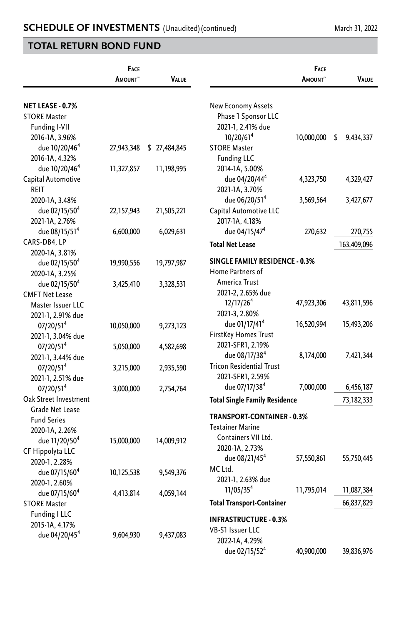|                                          | FACE<br><b>A</b> mount~ | <b>VALUE</b> |                                      | FACE<br>AMOUNT <sup>~</sup> | <b>VALUE</b>    |
|------------------------------------------|-------------------------|--------------|--------------------------------------|-----------------------------|-----------------|
|                                          |                         |              |                                      |                             |                 |
| NET LEASE - 0.7%                         |                         |              | <b>New Economy Assets</b>            |                             |                 |
| <b>STORE Master</b>                      |                         |              | Phase 1 Sponsor LLC                  |                             |                 |
| Funding I-VII                            |                         |              | 2021-1, 2.41% due                    |                             |                 |
| 2016-1A, 3.96%                           |                         |              | 10/20/61 <sup>4</sup>                | 10,000,000                  | 9,434,337<br>\$ |
| due 10/20/46 <sup>4</sup>                | 27,943,348              | \$27,484,845 | <b>STORE Master</b>                  |                             |                 |
| 2016-1A, 4.32%                           |                         |              | <b>Funding LLC</b>                   |                             |                 |
| due 10/20/46 <sup>4</sup>                | 11,327,857              | 11,198,995   | 2014-1A, 5.00%                       |                             |                 |
| Capital Automotive                       |                         |              | due 04/20/44 <sup>4</sup>            | 4,323,750                   | 4,329,427       |
| REIT                                     |                         |              | 2021-1A, 3.70%                       |                             |                 |
| 2020-1A, 3.48%                           |                         |              | due 06/20/51 <sup>4</sup>            | 3,569,564                   | 3,427,677       |
| due 02/15/50 <sup>4</sup>                | 22, 157, 943            | 21,505,221   | Capital Automotive LLC               |                             |                 |
| 2021-1A, 2.76%                           |                         |              | 2017-1A, 4.18%                       |                             |                 |
| due 08/15/51 <sup>4</sup>                | 6,600,000               | 6,029,631    | due 04/15/47 <sup>4</sup>            | 270,632                     | 270,755         |
| CARS-DB4, LP                             |                         |              | <b>Total Net Lease</b>               |                             | 163,409,096     |
| 2020-1A, 3.81%                           |                         |              |                                      |                             |                 |
| due 02/15/50 <sup>4</sup>                | 19,990,556              | 19,797,987   | SINGLE FAMILY RESIDENCE - 0.3%       |                             |                 |
| 2020-1A, 3.25%                           |                         |              | Home Partners of                     |                             |                 |
| due 02/15/50 <sup>4</sup>                | 3,425,410               | 3,328,531    | America Trust                        |                             |                 |
| <b>CMFT Net Lease</b>                    |                         |              | 2021-2, 2.65% due                    |                             |                 |
| Master Issuer LLC                        |                         |              | 12/17/26 <sup>4</sup>                | 47,923,306                  | 43,811,596      |
| 2021-1, 2.91% due                        |                         |              | 2021-3, 2.80%                        |                             |                 |
| 07/20/514                                | 10,050,000              | 9,273,123    | due 01/17/41 <sup>4</sup>            | 16,520,994                  | 15,493,206      |
| 2021-1, 3.04% due                        |                         |              | <b>FirstKey Homes Trust</b>          |                             |                 |
| 07/20/514                                | 5,050,000               | 4,582,698    | 2021-SFR1, 2.19%                     |                             |                 |
| 2021-1, 3.44% due                        |                         |              | due 08/17/38 <sup>4</sup>            | 8,174,000                   | 7,421,344       |
| 07/20/514                                | 3,215,000               | 2,935,590    | <b>Tricon Residential Trust</b>      |                             |                 |
| 2021-1, 2.51% due                        |                         |              | 2021-SFR1, 2.59%                     |                             |                 |
| 07/20/51 <sup>4</sup>                    |                         |              | due 07/17/38 <sup>4</sup>            | 7,000,000                   | 6,456,187       |
|                                          | 3,000,000               | 2,754,764    |                                      |                             |                 |
| Oak Street Investment<br>Grade Net Lease |                         |              | <b>Total Single Family Residence</b> |                             | 73, 182, 333    |
|                                          |                         |              | <b>TRANSPORT-CONTAINER - 0.3%</b>    |                             |                 |
| <b>Fund Series</b>                       |                         |              | <b>Textainer Marine</b>              |                             |                 |
| 2020-1A, 2.26%                           |                         |              | Containers VII Ltd.                  |                             |                 |
| due 11/20/50 <sup>4</sup>                | 15,000,000              | 14,009,912   | 2020-1A, 2.73%                       |                             |                 |
| CF Hippolyta LLC                         |                         |              | due 08/21/45 <sup>4</sup>            | 57,550,861                  | 55,750,445      |
| 2020-1, 2.28%                            |                         |              | MC Ltd.                              |                             |                 |
| due 07/15/60 <sup>4</sup>                | 10,125,538              | 9,549,376    | 2021-1, 2.63% due                    |                             |                 |
| 2020-1, 2.60%                            |                         |              | 11/05/35 <sup>4</sup>                | 11,795,014                  | 11,087,384      |
| due 07/15/60 <sup>4</sup>                | 4,413,814               | 4,059,144    |                                      |                             |                 |
| <b>STORE Master</b>                      |                         |              | <b>Total Transport-Container</b>     |                             | 66,837,829      |
| Funding I LLC                            |                         |              | <b>INFRASTRUCTURE - 0.3%</b>         |                             |                 |
| 2015-1A, 4.17%                           |                         |              | VB-S1 Issuer LLC                     |                             |                 |
| due 04/20/45 <sup>4</sup>                | 9,604,930               | 9,437,083    | 2022-1A, 4.29%                       |                             |                 |
|                                          |                         |              | due 02/15/52 <sup>4</sup>            | 40,900,000                  | 39,836,976      |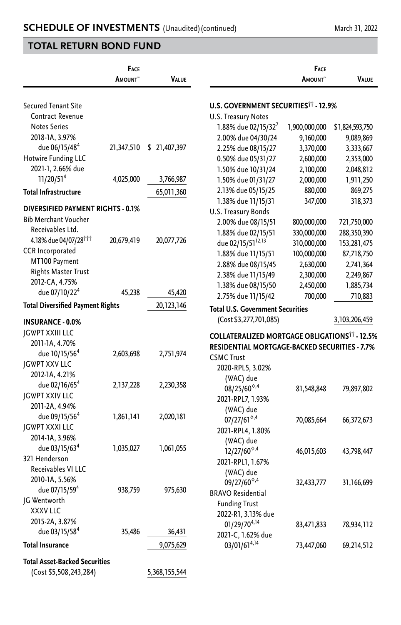|                                         | <b>FACE</b>         |               |                                                                 | <b>FACE</b>         |                  |
|-----------------------------------------|---------------------|---------------|-----------------------------------------------------------------|---------------------|------------------|
|                                         | AMOUNT <sup>~</sup> | <b>VALUE</b>  |                                                                 | AMOUNT <sup>~</sup> | <b>VALUE</b>     |
| Secured Tenant Site                     |                     |               | U.S. GOVERNMENT SECURITIES <sup>11</sup> - 12.9%                |                     |                  |
| Contract Revenue                        |                     |               | U.S. Treasury Notes                                             |                     |                  |
| <b>Notes Series</b>                     |                     |               | 1.88% due 02/15/32 <sup>7</sup>                                 | 1,900,000,000       | \$1,824,593,750  |
| 2018-1A, 3.97%                          |                     |               | 2.00% due 04/30/24                                              | 9,160,000           | 9,089,869        |
| due 06/15/48 <sup>4</sup>               | 21,347,510          | \$ 21,407,397 | 2.25% due 08/15/27                                              | 3,370,000           | 3,333,667        |
| Hotwire Funding LLC                     |                     |               | 0.50% due 05/31/27                                              | 2,600,000           | 2,353,000        |
| 2021-1, 2.66% due                       |                     |               | 1.50% due 10/31/24                                              | 2,100,000           | 2,048,812        |
| 11/20/51 <sup>4</sup>                   | 4,025,000           | 3,766,987     | 1.50% due 01/31/27                                              | 2,000,000           | 1,911,250        |
| <b>Total Infrastructure</b>             |                     | 65,011,360    | 2.13% due 05/15/25                                              | 880,000             | 869,275          |
| DIVERSIFIED PAYMENT RIGHTS - 0.1%       |                     |               | 1.38% due 11/15/31                                              | 347,000             | 318,373          |
| <b>Bib Merchant Voucher</b>             |                     |               | U.S. Treasury Bonds                                             |                     |                  |
| Receivables Ltd.                        |                     |               | 2.00% due 08/15/51                                              | 800,000,000         | 721,750,000      |
| 4.18% due 04/07/28 <sup>111</sup>       | 20,679,419          | 20,077,726    | 1.88% due 02/15/51                                              | 330,000,000         | 288,350,390      |
| <b>CCR</b> Incorporated                 |                     |               | due 02/15/51 <sup>12,13</sup>                                   | 310,000,000         | 153,281,475      |
| MT100 Payment                           |                     |               | 1.88% due 11/15/51                                              | 100,000,000         | 87,718,750       |
| <b>Rights Master Trust</b>              |                     |               | 2.88% due 08/15/45                                              | 2,630,000           | 2,741,364        |
| 2012-CA, 4.75%                          |                     |               | 2.38% due 11/15/49                                              | 2,300,000           | 2,249,867        |
| due 07/10/22 <sup>4</sup>               | 45,238              | 45,420        | 1.38% due 08/15/50                                              | 2,450,000           | 1,885,734        |
|                                         |                     |               | 2.75% due 11/15/42                                              | 700,000             | 710,883          |
| <b>Total Diversified Payment Rights</b> |                     | 20,123,146    | <b>Total U.S. Government Securities</b>                         |                     |                  |
| <b>INSURANCE - 0.0%</b>                 |                     |               | (Cost \$3,277,701,085)                                          |                     | 3, 103, 206, 459 |
| <b>IGWPT XXIII LLC</b>                  |                     |               | <b>COLLATERALIZED MORTGAGE OBLIGATIONS<sup>11</sup> - 12.5%</b> |                     |                  |
| 2011-1A, 4.70%                          |                     |               | <b>RESIDENTIAL MORTGAGE-BACKED SECURITIES - 7.7%</b>            |                     |                  |
| due 10/15/56 <sup>4</sup>               | 2,603,698           | 2,751,974     | <b>CSMC Trust</b>                                               |                     |                  |
| <b>JGWPT XXV LLC</b>                    |                     |               | 2020-RPL5, 3.02%                                                |                     |                  |
| 2012-1A, 4.21%                          |                     |               | (WAC) due                                                       |                     |                  |
| due 02/16/65 <sup>4</sup>               | 2,137,228           | 2,230,358     | $08/25/60^{\circ.4}$                                            | 81,548,848          | 79,897,802       |
| <b>IGWPT XXIV LLC</b>                   |                     |               | 2021-RPL7, 1.93%                                                |                     |                  |
| 2011-2A, 4.94%                          |                     |               | (WAC) due                                                       |                     |                  |
| due 09/15/56 <sup>4</sup>               | 1,861,141           | 2,020,181     | 07/27/61 <sup>°,4</sup>                                         | 70,085,664          | 66,372,673       |
| <b>JGWPT XXXI LLC</b>                   |                     |               | 2021-RPL4, 1.80%                                                |                     |                  |
| 2014-1A, 3.96%                          |                     |               | (WAC) due                                                       |                     |                  |
| due 03/15/63 <sup>4</sup>               | 1,035,027           | 1,061,055     | $12/27/60^{\circ.4}$                                            | 46,015,603          | 43,798,447       |
| 321 Henderson                           |                     |               | 2021-RPL1, 1.67%                                                |                     |                  |
| Receivables VI LLC                      |                     |               | (WAC) due                                                       |                     |                  |
| 2010-1A, 5.56%                          |                     |               | 09/27/60 <sup>0,4</sup>                                         | 32,433,777          | 31,166,699       |
| due 07/15/59 <sup>4</sup>               | 938,759             | 975,630       | <b>BRAVO Residential</b>                                        |                     |                  |
| JG Wentworth                            |                     |               | <b>Funding Trust</b>                                            |                     |                  |
| <b>XXXV LLC</b>                         |                     |               | 2022-R1, 3.13% due                                              |                     |                  |
| 2015-2A, 3.87%                          |                     |               | 01/29/70 <sup>4,14</sup>                                        | 83,471,833          | 78,934,112       |
| due 03/15/58 <sup>4</sup>               | 35,486              | 36,431        | 2021-C, 1.62% due                                               |                     |                  |
| <b>Total Insurance</b>                  |                     | 9,075,629     | 03/01/614,14                                                    | 73,447,060          | 69,214,512       |
| <b>Total Asset-Backed Securities</b>    |                     |               |                                                                 |                     |                  |
| (Cost \$5,508,243,284)                  |                     | 5,368,155,544 |                                                                 |                     |                  |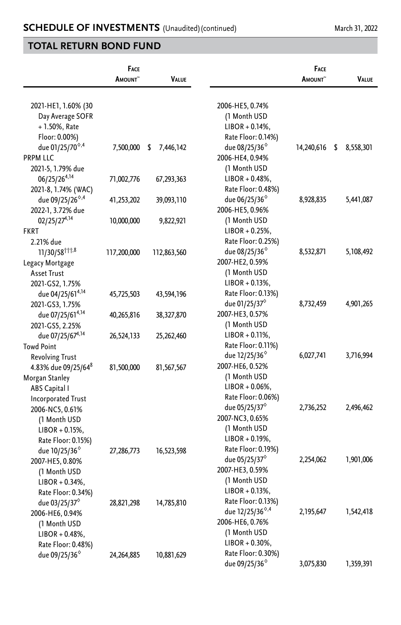|                                       | FACE<br><b>A</b> mount~ | VALUE           |                                   | FACE<br>AMOUNT <sup>~</sup> | VALUE           |
|---------------------------------------|-------------------------|-----------------|-----------------------------------|-----------------------------|-----------------|
| 2021-HE1, 1.60% (30                   |                         |                 | 2006-HE5, 0.74%                   |                             |                 |
| Day Average SOFR                      |                         |                 | (1 Month USD                      |                             |                 |
| + 1.50%, Rate                         |                         |                 | $LIBOR + 0.14\%$                  |                             |                 |
| Floor: 0.00%)                         |                         |                 | Rate Floor: 0.14%)                |                             |                 |
| due 01/25/70 <sup>6,4</sup>           | 7,500,000               | 7,446,142<br>\$ | due 08/25/36 $^{\circ}$           | 14,240,616                  | \$<br>8,558,301 |
| <b>PRPM LLC</b>                       |                         |                 | 2006-HE4, 0.94%                   |                             |                 |
| 2021-5, 1.79% due                     |                         |                 | (1 Month USD                      |                             |                 |
| 06/25/26 <sup>4,14</sup>              | 71,002,776              | 67,293,363      | $LIBOR + 0.48%$ ,                 |                             |                 |
| 2021-8, 1.74% (WAC)                   |                         |                 | Rate Floor: 0.48%)                |                             |                 |
| due 09/25/26 <sup>6,4</sup>           | 41,253,202              | 39,093,110      | due 06/25/36 $^{\circ}$           | 8,928,835                   | 5,441,087       |
| 2022-1, 3.72% due                     |                         |                 | 2006-HE5, 0.96%                   |                             |                 |
| 02/25/274,14                          | 10,000,000              | 9,822,921       | (1 Month USD                      |                             |                 |
| <b>FKRT</b>                           |                         |                 | $LIBOR + 0.25%$                   |                             |                 |
| 2.21% due                             |                         |                 | Rate Floor: 0.25%)                |                             |                 |
| 11/30/58111,8                         | 117,200,000             | 112,863,560     | due $08/25/36^{\circ}$            | 8,532,871                   | 5,108,492       |
| Legacy Mortgage                       |                         |                 | 2007-HE2, 0.59%                   |                             |                 |
| Asset Trust                           |                         |                 | (1 Month USD                      |                             |                 |
| 2021-GS2, 1.75%                       |                         |                 | $LIBOR + 0.13%$ ,                 |                             |                 |
| due 04/25/61 <sup>4,14</sup>          | 45,725,503              | 43,594,196      | Rate Floor: 0.13%)                |                             |                 |
| 2021-GS3, 1.75%                       |                         |                 | due 01/25/37 $^{\circ}$           | 8,732,459                   | 4,901,265       |
| due 07/25/614,14                      | 40,265,816              | 38,327,870      | 2007-HE3, 0.57%                   |                             |                 |
| 2021-GS5, 2.25%                       |                         |                 | (1 Month USD                      |                             |                 |
| due 07/25/674,14                      | 26,524,133              | 25,262,460      | $LIBOR + 0.11\%$ ,                |                             |                 |
| <b>Towd Point</b>                     |                         |                 | Rate Floor: 0.11%)                |                             |                 |
| <b>Revolving Trust</b>                |                         |                 | due $12/25/36^{\circ}$            | 6,027,741                   | 3,716,994       |
| 4.83% due 09/25/64 <sup>8</sup>       | 81,500,000              | 81,567,567      | 2007-HE6, 0.52%                   |                             |                 |
| Morgan Stanley                        |                         |                 | (1 Month USD<br>$LIBOR + 0.06\%,$ |                             |                 |
| ABS Capital I                         |                         |                 | Rate Floor: 0.06%)                |                             |                 |
| <b>Incorporated Trust</b>             |                         |                 | due $05/25/37^{\circ}$            | 2,736,252                   | 2,496,462       |
| 2006-NC5, 0.61%                       |                         |                 | 2007-NC3, 0.65%                   |                             |                 |
| (1 Month USD                          |                         |                 | (1 Month USD                      |                             |                 |
| $LIBOR + 0.15%$<br>Rate Floor: 0.15%) |                         |                 | $LIBOR + 0.19%$ ,                 |                             |                 |
| due 10/25/36°                         | 27,286,773              | 16,523,598      | Rate Floor: 0.19%)                |                             |                 |
| 2007-HE5, 0.80%                       |                         |                 | due $05/25/37^{\circ}$            | 2,254,062                   | 1,901,006       |
| (1 Month USD                          |                         |                 | 2007-HE3, 0.59%                   |                             |                 |
| $LIBOR + 0.34%$ ,                     |                         |                 | (1 Month USD                      |                             |                 |
| Rate Floor: 0.34%)                    |                         |                 | $LIBOR + 0.13\%,$                 |                             |                 |
| due 03/25/37 $^{\circ}$               | 28,821,298              | 14,785,810      | Rate Floor: 0.13%)                |                             |                 |
| 2006-HE6, 0.94%                       |                         |                 | due 12/25/36 <sup>6,4</sup>       | 2,195,647                   | 1,542,418       |
| (1 Month USD                          |                         |                 | 2006-HE6, 0.76%                   |                             |                 |
| $LIBOR + 0.48\%,$                     |                         |                 | (1 Month USD                      |                             |                 |
| Rate Floor: 0.48%)                    |                         |                 | $LIBOR + 0.30\%,$                 |                             |                 |
| due 09/25/36 <sup>°</sup>             | 24,264,885              | 10,881,629      | Rate Floor: 0.30%)                |                             |                 |
|                                       |                         |                 | due 09/25/36 <sup>6</sup>         | 3,075,830                   | 1,359,391       |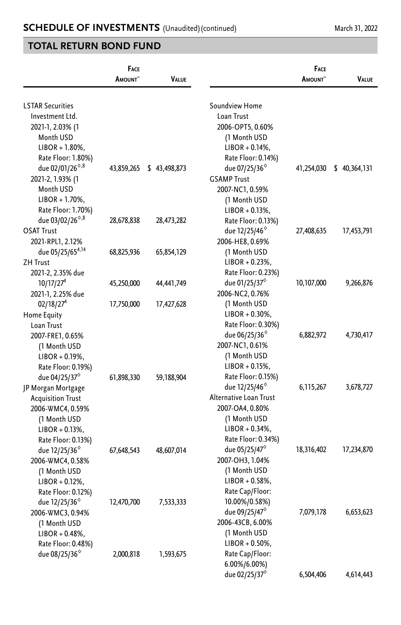|                                                 | FACE<br>AMOUNT <sup>~</sup> | <b>VALUE</b> |                           | FACE<br><b>AMOUNT</b> | <b>VALUE</b> |
|-------------------------------------------------|-----------------------------|--------------|---------------------------|-----------------------|--------------|
|                                                 |                             |              |                           |                       |              |
| <b>LSTAR Securities</b>                         |                             |              | Soundview Home            |                       |              |
| Investment Ltd.                                 |                             |              | Loan Trust                |                       |              |
| 2021-1, 2.03% (1                                |                             |              | 2006-OPT5, 0.60%          |                       |              |
| Month USD                                       |                             |              | (1 Month USD              |                       |              |
| $LIBOR + 1.80\%$                                |                             |              | $LIBOR + 0.14%$           |                       |              |
| Rate Floor: 1.80%)                              |                             |              | Rate Floor: 0.14%)        |                       |              |
| due 02/01/26 <sup><math>\diamond</math>,8</sup> | 43,859,265                  | \$43,498,873 | due 07/25/36 <sup>°</sup> | 41,254,030            | \$40,364,131 |
| 2021-2, 1.93% (1                                |                             |              | <b>GSAMP Trust</b>        |                       |              |
| Month USD                                       |                             |              | 2007-NC1, 0.59%           |                       |              |
| $LIBOR + 1.70\%$ ,                              |                             |              | (1 Month USD              |                       |              |
| Rate Floor: 1.70%)                              |                             |              | $LIBOR + 0.13%$           |                       |              |
| due 03/02/26 <sup>6,8</sup>                     | 28,678,838                  | 28,473,282   | Rate Floor: 0.13%)        |                       |              |
| <b>OSAT Trust</b>                               |                             |              | due 12/25/46 <sup>°</sup> | 27,408,635            | 17,453,791   |
| 2021-RPL1, 2.12%                                |                             |              | 2006-HE8, 0.69%           |                       |              |
| due 05/25/65 <sup>4,14</sup>                    | 68,825,936                  | 65,854,129   | (1 Month USD              |                       |              |
| <b>ZH Trust</b>                                 |                             |              | $LIBOR + 0.23%$ ,         |                       |              |
| 2021-2, 2.35% due                               |                             |              | Rate Floor: 0.23%)        |                       |              |
| 10/17/27 <sup>4</sup>                           | 45,250,000                  | 44,441,749   | due 01/25/37°             | 10,107,000            | 9,266,876    |
| 2021-1, 2.25% due                               |                             |              | 2006-NC2, 0.76%           |                       |              |
| 02/18/27 <sup>4</sup>                           | 17,750,000                  | 17,427,628   | (1 Month USD              |                       |              |
| Home Equity                                     |                             |              | $LIBOR + 0.30\%,$         |                       |              |
| Loan Trust                                      |                             |              | Rate Floor: 0.30%)        |                       |              |
| 2007-FRE1, 0.65%                                |                             |              | due 06/25/36 $^{\circ}$   | 6,882,972             | 4,730,417    |
| (1 Month USD                                    |                             |              | 2007-NC1, 0.61%           |                       |              |
| $LIBOR + 0.19%$                                 |                             |              | (1 Month USD              |                       |              |
| Rate Floor: 0.19%)                              |                             |              | $LIBOR + 0.15%$           |                       |              |
| due 04/25/37 <sup>°</sup>                       | 61,898,330                  | 59,188,904   | Rate Floor: 0.15%)        |                       |              |
| JP Morgan Mortgage                              |                             |              | due 12/25/46 <sup>°</sup> | 6, 115, 267           | 3,678,727    |
| <b>Acquisition Trust</b>                        |                             |              | Alternative Loan Trust    |                       |              |
| 2006-WMC4, 0.59%                                |                             |              | 2007-OA4, 0.80%           |                       |              |
| (1 Month USD                                    |                             |              | (1 Month USD              |                       |              |
| $LIBOR + 0.13%$                                 |                             |              | $LIBOR + 0.34\%,$         |                       |              |
| Rate Floor: 0.13%)                              |                             |              | Rate Floor: 0.34%)        |                       |              |
| due 12/25/36 $^{\circ}$                         | 67,648,543                  | 48,607,014   | due 05/25/47 $^{\circ}$   | 18,316,402            | 17,234,870   |
| 2006-WMC4, 0.58%                                |                             |              | 2007-OH3, 1.04%           |                       |              |
| (1 Month USD                                    |                             |              | (1 Month USD              |                       |              |
| $LIBOR + 0.12%$                                 |                             |              | $LIBOR + 0.58\%,$         |                       |              |
| Rate Floor: 0.12%)                              |                             |              | Rate Cap/Floor:           |                       |              |
| due $12/25/36^{\circ}$                          | 12,470,700                  | 7,533,333    | 10.00%/0.58%)             |                       |              |
| 2006-WMC3, 0.94%                                |                             |              | due 09/25/47 <sup>°</sup> | 7,079,178             | 6,653,623    |
| (1 Month USD                                    |                             |              | 2006-43CB, 6.00%          |                       |              |
| $LIBOR + 0.48\%$                                |                             |              | (1 Month USD              |                       |              |
| Rate Floor: 0.48%)                              |                             |              | $LIBOR + 0.50\%,$         |                       |              |
| due 08/25/36 $^{\circ}$                         | 2,000,818                   | 1,593,675    | Rate Cap/Floor:           |                       |              |
|                                                 |                             |              | $6.00\%/6.00\%)$          | 6,504,406             |              |
|                                                 |                             |              | due 02/25/37 <sup>°</sup> |                       | 4,614,443    |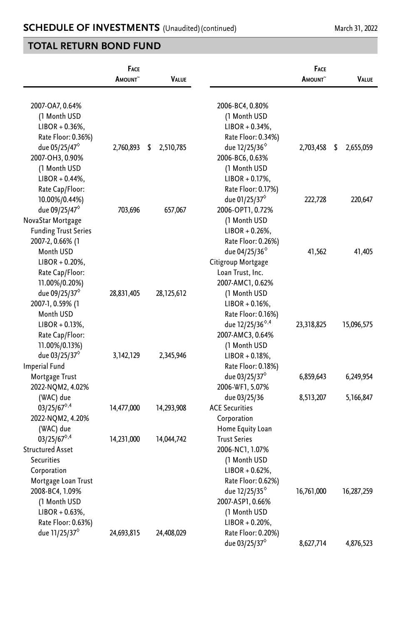|                                                    | <b>FACE</b><br><b>A</b> mount~ | <b>VALUE</b>    |                                      | <b>FACE</b><br>AMOUNT <sup>~</sup> | VALUE           |
|----------------------------------------------------|--------------------------------|-----------------|--------------------------------------|------------------------------------|-----------------|
| 2007-OA7, 0.64%                                    |                                |                 | 2006-BC4, 0.80%                      |                                    |                 |
| (1 Month USD<br>$LIBOR + 0.36\%,$                  |                                |                 | (1 Month USD<br>$LIBOR + 0.34\%,$    |                                    |                 |
| Rate Floor: 0.36%)                                 |                                |                 | Rate Floor: 0.34%)                   |                                    |                 |
| due 05/25/47 <sup>°</sup>                          | 2,760,893                      | \$<br>2,510,785 | due 12/25/36 <sup>°</sup>            | 2,703,458                          | \$<br>2,655,059 |
| 2007-OH3, 0.90%                                    |                                |                 | 2006-BC6, 0.63%                      |                                    |                 |
| (1 Month USD                                       |                                |                 | (1 Month USD                         |                                    |                 |
| $LIBOR + 0.44\%,$                                  |                                |                 | $LIBOR + 0.17%$                      |                                    |                 |
| Rate Cap/Floor:                                    |                                |                 | Rate Floor: 0.17%)                   |                                    |                 |
| 10.00%/0.44%)                                      |                                |                 | due 01/25/37 <sup>6</sup>            | 222,728                            | 220,647         |
| due 09/25/47 <sup>°</sup>                          | 703,696                        | 657,067         | 2006-OPT1, 0.72%                     |                                    |                 |
| NovaStar Mortgage                                  |                                |                 | (1 Month USD                         |                                    |                 |
| <b>Funding Trust Series</b>                        |                                |                 | $LIBOR + 0.26\%,$                    |                                    |                 |
| 2007-2, 0.66% (1                                   |                                |                 | Rate Floor: 0.26%)                   |                                    |                 |
| Month USD                                          |                                |                 | due 04/25/36 $^{\circ}$              | 41,562                             | 41,405          |
| $LIBOR + 0.20\%,$                                  |                                |                 | Citigroup Mortgage                   |                                    |                 |
| Rate Cap/Floor:<br>11.00%/0.20%)                   |                                |                 | Loan Trust, Inc.<br>2007-AMC1, 0.62% |                                    |                 |
| due 09/25/37 $^{\circ}$                            | 28,831,405                     | 28,125,612      | (1 Month USD                         |                                    |                 |
| 2007-1, 0.59% (1                                   |                                |                 | $LIBOR + 0.16%$                      |                                    |                 |
| Month USD                                          |                                |                 | Rate Floor: 0.16%)                   |                                    |                 |
| $LIBOR + 0.13\%,$                                  |                                |                 | due 12/25/36 <sup>6,4</sup>          | 23,318,825                         | 15,096,575      |
| Rate Cap/Floor:                                    |                                |                 | 2007-AMC3, 0.64%                     |                                    |                 |
| 11.00%/0.13%)                                      |                                |                 | (1 Month USD                         |                                    |                 |
| due $03/25/37^{\circ}$                             | 3, 142, 129                    | 2,345,946       | $LIBOR + 0.18%$                      |                                    |                 |
| <b>Imperial Fund</b>                               |                                |                 | Rate Floor: 0.18%)                   |                                    |                 |
| Mortgage Trust                                     |                                |                 | due 03/25/37 $^{\circ}$              | 6,859,643                          | 6,249,954       |
| 2022-NQM2, 4.02%                                   |                                |                 | 2006-WF1, 5.07%                      |                                    |                 |
| (WAC) due                                          |                                |                 | due 03/25/36                         | 8,513,207                          | 5,166,847       |
| $03/25/67^{\diamond,4}$                            | 14,477,000                     | 14,293,908      | <b>ACE Securities</b>                |                                    |                 |
| 2022-NQM2, 4.20%                                   |                                |                 | Corporation                          |                                    |                 |
| (WAC) due                                          |                                |                 | Home Equity Loan                     |                                    |                 |
| $03/25/67^{\diamond,4}$<br><b>Structured Asset</b> | 14,231,000                     | 14,044,742      | <b>Trust Series</b>                  |                                    |                 |
| <b>Securities</b>                                  |                                |                 | 2006-NC1, 1.07%<br>(1 Month USD      |                                    |                 |
| Corporation                                        |                                |                 | $LIBOR + 0.62\%$                     |                                    |                 |
| Mortgage Loan Trust                                |                                |                 | Rate Floor: 0.62%)                   |                                    |                 |
| 2008-BC4, 1.09%                                    |                                |                 | due 12/25/35°                        | 16,761,000                         | 16,287,259      |
| (1 Month USD                                       |                                |                 | 2007-ASP1, 0.66%                     |                                    |                 |
| $LIBOR + 0.63\%,$                                  |                                |                 | (1 Month USD                         |                                    |                 |
| Rate Floor: 0.63%)                                 |                                |                 | $LIBOR + 0.20\%,$                    |                                    |                 |
| due 11/25/37 <sup>°</sup>                          | 24,693,815                     | 24,408,029      | Rate Floor: 0.20%)                   |                                    |                 |
|                                                    |                                |                 | due 03/25/37 <sup>6</sup>            | 8,627,714                          | 4,876,523       |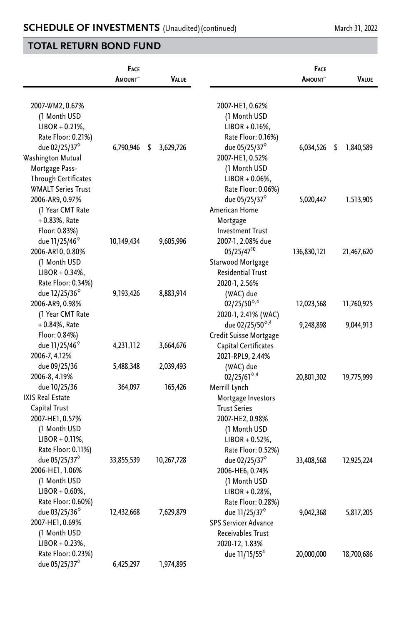|                                         | FACE<br><b>A</b> mount^ | VALUE           |                                                 | FACE<br><b>A</b> mount^ | VALUE           |
|-----------------------------------------|-------------------------|-----------------|-------------------------------------------------|-------------------------|-----------------|
| 2007-WM2, 0.67%                         |                         |                 | 2007-HE1, 0.62%                                 |                         |                 |
| (1 Month USD                            |                         |                 | (1 Month USD                                    |                         |                 |
| $LIBOR + 0.21%$                         |                         |                 | $LIBOR + 0.16%$                                 |                         |                 |
| Rate Floor: 0.21%)                      |                         |                 | Rate Floor: 0.16%)                              |                         |                 |
| due 02/25/37 <sup>°</sup>               | 6,790,946               | 3,629,726<br>\$ | due 05/25/37 <sup>6</sup>                       | 6,034,526               | 1,840,589<br>\$ |
| Washington Mutual                       |                         |                 | 2007-HE1, 0.52%                                 |                         |                 |
| Mortgage Pass-                          |                         |                 | (1 Month USD                                    |                         |                 |
| Through Certificates                    |                         |                 | $LIBOR + 0.06\%,$                               |                         |                 |
| <b>WMALT Series Trust</b>               |                         |                 | Rate Floor: 0.06%)                              |                         |                 |
| 2006-AR9, 0.97%                         |                         |                 | due 05/25/37 <sup>°</sup>                       | 5,020,447               | 1,513,905       |
| (1 Year CMT Rate                        |                         |                 | American Home                                   |                         |                 |
| $+0.83%$ , Rate                         |                         |                 | Mortgage                                        |                         |                 |
| Floor: 0.83%)                           |                         |                 | <b>Investment Trust</b>                         |                         |                 |
| due 11/25/46 <sup>°</sup>               | 10,149,434              | 9,605,996       | 2007-1, 2.08% due                               |                         |                 |
| 2006-AR10, 0.80%                        |                         |                 | $05/25/47^{10}$                                 | 136,830,121             | 21,467,620      |
| (1 Month USD                            |                         |                 | Starwood Mortgage                               |                         |                 |
| $LIBOR + 0.34\%,$                       |                         |                 | <b>Residential Trust</b>                        |                         |                 |
| Rate Floor: 0.34%)                      |                         |                 | 2020-1, 2.56%                                   |                         |                 |
| due 12/25/36 <sup>°</sup>               | 9,193,426               | 8,883,914       | (WAC) due                                       |                         |                 |
| 2006-AR9, 0.98%                         |                         |                 | $02/25/50^{\diamond,4}$                         | 12,023,568              | 11,760,925      |
| (1 Year CMT Rate                        |                         |                 | 2020-1, 2.41% (WAC)                             |                         |                 |
| $+0.84%$ , Rate                         |                         |                 | due 02/25/50 <sup>°,4</sup>                     | 9,248,898               | 9,044,913       |
| Floor: 0.84%)                           |                         |                 | Credit Suisse Mortgage                          |                         |                 |
| due 11/25/46 <sup>°</sup>               | 4,231,112               | 3,664,676       | Capital Certificates                            |                         |                 |
| 2006-7, 4.12%                           |                         |                 | 2021-RPL9, 2.44%                                |                         |                 |
| due 09/25/36                            | 5,488,348               | 2,039,493       | (WAC) due                                       |                         |                 |
| 2006-8, 4.19%                           |                         |                 | 02/25/61 <sup><math>\diamond,4</math></sup>     | 20,801,302              | 19,775,999      |
| due 10/25/36                            | 364,097                 | 165,426         | Merrill Lynch                                   |                         |                 |
| IXIS Real Estate                        |                         |                 | Mortgage Investors                              |                         |                 |
| Capital Trust                           |                         |                 | <b>Trust Series</b>                             |                         |                 |
| 2007-HE1, 0.57%                         |                         |                 | 2007-HE2, 0.98%                                 |                         |                 |
| (1 Month USD                            |                         |                 | (1 Month USD                                    |                         |                 |
| $LIBOR + 0.11\%,$                       |                         |                 | $LIBOR + 0.52%$                                 |                         |                 |
| Rate Floor: 0.11%)                      |                         |                 | Rate Floor: 0.52%)                              |                         |                 |
| due 05/25/37 <sup>°</sup>               | 33,855,539              | 10,267,728      | due 02/25/37 $^{\circ}$                         | 33,408,568              | 12,925,224      |
| 2006-HE1, 1.06%                         |                         |                 | 2006-HE6, 0.74%                                 |                         |                 |
| (1 Month USD                            |                         |                 | (1 Month USD                                    |                         |                 |
| $LIBOR + 0.60\%,$<br>Rate Floor: 0.60%) |                         |                 | $LIBOR + 0.28%$ ,                               |                         |                 |
| due 03/25/36°                           | 12,432,668              | 7,629,879       | Rate Floor: 0.28%)<br>due 11/25/37 <sup>°</sup> | 9,042,368               | 5,817,205       |
| 2007-HE1, 0.69%                         |                         |                 | <b>SPS Servicer Advance</b>                     |                         |                 |
| (1 Month USD                            |                         |                 | Receivables Trust                               |                         |                 |
| $LIBOR + 0.23%$ ,                       |                         |                 | 2020-T2, 1.83%                                  |                         |                 |
| Rate Floor: 0.23%)                      |                         |                 | due 11/15/55 <sup>4</sup>                       | 20,000,000              | 18,700,686      |
| due 05/25/37 <sup>°</sup>               | 6,425,297               | 1,974,895       |                                                 |                         |                 |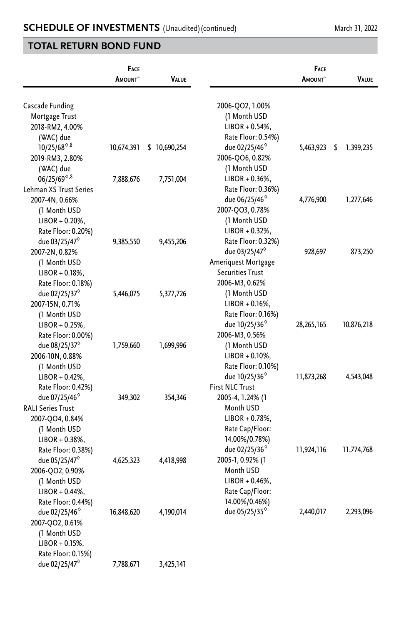|                                    | FACE<br>AMOUNT <sup>~</sup> | VALUE        |                               | FACE<br><b>A</b> mount~ | VALUE           |
|------------------------------------|-----------------------------|--------------|-------------------------------|-------------------------|-----------------|
| Cascade Funding                    |                             |              | 2006-QO2, 1.00%               |                         |                 |
| Mortgage Trust                     |                             |              | (1 Month USD                  |                         |                 |
| 2018-RM2, 4.00%                    |                             |              | $LIBOR + 0.54\%,$             |                         |                 |
| (WAC) due                          |                             |              | Rate Floor: 0.54%)            |                         |                 |
| $10/25/68^{\diamond,8}$            | 10,674,391                  | \$10,690,254 | due 02/25/46°                 | 5,463,923               | 1,399,235<br>\$ |
| 2019-RM3, 2.80%                    |                             |              | 2006-QO6, 0.82%               |                         |                 |
| (WAC) due                          |                             |              | (1 Month USD                  |                         |                 |
| $06/25/69^{\circ.8}$               | 7,888,676                   | 7,751,004    | $LIBOR + 0.36\%,$             |                         |                 |
| Lehman XS Trust Series             |                             |              | Rate Floor: 0.36%)            |                         |                 |
| 2007-4N, 0.66%                     |                             |              | due 06/25/46 $^{\circ}$       | 4,776,900               | 1,277,646       |
| (1 Month USD                       |                             |              | 2007-QO3, 0.78%               |                         |                 |
| $LIBOR + 0.20\%$ ,                 |                             |              | (1 Month USD                  |                         |                 |
| Rate Floor: 0.20%)                 |                             |              | $LIBOR + 0.32\%$ ,            |                         |                 |
| due 03/25/47 $^{\circ}$            | 9,385,550                   | 9,455,206    | Rate Floor: 0.32%)            |                         |                 |
| 2007-2N, 0.82%                     |                             |              | due 03/25/47 <sup>°</sup>     | 928,697                 | 873,250         |
| (1 Month USD                       |                             |              | Ameriquest Mortgage           |                         |                 |
| $LIBOR + 0.18%$                    |                             |              | <b>Securities Trust</b>       |                         |                 |
| Rate Floor: 0.18%)                 |                             |              | 2006-M3, 0.62%                |                         |                 |
| due 02/25/37 $^{\circ}$            | 5,446,075                   | 5,377,726    | (1 Month USD                  |                         |                 |
| 2007-15N, 0.71%                    |                             |              | $LIBOR + 0.16%$               |                         |                 |
| (1 Month USD                       |                             |              | Rate Floor: 0.16%)            |                         |                 |
| $LIBOR + 0.25\%,$                  |                             |              | due 10/25/36°                 | 28, 265, 165            | 10,876,218      |
| Rate Floor: 0.00%)                 |                             |              | 2006-M3, 0.56%                |                         |                 |
| due 08/25/37°                      | 1,759,660                   | 1,699,996    | (1 Month USD                  |                         |                 |
| 2006-10N, 0.88%                    |                             |              | $LIBOR + 0.10\%,$             |                         |                 |
| (1 Month USD                       |                             |              | Rate Floor: 0.10%)            |                         |                 |
| $LIBOR + 0.42\%$ ,                 |                             |              | due 10/25/36 <sup>°</sup>     | 11,873,268              | 4,543,048       |
| Rate Floor: 0.42%)                 |                             |              | <b>First NLC Trust</b>        |                         |                 |
| due 07/25/46°                      | 349,302                     | 354,346      | 2005-4, 1.24% (1              |                         |                 |
| <b>RALI Series Trust</b>           |                             |              | Month USD                     |                         |                 |
| 2007-QO4, 0.84%                    |                             |              | $LIBOR + 0.78%$               |                         |                 |
| (1 Month USD                       |                             |              | Rate Cap/Floor:               |                         |                 |
| $LIBOR + 0.38%$                    |                             |              | 14.00%/0.78%)                 |                         |                 |
| Rate Floor: 0.38%)                 |                             |              | due 02/25/36 $^{\circ}$       | 11,924,116              | 11,774,768      |
| due 05/25/47°                      | 4,625,323                   | 4,418,998    | 2005-1, 0.92% (1<br>Month USD |                         |                 |
| 2006-QO2, 0.90%                    |                             |              | $LIBOR + 0.46\%,$             |                         |                 |
| (1 Month USD<br>$LIBOR + 0.44\%$ , |                             |              | Rate Cap/Floor:               |                         |                 |
| Rate Floor: 0.44%)                 |                             |              | 14.00%/0.46%)                 |                         |                 |
| due 02/25/46°                      | 16,848,620                  | 4,190,014    | due 05/25/35 <sup>°</sup>     | 2,440,017               | 2,293,096       |
| 2007-QO2, 0.61%                    |                             |              |                               |                         |                 |
| (1 Month USD                       |                             |              |                               |                         |                 |
| $LIBOR + 0.15\%,$                  |                             |              |                               |                         |                 |
| Rate Floor: 0.15%)                 |                             |              |                               |                         |                 |
| due 02/25/47 <sup>°</sup>          | 7,788,671                   | 3,425,141    |                               |                         |                 |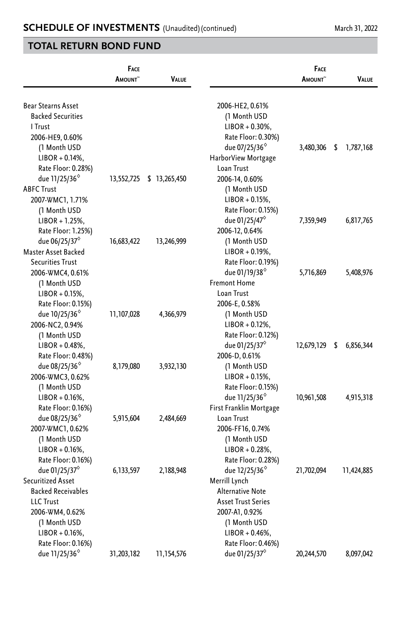|                           | FACE<br><b>AMOUNT</b> | VALUE        |                                 | FACE<br><b>A</b> mount^ | VALUE           |
|---------------------------|-----------------------|--------------|---------------------------------|-------------------------|-----------------|
| <b>Bear Stearns Asset</b> |                       |              |                                 |                         |                 |
| <b>Backed Securities</b>  |                       |              | 2006-HE2, 0.61%<br>(1 Month USD |                         |                 |
| I Trust                   |                       |              | $LIBOR + 0.30\%,$               |                         |                 |
| 2006-HE9, 0.60%           |                       |              | Rate Floor: 0.30%)              |                         |                 |
| (1 Month USD              |                       |              | due 07/25/36 $^{\circ}$         | 3,480,306               | \$<br>1,787,168 |
| $LIBOR + 0.14%$           |                       |              | HarborView Mortgage             |                         |                 |
| Rate Floor: 0.28%)        |                       |              | Loan Trust                      |                         |                 |
| due 11/25/36 $^{\circ}$   | 13,552,725            | \$13,265,450 | 2006-14, 0.60%                  |                         |                 |
| <b>ABFC Trust</b>         |                       |              | (1 Month USD                    |                         |                 |
| 2007-WMC1, 1.71%          |                       |              | $LIBOR + 0.15%$                 |                         |                 |
| (1 Month USD              |                       |              | Rate Floor: 0.15%)              |                         |                 |
| $LIBOR + 1.25%$ ,         |                       |              | due 01/25/47 <sup>°</sup>       | 7,359,949               | 6,817,765       |
| Rate Floor: 1.25%)        |                       |              | 2006-12, 0.64%                  |                         |                 |
| due 06/25/37°             | 16,683,422            | 13,246,999   | (1 Month USD                    |                         |                 |
| Master Asset Backed       |                       |              | $LIBOR + 0.19\%$                |                         |                 |
| <b>Securities Trust</b>   |                       |              | Rate Floor: 0.19%)              |                         |                 |
| 2006-WMC4, 0.61%          |                       |              | due 01/19/38 <sup>°</sup>       | 5,716,869               | 5,408,976       |
| (1 Month USD              |                       |              | <b>Fremont Home</b>             |                         |                 |
| $LIBOR + 0.15%$           |                       |              | Loan Trust                      |                         |                 |
| Rate Floor: 0.15%)        |                       |              | 2006-E, 0.58%                   |                         |                 |
| due 10/25/36 <sup>°</sup> | 11,107,028            | 4,366,979    | (1 Month USD                    |                         |                 |
| 2006-NC2, 0.94%           |                       |              | $LIBOR + 0.12%$                 |                         |                 |
| (1 Month USD              |                       |              | Rate Floor: 0.12%)              |                         |                 |
| $LIBOR + 0.48%$           |                       |              | due 01/25/37 $^{\circ}$         | 12,679,129              | \$<br>6,856,344 |
| Rate Floor: 0.48%)        |                       |              | 2006-D, 0.61%                   |                         |                 |
| due 08/25/36 $^{\circ}$   | 8,179,080             | 3,932,130    | (1 Month USD                    |                         |                 |
| 2006-WMC3, 0.62%          |                       |              | $LIBOR + 0.15%$                 |                         |                 |
| (1 Month USD              |                       |              | Rate Floor: 0.15%)              |                         |                 |
| $LIBOR + 0.16%$ ,         |                       |              | due 11/25/36 <sup>°</sup>       | 10,961,508              | 4,915,318       |
| Rate Floor: 0.16%)        |                       |              | First Franklin Mortgage         |                         |                 |
| due 08/25/36 $^{\circ}$   | 5,915,604             | 2,484,669    | Loan Trust                      |                         |                 |
| 2007-WMC1, 0.62%          |                       |              | 2006-FF16, 0.74%                |                         |                 |
| (1 Month USD              |                       |              | (1 Month USD                    |                         |                 |
| $LIBOR + 0.16\%,$         |                       |              | $LIBOR + 0.28%$                 |                         |                 |
| Rate Floor: 0.16%)        |                       |              | Rate Floor: 0.28%)              |                         |                 |
| due 01/25/37 <sup>6</sup> | 6, 133, 597           | 2,188,948    | due 12/25/36 <sup>°</sup>       | 21,702,094              | 11,424,885      |
| <b>Securitized Asset</b>  |                       |              | Merrill Lynch                   |                         |                 |
| <b>Backed Receivables</b> |                       |              | <b>Alternative Note</b>         |                         |                 |
| <b>LLC</b> Trust          |                       |              | <b>Asset Trust Series</b>       |                         |                 |
| 2006-WM4, 0.62%           |                       |              | 2007-A1, 0.92%                  |                         |                 |
| (1 Month USD              |                       |              | (1 Month USD                    |                         |                 |
| $LIBOR + 0.16%$           |                       |              | $LIBOR + 0.46\%,$               |                         |                 |
| Rate Floor: 0.16%)        |                       |              | Rate Floor: 0.46%)              |                         |                 |
| due 11/25/36 <sup>°</sup> | 31,203,182            | 11,154,576   | due 01/25/37 $^{\circ}$         | 20,244,570              | 8,097,042       |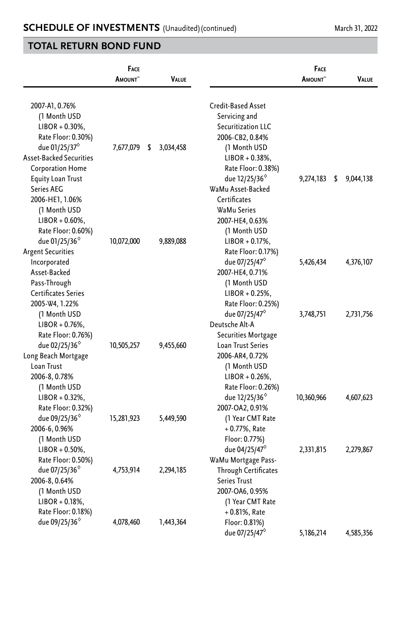|                                                                                                                                                                                          | FACE<br><b>A</b> MOUNT~ | <b>VALUE</b>    |                                                                                                                                                                    | <b>FACE</b><br><b>A</b> mount^ | <b>VALUE</b>   |
|------------------------------------------------------------------------------------------------------------------------------------------------------------------------------------------|-------------------------|-----------------|--------------------------------------------------------------------------------------------------------------------------------------------------------------------|--------------------------------|----------------|
| 2007-A1, 0.76%<br>(1 Month USD<br>$LIBOR + 0.30\%,$<br>Rate Floor: 0.30%)<br>due 01/25/37 <sup>°</sup><br>Asset-Backed Securities<br><b>Corporation Home</b><br><b>Equity Loan Trust</b> | 7,677,079               | \$<br>3,034,458 | Credit-Based Asset<br>Servicing and<br>Securitization LLC<br>2006-CB2, 0.84%<br>(1 Month USD<br>$LIBOR + 0.38%$<br>Rate Floor: 0.38%)<br>due 12/25/36 <sup>°</sup> | 9,274,183                      | S<br>9,044,138 |
| Series AEG<br>2006-HE1, 1.06%<br>(1 Month USD<br>$LIBOR + 0.60\%,$<br>Rate Floor: 0.60%)<br>due 01/25/36 $^{\circ}$                                                                      | 10,072,000              | 9,889,088       | WaMu Asset-Backed<br>Certificates<br>WaMu Series<br>2007-HE4, 0.63%<br>(1 Month USD<br>$LIBOR + 0.17\%,$                                                           |                                |                |
| <b>Argent Securities</b><br>Incorporated<br>Asset-Backed<br>Pass-Through<br>Certificates Series<br>2005-W4, 1.22%                                                                        |                         |                 | Rate Floor: 0.17%)<br>due 07/25/47 <sup>°</sup><br>2007-HE4, 0.71%<br>(1 Month USD<br>$LIBOR + 0.25%$ ,<br>Rate Floor: 0.25%)                                      | 5,426,434                      | 4,376,107      |
| (1 Month USD<br>$LIBOR + 0.76\%,$<br>Rate Floor: 0.76%)<br>due 02/25/36 $^{\circ}$                                                                                                       | 10,505,257              | 9,455,660       | due 07/25/47 <sup>°</sup><br>Deutsche Alt-A<br>Securities Mortgage<br>Loan Trust Series                                                                            | 3,748,751                      | 2,731,756      |
| Long Beach Mortgage<br>Loan Trust<br>2006-8, 0.78%<br>(1 Month USD                                                                                                                       |                         |                 | 2006-AR4, 0.72%<br>(1 Month USD<br>$LIBOR + 0.26%$ ,<br>Rate Floor: 0.26%)                                                                                         |                                |                |
| $LIBOR + 0.32%$<br>Rate Floor: 0.32%)<br>due 09/25/36 <sup>°</sup><br>2006-6, 0.96%<br>(1 Month USD                                                                                      | 15,281,923              | 5,449,590       | due 12/25/36 $^{\circ}$<br>2007-OA2, 0.91%<br>(1 Year CMT Rate<br>$+0.77%$ , Rate<br>Floor: 0.77%)                                                                 | 10,360,966                     | 4,607,623      |
| $LIBOR + 0.50\%,$<br>Rate Floor: 0.50%)<br>due 07/25/36 $^{\circ}$<br>2006-8, 0.64%<br>(1 Month USD                                                                                      | 4,753,914               | 2,294,185       | due 04/25/47 $^{\circ}$<br>WaMu Mortgage Pass-<br><b>Through Certificates</b><br>Series Trust<br>2007-OA6, 0.95%                                                   | 2,331,815                      | 2,279,867      |
| $LIBOR + 0.18%$<br>Rate Floor: 0.18%)<br>due 09/25/36 <sup>6</sup>                                                                                                                       | 4,078,460               | 1,443,364       | (1 Year CMT Rate<br>$+0.81%$ , Rate<br>Floor: 0.81%)<br>due 07/25/47 <sup>°</sup>                                                                                  | 5, 186, 214                    | 4,585,356      |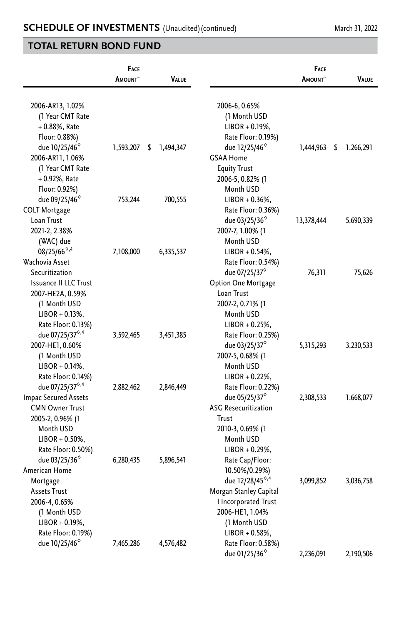|                              | FACE<br><b>A</b> mount^ | VALUE           |                             | FACE<br><b>AMOUNT</b> | VALUE           |
|------------------------------|-------------------------|-----------------|-----------------------------|-----------------------|-----------------|
|                              |                         |                 |                             |                       |                 |
| 2006-AR13, 1.02%             |                         |                 | 2006-6, 0.65%               |                       |                 |
| (1 Year CMT Rate             |                         |                 | (1 Month USD                |                       |                 |
| + 0.88%, Rate                |                         |                 | $LIBOR + 0.19%$ ,           |                       |                 |
| Floor: 0.88%)                |                         |                 | Rate Floor: 0.19%)          |                       |                 |
| due 10/25/46 <sup>°</sup>    | 1,593,207               | \$<br>1,494,347 | due 12/25/46 <sup>°</sup>   | 1,444,963             | \$<br>1,266,291 |
| 2006-AR11, 1.06%             |                         |                 | <b>GSAA Home</b>            |                       |                 |
| (1 Year CMT Rate             |                         |                 | <b>Equity Trust</b>         |                       |                 |
| + 0.92%, Rate                |                         |                 | 2006-5, 0.82% (1            |                       |                 |
| Floor: 0.92%)                |                         |                 | Month USD                   |                       |                 |
| due 09/25/46 <sup>°</sup>    | 753,244                 | 700,555         | $LIBOR + 0.36\%,$           |                       |                 |
| <b>COLT Mortgage</b>         |                         |                 | Rate Floor: 0.36%)          |                       |                 |
| Loan Trust                   |                         |                 | due 03/25/36 $^{\circ}$     | 13,378,444            | 5,690,339       |
| 2021-2, 2.38%                |                         |                 | 2007-7, 1.00% (1            |                       |                 |
| (WAC) due                    |                         |                 | Month USD                   |                       |                 |
| $08/25/66^{\diamond,4}$      | 7,108,000               | 6,335,537       | $LIBOR + 0.54%$             |                       |                 |
| Wachovia Asset               |                         |                 | Rate Floor: 0.54%)          |                       |                 |
| Securitization               |                         |                 | due 07/25/37°               | 76,311                | 75,626          |
| <b>Issuance II LLC Trust</b> |                         |                 | Option One Mortgage         |                       |                 |
| 2007-HE2A, 0.59%             |                         |                 | Loan Trust                  |                       |                 |
| (1 Month USD                 |                         |                 | 2007-2, 0.71% (1            |                       |                 |
| $LIBOR + 0.13%$              |                         |                 | Month USD                   |                       |                 |
| Rate Floor: 0.13%)           |                         |                 | $LIBOR + 0.25%$             |                       |                 |
| due 07/25/37 <sup>0,4</sup>  | 3,592,465               | 3,451,385       | Rate Floor: 0.25%)          |                       |                 |
| 2007-HE1, 0.60%              |                         |                 | due 03/25/37 <sup>6</sup>   | 5,315,293             | 3,230,533       |
| (1 Month USD                 |                         |                 | 2007-5, 0.68% (1            |                       |                 |
| $LIBOR + 0.14%$ ,            |                         |                 | Month USD                   |                       |                 |
| Rate Floor: 0.14%)           |                         |                 | $LIBOR + 0.22%$ ,           |                       |                 |
| due 07/25/37 <sup>6,4</sup>  | 2,882,462               | 2,846,449       | Rate Floor: 0.22%)          |                       |                 |
| <b>Impac Secured Assets</b>  |                         |                 | due $05/25/37^{\circ}$      | 2,308,533             | 1,668,077       |
| <b>CMN Owner Trust</b>       |                         |                 | <b>ASG Resecuritization</b> |                       |                 |
| 2005-2, 0.96% (1             |                         |                 | Trust                       |                       |                 |
| Month USD                    |                         |                 | 2010-3, 0.69% (1            |                       |                 |
| $LIBOR + 0.50\%,$            |                         |                 | Month USD                   |                       |                 |
| Rate Floor: 0.50%)           |                         |                 | $LIBOR + 0.29\%$ ,          |                       |                 |
| due 03/25/36 <sup>°</sup>    | 6,280,435               | 5,896,541       | Rate Cap/Floor:             |                       |                 |
| American Home                |                         |                 | 10.50%/0.29%)               |                       |                 |
| Mortgage                     |                         |                 | due 12/28/45 <sup>8,4</sup> | 3,099,852             | 3,036,758       |
| <b>Assets Trust</b>          |                         |                 | Morgan Stanley Capital      |                       |                 |
| 2006-4, 0.65%                |                         |                 | I Incorporated Trust        |                       |                 |
| (1 Month USD                 |                         |                 | 2006-HE1, 1.04%             |                       |                 |
| $LIBOR + 0.19%$              |                         |                 | (1 Month USD                |                       |                 |
| Rate Floor: 0.19%)           |                         |                 | $LIBOR + 0.58\%,$           |                       |                 |
| due 10/25/46 <sup>°</sup>    | 7,465,286               | 4,576,482       | Rate Floor: 0.58%)          |                       |                 |
|                              |                         |                 | due 01/25/36 <sup>°</sup>   | 2,236,091             | 2,190,506       |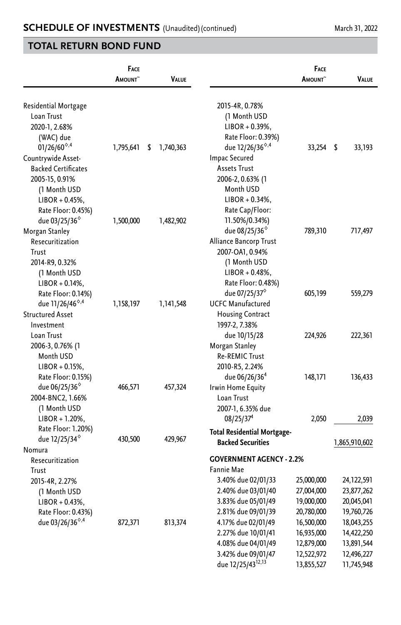|                                         | FACE<br>AMOUNT~ | VALUE           |                                                 | FACE<br>AMOUNT <sup>~</sup> | VALUE         |
|-----------------------------------------|-----------------|-----------------|-------------------------------------------------|-----------------------------|---------------|
| Residential Mortgage                    |                 |                 | 2015-4R, 0.78%                                  |                             |               |
| Loan Trust                              |                 |                 | (1 Month USD                                    |                             |               |
| 2020-1, 2.68%                           |                 |                 | $LIBOR + 0.39\%,$                               |                             |               |
| (WAC) due                               |                 |                 | Rate Floor: 0.39%)                              |                             |               |
| $01/26/60^{\circ.4}$                    | 1,795,641       | 1,740,363<br>\$ | due 12/26/36 <sup>6,4</sup>                     | 33,254                      | \$<br>33,193  |
| Countrywide Asset-                      |                 |                 | Impac Secured                                   |                             |               |
| <b>Backed Certificates</b>              |                 |                 | <b>Assets Trust</b>                             |                             |               |
| 2005-15, 0.91%                          |                 |                 | 2006-2, 0.63% (1                                |                             |               |
| (1 Month USD                            |                 |                 | Month USD                                       |                             |               |
| $LIBOR + 0.45%$ ,                       |                 |                 | $LIBOR + 0.34\%$ ,                              |                             |               |
| Rate Floor: 0.45%)                      |                 |                 | Rate Cap/Floor:                                 |                             |               |
| due 03/25/36°                           | 1,500,000       | 1,482,902       | 11.50%/0.34%)                                   |                             |               |
| Morgan Stanley                          |                 |                 | due 08/25/36 <sup>°</sup>                       | 789,310                     | 717,497       |
| Resecuritization                        |                 |                 | Alliance Bancorp Trust                          |                             |               |
| Trust                                   |                 |                 | 2007-OA1, 0.94%                                 |                             |               |
| 2014-R9, 0.32%                          |                 |                 | (1 Month USD                                    |                             |               |
| (1 Month USD                            |                 |                 | $LIBOR + 0.48\%,$                               |                             |               |
| $LIBOR + 0.14%$ ,<br>Rate Floor: 0.14%) |                 |                 | Rate Floor: 0.48%)<br>due 07/25/37 <sup>°</sup> | 605,199                     | 559,279       |
| due 11/26/46 <sup>6,4</sup>             | 1,158,197       | 1,141,548       | <b>UCFC Manufactured</b>                        |                             |               |
| <b>Structured Asset</b>                 |                 |                 | <b>Housing Contract</b>                         |                             |               |
| Investment                              |                 |                 | 1997-2, 7.38%                                   |                             |               |
| Loan Trust                              |                 |                 | due 10/15/28                                    | 224,926                     | 222,361       |
| 2006-3, 0.76% (1                        |                 |                 | Morgan Stanley                                  |                             |               |
| Month USD                               |                 |                 | <b>Re-REMIC Trust</b>                           |                             |               |
| $LIBOR + 0.15%$                         |                 |                 | 2010-R5, 2.24%                                  |                             |               |
| Rate Floor: 0.15%)                      |                 |                 | due 06/26/36 <sup>4</sup>                       | 148,171                     | 136,433       |
| due 06/25/36 $^{\circ}$                 | 466,571         | 457,324         | Irwin Home Equity                               |                             |               |
| 2004-BNC2, 1.66%                        |                 |                 | Loan Trust                                      |                             |               |
| (1 Month USD                            |                 |                 | 2007-1, 6.35% due                               |                             |               |
| $LIBOR + 1.20%$ ,                       |                 |                 | 08/25/37 <sup>4</sup>                           | 2,050                       | 2,039         |
| Rate Floor: 1.20%)                      |                 |                 | <b>Total Residential Mortgage-</b>              |                             |               |
| due 12/25/34 <sup>6</sup>               | 430,500         | 429,967         | <b>Backed Securities</b>                        |                             | 1,865,910,602 |
| Nomura                                  |                 |                 |                                                 |                             |               |
| Resecuritization                        |                 |                 | <b>GOVERNMENT AGENCY - 2.2%</b>                 |                             |               |
| Trust                                   |                 |                 | Fannie Mae                                      |                             |               |
| 2015-4R, 2.27%                          |                 |                 | 3.40% due 02/01/33                              | 25,000,000                  | 24,122,591    |
| (1 Month USD                            |                 |                 | 2.40% due 03/01/40                              | 27,004,000                  | 23,877,262    |
| $LIBOR + 0.43\%,$                       |                 |                 | 3.83% due 05/01/49                              | 19,000,000                  | 20,045,041    |
| Rate Floor: 0.43%)                      |                 |                 | 2.81% due 09/01/39                              | 20,780,000                  | 19,760,726    |
| due 03/26/36 <sup>6,4</sup>             | 872,371         | 813,374         | 4.17% due 02/01/49                              | 16,500,000                  | 18,043,255    |
|                                         |                 |                 | 2.27% due 10/01/41                              | 16,935,000                  | 14,422,250    |
|                                         |                 |                 | 4.08% due 04/01/49                              | 12,879,000                  | 13,891,544    |
|                                         |                 |                 | 3.42% due 09/01/47                              | 12,522,972                  | 12,496,227    |
|                                         |                 |                 | due 12/25/43 <sup>12,13</sup>                   | 13,855,527                  | 11,745,948    |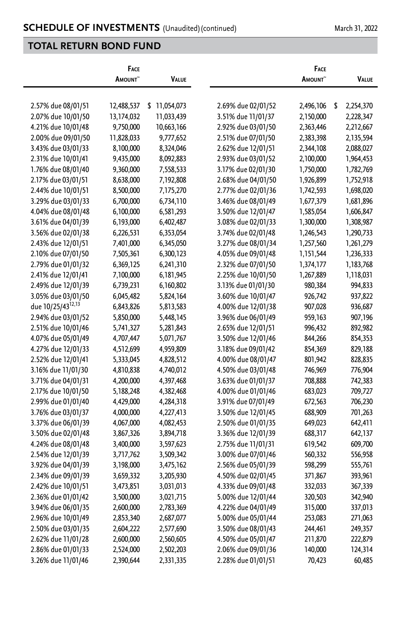|                               | FACE       |                  |                    | FACE                |                 |
|-------------------------------|------------|------------------|--------------------|---------------------|-----------------|
|                               | Amount~    | VALUE            |                    | AMOUNT <sup>~</sup> | VALUE           |
|                               |            |                  |                    |                     |                 |
| 2.57% due 08/01/51            | 12,488,537 | \$<br>11,054,073 | 2.69% due 02/01/52 | 2,496,106           | \$<br>2,254,370 |
| 2.07% due 10/01/50            | 13,174,032 | 11,033,439       | 3.51% due 11/01/37 | 2,150,000           | 2,228,347       |
| 4.21% due 10/01/48            | 9,750,000  | 10,663,166       | 2.92% due 03/01/50 | 2,363,446           | 2,212,667       |
| 2.00% due 09/01/50            | 11,828,033 | 9,777,652        | 2.51% due 07/01/50 | 2,383,398           | 2,135,594       |
| 3.43% due 03/01/33            | 8,100,000  | 8,324,046        | 2.62% due 12/01/51 | 2,344,108           | 2,088,027       |
| 2.31% due 10/01/41            | 9,435,000  | 8,092,883        | 2.93% due 03/01/52 | 2,100,000           | 1,964,453       |
| 1.76% due 08/01/40            | 9,360,000  | 7,558,533        | 3.17% due 02/01/30 | 1,750,000           | 1,782,769       |
| 2.17% due 03/01/51            | 8,638,000  | 7,192,808        | 2.68% due 04/01/50 | 1,926,899           | 1,752,918       |
| 2.44% due 10/01/51            | 8,500,000  | 7,175,270        | 2.77% due 02/01/36 | 1,742,593           | 1,698,020       |
| 3.29% due 03/01/33            | 6,700,000  | 6,734,110        | 3.46% due 08/01/49 | 1,677,379           | 1,681,896       |
| 4.04% due 08/01/48            | 6,100,000  | 6,581,293        | 3.50% due 12/01/47 | 1,585,054           | 1,606,847       |
| 3.61% due 04/01/39            | 6,193,000  | 6,402,487        | 3.08% due 02/01/33 | 1,300,000           | 1,308,987       |
| 3.56% due 02/01/38            | 6,226,531  | 6,353,054        | 3.74% due 02/01/48 | 1,246,543           | 1,290,733       |
| 2.43% due 12/01/51            | 7,401,000  | 6,345,050        | 3.27% due 08/01/34 | 1,257,560           | 1,261,279       |
| 2.10% due 07/01/50            | 7,505,361  | 6,300,123        | 4.05% due 09/01/48 | 1,151,544           | 1,236,333       |
| 2.79% due 01/01/32            | 6,369,125  | 6,241,310        | 2.32% due 07/01/50 | 1,374,177           | 1,183,768       |
| 2.41% due 12/01/41            | 7,100,000  | 6, 181, 945      | 2.25% due 10/01/50 | 1,267,889           | 1,118,031       |
| 2.49% due 12/01/39            | 6,739,231  | 6,160,802        | 3.13% due 01/01/30 | 980,384             | 994,833         |
| 3.05% due 03/01/50            | 6,045,482  | 5,824,164        | 3.60% due 10/01/47 | 926,742             | 937,822         |
| due 10/25/43 <sup>12,13</sup> | 6,843,826  | 5,813,583        | 4.00% due 12/01/38 | 907,028             | 936,687         |
| 2.94% due 03/01/52            | 5,850,000  | 5,448,145        | 3.96% due 06/01/49 | 959,163             | 907,196         |
| 2.51% due 10/01/46            | 5,741,327  | 5,281,843        | 2.65% due 12/01/51 | 996,432             | 892,982         |
| 4.07% due 05/01/49            | 4,707,447  | 5,071,767        | 3.50% due 12/01/46 | 844,266             | 854,353         |
| 4.27% due 12/01/33            | 4,512,699  | 4,959,809        | 3.18% due 09/01/42 | 854,369             | 829,188         |
| 2.52% due 12/01/41            | 5,333,045  | 4,828,512        | 4.00% due 08/01/47 | 801,942             | 828,835         |
| 3.16% due 11/01/30            | 4,810,838  | 4,740,012        | 4.50% due 03/01/48 | 746,969             | 776,904         |
| 3.71% due 04/01/31            | 4,200,000  | 4,397,468        | 3.63% due 01/01/37 | 708,888             | 742,383         |
| 2.17% due 10/01/50            | 5,188,248  | 4,382,468        | 4.00% due 01/01/46 | 683,023             | 709,727         |
| 2.99% due 01/01/40            | 4,429,000  | 4,284,318        | 3.91% due 07/01/49 | 672,563             | 706,230         |
| 3.76% due 03/01/37            | 4,000,000  | 4,227,413        | 3.50% due 12/01/45 | 688,909             | 701,263         |
| 3.37% due 06/01/39            | 4,067,000  | 4,082,453        | 2.50% due 01/01/35 | 649,023             | 642,411         |
| 3.50% due 02/01/48            | 3,867,326  | 3,894,718        | 3.36% due 12/01/39 | 688,317             | 642,137         |
| 4.24% due 08/01/48            | 3,400,000  | 3,597,623        | 2.75% due 11/01/31 | 619,542             | 609,700         |
| 2.54% due 12/01/39            | 3,717,762  | 3,509,342        | 3.00% due 07/01/46 | 560,332             | 556,958         |
| 3.92% due 04/01/39            | 3,198,000  | 3,475,162        | 2.56% due 05/01/39 | 598,299             | 555,761         |
| 2.34% due 09/01/39            | 3,659,332  | 3,205,930        | 4.50% due 02/01/45 | 371,867             | 393,961         |
| 2.42% due 10/01/51            | 3,473,851  | 3,031,013        | 4.33% due 09/01/48 | 332,033             | 367,339         |
| 2.36% due 01/01/42            | 3,500,000  | 3,021,715        | 5.00% due 12/01/44 | 320,503             | 342,940         |
| 3.94% due 06/01/35            | 2,600,000  | 2,783,369        | 4.22% due 04/01/49 | 315,000             | 337,013         |
| 2.96% due 10/01/49            | 2,853,340  | 2,687,077        | 5.00% due 05/01/44 | 253,083             | 271,063         |
| 2.50% due 03/01/35            | 2,604,222  | 2,577,690        | 3.50% due 08/01/43 | 244,461             | 249,357         |
| 2.62% due 11/01/28            | 2,600,000  | 2,560,605        | 4.50% due 05/01/47 | 211,870             | 222,879         |
| 2.86% due 01/01/33            | 2,524,000  | 2,502,203        | 2.06% due 09/01/36 | 140,000             | 124,314         |
| 3.26% due 11/01/46            | 2,390,644  | 2,331,335        | 2.28% due 01/01/51 | 70,423              | 60,485          |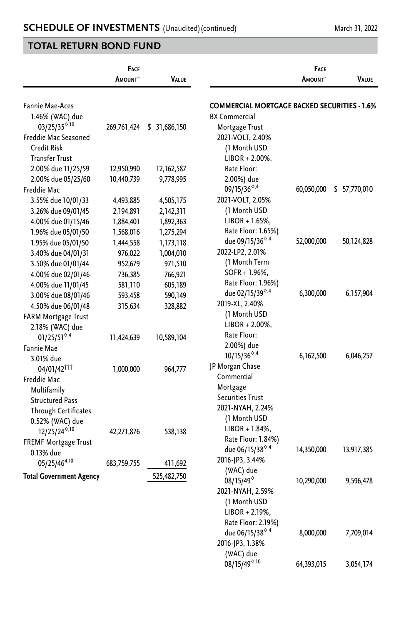| AMOUNT <sup>~</sup><br><b>VALUE</b><br>AMOUNT <sup>~</sup><br><b>VALUE</b><br>Fannie Mae-Aces<br><b>COMMERCIAL MORTGAGE BACKED SECURITIES - 1.6%</b><br>1.46% (WAC) due<br><b>BX Commercial</b><br>$03/25/35^{\diamond,10}$<br>269,761,424<br>\$ 31,686,150<br>Mortgage Trust<br>Freddie Mac Seasoned<br>2021-VOLT, 2.40%<br><b>Credit Risk</b><br>(1 Month USD<br><b>Transfer Trust</b><br>$LIBOR + 2.00\%$<br>2.00% due 11/25/59<br>Rate Floor:<br>12,950,990<br>12,162,587<br>2.00%) due<br>2.00% due 05/25/60<br>10,440,739<br>9,778,995<br>09/15/36 <sup>6,4</sup><br>Freddie Mac<br>60,050,000<br>\$ 57,770,010<br>2021-VOLT, 2.05%<br>3.55% due 10/01/33<br>4,493,885<br>4,505,175<br>(1 Month USD<br>3.26% due 09/01/45<br>2,194,891<br>2,142,311<br>$LIBOR + 1.65%$ ,<br>4.00% due 01/15/46<br>1,884,401<br>1,892,363<br>Rate Floor: 1.65%)<br>1.96% due 05/01/50<br>1,568,016<br>1,275,294<br>due 09/15/36 <sup>6,4</sup><br>52,000,000<br>50,124,828<br>1.95% due 05/01/50<br>1,173,118<br>1,444,558<br>2022-LP2, 2.01%<br>3.40% due 04/01/31<br>976,022<br>1,004,010<br>(1 Month Term<br>3.50% due 01/01/44<br>952,679<br>971,510<br>SOFR + 1.96%,<br>4.00% due 02/01/46<br>766,921<br>736,385<br>Rate Floor: 1.96%)<br>4.00% due 11/01/45<br>581,110<br>605,189<br>due 02/15/39 <sup>6,4</sup><br>6,300,000<br>6,157,904<br>3.00% due 08/01/46<br>593,458<br>590,149<br>2019-XL, 2.40%<br>4.50% due 06/01/48<br>315,634<br>328,882<br>(1 Month USD<br><b>FARM Mortgage Trust</b><br>$LIBOR + 2.00\%$ ,<br>2.18% (WAC) due<br>Rate Floor:<br>$01/25/51^{\circ,4}$<br>11,424,639<br>10,589,104<br>2.00%) due<br>Fannie Mae<br>$10/15/36^{\diamond,4}$<br>6, 162, 500<br>6,046,257<br>3.01% due<br>JP Morgan Chase<br>04/01/42 <sup>111</sup><br>1,000,000<br>964,777<br>Commercial<br>Freddie Mac<br>Mortgage<br>Multifamily<br><b>Securities Trust</b><br><b>Structured Pass</b><br>2021-NYAH, 2.24%<br><b>Through Certificates</b><br>(1 Month USD |
|-----------------------------------------------------------------------------------------------------------------------------------------------------------------------------------------------------------------------------------------------------------------------------------------------------------------------------------------------------------------------------------------------------------------------------------------------------------------------------------------------------------------------------------------------------------------------------------------------------------------------------------------------------------------------------------------------------------------------------------------------------------------------------------------------------------------------------------------------------------------------------------------------------------------------------------------------------------------------------------------------------------------------------------------------------------------------------------------------------------------------------------------------------------------------------------------------------------------------------------------------------------------------------------------------------------------------------------------------------------------------------------------------------------------------------------------------------------------------------------------------------------------------------------------------------------------------------------------------------------------------------------------------------------------------------------------------------------------------------------------------------------------------------------------------------------------------------------------------------------------------------------------------------------------------------------------------------------------|
|                                                                                                                                                                                                                                                                                                                                                                                                                                                                                                                                                                                                                                                                                                                                                                                                                                                                                                                                                                                                                                                                                                                                                                                                                                                                                                                                                                                                                                                                                                                                                                                                                                                                                                                                                                                                                                                                                                                                                                 |
|                                                                                                                                                                                                                                                                                                                                                                                                                                                                                                                                                                                                                                                                                                                                                                                                                                                                                                                                                                                                                                                                                                                                                                                                                                                                                                                                                                                                                                                                                                                                                                                                                                                                                                                                                                                                                                                                                                                                                                 |
|                                                                                                                                                                                                                                                                                                                                                                                                                                                                                                                                                                                                                                                                                                                                                                                                                                                                                                                                                                                                                                                                                                                                                                                                                                                                                                                                                                                                                                                                                                                                                                                                                                                                                                                                                                                                                                                                                                                                                                 |
|                                                                                                                                                                                                                                                                                                                                                                                                                                                                                                                                                                                                                                                                                                                                                                                                                                                                                                                                                                                                                                                                                                                                                                                                                                                                                                                                                                                                                                                                                                                                                                                                                                                                                                                                                                                                                                                                                                                                                                 |
|                                                                                                                                                                                                                                                                                                                                                                                                                                                                                                                                                                                                                                                                                                                                                                                                                                                                                                                                                                                                                                                                                                                                                                                                                                                                                                                                                                                                                                                                                                                                                                                                                                                                                                                                                                                                                                                                                                                                                                 |
|                                                                                                                                                                                                                                                                                                                                                                                                                                                                                                                                                                                                                                                                                                                                                                                                                                                                                                                                                                                                                                                                                                                                                                                                                                                                                                                                                                                                                                                                                                                                                                                                                                                                                                                                                                                                                                                                                                                                                                 |
|                                                                                                                                                                                                                                                                                                                                                                                                                                                                                                                                                                                                                                                                                                                                                                                                                                                                                                                                                                                                                                                                                                                                                                                                                                                                                                                                                                                                                                                                                                                                                                                                                                                                                                                                                                                                                                                                                                                                                                 |
|                                                                                                                                                                                                                                                                                                                                                                                                                                                                                                                                                                                                                                                                                                                                                                                                                                                                                                                                                                                                                                                                                                                                                                                                                                                                                                                                                                                                                                                                                                                                                                                                                                                                                                                                                                                                                                                                                                                                                                 |
|                                                                                                                                                                                                                                                                                                                                                                                                                                                                                                                                                                                                                                                                                                                                                                                                                                                                                                                                                                                                                                                                                                                                                                                                                                                                                                                                                                                                                                                                                                                                                                                                                                                                                                                                                                                                                                                                                                                                                                 |
|                                                                                                                                                                                                                                                                                                                                                                                                                                                                                                                                                                                                                                                                                                                                                                                                                                                                                                                                                                                                                                                                                                                                                                                                                                                                                                                                                                                                                                                                                                                                                                                                                                                                                                                                                                                                                                                                                                                                                                 |
|                                                                                                                                                                                                                                                                                                                                                                                                                                                                                                                                                                                                                                                                                                                                                                                                                                                                                                                                                                                                                                                                                                                                                                                                                                                                                                                                                                                                                                                                                                                                                                                                                                                                                                                                                                                                                                                                                                                                                                 |
|                                                                                                                                                                                                                                                                                                                                                                                                                                                                                                                                                                                                                                                                                                                                                                                                                                                                                                                                                                                                                                                                                                                                                                                                                                                                                                                                                                                                                                                                                                                                                                                                                                                                                                                                                                                                                                                                                                                                                                 |
|                                                                                                                                                                                                                                                                                                                                                                                                                                                                                                                                                                                                                                                                                                                                                                                                                                                                                                                                                                                                                                                                                                                                                                                                                                                                                                                                                                                                                                                                                                                                                                                                                                                                                                                                                                                                                                                                                                                                                                 |
|                                                                                                                                                                                                                                                                                                                                                                                                                                                                                                                                                                                                                                                                                                                                                                                                                                                                                                                                                                                                                                                                                                                                                                                                                                                                                                                                                                                                                                                                                                                                                                                                                                                                                                                                                                                                                                                                                                                                                                 |
|                                                                                                                                                                                                                                                                                                                                                                                                                                                                                                                                                                                                                                                                                                                                                                                                                                                                                                                                                                                                                                                                                                                                                                                                                                                                                                                                                                                                                                                                                                                                                                                                                                                                                                                                                                                                                                                                                                                                                                 |
|                                                                                                                                                                                                                                                                                                                                                                                                                                                                                                                                                                                                                                                                                                                                                                                                                                                                                                                                                                                                                                                                                                                                                                                                                                                                                                                                                                                                                                                                                                                                                                                                                                                                                                                                                                                                                                                                                                                                                                 |
|                                                                                                                                                                                                                                                                                                                                                                                                                                                                                                                                                                                                                                                                                                                                                                                                                                                                                                                                                                                                                                                                                                                                                                                                                                                                                                                                                                                                                                                                                                                                                                                                                                                                                                                                                                                                                                                                                                                                                                 |
|                                                                                                                                                                                                                                                                                                                                                                                                                                                                                                                                                                                                                                                                                                                                                                                                                                                                                                                                                                                                                                                                                                                                                                                                                                                                                                                                                                                                                                                                                                                                                                                                                                                                                                                                                                                                                                                                                                                                                                 |
|                                                                                                                                                                                                                                                                                                                                                                                                                                                                                                                                                                                                                                                                                                                                                                                                                                                                                                                                                                                                                                                                                                                                                                                                                                                                                                                                                                                                                                                                                                                                                                                                                                                                                                                                                                                                                                                                                                                                                                 |
|                                                                                                                                                                                                                                                                                                                                                                                                                                                                                                                                                                                                                                                                                                                                                                                                                                                                                                                                                                                                                                                                                                                                                                                                                                                                                                                                                                                                                                                                                                                                                                                                                                                                                                                                                                                                                                                                                                                                                                 |
|                                                                                                                                                                                                                                                                                                                                                                                                                                                                                                                                                                                                                                                                                                                                                                                                                                                                                                                                                                                                                                                                                                                                                                                                                                                                                                                                                                                                                                                                                                                                                                                                                                                                                                                                                                                                                                                                                                                                                                 |
|                                                                                                                                                                                                                                                                                                                                                                                                                                                                                                                                                                                                                                                                                                                                                                                                                                                                                                                                                                                                                                                                                                                                                                                                                                                                                                                                                                                                                                                                                                                                                                                                                                                                                                                                                                                                                                                                                                                                                                 |
|                                                                                                                                                                                                                                                                                                                                                                                                                                                                                                                                                                                                                                                                                                                                                                                                                                                                                                                                                                                                                                                                                                                                                                                                                                                                                                                                                                                                                                                                                                                                                                                                                                                                                                                                                                                                                                                                                                                                                                 |
|                                                                                                                                                                                                                                                                                                                                                                                                                                                                                                                                                                                                                                                                                                                                                                                                                                                                                                                                                                                                                                                                                                                                                                                                                                                                                                                                                                                                                                                                                                                                                                                                                                                                                                                                                                                                                                                                                                                                                                 |
|                                                                                                                                                                                                                                                                                                                                                                                                                                                                                                                                                                                                                                                                                                                                                                                                                                                                                                                                                                                                                                                                                                                                                                                                                                                                                                                                                                                                                                                                                                                                                                                                                                                                                                                                                                                                                                                                                                                                                                 |
|                                                                                                                                                                                                                                                                                                                                                                                                                                                                                                                                                                                                                                                                                                                                                                                                                                                                                                                                                                                                                                                                                                                                                                                                                                                                                                                                                                                                                                                                                                                                                                                                                                                                                                                                                                                                                                                                                                                                                                 |
|                                                                                                                                                                                                                                                                                                                                                                                                                                                                                                                                                                                                                                                                                                                                                                                                                                                                                                                                                                                                                                                                                                                                                                                                                                                                                                                                                                                                                                                                                                                                                                                                                                                                                                                                                                                                                                                                                                                                                                 |
|                                                                                                                                                                                                                                                                                                                                                                                                                                                                                                                                                                                                                                                                                                                                                                                                                                                                                                                                                                                                                                                                                                                                                                                                                                                                                                                                                                                                                                                                                                                                                                                                                                                                                                                                                                                                                                                                                                                                                                 |
|                                                                                                                                                                                                                                                                                                                                                                                                                                                                                                                                                                                                                                                                                                                                                                                                                                                                                                                                                                                                                                                                                                                                                                                                                                                                                                                                                                                                                                                                                                                                                                                                                                                                                                                                                                                                                                                                                                                                                                 |
|                                                                                                                                                                                                                                                                                                                                                                                                                                                                                                                                                                                                                                                                                                                                                                                                                                                                                                                                                                                                                                                                                                                                                                                                                                                                                                                                                                                                                                                                                                                                                                                                                                                                                                                                                                                                                                                                                                                                                                 |
|                                                                                                                                                                                                                                                                                                                                                                                                                                                                                                                                                                                                                                                                                                                                                                                                                                                                                                                                                                                                                                                                                                                                                                                                                                                                                                                                                                                                                                                                                                                                                                                                                                                                                                                                                                                                                                                                                                                                                                 |
| 0.52% (WAC) due                                                                                                                                                                                                                                                                                                                                                                                                                                                                                                                                                                                                                                                                                                                                                                                                                                                                                                                                                                                                                                                                                                                                                                                                                                                                                                                                                                                                                                                                                                                                                                                                                                                                                                                                                                                                                                                                                                                                                 |
| $LIBOR + 1.84%$<br>$12/25/24^{\diamond,10}$<br>42,271,876<br>538,138                                                                                                                                                                                                                                                                                                                                                                                                                                                                                                                                                                                                                                                                                                                                                                                                                                                                                                                                                                                                                                                                                                                                                                                                                                                                                                                                                                                                                                                                                                                                                                                                                                                                                                                                                                                                                                                                                            |
| Rate Floor: 1.84%)<br>FREMF Mortgage Trust<br>due 06/15/38 <sup><math>\diamond</math>,4</sup><br>14,350,000<br>13,917,385                                                                                                                                                                                                                                                                                                                                                                                                                                                                                                                                                                                                                                                                                                                                                                                                                                                                                                                                                                                                                                                                                                                                                                                                                                                                                                                                                                                                                                                                                                                                                                                                                                                                                                                                                                                                                                       |
| 0.13% due                                                                                                                                                                                                                                                                                                                                                                                                                                                                                                                                                                                                                                                                                                                                                                                                                                                                                                                                                                                                                                                                                                                                                                                                                                                                                                                                                                                                                                                                                                                                                                                                                                                                                                                                                                                                                                                                                                                                                       |
| 2016-JP3, 3.44%<br>05/25/46 <sup>4,10</sup><br>683,759,755<br>411,692                                                                                                                                                                                                                                                                                                                                                                                                                                                                                                                                                                                                                                                                                                                                                                                                                                                                                                                                                                                                                                                                                                                                                                                                                                                                                                                                                                                                                                                                                                                                                                                                                                                                                                                                                                                                                                                                                           |
| (WAC) due<br>525,482,750<br><b>Total Government Agency</b><br>$08/15/49^{\circ}$<br>10,290,000<br>9,596,478                                                                                                                                                                                                                                                                                                                                                                                                                                                                                                                                                                                                                                                                                                                                                                                                                                                                                                                                                                                                                                                                                                                                                                                                                                                                                                                                                                                                                                                                                                                                                                                                                                                                                                                                                                                                                                                     |
| 2021-NYAH, 2.59%                                                                                                                                                                                                                                                                                                                                                                                                                                                                                                                                                                                                                                                                                                                                                                                                                                                                                                                                                                                                                                                                                                                                                                                                                                                                                                                                                                                                                                                                                                                                                                                                                                                                                                                                                                                                                                                                                                                                                |
| (1 Month USD                                                                                                                                                                                                                                                                                                                                                                                                                                                                                                                                                                                                                                                                                                                                                                                                                                                                                                                                                                                                                                                                                                                                                                                                                                                                                                                                                                                                                                                                                                                                                                                                                                                                                                                                                                                                                                                                                                                                                    |
| $LIBOR + 2.19%$                                                                                                                                                                                                                                                                                                                                                                                                                                                                                                                                                                                                                                                                                                                                                                                                                                                                                                                                                                                                                                                                                                                                                                                                                                                                                                                                                                                                                                                                                                                                                                                                                                                                                                                                                                                                                                                                                                                                                 |
| Rate Floor: 2.19%)                                                                                                                                                                                                                                                                                                                                                                                                                                                                                                                                                                                                                                                                                                                                                                                                                                                                                                                                                                                                                                                                                                                                                                                                                                                                                                                                                                                                                                                                                                                                                                                                                                                                                                                                                                                                                                                                                                                                              |
| due 06/15/38 <sup>°</sup> <sup>,4</sup><br>8,000,000<br>7,709,014                                                                                                                                                                                                                                                                                                                                                                                                                                                                                                                                                                                                                                                                                                                                                                                                                                                                                                                                                                                                                                                                                                                                                                                                                                                                                                                                                                                                                                                                                                                                                                                                                                                                                                                                                                                                                                                                                               |
| 2016-JP3, 1.38%                                                                                                                                                                                                                                                                                                                                                                                                                                                                                                                                                                                                                                                                                                                                                                                                                                                                                                                                                                                                                                                                                                                                                                                                                                                                                                                                                                                                                                                                                                                                                                                                                                                                                                                                                                                                                                                                                                                                                 |
| (WAC) due                                                                                                                                                                                                                                                                                                                                                                                                                                                                                                                                                                                                                                                                                                                                                                                                                                                                                                                                                                                                                                                                                                                                                                                                                                                                                                                                                                                                                                                                                                                                                                                                                                                                                                                                                                                                                                                                                                                                                       |
| 08/15/49 <sup><math>\diamond,10</math></sup><br>64,393,015<br>3,054,174                                                                                                                                                                                                                                                                                                                                                                                                                                                                                                                                                                                                                                                                                                                                                                                                                                                                                                                                                                                                                                                                                                                                                                                                                                                                                                                                                                                                                                                                                                                                                                                                                                                                                                                                                                                                                                                                                         |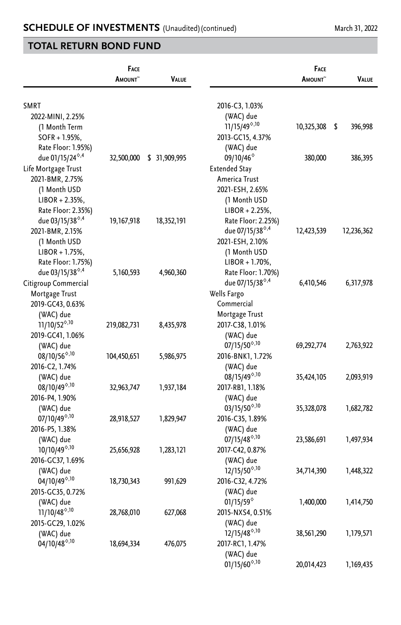|                                              | FACE<br>AMOUNT <sup>~</sup> | VALUE         |                                              | FACE<br>AMOUNT <sup>~</sup> | Value         |
|----------------------------------------------|-----------------------------|---------------|----------------------------------------------|-----------------------------|---------------|
| <b>SMRT</b>                                  |                             |               | 2016-C3, 1.03%                               |                             |               |
| 2022-MINI, 2.25%                             |                             |               | (WAC) due                                    |                             |               |
| (1 Month Term                                |                             |               | 11/15/49 <sup><math>\diamond</math>,10</sup> | 10,325,308                  | 396,998<br>\$ |
| SOFR + 1.95%,                                |                             |               | 2013-GC15, 4.37%                             |                             |               |
| Rate Floor: 1.95%)                           |                             |               | (WAC) due                                    |                             |               |
| due 01/15/24 <sup>6,4</sup>                  | 32,500,000                  | \$ 31,909,995 | 09/10/46 <sup>°</sup>                        | 380,000                     | 386,395       |
| Life Mortgage Trust                          |                             |               | <b>Extended Stay</b>                         |                             |               |
| 2021-BMR, 2.75%                              |                             |               | America Trust                                |                             |               |
| (1 Month USD                                 |                             |               | 2021-ESH, 2.65%                              |                             |               |
| $LIBOR + 2.35%$                              |                             |               | (1 Month USD                                 |                             |               |
| Rate Floor: 2.35%)                           |                             |               | $LIBOR + 2.25%$ ,                            |                             |               |
| due 03/15/38 <sup>0,4</sup>                  | 19,167,918                  | 18,352,191    | Rate Floor: 2.25%)                           |                             |               |
| 2021-BMR, 2.15%                              |                             |               | due 07/15/38 <sup>6,4</sup>                  | 12,423,539                  | 12,236,362    |
| (1 Month USD                                 |                             |               | 2021-ESH, 2.10%                              |                             |               |
| $LIBOR + 1.75%$ ,                            |                             |               | (1 Month USD                                 |                             |               |
| Rate Floor: 1.75%)                           |                             |               | $LIBOR + 1.70\%$ ,                           |                             |               |
| due 03/15/38 <sup>0,4</sup>                  | 5,160,593                   | 4,960,360     | Rate Floor: 1.70%)                           |                             |               |
| Citigroup Commercial                         |                             |               | due 07/15/38 <sup>°,4</sup>                  | 6,410,546                   | 6,317,978     |
| Mortgage Trust                               |                             |               | Wells Fargo                                  |                             |               |
| 2019-GC43, 0.63%                             |                             |               | Commercial                                   |                             |               |
| (WAC) due                                    |                             |               | Mortgage Trust                               |                             |               |
| $11/10/52^{\diamond,10}$                     | 219,082,731                 | 8,435,978     | 2017-C38, 1.01%                              |                             |               |
| 2019-GC41, 1.06%                             |                             |               | (WAC) due                                    |                             |               |
| (WAC) due                                    |                             |               | 07/15/50 <sup><math>\diamond</math>,10</sup> | 69,292,774                  | 2,763,922     |
| 08/10/56 <sup><math>\diamond</math>,10</sup> | 104,450,651                 | 5,986,975     | 2016-BNK1, 1.72%                             |                             |               |
| 2016-C2, 1.74%                               |                             |               | (WAC) due                                    |                             |               |
| (WAC) due                                    |                             |               | 08/15/49 <sup><math>\diamond</math>,10</sup> | 35,424,105                  | 2,093,919     |
| 08/10/49 <sup><math>\diamond,10</math></sup> | 32,963,747                  | 1,937,184     | 2017-RB1, 1.18%                              |                             |               |
| 2016-P4, 1.90%                               |                             |               | (WAC) due                                    |                             |               |
| (WAC) due                                    |                             |               | $03/15/50^{\diamond,10}$                     | 35,328,078                  | 1,682,782     |
| $07/10/49^{\circ,10}$                        | 28,918,527                  | 1,829,947     | 2016-C35, 1.89%                              |                             |               |
| 2016-P5, 1.38%                               |                             |               | (WAC) due                                    |                             |               |
| (WAC) due                                    |                             |               | 07/15/48 <sup><math>\diamond</math>,10</sup> | 23,586,691                  | 1,497,934     |
| 10/10/49 <sup><math>\diamond</math>,10</sup> | 25,656,928                  | 1,283,121     | 2017-C42, 0.87%                              |                             |               |
| 2016-GC37, 1.69%                             |                             |               | (WAC) due                                    |                             |               |
| (WAC) due                                    |                             |               | $12/15/50^{\circ,10}$                        | 34,714,390                  | 1,448,322     |
| 04/10/49 <sup><math>\diamond</math>,10</sup> | 18,730,343                  | 991,629       | 2016-C32, 4.72%                              |                             |               |
| 2015-GC35, 0.72%                             |                             |               | (WAC) due                                    |                             |               |
| (WAC) due                                    |                             |               | 01/15/59 $^{\circ}$                          | 1,400,000                   | 1,414,750     |
| $11/10/48^{\diamond,10}$                     | 28,768,010                  | 627,068       | 2015-NXS4, 0.51%                             |                             |               |
| 2015-GC29, 1.02%                             |                             |               | (WAC) due                                    |                             |               |
| (WAC) due                                    |                             |               | $12/15/48^{\diamond,10}$                     | 38,561,290                  | 1,179,571     |
| $04/10/48^{\diamond,10}$                     | 18,694,334                  | 476,075       | 2017-RC1, 1.47%                              |                             |               |
|                                              |                             |               | (WAC) due                                    |                             |               |
|                                              |                             |               | $01/15/60^{\circ,10}$                        | 20,014,423                  | 1,169,435     |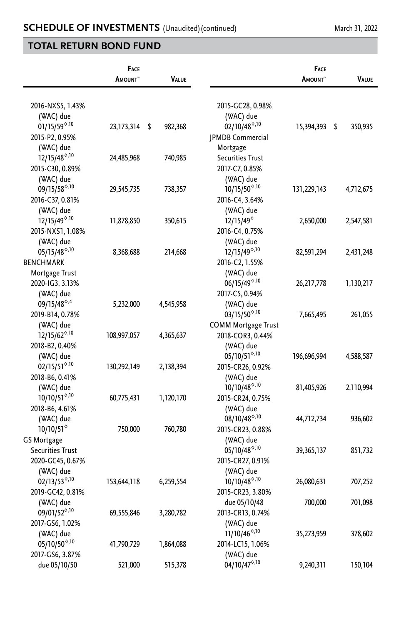|                                              | FACE<br>AMOUNT <sup>~</sup> | VALUE         |                                              | FACE<br>AMOUNT <sup>~</sup> | VALUE         |
|----------------------------------------------|-----------------------------|---------------|----------------------------------------------|-----------------------------|---------------|
| 2016-NXS5, 1.43%                             |                             |               | 2015-GC28, 0.98%                             |                             |               |
| (WAC) due                                    |                             |               | (WAC) due                                    |                             |               |
| 01/15/59 <sup><math>\diamond</math>,10</sup> | 23, 173, 314                | \$<br>982,368 | 02/10/48 <sup><math>\diamond</math>,10</sup> | 15,394,393                  | \$<br>350,935 |
| 2015-P2, 0.95%                               |                             |               | JPMDB Commercial                             |                             |               |
| (WAC) due                                    |                             |               | Mortgage                                     |                             |               |
| $12/15/48^{\diamond,10}$                     | 24,485,968                  | 740,985       | Securities Trust                             |                             |               |
| 2015-C30, 0.89%                              |                             |               | 2017-C7, 0.85%                               |                             |               |
| (WAC) due                                    |                             |               | (WAC) due                                    |                             |               |
| 09/15/58 <sup><math>\diamond</math>,10</sup> | 29,545,735                  | 738,357       | 10/15/50 <sup><math>\diamond</math>,10</sup> | 131,229,143                 | 4,712,675     |
| 2016-C37, 0.81%                              |                             |               | 2016-C4, 3.64%                               |                             |               |
| (WAC) due                                    |                             |               | (WAC) due                                    |                             |               |
| $12/15/49^{\circ,10}$                        | 11,878,850                  | 350,615       | 12/15/49 <sup>6</sup>                        | 2,650,000                   | 2,547,581     |
| 2015-NXS1, 1.08%                             |                             |               | 2016-C4, 0.75%                               |                             |               |
| (WAC) due                                    |                             |               | (WAC) due                                    |                             |               |
| $05/15/48^{\circ,10}$                        | 8,368,688                   | 214,668       | 12/15/49 <sup>6,10</sup>                     | 82,591,294                  | 2,431,248     |
| <b>BENCHMARK</b>                             |                             |               | 2016-C2, 1.55%                               |                             |               |
| Mortgage Trust                               |                             |               | (WAC) due                                    |                             |               |
| 2020-IG3, 3.13%                              |                             |               | 06/15/49 <sup><math>\diamond</math>,10</sup> | 26,217,778                  | 1,130,217     |
| (WAC) due                                    |                             |               | 2017-C5, 0.94%                               |                             |               |
| 09/15/48 <sup><math>\diamond</math>,4</sup>  | 5,232,000                   | 4,545,958     | (WAC) due                                    |                             |               |
| 2019-B14, 0.78%                              |                             |               | $03/15/50^{\diamond,10}$                     | 7,665,495                   | 261,055       |
| (WAC) due                                    |                             |               | <b>COMM Mortgage Trust</b>                   |                             |               |
| $12/15/62^{\diamond,10}$                     | 108,997,057                 | 4,365,637     | 2018-COR3, 0.44%                             |                             |               |
| 2018-B2, 0.40%                               |                             |               | (WAC) due                                    |                             |               |
| (WAC) due                                    |                             |               | $05/10/51^{\diamond,10}$                     | 196,696,994                 | 4,588,587     |
| $02/15/51^{\diamond,10}$                     | 130,292,149                 | 2,138,394     | 2015-CR26, 0.92%                             |                             |               |
| 2018-B6, 0.41%                               |                             |               | (WAC) due                                    |                             |               |
| (WAC) due                                    |                             |               | 10/10/48 <sup><math>\diamond</math>,10</sup> | 81,405,926                  | 2,110,994     |
| $10/10/51^{\diamond,10}$                     | 60,775,431                  | 1,120,170     | 2015-CR24, 0.75%                             |                             |               |
| 2018-B6, 4.61%                               |                             |               | (WAC) due                                    |                             |               |
| (WAC) due                                    |                             |               | $08/10/48^{\diamond,10}$                     | 44,712,734                  | 936,602       |
| $10/10/51^{\circ}$                           | 750,000                     | 760,780       | 2015-CR23, 0.88%                             |                             |               |
| GS Mortgage                                  |                             |               | (WAC) due                                    |                             |               |
| <b>Securities Trust</b>                      |                             |               | 05/10/48 <sup><math>\diamond</math>,10</sup> | 39,365,137                  | 851,732       |
| 2020-GC45, 0.67%                             |                             |               | 2015-CR27, 0.91%                             |                             |               |
| (WAC) due                                    |                             |               | (WAC) due                                    |                             |               |
| $02/13/53^{\diamond,10}$                     | 153,644,118                 | 6,259,554     | $10/10/48^{\diamond,10}$                     | 26,080,631                  | 707,252       |
| 2019-GC42, 0.81%                             |                             |               | 2015-CR23, 3.80%                             |                             |               |
| (WAC) due                                    |                             |               | due 05/10/48                                 | 700,000                     | 701,098       |
| 09/01/52 <sup><math>\diamond</math>,10</sup> | 69,555,846                  | 3,280,782     | 2013-CR13, 0.74%                             |                             |               |
| 2017-GS6, 1.02%                              |                             |               | (WAC) due                                    |                             |               |
| (WAC) due                                    |                             |               | $11/10/46^{\circ,10}$                        | 35,273,959                  | 378,602       |
| 05/10/50 <sup><math>\diamond</math>,10</sup> | 41,790,729                  | 1,864,088     | 2014-LC15, 1.06%                             |                             |               |
| 2017-GS6, 3.87%                              |                             |               | (WAC) due                                    |                             |               |
| due 05/10/50                                 | 521,000                     | 515,378       | 04/10/47 <sup><math>\diamond</math>,10</sup> | 9,240,311                   | 150,104       |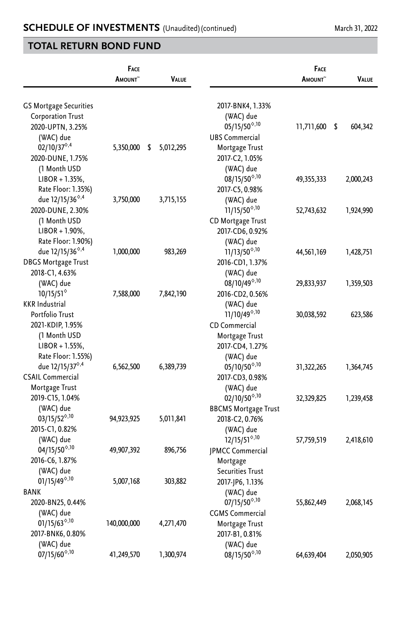|                               | <b>FACE</b><br>AMOUNT <sup>~</sup> | <b>VALUE</b>    |                                              | <b>FACE</b><br>AMOUNT <sup>~</sup> | <b>VALUE</b>  |
|-------------------------------|------------------------------------|-----------------|----------------------------------------------|------------------------------------|---------------|
|                               |                                    |                 |                                              |                                    |               |
| <b>GS Mortgage Securities</b> |                                    |                 | 2017-BNK4, 1.33%                             |                                    |               |
| <b>Corporation Trust</b>      |                                    |                 | (WAC) due                                    |                                    |               |
| 2020-UPTN, 3.25%              |                                    |                 | $05/15/50^{\diamond,10}$                     | 11,711,600                         | \$<br>604,342 |
| (WAC) due                     |                                    |                 | <b>UBS Commercial</b>                        |                                    |               |
| $02/10/37^{\diamond,4}$       | 5,350,000                          | \$<br>5,012,295 | Mortgage Trust                               |                                    |               |
| 2020-DUNE, 1.75%              |                                    |                 | 2017-C2, 1.05%                               |                                    |               |
| (1 Month USD                  |                                    |                 | (WAC) due                                    |                                    |               |
| LIBOR + 1.35%,                |                                    |                 | 08/15/50 <sup><math>\diamond</math>,10</sup> | 49,355,333                         | 2,000,243     |
| Rate Floor: 1.35%)            |                                    |                 | 2017-C5, 0.98%                               |                                    |               |
| due 12/15/36 <sup>6,4</sup>   | 3,750,000                          | 3,715,155       | (WAC) due                                    |                                    |               |
| 2020-DUNE, 2.30%              |                                    |                 | $11/15/50^{\circ,10}$                        | 52,743,632                         | 1,924,990     |
| (1 Month USD                  |                                    |                 | CD Mortgage Trust                            |                                    |               |
| LIBOR + 1.90%,                |                                    |                 | 2017-CD6, 0.92%                              |                                    |               |
| Rate Floor: 1.90%)            |                                    |                 | (WAC) due                                    |                                    |               |
| due 12/15/36 <sup>6,4</sup>   | 1,000,000                          | 983,269         | $11/13/50^{\diamond,10}$                     | 44,561,169                         | 1,428,751     |
| <b>DBGS Mortgage Trust</b>    |                                    |                 | 2016-CD1, 1.37%                              |                                    |               |
| 2018-C1, 4.63%                |                                    |                 | (WAC) due                                    |                                    |               |
| (WAC) due                     |                                    |                 | $08/10/49^{\circ,10}$                        | 29,833,937                         | 1,359,503     |
| $10/15/51^{\circ}$            | 7,588,000                          | 7,842,190       | 2016-CD2, 0.56%                              |                                    |               |
| <b>KKR</b> Industrial         |                                    |                 | (WAC) due                                    |                                    |               |
| Portfolio Trust               |                                    |                 | $11/10/49^{\diamond,10}$                     | 30,038,592                         | 623,586       |
| 2021-KDIP, 1.95%              |                                    |                 | <b>CD Commercial</b>                         |                                    |               |
| (1 Month USD                  |                                    |                 | Mortgage Trust                               |                                    |               |
| LIBOR + 1.55%,                |                                    |                 | 2017-CD4, 1.27%                              |                                    |               |
| Rate Floor: 1.55%)            |                                    |                 | (WAC) due                                    |                                    |               |
| due 12/15/37 <sup>0,4</sup>   | 6,562,500                          | 6,389,739       | 05/10/50 <sup><math>\diamond</math>,10</sup> | 31,322,265                         | 1,364,745     |
| <b>CSAIL Commercial</b>       |                                    |                 | 2017-CD3, 0.98%                              |                                    |               |
| Mortgage Trust                |                                    |                 | (WAC) due                                    |                                    |               |
| 2019-C15, 1.04%               |                                    |                 | $02/10/50^{\diamond,10}$                     | 32,329,825                         | 1,239,458     |
| (WAC) due                     |                                    |                 | <b>BBCMS Mortgage Trust</b>                  |                                    |               |
| $03/15/52^{\diamond,10}$      | 94,923,925                         | 5,011,841       | 2018-C2, 0.76%                               |                                    |               |
| 2015-C1, 0.82%                |                                    |                 | (WAC) due                                    |                                    |               |
| (WAC) due                     |                                    |                 | $12/15/51^{\diamond,10}$                     | 57,759,519                         | 2,418,610     |
| $04/15/50^{\circ,10}$         | 49,907,392                         | 896,756         | JPMCC Commercial                             |                                    |               |
| 2016-C6, 1.87%                |                                    |                 | Mortgage                                     |                                    |               |
| (WAC) due                     |                                    |                 | Securities Trust                             |                                    |               |
| $01/15/49^{\diamond,10}$      | 5,007,168                          | 303,882         | 2017-JP6, 1.13%                              |                                    |               |
| <b>BANK</b>                   |                                    |                 | (WAC) due                                    |                                    |               |
| 2020-BN25, 0.44%              |                                    |                 | $07/15/50^{\circ,10}$                        | 55,862,449                         | 2,068,145     |
| (WAC) due                     |                                    |                 | <b>CGMS Commercial</b>                       |                                    |               |
| $01/15/63^{\diamond,10}$      | 140,000,000                        | 4,271,470       | Mortgage Trust                               |                                    |               |
| 2017-BNK6, 0.80%              |                                    |                 | 2017-B1, 0.81%                               |                                    |               |
| (WAC) due                     |                                    |                 | (WAC) due                                    |                                    |               |
| 07/15/60 $^{\circ,10}$        | 41,249,570                         | 1,300,974       | 08/15/50 $^{\diamond,10}$                    | 64,639,404                         | 2,050,905     |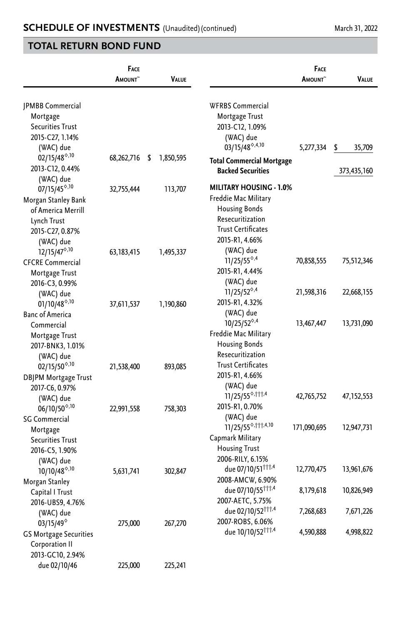|                                              | <b>FACE</b><br><b>A</b> MOUNT~ | <b>VALUE</b>    |                                                             | <b>FACE</b><br>Amount~ | VALUE        |
|----------------------------------------------|--------------------------------|-----------------|-------------------------------------------------------------|------------------------|--------------|
|                                              |                                |                 |                                                             |                        |              |
| JPMBB Commercial                             |                                |                 | <b>WFRBS Commercial</b>                                     |                        |              |
| Mortgage<br>Securities Trust                 |                                |                 | Mortgage Trust<br>2013-C12, 1.09%                           |                        |              |
| 2015-C27, 1.14%                              |                                |                 |                                                             |                        |              |
| (WAC) due                                    |                                |                 | (WAC) due<br>03/15/48 <sup><math>\diamond</math>,4,10</sup> | 5,277,334              | \$<br>35,709 |
| $02/15/48^{\diamond,10}$                     | 68,262,716                     | \$<br>1,850,595 |                                                             |                        |              |
| 2013-C12, 0.44%                              |                                |                 | <b>Total Commercial Mortgage</b>                            |                        |              |
| (WAC) due                                    |                                |                 | <b>Backed Securities</b>                                    |                        | 373,435,160  |
| $07/15/45^{\diamond,10}$                     | 32,755,444                     | 113,707         | <b>MILITARY HOUSING - 1.0%</b>                              |                        |              |
| Morgan Stanley Bank                          |                                |                 | Freddie Mac Military                                        |                        |              |
| of America Merrill                           |                                |                 | Housing Bonds                                               |                        |              |
| Lynch Trust                                  |                                |                 | Resecuritization                                            |                        |              |
|                                              |                                |                 | <b>Trust Certificates</b>                                   |                        |              |
| 2015-C27, 0.87%<br>(WAC) due                 |                                |                 | 2015-R1, 4.66%                                              |                        |              |
| 12/15/47 <sup>6,10</sup>                     | 63, 183, 415                   | 1,495,337       | (WAC) due                                                   |                        |              |
| <b>CFCRE Commercial</b>                      |                                |                 | $11/25/55^{\diamond,4}$                                     | 70,858,555             | 75,512,346   |
| Mortgage Trust                               |                                |                 | 2015-R1, 4.44%                                              |                        |              |
| 2016-C3, 0.99%                               |                                |                 | (WAC) due                                                   |                        |              |
| (WAC) due                                    |                                |                 | $11/25/52^{\circ.4}$                                        | 21,598,316             | 22,668,155   |
| $01/10/48^{\diamond,10}$                     | 37,611,537                     | 1,190,860       | 2015-R1, 4.32%                                              |                        |              |
| <b>Banc of America</b>                       |                                |                 | (WAC) due                                                   |                        |              |
| Commercial                                   |                                |                 | $10/25/52^{\diamond,4}$                                     | 13,467,447             | 13,731,090   |
| Mortgage Trust                               |                                |                 | Freddie Mac Military                                        |                        |              |
| 2017-BNK3, 1.01%                             |                                |                 | <b>Housing Bonds</b>                                        |                        |              |
| (WAC) due                                    |                                |                 | Resecuritization                                            |                        |              |
| $02/15/50^{\diamond,10}$                     | 21,538,400                     | 893,085         | <b>Trust Certificates</b>                                   |                        |              |
| DBJPM Mortgage Trust                         |                                |                 | 2015-R1, 4.66%                                              |                        |              |
| 2017-C6, 0.97%                               |                                |                 | (WAC) due                                                   |                        |              |
| (WAC) due                                    |                                |                 | 11/25/55 * 111.4                                            | 42,765,752             | 47, 152, 553 |
| 06/10/50 $^{\diamond,10}$                    | 22,991,558                     | 758,303         | 2015-R1, 0.70%                                              |                        |              |
| <b>SG Commercial</b>                         |                                |                 | (WAC) due                                                   |                        |              |
| Mortgage                                     |                                |                 | 11/25/55 <sup>°</sup> ,†††,4,10                             | 171,090,695            | 12,947,731   |
| <b>Securities Trust</b>                      |                                |                 | Capmark Military                                            |                        |              |
| 2016-C5, 1.90%                               |                                |                 | <b>Housing Trust</b>                                        |                        |              |
| (WAC) due                                    |                                |                 | 2006-RILY, 6.15%                                            |                        |              |
| 10/10/48 <sup><math>\diamond</math>,10</sup> | 5,631,741                      | 302,847         | due 07/10/51 <sup>111,4</sup>                               | 12,770,475             | 13,961,676   |
| Morgan Stanley                               |                                |                 | 2008-AMCW, 6.90%                                            |                        |              |
| Capital I Trust                              |                                |                 | due 07/10/55 <sup>† † †,4</sup>                             | 8,179,618              | 10,826,949   |
| 2016-UBS9, 4.76%                             |                                |                 | 2007-AETC, 5.75%                                            |                        |              |
| (WAC) due                                    |                                |                 | due 02/10/52 <sup>†††,4</sup>                               | 7,268,683              | 7,671,226    |
| $03/15/49^{\circ}$                           | 275,000                        | 267,270         | 2007-ROBS, 6.06%                                            |                        |              |
| GS Mortgage Securities                       |                                |                 | due 10/10/52 <sup>†††,4</sup>                               | 4,590,888              | 4,998,822    |
| Corporation II                               |                                |                 |                                                             |                        |              |
| 2013-GC10, 2.94%                             |                                |                 |                                                             |                        |              |
| due 02/10/46                                 | 225,000                        | 225,241         |                                                             |                        |              |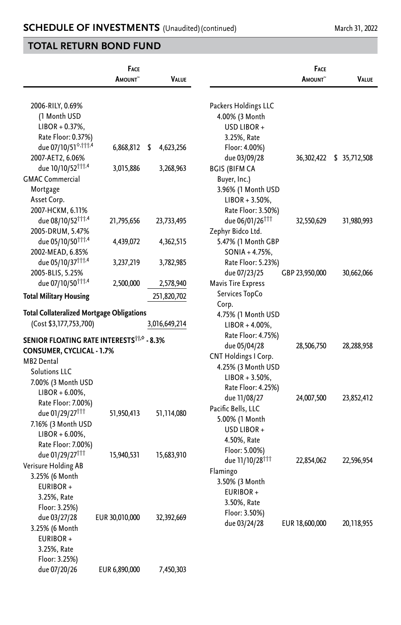|                                                 | FACE<br>AMOUNT <sup>~</sup> | <b>VALUE</b>    |                             | FACE<br><b>A</b> MOUNT~ | <b>VALUE</b>  |
|-------------------------------------------------|-----------------------------|-----------------|-----------------------------|-------------------------|---------------|
|                                                 |                             |                 |                             |                         |               |
| 2006-RILY, 0.69%                                |                             |                 | Packers Holdings LLC        |                         |               |
| (1 Month USD                                    |                             |                 | 4.00% (3 Month              |                         |               |
| $LIBOR + 0.37%$                                 |                             |                 | USD LIBOR +                 |                         |               |
| Rate Floor: 0.37%)                              |                             |                 | 3.25%, Rate                 |                         |               |
| due 07/10/51 <sup>9,111,4</sup>                 | 6,868,812                   | \$<br>4,623,256 | Floor: 4.00%)               |                         |               |
| 2007-AET2, 6.06%                                |                             |                 | due 03/09/28                | 36,302,422              | \$ 35,712,508 |
| due 10/10/52 <sup>†††,4</sup>                   | 3,015,886                   | 3,268,963       | <b>BGIS (BIFM CA</b>        |                         |               |
| <b>GMAC Commercial</b>                          |                             |                 | Buyer, Inc.)                |                         |               |
| Mortgage                                        |                             |                 | 3.96% (1 Month USD          |                         |               |
| Asset Corp.                                     |                             |                 | $LIBOR + 3.50\%,$           |                         |               |
| 2007-HCKM, 6.11%                                |                             |                 | Rate Floor: 3.50%)          |                         |               |
| due 08/10/52 <sup>†††,4</sup>                   | 21,795,656                  | 23,733,495      | due 06/01/26 <sup>111</sup> | 32,550,629              | 31,980,993    |
| 2005-DRUM, 5.47%                                |                             |                 | Zephyr Bidco Ltd.           |                         |               |
| due 05/10/50 <sup>†††,4</sup>                   | 4,439,072                   | 4,362,515       | 5.47% (1 Month GBP          |                         |               |
| 2002-MEAD, 6.85%                                |                             |                 | SONIA + 4.75%,              |                         |               |
| due 05/10/37 11,4                               | 3,237,219                   | 3,782,985       | Rate Floor: 5.23%)          |                         |               |
| 2005-BLIS, 5.25%                                |                             |                 | due 07/23/25                | GBP 23,950,000          | 30,662,066    |
| due 07/10/50 <sup>111,4</sup>                   | 2,500,000                   | 2,578,940       | <b>Mavis Tire Express</b>   |                         |               |
| <b>Total Military Housing</b>                   |                             | 251,820,702     | Services TopCo              |                         |               |
|                                                 |                             |                 | Corp.                       |                         |               |
| Total Collateralized Mortgage Obligations       |                             |                 | 4.75% (1 Month USD          |                         |               |
| (Cost \$3,177,753,700)                          |                             | 3,016,649,214   | $LIBOR + 4.00\%$ ,          |                         |               |
| <b>SENIOR FLOATING RATE INTERESTS TO - 8.3%</b> |                             |                 | Rate Floor: 4.75%)          |                         |               |
| <b>CONSUMER, CYCLICAL - 1.7%</b>                |                             |                 | due 05/04/28                | 28,506,750              | 28,288,958    |
| MB2 Dental                                      |                             |                 | CNT Holdings I Corp.        |                         |               |
| <b>Solutions LLC</b>                            |                             |                 | 4.25% (3 Month USD          |                         |               |
| 7.00% (3 Month USD                              |                             |                 | $LIBOR + 3.50\%$            |                         |               |
| $LIBOR + 6.00\%$ ,                              |                             |                 | Rate Floor: 4.25%)          |                         |               |
| Rate Floor: 7.00%)                              |                             |                 | due 11/08/27                | 24,007,500              | 23,852,412    |
| due 01/29/27 <sup>111</sup>                     | 51,950,413                  | 51,114,080      | Pacific Bells, LLC          |                         |               |
| 7.16% (3 Month USD                              |                             |                 | 5.00% (1 Month              |                         |               |
| $LIBOR + 6.00\%$ ,                              |                             |                 | USD LIBOR +                 |                         |               |
| Rate Floor: 7.00%)                              |                             |                 | 4.50%, Rate                 |                         |               |
| due 01/29/27 <sup>†††</sup>                     | 15,940,531                  | 15,683,910      | Floor: 5.00%)               |                         |               |
| Verisure Holding AB                             |                             |                 | due 11/10/28 <sup>TTT</sup> | 22,854,062              | 22,596,954    |
| 3.25% (6 Month                                  |                             |                 | Flamingo                    |                         |               |
| EURIBOR+                                        |                             |                 | 3.50% (3 Month              |                         |               |
| 3.25%, Rate                                     |                             |                 | EURIBOR+                    |                         |               |
| Floor: 3.25%)                                   |                             |                 | 3.50%, Rate                 |                         |               |
| due 03/27/28                                    | EUR 30,010,000              | 32,392,669      | Floor: 3.50%)               |                         |               |
| 3.25% (6 Month                                  |                             |                 | due 03/24/28                | EUR 18,600,000          | 20,118,955    |
| EURIBOR+                                        |                             |                 |                             |                         |               |
| 3.25%, Rate                                     |                             |                 |                             |                         |               |
| Floor: 3.25%)                                   |                             |                 |                             |                         |               |
| due 07/20/26                                    | EUR 6,890,000               | 7,450,303       |                             |                         |               |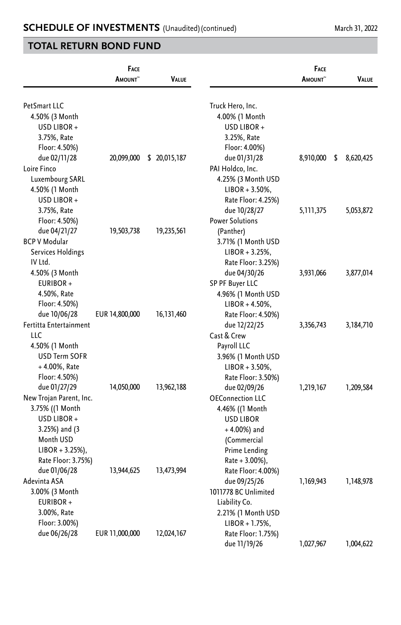|                                        | <b>FACE</b><br><b>A</b> mount~ | VALUE         |                                   | <b>FACE</b><br><b>A</b> MOUNT | <b>VALUE</b>    |
|----------------------------------------|--------------------------------|---------------|-----------------------------------|-------------------------------|-----------------|
|                                        |                                |               |                                   |                               |                 |
| PetSmart LLC                           |                                |               | Truck Hero, Inc.                  |                               |                 |
| 4.50% (3 Month                         |                                |               | 4.00% (1 Month                    |                               |                 |
| USD LIBOR +                            |                                |               | USD LIBOR +                       |                               |                 |
| 3.75%, Rate                            |                                |               | 3.25%, Rate                       |                               |                 |
| Floor: 4.50%)                          |                                |               | Floor: 4.00%)                     |                               |                 |
| due 02/11/28                           | 20,099,000                     | \$ 20,015,187 | due 01/31/28                      | 8,910,000                     | 8,620,425<br>\$ |
| Loire Finco                            |                                |               | PAI Holdco, Inc.                  |                               |                 |
| Luxembourg SARL                        |                                |               | 4.25% (3 Month USD                |                               |                 |
| 4.50% (1 Month                         |                                |               | $LIBOR + 3.50\%,$                 |                               |                 |
| USD LIBOR +                            |                                |               | Rate Floor: 4.25%)                |                               |                 |
| 3.75%, Rate                            |                                |               | due 10/28/27                      | 5, 111, 375                   | 5,053,872       |
| Floor: 4.50%)                          |                                |               | <b>Power Solutions</b>            |                               |                 |
| due 04/21/27                           | 19,503,738                     | 19,235,561    | (Panther)                         |                               |                 |
| <b>BCP V Modular</b>                   |                                |               | 3.71% (1 Month USD                |                               |                 |
| Services Holdings                      |                                |               | $LIBOR + 3.25%$                   |                               |                 |
| IV Ltd.                                |                                |               | Rate Floor: 3.25%)                |                               |                 |
| 4.50% (3 Month                         |                                |               | due 04/30/26                      | 3,931,066                     | 3,877,014       |
| EURIBOR+                               |                                |               | SP PF Buyer LLC                   |                               |                 |
| 4.50%, Rate                            |                                |               | 4.96% (1 Month USD                |                               |                 |
| Floor: 4.50%)<br>due 10/06/28          | EUR 14,800,000                 | 16,131,460    | $LIBOR + 4.50\%,$                 |                               |                 |
| Fertitta Entertainment                 |                                |               | Rate Floor: 4.50%)                |                               |                 |
| LLC                                    |                                |               | due 12/22/25<br>Cast & Crew       | 3,356,743                     | 3,184,710       |
|                                        |                                |               |                                   |                               |                 |
| 4.50% (1 Month<br><b>USD Term SOFR</b> |                                |               | Payroll LLC<br>3.96% (1 Month USD |                               |                 |
| +4.00%, Rate                           |                                |               | $LIBOR + 3.50\%,$                 |                               |                 |
| Floor: 4.50%)                          |                                |               | Rate Floor: 3.50%)                |                               |                 |
| due 01/27/29                           | 14,050,000                     | 13,962,188    | due 02/09/26                      | 1,219,167                     | 1,209,584       |
| New Trojan Parent, Inc.                |                                |               | <b>OEConnection LLC</b>           |                               |                 |
| 3.75% ((1 Month                        |                                |               | 4.46% ((1 Month                   |                               |                 |
| USD LIBOR+                             |                                |               | USD LIBOR                         |                               |                 |
| 3.25%) and (3                          |                                |               | +4.00%) and                       |                               |                 |
| Month USD                              |                                |               | (Commercial                       |                               |                 |
| $LIBOR + 3.25\%$ ,                     |                                |               | Prime Lending                     |                               |                 |
| Rate Floor: 3.75%)                     |                                |               | $Rate + 3.00\%$ ),                |                               |                 |
| due 01/06/28                           | 13,944,625                     | 13,473,994    | Rate Floor: 4.00%)                |                               |                 |
| Adevinta ASA                           |                                |               | due 09/25/26                      | 1,169,943                     | 1,148,978       |
| 3.00% (3 Month                         |                                |               | 1011778 BC Unlimited              |                               |                 |
| EURIBOR+                               |                                |               | Liability Co.                     |                               |                 |
| 3.00%, Rate                            |                                |               | 2.21% (1 Month USD                |                               |                 |
| Floor: 3.00%)                          |                                |               | $LIBOR + 1.75%$ ,                 |                               |                 |
| due 06/26/28                           | EUR 11,000,000                 | 12,024,167    | Rate Floor: 1.75%)                |                               |                 |
|                                        |                                |               | due 11/19/26                      | 1,027,967                     | 1,004,622       |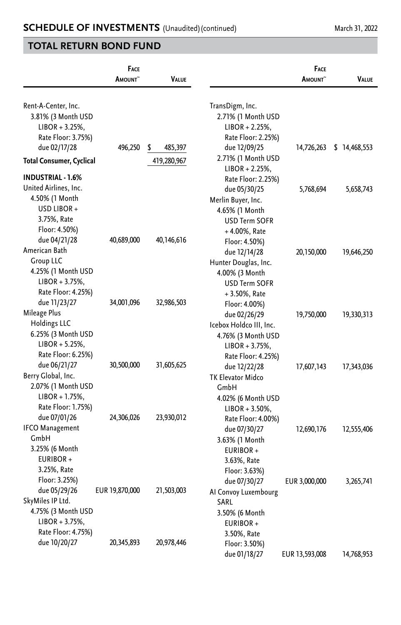|                          | <b>FACE</b><br><b>A</b> MOUNT~ | VALUE         |                                       | <b>FACE</b><br><b>A</b> MOUNT | VALUE        |
|--------------------------|--------------------------------|---------------|---------------------------------------|-------------------------------|--------------|
|                          |                                |               |                                       |                               |              |
| Rent-A-Center, Inc.      |                                |               | TransDigm, Inc.                       |                               |              |
| 3.81% (3 Month USD       |                                |               | 2.71% (1 Month USD                    |                               |              |
| $LIBOR + 3.25%$          |                                |               | $LIBOR + 2.25%$                       |                               |              |
| Rate Floor: 3.75%)       |                                |               | Rate Floor: 2.25%)                    |                               |              |
| due 02/17/28             | 496,250                        | \$<br>485,397 | due 12/09/25                          | 14,726,263                    | \$14,468,553 |
| Total Consumer, Cyclical |                                | 419,280,967   | 2.71% (1 Month USD<br>$LIBOR + 2.25%$ |                               |              |
| <b>INDUSTRIAL - 1.6%</b> |                                |               | Rate Floor: 2.25%)                    |                               |              |
| United Airlines, Inc.    |                                |               | due 05/30/25                          | 5,768,694                     | 5,658,743    |
| 4.50% (1 Month           |                                |               | Merlin Buyer, Inc.                    |                               |              |
| USD LIBOR +              |                                |               | 4.65% (1 Month                        |                               |              |
| 3.75%, Rate              |                                |               | USD Term SOFR                         |                               |              |
| Floor: 4.50%)            |                                |               | +4.00%, Rate                          |                               |              |
| due 04/21/28             | 40,689,000                     | 40,146,616    | Floor: 4.50%)                         |                               |              |
| American Bath            |                                |               | due 12/14/28                          | 20,150,000                    | 19,646,250   |
| <b>Group LLC</b>         |                                |               | Hunter Douglas, Inc.                  |                               |              |
| 4.25% (1 Month USD       |                                |               | 4.00% (3 Month                        |                               |              |
| $LIBOR + 3.75%$          |                                |               | <b>USD Term SOFR</b>                  |                               |              |
| Rate Floor: 4.25%)       |                                |               | $+3.50\%$ , Rate                      |                               |              |
| due 11/23/27             | 34,001,096                     | 32,986,503    | Floor: 4.00%)                         |                               |              |
| Mileage Plus             |                                |               | due 02/26/29                          | 19,750,000                    | 19,330,313   |
| <b>Holdings LLC</b>      |                                |               | Icebox Holdco III, Inc.               |                               |              |
| 6.25% (3 Month USD       |                                |               | 4.76% (3 Month USD                    |                               |              |
| $LIBOR + 5.25%$          |                                |               | $LIBOR + 3.75%$ ,                     |                               |              |
| Rate Floor: 6.25%)       |                                |               | Rate Floor: 4.25%)                    |                               |              |
| due 06/21/27             | 30,500,000                     | 31,605,625    | due 12/22/28                          | 17,607,143                    | 17,343,036   |
| Berry Global, Inc.       |                                |               | TK Elevator Midco                     |                               |              |
| 2.07% (1 Month USD       |                                |               | GmbH                                  |                               |              |
| $LIBOR + 1.75%$ ,        |                                |               | 4.02% (6 Month USD                    |                               |              |
| Rate Floor: 1.75%)       |                                |               | $LIBOR + 3.50\%,$                     |                               |              |
| due 07/01/26             | 24,306,026                     | 23,930,012    | Rate Floor: 4.00%)                    |                               |              |
| <b>IFCO Management</b>   |                                |               | due 07/30/27                          | 12,690,176                    | 12,555,406   |
| GmbH                     |                                |               | 3.63% (1 Month                        |                               |              |
| 3.25% (6 Month           |                                |               | EURIBOR+                              |                               |              |
| EURIBOR+                 |                                |               | 3.63%, Rate                           |                               |              |
| 3.25%, Rate              |                                |               | Floor: 3.63%)                         |                               |              |
| Floor: 3.25%)            |                                |               | due 07/30/27                          | EUR 3,000,000                 | 3,265,741    |
| due 05/29/26             | EUR 19,870,000                 | 21,503,003    | AI Convoy Luxembourg                  |                               |              |
| SkyMiles IP Ltd.         |                                |               | SARL                                  |                               |              |
| 4.75% (3 Month USD       |                                |               | 3.50% (6 Month                        |                               |              |
| $LIBOR + 3.75%$          |                                |               | EURIBOR+                              |                               |              |
| Rate Floor: 4.75%)       |                                |               | 3.50%, Rate                           |                               |              |
| due 10/20/27             | 20,345,893                     | 20,978,446    | Floor: 3.50%)                         |                               |              |
|                          |                                |               | due 01/18/27                          | EUR 13,593,008                | 14,768,953   |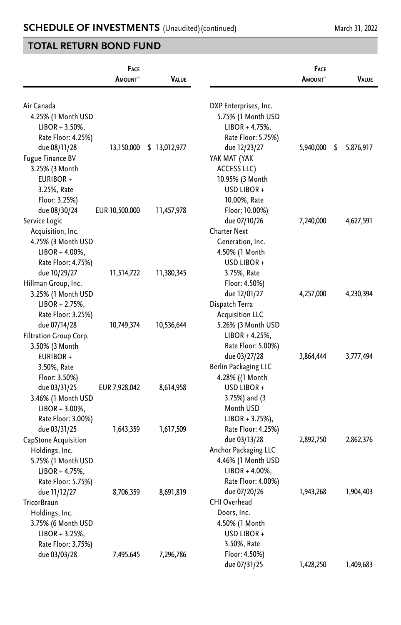|                                          | FACE<br>AMOUNT <sup>^</sup> | <b>VALUE</b> |                                  | FACE<br><b>AMOUNT</b> | <b>VALUE</b>    |
|------------------------------------------|-----------------------------|--------------|----------------------------------|-----------------------|-----------------|
| Air Canada                               |                             |              | DXP Enterprises, Inc.            |                       |                 |
| 4.25% (1 Month USD                       |                             |              | 5.75% (1 Month USD               |                       |                 |
| $LIBOR + 3.50\%,$                        |                             |              | $LIBOR + 4.75%$ ,                |                       |                 |
| Rate Floor: 4.25%)                       |                             |              | Rate Floor: 5.75%)               |                       |                 |
| due 08/11/28                             | 13,150,000                  | \$13,012,977 | due 12/23/27                     | 5,940,000             | \$<br>5,876,917 |
| <b>Fugue Finance BV</b>                  |                             |              | YAK MAT (YAK                     |                       |                 |
| 3.25% (3 Month                           |                             |              | ACCESS LLC)                      |                       |                 |
| EURIBOR+                                 |                             |              | 10.95% (3 Month                  |                       |                 |
| 3.25%, Rate                              |                             |              | USD LIBOR +                      |                       |                 |
| Floor: 3.25%)                            |                             |              | 10.00%, Rate                     |                       |                 |
| due 08/30/24                             | EUR 10,500,000              | 11,457,978   | Floor: 10.00%)                   |                       |                 |
| Service Logic                            |                             |              | due 07/10/26                     | 7,240,000             | 4,627,591       |
| Acquisition, Inc.                        |                             |              | <b>Charter Next</b>              |                       |                 |
| 4.75% (3 Month USD                       |                             |              | Generation, Inc.                 |                       |                 |
| $LIBOR + 4.00\%$ ,                       |                             |              | 4.50% (1 Month                   |                       |                 |
| Rate Floor: 4.75%)                       |                             |              | USD LIBOR +                      |                       |                 |
| due 10/29/27                             | 11,514,722                  | 11,380,345   | 3.75%, Rate                      |                       |                 |
| Hillman Group, Inc.                      |                             |              | Floor: 4.50%)                    |                       |                 |
| 3.25% (1 Month USD                       |                             |              | due 12/01/27                     | 4,257,000             | 4,230,394       |
| $LIBOR + 2.75%$ ,                        |                             |              | Dispatch Terra                   |                       |                 |
| Rate Floor: 3.25%)                       |                             |              | <b>Acquisition LLC</b>           |                       |                 |
| due 07/14/28                             | 10,749,374                  | 10,536,644   | 5.26% (3 Month USD               |                       |                 |
| Filtration Group Corp.                   |                             |              | $LIBOR + 4.25%$ ,                |                       |                 |
| 3.50% (3 Month                           |                             |              | Rate Floor: 5.00%)               |                       |                 |
| EURIBOR+                                 |                             |              | due 03/27/28                     | 3,864,444             | 3,777,494       |
| 3.50%, Rate                              |                             |              | Berlin Packaging LLC             |                       |                 |
| Floor: 3.50%)                            |                             |              | 4.28% ((1 Month                  |                       |                 |
| due 03/31/25                             | EUR 7,928,042               | 8,614,958    | USD LIBOR +                      |                       |                 |
| 3.46% (1 Month USD                       |                             |              | 3.75%) and (3                    |                       |                 |
| $LIBOR + 3.00\%$ ,<br>Rate Floor: 3.00%) |                             |              | Month USD<br>$LIBOR + 3.75\%$ ), |                       |                 |
| due 03/31/25                             | 1,643,359                   | 1,617,509    | Rate Floor: 4.25%)               |                       |                 |
| CapStone Acquisition                     |                             |              | due 03/13/28                     | 2,892,750             | 2,862,376       |
| Holdings, Inc.                           |                             |              | Anchor Packaging LLC             |                       |                 |
| 5.75% (1 Month USD                       |                             |              | 4.46% (1 Month USD               |                       |                 |
| $LIBOR + 4.75%$                          |                             |              | $LIBOR + 4.00\%$                 |                       |                 |
| Rate Floor: 5.75%)                       |                             |              | Rate Floor: 4.00%)               |                       |                 |
| due 11/12/27                             | 8,706,359                   | 8,691,819    | due 07/20/26                     | 1,943,268             | 1,904,403       |
| <b>TricorBraun</b>                       |                             |              | <b>CHI Overhead</b>              |                       |                 |
| Holdings, Inc.                           |                             |              | Doors, Inc.                      |                       |                 |
| 3.75% (6 Month USD                       |                             |              | 4.50% (1 Month                   |                       |                 |
| $LIBOR + 3.25%$                          |                             |              | USD LIBOR +                      |                       |                 |
| Rate Floor: 3.75%)                       |                             |              | 3.50%, Rate                      |                       |                 |
| due 03/03/28                             | 7,495,645                   | 7,296,786    | Floor: 4.50%)                    |                       |                 |
|                                          |                             |              | due 07/31/25                     | 1,428,250             | 1,409,683       |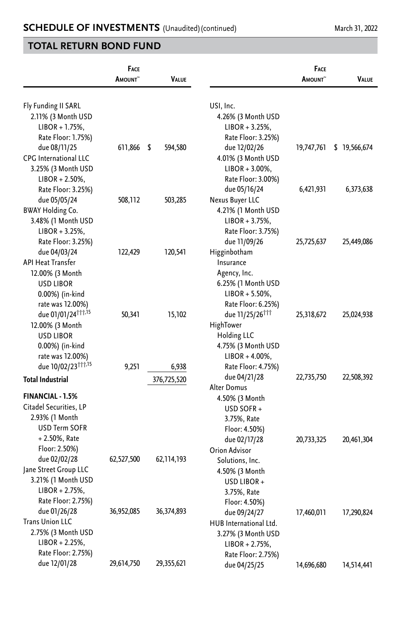|                                                                                                                                                                           | FACE<br><b>A</b> MOUNT | <b>VALUE</b>         |                                                                                                                                                       | FACE<br><b>A</b> MOUNT | VALUE        |
|---------------------------------------------------------------------------------------------------------------------------------------------------------------------------|------------------------|----------------------|-------------------------------------------------------------------------------------------------------------------------------------------------------|------------------------|--------------|
| Fly Funding II SARL<br>2.11% (3 Month USD<br>$LIBOR + 1.75%$ ,                                                                                                            |                        |                      | USI, Inc.<br>4.26% (3 Month USD<br>$LIBOR + 3.25%$                                                                                                    |                        |              |
| Rate Floor: 1.75%)<br>due 08/11/25<br>CPG International LLC<br>3.25% (3 Month USD<br>$LIBOR + 2.50\%,$                                                                    | 611,866                | \$<br>594,580        | Rate Floor: 3.25%)<br>due 12/02/26<br>4.01% (3 Month USD<br>$LIBOR + 3.00\%$ ,<br>Rate Floor: 3.00%)                                                  | 19,747,761             | \$19,566,674 |
| Rate Floor: 3.25%)<br>due 05/05/24<br><b>BWAY Holding Co.</b><br>3.48% (1 Month USD                                                                                       | 508,112                | 503,285              | due 05/16/24<br>Nexus Buyer LLC<br>4.21% (1 Month USD<br>$LIBOR + 3.75%$                                                                              | 6,421,931              | 6,373,638    |
| $LIBOR + 3.25%$<br>Rate Floor: 3.25%)<br>due 04/03/24<br><b>API Heat Transfer</b><br>12.00% (3 Month                                                                      | 122,429                | 120,541              | Rate Floor: 3.75%)<br>due 11/09/26<br>Higginbotham<br>Insurance<br>Agency, Inc.                                                                       | 25,725,637             | 25,449,086   |
| <b>USD LIBOR</b><br>0.00%) (in-kind<br>rate was 12.00%)<br>due 01/01/24 <sup>†††,15</sup><br>12.00% (3 Month<br><b>USD LIBOR</b><br>0.00%) (in-kind                       | 50,341                 | 15,102               | 6.25% (1 Month USD<br>$LIBOR + 5.50\%,$<br>Rate Floor: 6.25%)<br>due 11/25/26 <sup>TTT</sup><br>HighTower<br><b>Holding LLC</b><br>4.75% (3 Month USD | 25,318,672             | 25,024,938   |
| rate was 12.00%)<br>due 10/02/23 <sup>†††,15</sup><br><b>Total Industrial</b>                                                                                             | 9,251                  | 6,938<br>376,725,520 | $LIBOR + 4.00\%$ ,<br>Rate Floor: 4.75%)<br>due 04/21/28<br>Alter Domus                                                                               | 22,735,750             | 22,508,392   |
| <b>FINANCIAL - 1.5%</b><br>Citadel Securities, LP<br>2.93% (1 Month<br>USD Term SOFR<br>+ 2.50%, Rate<br>Floor: 2.50%)<br>due 02/02/28                                    | 62,527,500             | 62,114,193           | 4.50% (3 Month<br>USD SOFR+<br>3.75%, Rate<br>Floor: 4.50%)<br>due 02/17/28<br>Orion Advisor<br>Solutions, Inc.                                       | 20,733,325             | 20,461,304   |
| Jane Street Group LLC<br>3.21% (1 Month USD<br>$LIBOR + 2.75%$<br>Rate Floor: 2.75%)<br>due 01/26/28<br><b>Trans Union LLC</b><br>2.75% (3 Month USD<br>$LIBOR + 2.25%$ , | 36,952,085             | 36,374,893           | 4.50% (3 Month<br>USD LIBOR +<br>3.75%, Rate<br>Floor: 4.50%)<br>due 09/24/27<br>HUB International Ltd.<br>3.27% (3 Month USD<br>$LIBOR + 2.75%$      | 17,460,011             | 17,290,824   |
| Rate Floor: 2.75%)<br>due 12/01/28                                                                                                                                        | 29,614,750             | 29,355,621           | Rate Floor: 2.75%)<br>due 04/25/25                                                                                                                    | 14,696,680             | 14,514,441   |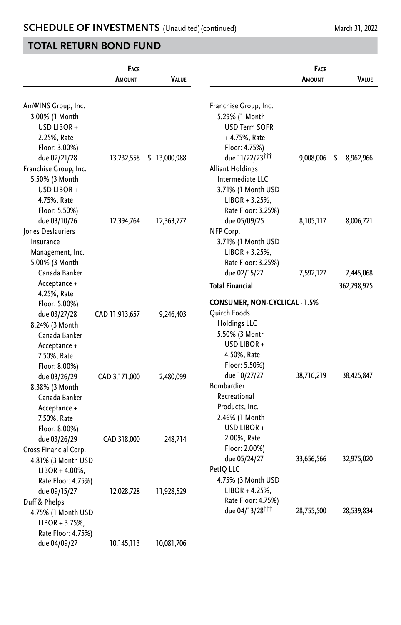|                       | FACE<br><b>A</b> mount~ | <b>VALUE</b> |                                                   | FACE<br>AMOUNT <sup>~</sup> | VALUE           |
|-----------------------|-------------------------|--------------|---------------------------------------------------|-----------------------------|-----------------|
| AmWINS Group, Inc.    |                         |              | Franchise Group, Inc.                             |                             |                 |
| 3.00% (1 Month        |                         |              | 5.29% (1 Month                                    |                             |                 |
| USD LIBOR +           |                         |              | USD Term SOFR                                     |                             |                 |
| 2.25%, Rate           |                         |              | +4.75%, Rate                                      |                             |                 |
| Floor: 3.00%)         |                         |              | Floor: 4.75%)                                     |                             |                 |
| due 02/21/28          | 13,232,558              | \$13,000,988 | due 11/22/23 <sup>111</sup>                       | 9,008,006                   | \$<br>8,962,966 |
| Franchise Group, Inc. |                         |              | <b>Alliant Holdings</b>                           |                             |                 |
| 5.50% (3 Month        |                         |              | Intermediate LLC                                  |                             |                 |
| USD LIBOR +           |                         |              | 3.71% (1 Month USD                                |                             |                 |
| 4.75%, Rate           |                         |              | $LIBOR + 3.25%$                                   |                             |                 |
| Floor: 5.50%)         |                         |              | Rate Floor: 3.25%)                                |                             |                 |
| due 03/10/26          | 12,394,764              | 12,363,777   | due 05/09/25                                      | 8,105,117                   | 8,006,721       |
| Jones Deslauriers     |                         |              | NFP Corp.                                         |                             |                 |
| Insurance             |                         |              | 3.71% (1 Month USD                                |                             |                 |
| Management, Inc.      |                         |              | $LIBOR + 3.25%$                                   |                             |                 |
| 5.00% (3 Month        |                         |              | Rate Floor: 3.25%)                                |                             |                 |
| Canada Banker         |                         |              | due 02/15/27                                      | 7,592,127                   | 7,445,068       |
| Acceptance +          |                         |              | <b>Total Financial</b>                            |                             | 362,798,975     |
| 4.25%, Rate           |                         |              |                                                   |                             |                 |
| Floor: 5.00%)         |                         |              | <b>CONSUMER, NON-CYCLICAL - 1.5%</b>              |                             |                 |
| due 03/27/28          | CAD 11,913,657          | 9,246,403    | Quirch Foods                                      |                             |                 |
| 8.24% (3 Month        |                         |              | <b>Holdings LLC</b>                               |                             |                 |
| Canada Banker         |                         |              | 5.50% (3 Month                                    |                             |                 |
| Acceptance +          |                         |              | USD LIBOR +                                       |                             |                 |
| 7.50%, Rate           |                         |              | 4.50%, Rate                                       |                             |                 |
| Floor: 8.00%)         |                         |              | Floor: 5.50%)                                     |                             |                 |
| due 03/26/29          | CAD 3,171,000           | 2,480,099    | due 10/27/27                                      | 38,716,219                  | 38,425,847      |
| 8.38% (3 Month        |                         |              | Bombardier                                        |                             |                 |
| Canada Banker         |                         |              | Recreational                                      |                             |                 |
| Acceptance +          |                         |              | Products, Inc.                                    |                             |                 |
| 7.50%, Rate           |                         |              | 2.46% (1 Month                                    |                             |                 |
| Floor: 8.00%)         |                         |              | USD LIBOR+                                        |                             |                 |
| due 03/26/29          | CAD 318,000             | 248,714      | 2.00%, Rate                                       |                             |                 |
| Cross Financial Corp. |                         |              | Floor: 2.00%)                                     |                             |                 |
| 4.81% (3 Month USD    |                         |              | due 05/24/27                                      | 33,656,566                  | 32,975,020      |
| $LIBOR + 4.00\%$      |                         |              | PetIQ LLC<br>4.75% (3 Month USD                   |                             |                 |
| Rate Floor: 4.75%)    |                         |              | $LIBOR + 4.25%$ ,                                 |                             |                 |
| due 09/15/27          | 12,028,728              | 11,928,529   |                                                   |                             |                 |
| Duff & Phelps         |                         |              | Rate Floor: 4.75%)<br>due 04/13/28 <sup>111</sup> |                             |                 |
| 4.75% (1 Month USD    |                         |              |                                                   | 28,755,500                  | 28,539,834      |
| $LIBOR + 3.75%$       |                         |              |                                                   |                             |                 |
| Rate Floor: 4.75%)    |                         |              |                                                   |                             |                 |

due 04/09/27 10,145,113 10,081,706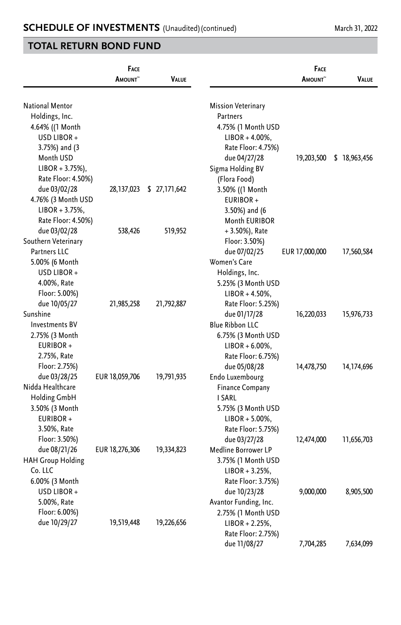|                          | <b>FACE</b><br><b>A</b> MOUNT | <b>VALUE</b> |                           | <b>FACE</b><br><b>A</b> MOUNT | <b>VALUE</b> |
|--------------------------|-------------------------------|--------------|---------------------------|-------------------------------|--------------|
| National Mentor          |                               |              | <b>Mission Veterinary</b> |                               |              |
| Holdings, Inc.           |                               |              | Partners                  |                               |              |
| 4.64% ((1 Month          |                               |              | 4.75% (1 Month USD        |                               |              |
| USD LIBOR +              |                               |              | $LIBOR + 4.00\%,$         |                               |              |
| 3.75%) and (3            |                               |              | Rate Floor: 4.75%)        |                               |              |
| Month USD                |                               |              | due 04/27/28              | 19,203,500                    | \$18,963,456 |
| $LIBOR + 3.75\%$ ),      |                               |              | Sigma Holding BV          |                               |              |
| Rate Floor: 4.50%)       |                               |              | (Flora Food)              |                               |              |
| due 03/02/28             | 28, 137, 023                  | \$27,171,642 | 3.50% ((1 Month)          |                               |              |
| 4.76% (3 Month USD       |                               |              | EURIBOR+                  |                               |              |
| $LIBOR + 3.75%$ ,        |                               |              | 3.50%) and (6             |                               |              |
| Rate Floor: 4.50%)       |                               |              | Month EURIBOR             |                               |              |
| due 03/02/28             | 538,426                       | 519,952      | $+3.50\%$ ), Rate         |                               |              |
| Southern Veterinary      |                               |              | Floor: 3.50%)             |                               |              |
| Partners LLC             |                               |              | due 07/02/25              | EUR 17,000,000                | 17,560,584   |
| 5.00% (6 Month           |                               |              | Women's Care              |                               |              |
| USD LIBOR +              |                               |              | Holdings, Inc.            |                               |              |
| 4.00%, Rate              |                               |              | 5.25% (3 Month USD        |                               |              |
| Floor: 5.00%)            |                               |              | $LIBOR + 4.50\%,$         |                               |              |
| due 10/05/27             | 21,985,258                    | 21,792,887   | Rate Floor: 5.25%)        |                               |              |
| Sunshine                 |                               |              | due 01/17/28              | 16,220,033                    | 15,976,733   |
| <b>Investments BV</b>    |                               |              | <b>Blue Ribbon LLC</b>    |                               |              |
| 2.75% (3 Month           |                               |              | 6.75% (3 Month USD        |                               |              |
| EURIBOR+                 |                               |              | $LIBOR + 6.00\%$ ,        |                               |              |
| 2.75%, Rate              |                               |              | Rate Floor: 6.75%)        |                               |              |
| Floor: 2.75%)            |                               |              | due 05/08/28              | 14,478,750                    | 14,174,696   |
| due 03/28/25             | EUR 18,059,706                | 19,791,935   | Endo Luxembourg           |                               |              |
| Nidda Healthcare         |                               |              | <b>Finance Company</b>    |                               |              |
| <b>Holding GmbH</b>      |                               |              | <b>I SARL</b>             |                               |              |
| 3.50% (3 Month           |                               |              | 5.75% (3 Month USD        |                               |              |
| EURIBOR+                 |                               |              | $LIBOR + 5.00\%$ ,        |                               |              |
| 3.50%, Rate              |                               |              | Rate Floor: 5.75%)        |                               |              |
| Floor: 3.50%)            |                               |              | due 03/27/28              | 12,474,000                    | 11,656,703   |
| due 08/21/26             | EUR 18,276,306                | 19,334,823   | Medline Borrower LP       |                               |              |
| <b>HAH Group Holding</b> |                               |              | 3.75% (1 Month USD        |                               |              |
| Co. LLC                  |                               |              | $LIBOR + 3.25%$           |                               |              |
| 6.00% (3 Month           |                               |              | Rate Floor: 3.75%)        |                               |              |
| USD LIBOR +              |                               |              | due 10/23/28              | 9,000,000                     | 8,905,500    |
| 5.00%, Rate              |                               |              | Avantor Funding, Inc.     |                               |              |
| Floor: 6.00%)            |                               |              | 2.75% (1 Month USD        |                               |              |
| due 10/29/27             | 19,519,448                    | 19,226,656   | $LIBOR + 2.25%$ ,         |                               |              |
|                          |                               |              | Rate Floor: 2.75%)        |                               |              |
|                          |                               |              | due 11/08/27              | 7,704,285                     | 7,634,099    |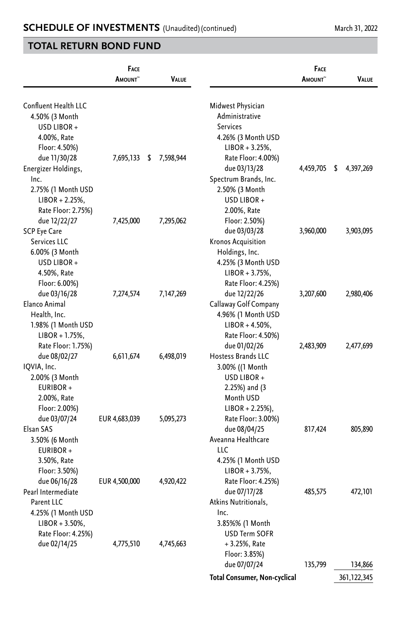|                                  | FACE<br>AMOUNT <sup>~</sup> | VALUE           |                                  | FACE<br><b>AMOUNT</b> | <b>VALUE</b>    |
|----------------------------------|-----------------------------|-----------------|----------------------------------|-----------------------|-----------------|
| Confluent Health LLC             |                             |                 | Midwest Physician                |                       |                 |
|                                  |                             |                 | Administrative                   |                       |                 |
| 4.50% (3 Month                   |                             |                 | <b>Services</b>                  |                       |                 |
| USD LIBOR +                      |                             |                 |                                  |                       |                 |
| 4.00%, Rate                      |                             |                 | 4.26% (3 Month USD               |                       |                 |
| Floor: 4.50%)                    |                             |                 | $LIBOR + 3.25%$                  |                       |                 |
| due 11/30/28                     | 7,695,133                   | 7,598,944<br>\$ | Rate Floor: 4.00%)               |                       |                 |
| Energizer Holdings,              |                             |                 | due 03/13/28                     | 4,459,705             | 4,397,269<br>\$ |
| Inc.                             |                             |                 | Spectrum Brands, Inc.            |                       |                 |
| 2.75% (1 Month USD               |                             |                 | 2.50% (3 Month                   |                       |                 |
| $LIBOR + 2.25%$                  |                             |                 | USD LIBOR +                      |                       |                 |
| Rate Floor: 2.75%)               |                             |                 | 2.00%, Rate                      |                       |                 |
| due 12/22/27                     | 7,425,000                   | 7,295,062       | Floor: 2.50%)                    |                       |                 |
| <b>SCP Eye Care</b>              |                             |                 | due 03/03/28                     | 3,960,000             | 3,903,095       |
| Services LLC                     |                             |                 | <b>Kronos Acquisition</b>        |                       |                 |
| 6.00% (3 Month                   |                             |                 | Holdings, Inc.                   |                       |                 |
| USD LIBOR +                      |                             |                 | 4.25% (3 Month USD               |                       |                 |
| 4.50%, Rate                      |                             |                 | $LIBOR + 3.75%$ ,                |                       |                 |
| Floor: 6.00%)                    |                             |                 | Rate Floor: 4.25%)               |                       |                 |
| due 03/16/28                     | 7,274,574                   | 7,147,269       | due 12/22/26                     | 3,207,600             | 2,980,406       |
| Elanco Animal                    |                             |                 | Callaway Golf Company            |                       |                 |
| Health, Inc.                     |                             |                 | 4.96% (1 Month USD               |                       |                 |
| 1.98% (1 Month USD               |                             |                 | $LIBOR + 4.50\%$                 |                       |                 |
| $LIBOR + 1.75%$                  |                             |                 | Rate Floor: 4.50%)               |                       |                 |
| Rate Floor: 1.75%)               |                             |                 | due 01/02/26                     | 2,483,909             | 2,477,699       |
| due 08/02/27                     | 6,611,674                   | 6,498,019       | <b>Hostess Brands LLC</b>        |                       |                 |
| IQVIA, Inc.                      |                             |                 | 3.00% ((1 Month                  |                       |                 |
| 2.00% (3 Month                   |                             |                 | USD LIBOR +                      |                       |                 |
| EURIBOR+                         |                             |                 | 2.25%) and (3                    |                       |                 |
| 2.00%, Rate                      |                             |                 | Month USD                        |                       |                 |
| Floor: 2.00%)                    |                             |                 | $LIBOR + 2.25\%$ ),              |                       |                 |
| due 03/07/24                     | EUR 4,683,039               | 5,095,273       | Rate Floor: 3.00%)               |                       |                 |
| Elsan SAS                        |                             |                 | due 08/04/25                     | 817,424               | 805,890         |
| 3.50% (6 Month                   |                             |                 | Aveanna Healthcare               |                       |                 |
| EURIBOR+                         |                             |                 | LLC                              |                       |                 |
| 3.50%, Rate                      |                             |                 | 4.25% (1 Month USD               |                       |                 |
| Floor: 3.50%)                    |                             |                 | $LIBOR + 3.75%$                  |                       |                 |
| due 06/16/28                     | EUR 4,500,000               | 4,920,422       | Rate Floor: 4.25%)               |                       |                 |
| Pearl Intermediate<br>Parent LLC |                             |                 | due 07/17/28                     | 485,575               | 472,101         |
|                                  |                             |                 | Atkins Nutritionals,             |                       |                 |
| 4.25% (1 Month USD               |                             |                 | Inc.                             |                       |                 |
| $LIBOR + 3.50\%,$                |                             |                 | 3.85%% (1 Month                  |                       |                 |
| Rate Floor: 4.25%)               |                             |                 | USD Term SOFR                    |                       |                 |
| due 02/14/25                     | 4,775,510                   | 4,745,663       | $+3.25%$ , Rate<br>Floor: 3.85%) |                       |                 |
|                                  |                             |                 | due 07/07/24                     | 135,799               | 134,866         |
|                                  |                             |                 |                                  |                       |                 |
|                                  |                             |                 | Total Consumer, Non-cyclical     |                       | 361, 122, 345   |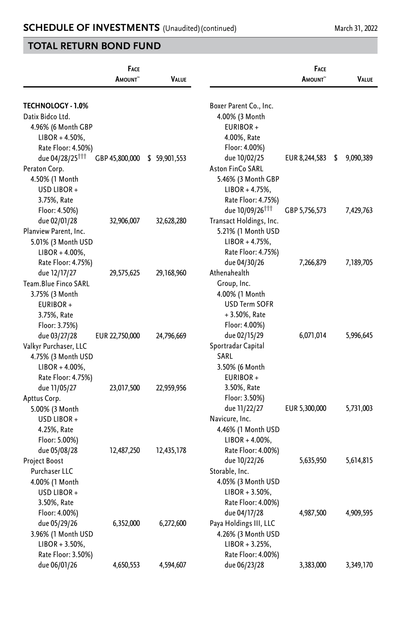|                               | FACE<br><b>A</b> mount^ | VALUE         |                                          | FACE<br><b>AMOUNT</b> | <b>VALUE</b>    |
|-------------------------------|-------------------------|---------------|------------------------------------------|-----------------------|-----------------|
| TECHNOLOGY - 1.0%             |                         |               | Boxer Parent Co., Inc.                   |                       |                 |
| Datix Bidco Ltd.              |                         |               | 4.00% (3 Month                           |                       |                 |
| 4.96% (6 Month GBP            |                         |               | EURIBOR+                                 |                       |                 |
| $LIBOR + 4.50\%$ ,            |                         |               | 4.00%, Rate                              |                       |                 |
| Rate Floor: 4.50%)            |                         |               | Floor: 4.00%)                            |                       |                 |
| due 04/28/25 <sup>111</sup>   | GBP 45,800,000          | \$ 59,901,553 | due 10/02/25                             | EUR 8,244,583         | \$<br>9,090,389 |
| Peraton Corp.                 |                         |               | Aston FinCo SARL                         |                       |                 |
| 4.50% (1 Month                |                         |               | 5.46% (3 Month GBP                       |                       |                 |
| USD LIBOR +                   |                         |               | $LIBOR + 4.75%$ ,                        |                       |                 |
| 3.75%, Rate                   |                         |               | Rate Floor: 4.75%)                       |                       |                 |
| Floor: 4.50%)                 |                         |               | due 10/09/26 <sup>TTT</sup>              | GBP 5,756,573         | 7,429,763       |
| due 02/01/28                  | 32,906,007              | 32,628,280    | Transact Holdings, Inc.                  |                       |                 |
| Planview Parent, Inc.         |                         |               | 5.21% (1 Month USD                       |                       |                 |
| 5.01% (3 Month USD            |                         |               | $LIBOR + 4.75%$ ,                        |                       |                 |
| $LIBOR + 4.00\%$ ,            |                         |               | Rate Floor: 4.75%)                       |                       |                 |
| Rate Floor: 4.75%)            |                         |               | due 04/30/26                             | 7,266,879             | 7,189,705       |
| due 12/17/27                  | 29,575,625              | 29,168,960    | Athenahealth                             |                       |                 |
| Team.Blue Finco SARL          |                         |               | Group, Inc.                              |                       |                 |
| 3.75% (3 Month                |                         |               | 4.00% (1 Month                           |                       |                 |
| EURIBOR+                      |                         |               | <b>USD Term SOFR</b>                     |                       |                 |
| 3.75%, Rate                   |                         |               | $+3.50\%$ , Rate                         |                       |                 |
| Floor: 3.75%)                 |                         |               | Floor: 4.00%)                            |                       |                 |
| due 03/27/28                  | EUR 22,750,000          | 24,796,669    | due 02/15/29                             | 6,071,014             | 5,996,645       |
| Valkyr Purchaser, LLC         |                         |               | Sportradar Capital                       |                       |                 |
| 4.75% (3 Month USD            |                         |               | SARL                                     |                       |                 |
| LIBOR + 4.00%,                |                         |               | 3.50% (6 Month                           |                       |                 |
| Rate Floor: 4.75%)            |                         |               | EURIBOR+                                 |                       |                 |
| due 11/05/27                  | 23,017,500              | 22,959,956    | 3.50%, Rate                              |                       |                 |
| Apttus Corp.                  |                         |               | Floor: 3.50%)                            |                       |                 |
| 5.00% (3 Month                |                         |               | due 11/22/27                             | EUR 5,300,000         | 5,731,003       |
| USD LIBOR+                    |                         |               | Navicure, Inc.                           |                       |                 |
| 4.25%, Rate                   |                         |               | 4.46% (1 Month USD<br>$LIBOR + 4.00\%$ , |                       |                 |
| Floor: 5.00%)<br>due 05/08/28 | 12,487,250              | 12,435,178    | Rate Floor: 4.00%)                       |                       |                 |
| <b>Project Boost</b>          |                         |               | due 10/22/26                             | 5,635,950             | 5,614,815       |
| Purchaser LLC                 |                         |               | Storable, Inc.                           |                       |                 |
| 4.00% (1 Month                |                         |               | 4.05% (3 Month USD                       |                       |                 |
| USD LIBOR +                   |                         |               | $LIBOR + 3.50\%,$                        |                       |                 |
| 3.50%, Rate                   |                         |               | Rate Floor: 4.00%)                       |                       |                 |
| Floor: 4.00%)                 |                         |               | due 04/17/28                             | 4,987,500             | 4,909,595       |
| due 05/29/26                  | 6,352,000               | 6,272,600     | Paya Holdings III, LLC                   |                       |                 |
| 3.96% (1 Month USD            |                         |               | 4.26% (3 Month USD                       |                       |                 |
| $LIBOR + 3.50\%,$             |                         |               | $LIBOR + 3.25%$ ,                        |                       |                 |
| Rate Floor: 3.50%)            |                         |               | Rate Floor: 4.00%)                       |                       |                 |
| due 06/01/26                  | 4,650,553               | 4,594,607     | due 06/23/28                             | 3,383,000             | 3,349,170       |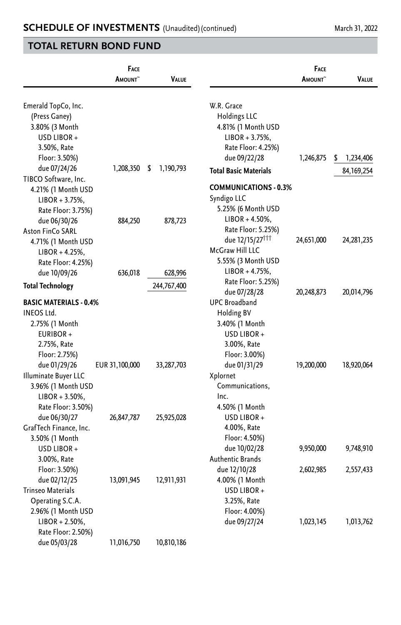|                               | FACE<br><b>A</b> MOUNT | VALUE           |                              | FACE<br><b>A</b> MOUNT | <b>VALUE</b>    |
|-------------------------------|------------------------|-----------------|------------------------------|------------------------|-----------------|
| Emerald TopCo, Inc.           |                        |                 | W.R. Grace                   |                        |                 |
| (Press Ganey)                 |                        |                 | Holdings LLC                 |                        |                 |
| 3.80% (3 Month                |                        |                 | 4.81% (1 Month USD           |                        |                 |
| USD LIBOR+                    |                        |                 | $LIBOR + 3.75%$ ,            |                        |                 |
| 3.50%, Rate                   |                        |                 | Rate Floor: 4.25%)           |                        |                 |
| Floor: 3.50%)                 |                        |                 | due 09/22/28                 | 1,246,875              | \$<br>1,234,406 |
| due 07/24/26                  | 1,208,350              | 1,190,793<br>\$ | <b>Total Basic Materials</b> |                        |                 |
| TIBCO Software, Inc.          |                        |                 |                              |                        | 84, 169, 254    |
| 4.21% (1 Month USD            |                        |                 | <b>COMMUNICATIONS - 0.3%</b> |                        |                 |
| $LIBOR + 3.75%$               |                        |                 | Syndigo LLC                  |                        |                 |
| Rate Floor: 3.75%)            |                        |                 | 5.25% (6 Month USD           |                        |                 |
| due 06/30/26                  | 884,250                | 878,723         | $LIBOR + 4.50\%$ ,           |                        |                 |
| Aston FinCo SARL              |                        |                 | Rate Floor: 5.25%)           |                        |                 |
| 4.71% (1 Month USD            |                        |                 | due 12/15/27 <sup>111</sup>  | 24,651,000             | 24,281,235      |
| $LIBOR + 4.25%$               |                        |                 | McGraw Hill LLC              |                        |                 |
| Rate Floor: 4.25%)            |                        |                 | 5.55% (3 Month USD           |                        |                 |
| due 10/09/26                  | 636,018                | 628,996         | $LIBOR + 4.75%$ ,            |                        |                 |
| <b>Total Technology</b>       |                        | 244,767,400     | Rate Floor: 5.25%)           |                        |                 |
|                               |                        |                 | due 07/28/28                 | 20,248,873             | 20,014,796      |
| <b>BASIC MATERIALS - 0.4%</b> |                        |                 | UPC Broadband                |                        |                 |
| INEOS Ltd.                    |                        |                 | Holding BV                   |                        |                 |
| 2.75% (1 Month                |                        |                 | 3.40% (1 Month               |                        |                 |
| EURIBOR+                      |                        |                 | USD LIBOR+                   |                        |                 |
| 2.75%, Rate                   |                        |                 | 3.00%, Rate                  |                        |                 |
| Floor: 2.75%)                 |                        |                 | Floor: 3.00%)                |                        |                 |
| due 01/29/26                  | EUR 31,100,000         | 33,287,703      | due 01/31/29                 | 19,200,000             | 18,920,064      |
| Illuminate Buyer LLC          |                        |                 | Xplornet                     |                        |                 |
| 3.96% (1 Month USD            |                        |                 | Communications,              |                        |                 |
| $LIBOR + 3.50\%,$             |                        |                 | Inc.                         |                        |                 |
| Rate Floor: 3.50%)            |                        |                 | 4.50% (1 Month               |                        |                 |
| due 06/30/27                  | 26,847,787             | 25,925,028      | USD LIBOR+                   |                        |                 |
| GrafTech Finance, Inc.        |                        |                 | 4.00%, Rate                  |                        |                 |
| 3.50% (1 Month                |                        |                 | Floor: 4.50%)                |                        |                 |
| USD LIBOR +                   |                        |                 | due 10/02/28                 | 9,950,000              | 9,748,910       |
| 3.00%, Rate                   |                        |                 | <b>Authentic Brands</b>      |                        |                 |
| Floor: 3.50%)                 |                        |                 | due 12/10/28                 | 2,602,985              | 2,557,433       |
| due 02/12/25                  | 13,091,945             | 12,911,931      | 4.00% (1 Month               |                        |                 |
| Trinseo Materials             |                        |                 | USD LIBOR +                  |                        |                 |
| Operating S.C.A.              |                        |                 | 3.25%, Rate                  |                        |                 |
| 2.96% (1 Month USD            |                        |                 | Floor: 4.00%)                |                        |                 |
| $LIBOR + 2.50\%,$             |                        |                 | due 09/27/24                 | 1,023,145              | 1,013,762       |
| Rate Floor: 2.50%)            |                        |                 |                              |                        |                 |
| due 05/03/28                  | 11,016,750             | 10,810,186      |                              |                        |                 |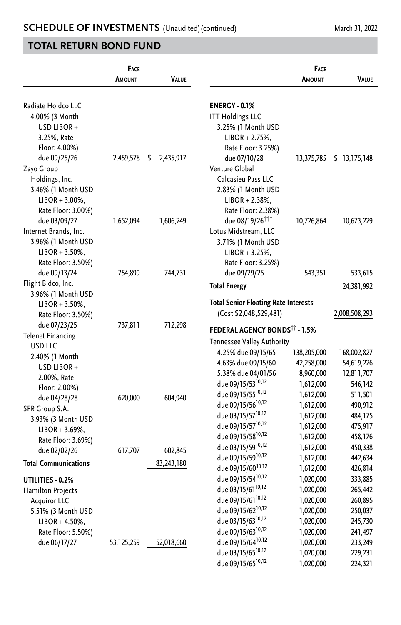|                                          | <b>FACE</b><br>AMOUNT <sup>~</sup> | <b>VALUE</b>    |                                                         | <b>FACE</b><br>AMOUNT <sup>~</sup> | VALUE         |
|------------------------------------------|------------------------------------|-----------------|---------------------------------------------------------|------------------------------------|---------------|
|                                          |                                    |                 |                                                         |                                    |               |
| Radiate Holdco LLC                       |                                    |                 | <b>ENERGY - 0.1%</b>                                    |                                    |               |
| 4.00% (3 Month                           |                                    |                 | <b>ITT Holdings LLC</b>                                 |                                    |               |
| USD LIBOR +                              |                                    |                 | 3.25% (1 Month USD                                      |                                    |               |
| 3.25%, Rate                              |                                    |                 | $LIBOR + 2.75%$                                         |                                    |               |
| Floor: 4.00%)                            |                                    |                 | Rate Floor: 3.25%)                                      |                                    |               |
| due 09/25/26                             | 2,459,578                          | \$<br>2,435,917 | due 07/10/28                                            | 13,375,785                         | \$13,175,148  |
| Zayo Group                               |                                    |                 | Venture Global                                          |                                    |               |
| Holdings, Inc.                           |                                    |                 | Calcasieu Pass LLC                                      |                                    |               |
| 3.46% (1 Month USD<br>$LIBOR + 3.00\%$ , |                                    |                 | 2.83% (1 Month USD                                      |                                    |               |
| Rate Floor: 3.00%)                       |                                    |                 | $LIBOR + 2.38%$<br>Rate Floor: 2.38%)                   |                                    |               |
| due 03/09/27                             | 1,652,094                          | 1,606,249       | due 08/19/26 <sup>†††</sup>                             | 10,726,864                         | 10,673,229    |
| Internet Brands, Inc.                    |                                    |                 | Lotus Midstream, LLC                                    |                                    |               |
| 3.96% (1 Month USD                       |                                    |                 | 3.71% (1 Month USD                                      |                                    |               |
| $LIBOR + 3.50\%,$                        |                                    |                 | $LIBOR + 3.25%$                                         |                                    |               |
| Rate Floor: 3.50%)                       |                                    |                 | Rate Floor: 3.25%)                                      |                                    |               |
| due 09/13/24                             | 754,899                            | 744,731         | due 09/29/25                                            | 543,351                            | 533,615       |
| Flight Bidco, Inc.                       |                                    |                 | <b>Total Energy</b>                                     |                                    | 24,381,992    |
| 3.96% (1 Month USD                       |                                    |                 |                                                         |                                    |               |
| $LIBOR + 3.50\%,$                        |                                    |                 | <b>Total Senior Floating Rate Interests</b>             |                                    |               |
| Rate Floor: 3.50%)                       |                                    |                 | (Cost \$2,048,529,481)                                  |                                    | 2,008,508,293 |
| due 07/23/25                             | 737,811                            | 712,298         | <b>FEDERAL AGENCY BONDS<sup>11</sup> - 1.5%</b>         |                                    |               |
| <b>Telenet Financing</b>                 |                                    |                 |                                                         |                                    |               |
| USD LLC                                  |                                    |                 | <b>Tennessee Valley Authority</b><br>4.25% due 09/15/65 | 138,205,000                        | 168,002,827   |
| 2.40% (1 Month                           |                                    |                 | 4.63% due 09/15/60                                      | 42,258,000                         | 54,619,226    |
| USD LIBOR +                              |                                    |                 | 5.38% due 04/01/56                                      | 8,960,000                          | 12,811,707    |
| 2.00%, Rate                              |                                    |                 | due 09/15/53 <sup>10,12</sup>                           | 1,612,000                          | 546,142       |
| Floor: 2.00%)                            |                                    |                 | due 09/15/55 <sup>10,12</sup>                           | 1,612,000                          | 511,501       |
| due 04/28/28                             | 620,000                            | 604,940         | due 09/15/56 <sup>10,12</sup>                           | 1,612,000                          | 490,912       |
| SFR Group S.A.                           |                                    |                 | due 03/15/57 <sup>10,12</sup>                           | 1,612,000                          | 484,175       |
| 3.93% (3 Month USD                       |                                    |                 | due 09/15/57 <sup>10,12</sup>                           | 1,612,000                          | 475,917       |
| $LIBOR + 3.69\%,$<br>Rate Floor: 3.69%)  |                                    |                 | due 09/15/58 <sup>10,12</sup>                           | 1,612,000                          | 458,176       |
| due 02/02/26                             | 617,707                            | 602,845         | due 03/15/59 <sup>10,12</sup>                           | 1,612,000                          | 450,338       |
|                                          |                                    |                 | due 09/15/59 <sup>10,12</sup>                           | 1,612,000                          | 442,634       |
| <b>Total Communications</b>              |                                    | 83,243,180      | due 09/15/60 <sup>10,12</sup>                           | 1,612,000                          | 426,814       |
| UTILITIES - 0.2%                         |                                    |                 | due 09/15/54 <sup>10,12</sup>                           | 1,020,000                          | 333,885       |
| <b>Hamilton Projects</b>                 |                                    |                 | due 03/15/61 <sup>10,12</sup>                           | 1,020,000                          | 265,442       |
| <b>Acquiror LLC</b>                      |                                    |                 | due 09/15/61 <sup>10,12</sup>                           | 1,020,000                          | 260,895       |
| 5.51% (3 Month USD                       |                                    |                 | due 09/15/62 <sup>10,12</sup>                           | 1,020,000                          | 250,037       |
| $LIBOR + 4.50\%$ ,                       |                                    |                 | due 03/15/63 <sup>10,12</sup>                           | 1,020,000                          | 245,730       |
| Rate Floor: 5.50%)                       |                                    |                 | due 09/15/63 <sup>10,12</sup>                           | 1,020,000                          | 241,497       |
| due 06/17/27                             | 53,125,259                         | 52,018,660      | due 09/15/64 <sup>10,12</sup>                           | 1,020,000                          | 233,249       |
|                                          |                                    |                 | due 03/15/65 <sup>10,12</sup>                           | 1,020,000                          | 229,231       |
|                                          |                                    |                 | due 09/15/65 <sup>10,12</sup>                           | 1,020,000                          | 224,321       |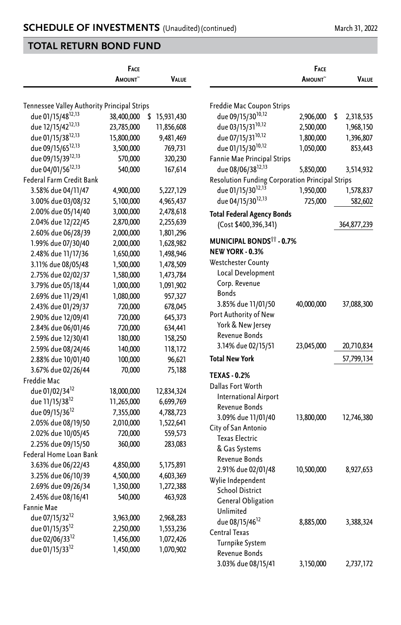|                                             | <b>FACE</b>         |              |                                                        | <b>FACE</b>     |                 |
|---------------------------------------------|---------------------|--------------|--------------------------------------------------------|-----------------|-----------------|
|                                             | AMOUNT <sup>~</sup> | VALUE        |                                                        | <b>A</b> mount~ | <b>VALUE</b>    |
|                                             |                     |              |                                                        |                 |                 |
| Tennessee Valley Authority Principal Strips |                     |              | Freddie Mac Coupon Strips                              |                 |                 |
| due 01/15/48 <sup>12,13</sup>               | 38,400,000          | \$15,931,430 | due 09/15/30 <sup>10,12</sup>                          | 2,906,000       | \$<br>2,318,535 |
| due 12/15/42 <sup>12,13</sup>               | 23,785,000          | 11,856,608   | due 03/15/31 <sup>10,12</sup>                          | 2,500,000       | 1,968,150       |
| due 01/15/38 <sup>12,13</sup>               | 15,800,000          | 9,481,469    | due 07/15/31 <sup>10,12</sup>                          | 1,800,000       | 1,396,807       |
| due 09/15/65 <sup>12,13</sup>               | 3,500,000           | 769,731      | due 01/15/30 <sup>10,12</sup>                          | 1,050,000       | 853,443         |
| due 09/15/39 <sup>12,13</sup>               | 570,000             | 320,230      | Fannie Mae Principal Strips                            |                 |                 |
| due 04/01/56 <sup>12,13</sup>               | 540,000             | 167,614      | due 08/06/38 <sup>12,13</sup>                          | 5,850,000       | 3,514,932       |
| Federal Farm Credit Bank                    |                     |              | <b>Resolution Funding Corporation Principal Strips</b> |                 |                 |
| 3.58% due 04/11/47                          | 4,900,000           | 5,227,129    | due 01/15/30 <sup>12,13</sup>                          | 1,950,000       | 1,578,837       |
| 3.00% due 03/08/32                          | 5,100,000           | 4,965,437    | due 04/15/30 <sup>12,13</sup>                          | 725,000         | 582,602         |
| 2.00% due 05/14/40                          | 3,000,000           | 2,478,618    | <b>Total Federal Agency Bonds</b>                      |                 |                 |
| 2.04% due 12/22/45                          | 2,870,000           | 2,255,639    | (Cost \$400,396,341)                                   |                 | 364,877,239     |
| 2.60% due 06/28/39                          | 2,000,000           | 1,801,296    | <b>MUNICIPAL BONDS<sup>TT</sup> - 0.7%</b>             |                 |                 |
| 1.99% due 07/30/40                          | 2,000,000           | 1,628,982    | <b>NEW YORK - 0.3%</b>                                 |                 |                 |
| 2.48% due 11/17/36                          | 1,650,000           | 1,498,946    |                                                        |                 |                 |
| 3.11% due 08/05/48                          | 1,500,000           | 1,478,509    | <b>Westchester County</b><br>Local Development         |                 |                 |
| 2.75% due 02/02/37                          | 1,580,000           | 1,473,784    | Corp. Revenue                                          |                 |                 |
| 3.79% due 05/18/44                          | 1,000,000           | 1,091,902    | <b>Bonds</b>                                           |                 |                 |
| 2.69% due 11/29/41                          | 1,080,000           | 957,327      | 3.85% due 11/01/50                                     | 40,000,000      | 37,088,300      |
| 2.43% due 01/29/37                          | 720,000             | 678,045      | Port Authority of New                                  |                 |                 |
| 2.90% due 12/09/41                          | 720,000             | 645,373      | York & New Jersey                                      |                 |                 |
| 2.84% due 06/01/46                          | 720,000             | 634,441      | Revenue Bonds                                          |                 |                 |
| 2.59% due 12/30/41                          | 180,000             | 158,250      | 3.14% due 02/15/51                                     | 23,045,000      | 20,710,834      |
| 2.59% due 08/24/46                          | 140,000             | 118,172      |                                                        |                 |                 |
| 2.88% due 10/01/40                          | 100,000             | 96,621       | <b>Total New York</b>                                  |                 | 57,799,134      |
| 3.67% due 02/26/44                          | 70,000              | 75,188       | <b>TEXAS - 0.2%</b>                                    |                 |                 |
| Freddie Mac                                 |                     |              | Dallas Fort Worth                                      |                 |                 |
| due 01/02/34 <sup>12</sup>                  | 18,000,000          | 12,834,324   | <b>International Airport</b>                           |                 |                 |
| due 11/15/38 <sup>12</sup>                  | 11,265,000          | 6,699,769    | Revenue Bonds                                          |                 |                 |
| due 09/15/36 <sup>12</sup>                  | 7,355,000           | 4,788,723    | 3.09% due 11/01/40                                     | 13,800,000      | 12,746,380      |
| 2.05% due 08/19/50                          | 2,010,000           | 1,522,641    | City of San Antonio                                    |                 |                 |
| 2.02% due 10/05/45                          | 720,000             | 559,573      | <b>Texas Electric</b>                                  |                 |                 |
| 2.25% due 09/15/50                          | 360,000             | 283,083      | & Gas Systems                                          |                 |                 |
| Federal Home Loan Bank                      |                     |              | Revenue Bonds                                          |                 |                 |
| 3.63% due 06/22/43                          | 4,850,000           | 5,175,891    | 2.91% due 02/01/48                                     | 10,500,000      | 8,927,653       |
| 3.25% due 06/10/39                          | 4,500,000           | 4,603,369    | Wylie Independent                                      |                 |                 |
| 2.69% due 09/26/34                          | 1,350,000           | 1,272,388    | <b>School District</b>                                 |                 |                 |
| 2.45% due 08/16/41                          | 540,000             | 463,928      | <b>General Obligation</b>                              |                 |                 |
| Fannie Mae                                  |                     |              | Unlimited                                              |                 |                 |
| due 07/15/32 <sup>12</sup>                  | 3,963,000           | 2,968,283    | due 08/15/46 <sup>12</sup>                             | 8,885,000       | 3,388,324       |
| due 01/15/35 <sup>12</sup>                  | 2,250,000           | 1,553,236    | Central Texas                                          |                 |                 |
| due 02/06/33 <sup>12</sup>                  | 1,456,000           | 1,072,426    | Turnpike System                                        |                 |                 |
| due 01/15/33 <sup>12</sup>                  | 1,450,000           | 1,070,902    | Revenue Bonds                                          |                 |                 |
|                                             |                     |              | 3.03% due 08/15/41                                     | 3,150,000       | 2,737,172       |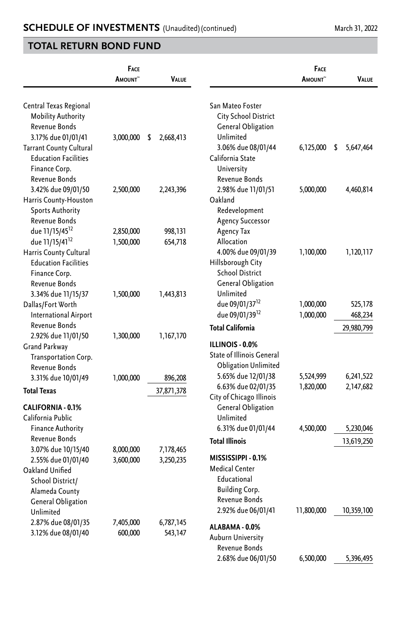|                                                                                                                       | FACE<br>AMOUNT <sup>~</sup> | <b>VALUE</b>         |                                                                                                                            | FACE<br><b>A</b> mount^ | <b>VALUE</b>    |
|-----------------------------------------------------------------------------------------------------------------------|-----------------------------|----------------------|----------------------------------------------------------------------------------------------------------------------------|-------------------------|-----------------|
| Central Texas Regional<br><b>Mobility Authority</b><br>Revenue Bonds<br>3.17% due 01/01/41                            | 3,000,000                   | 2,668,413<br>\$      | San Mateo Foster<br>City School District<br>General Obligation<br>Unlimited                                                |                         |                 |
| <b>Tarrant County Cultural</b><br><b>Education Facilities</b><br>Finance Corp.<br>Revenue Bonds                       |                             |                      | 3.06% due 08/01/44<br>California State<br>University<br>Revenue Bonds                                                      | 6,125,000               | \$<br>5,647,464 |
| 3.42% due 09/01/50<br>Harris County-Houston<br><b>Sports Authority</b><br>Revenue Bonds<br>due 11/15/45 <sup>12</sup> | 2,500,000<br>2,850,000      | 2,243,396<br>998,131 | 2.98% due 11/01/51<br>Oakland<br>Redevelopment<br><b>Agency Successor</b>                                                  | 5,000,000               | 4,460,814       |
| due 11/15/41 <sup>12</sup>                                                                                            | 1,500,000                   | 654,718              | <b>Agency Tax</b><br>Allocation                                                                                            |                         |                 |
| Harris County Cultural<br><b>Education Facilities</b><br>Finance Corp.<br>Revenue Bonds                               |                             |                      | 4.00% due 09/01/39<br>Hillsborough City<br><b>School District</b><br><b>General Obligation</b>                             | 1,100,000               | 1,120,117       |
| 3.34% due 11/15/37<br>Dallas/Fort Worth                                                                               | 1,500,000                   | 1,443,813            | Unlimited<br>due 09/01/37 <sup>12</sup>                                                                                    | 1,000,000               | 525,178         |
| <b>International Airport</b><br>Revenue Bonds                                                                         |                             |                      | due 09/01/39 <sup>12</sup>                                                                                                 | 1,000,000               | 468,234         |
| 2.92% due 11/01/50                                                                                                    | 1,300,000                   | 1,167,170            | <b>Total California</b><br><b>ILLINOIS - 0.0%</b>                                                                          |                         | 29,980,799      |
| Grand Parkway<br>Transportation Corp.<br>Revenue Bonds                                                                |                             |                      | State of Illinois General<br><b>Obligation Unlimited</b>                                                                   |                         |                 |
| 3.31% due 10/01/49                                                                                                    | 1,000,000                   | 896,208              | 5.65% due 12/01/38                                                                                                         | 5,524,999               | 6,241,522       |
| <b>Total Texas</b>                                                                                                    |                             | 37,871,378           | 6.63% due 02/01/35<br>City of Chicago Illinois                                                                             | 1,820,000               | 2,147,682       |
| <b>CALIFORNIA - 0.1%</b><br>California Public                                                                         |                             |                      | <b>General Obligation</b><br>Unlimited                                                                                     |                         |                 |
| <b>Finance Authority</b>                                                                                              |                             |                      | 6.31% due 01/01/44                                                                                                         | 4,500,000               | 5,230,046       |
| Revenue Bonds<br>3.07% due 10/15/40                                                                                   | 8,000,000                   | 7,178,465            | <b>Total Illinois</b>                                                                                                      |                         | 13,619,250      |
| 2.55% due 01/01/40<br>Oakland Unified<br>School District/<br>Alameda County<br><b>General Obligation</b><br>Unlimited | 3,600,000                   | 3,250,235            | MISSISSIPPI - 0.1%<br><b>Medical Center</b><br>Educational<br><b>Building Corp.</b><br>Revenue Bonds<br>2.92% due 06/01/41 | 11,800,000              | 10,359,100      |
| 2.87% due 08/01/35<br>3.12% due 08/01/40                                                                              | 7,405,000<br>600,000        | 6,787,145<br>543,147 | ALABAMA - 0.0%<br>Auburn University<br>Revenue Bonds<br>2.68% due 06/01/50                                                 | 6,500,000               | 5,396,495       |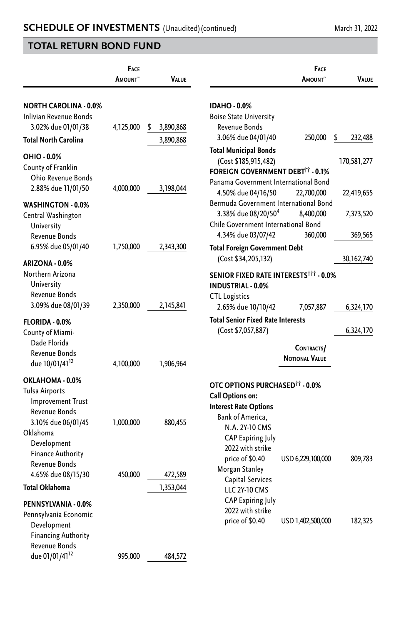|                                                                                                             | <b>FACE</b><br>Amount~ | VALUE                        | FACE<br>AMOUNT <sup>~</sup><br>VALUE                                                                                                                                                |
|-------------------------------------------------------------------------------------------------------------|------------------------|------------------------------|-------------------------------------------------------------------------------------------------------------------------------------------------------------------------------------|
| <b>NORTH CAROLINA - 0.0%</b><br>Inlivian Revenue Bonds<br>3.02% due 01/01/38<br><b>Total North Carolina</b> | 4,125,000              | 3,890,868<br>\$<br>3,890,868 | <b>IDAHO - 0.0%</b><br><b>Boise State University</b><br>Revenue Bonds<br>3.06% due 04/01/40<br>250,000<br>\$<br>232,488                                                             |
| <b>OHIO - 0.0%</b>                                                                                          |                        |                              | <b>Total Municipal Bonds</b>                                                                                                                                                        |
| County of Franklin<br>Ohio Revenue Bonds<br>2.88% due 11/01/50                                              | 4,000,000              | 3,198,044                    | (Cost \$185,915,482)<br>170,581,277<br><b>FOREIGN GOVERNMENT DEBT<sup>11</sup> - 0.1%</b><br>Panama Government International Bond<br>4.50% due 04/16/50<br>22,700,000<br>22,419,655 |
| <b>WASHINGTON - 0.0%</b><br>Central Washington<br>University                                                |                        |                              | Bermuda Government International Bond<br>3.38% due 08/20/50 <sup>4</sup><br>8,400,000<br>7,373,520<br>Chile Government International Bond                                           |
| Revenue Bonds<br>6.95% due 05/01/40                                                                         | 1,750,000              | 2,343,300                    | 4.34% due 03/07/42<br>360,000<br>369,565<br><b>Total Foreign Government Debt</b>                                                                                                    |
| ARIZONA - 0.0%                                                                                              |                        |                              | (Cost \$34,205,132)<br>30,162,740                                                                                                                                                   |
| Northern Arizona<br>University<br>Revenue Bonds                                                             | 2,350,000              | 2,145,841                    | <b>SENIOR FIXED RATE INTERESTS<sup>TTT</sup> - 0.0%</b><br><b>INDUSTRIAL - 0.0%</b><br><b>CTL</b> Logistics                                                                         |
| 3.09% due 08/01/39<br>FLORIDA - 0.0%<br>County of Miami-<br>Dade Florida                                    |                        |                              | 2.65% due 10/10/42<br>7,057,887<br>6,324,170<br><b>Total Senior Fixed Rate Interests</b><br>(Cost \$7,057,887)<br>6,324,170                                                         |
| Revenue Bonds<br>due 10/01/41 <sup>12</sup>                                                                 | 4,100,000              | 1,906,964                    | CONTRACTS/<br><b>NOTIONAL VALUE</b>                                                                                                                                                 |
| OKLAHOMA - 0.0%<br><b>Tulsa Airports</b><br><b>Improvement Trust</b><br>Revenue Bonds<br>3.10% due 06/01/45 | 1,000,000              | 880,455                      | <b>OTC OPTIONS PURCHASED<sup>11</sup> - 0.0%</b><br>Call Options on:<br><b>Interest Rate Options</b><br>Bank of America.                                                            |
| Oklahoma<br>Development<br><b>Finance Authority</b><br>Revenue Bonds                                        |                        |                              | N.A. 2Y-10 CMS<br><b>CAP Expiring July</b><br>2022 with strike<br>price of \$0.40<br>USD 6,229,100,000<br>809,783<br>Morgan Stanley                                                 |
| 4.65% due 08/15/30                                                                                          | 450,000                | 472,589                      | <b>Capital Services</b>                                                                                                                                                             |
| <b>Total Oklahoma</b>                                                                                       |                        | 1,353,044                    | LLC 2Y-10 CMS                                                                                                                                                                       |
| PENNSYLVANIA - 0.0%<br>Pennsylvania Economic<br>Development<br><b>Financing Authority</b><br>Revenue Bonds  |                        |                              | <b>CAP Expiring July</b><br>2022 with strike<br>price of \$0.40<br>182,325<br>USD 1,402,500,000                                                                                     |
| due 01/01/41 <sup>12</sup>                                                                                  | 995,000                | 484,572                      |                                                                                                                                                                                     |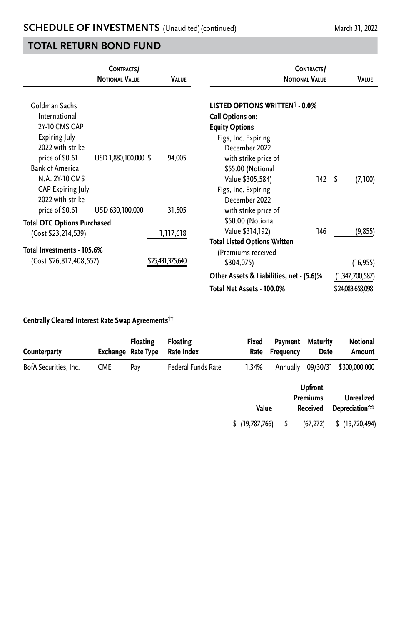|                                    | CONTRACTS/<br><b>NOTIONAL VALUE</b> | <b>VALUE</b>     | CONTRACTS/<br><b>NOTIONAL VALUE</b>        |     |    | <b>VALUE</b>       |
|------------------------------------|-------------------------------------|------------------|--------------------------------------------|-----|----|--------------------|
| Goldman Sachs                      |                                     |                  | LISTED OPTIONS WRITTEN <sup>†</sup> - 0.0% |     |    |                    |
| International                      |                                     |                  | Call Options on:                           |     |    |                    |
| 2Y-10 CMS CAP                      |                                     |                  | <b>Equity Options</b>                      |     |    |                    |
| Expiring July                      |                                     |                  | Figs, Inc. Expiring                        |     |    |                    |
| 2022 with strike                   |                                     |                  | December 2022                              |     |    |                    |
| price of \$0.61                    | USD 1,880,100,000 \$                | 94,005           | with strike price of                       |     |    |                    |
| Bank of America,                   |                                     |                  | \$55.00 (Notional                          |     |    |                    |
| N A 2Y-10 CMS                      |                                     |                  | Value \$305,584)                           | 142 | -S | (7,100)            |
| <b>CAP Expiring July</b>           |                                     |                  | Figs, Inc. Expiring                        |     |    |                    |
| 2022 with strike                   |                                     |                  | December 2022                              |     |    |                    |
| price of \$0.61                    | USD 630,100,000                     | 31,505           | with strike price of                       |     |    |                    |
| <b>Total OTC Options Purchased</b> |                                     |                  | \$50.00 (Notional                          |     |    |                    |
| (Cost \$23,214,539)                |                                     | 1,117,618        | Value \$314,192)                           | 146 |    | (9,855)            |
|                                    |                                     |                  | <b>Total Listed Options Written</b>        |     |    |                    |
| Total Investments - 105.6%         |                                     |                  | (Premiums received                         |     |    |                    |
| (Cost \$26,812,408,557)            |                                     | \$25,431,375,640 | \$304,075)                                 |     |    | (16, 955)          |
|                                    |                                     |                  | Other Assets & Liabilities, net - (5.6)%   |     |    | (1, 347, 700, 587) |
|                                    |                                     |                  | Total Net Assets - 100.0%                  |     |    | \$24,083,658,098   |

**Centrally Cleared Interest Rate Swap Agreements††**

| Counterparty          |            | <b>Floating</b><br><b>Exchange Rate Type</b> | <b>Floating</b><br>Rate Index | Fixed<br>Rate                                          | Payment<br>Frequency | Maturity<br>Date                    | Notional<br>Amount |
|-----------------------|------------|----------------------------------------------|-------------------------------|--------------------------------------------------------|----------------------|-------------------------------------|--------------------|
| BofA Securities, Inc. | <b>CME</b> | Pay                                          | <b>Federal Funds Rate</b>     | 1.34%                                                  | Annually             | 09/30/31                            | \$300,000,000      |
|                       |            |                                              |                               | <b>Upfront</b><br><b>Premiums</b><br>Value<br>Received |                      | <b>Unrealized</b><br>Depreciation** |                    |
|                       |            |                                              |                               | $$$ (19,787,766)                                       |                      | (67, 272)                           | $$$ (19,720,494)   |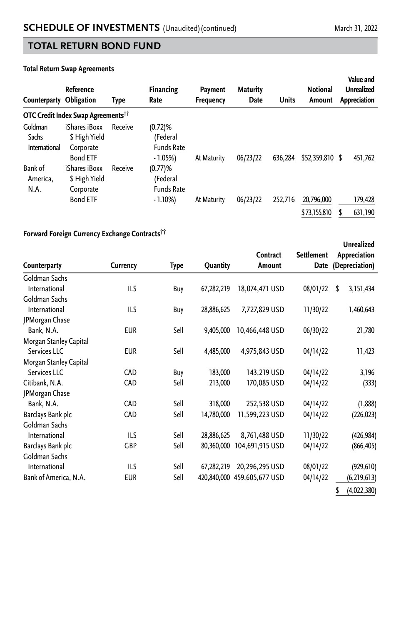#### **Total Return Swap Agreements**

| Counterparty                             | Reference<br>Obligation                                        | Type    | <b>Financing</b><br>Rate                                | Payment<br><b>Frequency</b> | <b>Maturity</b><br>Date | Units   | <b>Notional</b><br>Amount | Value and<br><b>Unrealized</b><br>Appreciation |
|------------------------------------------|----------------------------------------------------------------|---------|---------------------------------------------------------|-----------------------------|-------------------------|---------|---------------------------|------------------------------------------------|
|                                          | OTC Credit Index Swap Agreements <sup>11</sup>                 |         |                                                         |                             |                         |         |                           |                                                |
| Goldman<br><b>Sachs</b><br>International | iShares iBoxx<br>\$ High Yield<br>Corporate<br><b>Bond ETF</b> | Receive | $(0.72)$ %<br>(Federal<br><b>Funds Rate</b><br>$-1.05%$ | At Maturity                 | 06/23/22                | 636.284 | \$52,359,810 \$           | 451,762                                        |
| Bank of<br>America,<br>N.A.              | iShares iBoxx<br>\$ High Yield<br>Corporate                    | Receive | $(0.77)$ %<br>(Federal<br><b>Funds Rate</b>             |                             |                         |         |                           |                                                |
|                                          | <b>Bond ETF</b>                                                |         | $-1.10%$                                                | At Maturity                 | 06/23/22                | 252,716 | 20.796.000                | 179,428                                        |
|                                          |                                                                |         |                                                         |                             |                         |         | \$73,155,810              | 631,190                                        |

#### **Forward Foreign Currency Exchange Contracts††**

|            |      |            |                 |                         |                   | <b>Unrealized</b><br>Appreciation |
|------------|------|------------|-----------------|-------------------------|-------------------|-----------------------------------|
| Currency   | Type | Quantity   | Amount          |                         |                   | (Depreciation)                    |
|            |      |            |                 |                         |                   |                                   |
| <b>ILS</b> | Buy  | 67,282,219 | 18,074,471 USD  | 08/01/22                | \$                | 3, 151, 434                       |
|            |      |            |                 |                         |                   |                                   |
| ILS        | Buy  | 28,886,625 | 7,727,829 USD   | 11/30/22                |                   | 1,460,643                         |
|            |      |            |                 |                         |                   |                                   |
| <b>EUR</b> | Sell | 9,405,000  | 10,466,448 USD  | 06/30/22                |                   | 21,780                            |
|            |      |            |                 |                         |                   |                                   |
| <b>EUR</b> | Sell | 4,485,000  | 4,975,843 USD   | 04/14/22                |                   | 11,423                            |
|            |      |            |                 |                         |                   |                                   |
| CAD        | Buy  | 183,000    | 143,219 USD     | 04/14/22                |                   | 3,196                             |
| CAD        | Sell | 213,000    | 170,085 USD     | 04/14/22                |                   | (333)                             |
|            |      |            |                 |                         |                   |                                   |
| CAD        | Sell | 318,000    | 252,538 USD     | 04/14/22                |                   | (1,888)                           |
| CAD        | Sell | 14,780,000 | 11,599,223 USD  | 04/14/22                |                   | (226, 023)                        |
|            |      |            |                 |                         |                   |                                   |
| ILS.       | Sell | 28,886,625 | 8,761,488 USD   | 11/30/22                |                   | (426, 984)                        |
| <b>GBP</b> | Sell | 80,360,000 | 104,691,915 USD | 04/14/22                |                   | (866, 405)                        |
|            |      |            |                 |                         |                   |                                   |
| ILS        | Sell | 67,282,219 | 20,296,295 USD  | 08/01/22                |                   | (929, 610)                        |
| eur        | Sell |            | 459,605,677 USD | 04/14/22                |                   | (6, 219, 613)                     |
|            |      |            |                 |                         |                   | (4,022,380)                       |
|            |      |            |                 | Contract<br>420,840,000 | <b>Settlement</b> | Date<br>\$                        |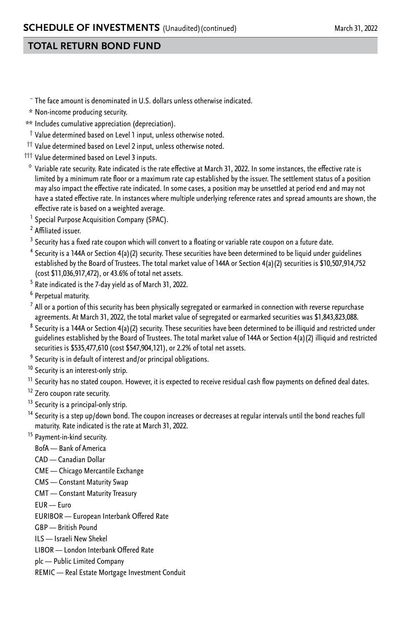- <sup>~</sup> The face amount is denominated in U.S. dollars unless otherwise indicated.
- \* Non-income producing security.
- \*\* Includes cumulative appreciation (depreciation).
- † Value determined based on Level 1 input, unless otherwise noted.
- †† Value determined based on Level 2 input, unless otherwise noted.
- ††† Value determined based on Level 3 inputs.
	- $\textdegree$  Variable rate security. Rate indicated is the rate effective at March 31, 2022. In some instances, the effective rate is limited by a minimum rate floor or a maximum rate cap established by the issuer. The settlement status of a position may also impact the effective rate indicated. In some cases, a position may be unsettled at period end and may not have a stated effective rate. In instances where multiple underlying reference rates and spread amounts are shown, the effective rate is based on a weighted average.
	- <sup>1</sup> Special Purpose Acquisition Company (SPAC).

<sup>2</sup> Affiliated issuer.

- $3$  Security has a fixed rate coupon which will convert to a floating or variable rate coupon on a future date.
- <sup>4</sup> Security is a 144A or Section 4(a)(2) security. These securities have been determined to be liquid under guidelines established by the Board of Trustees. The total market value of 144A or Section 4(a)(2) securities is \$10,507,914,752 (cost \$11,036,917,472), or 43.6% of total net assets.
- <sup>5</sup> Rate indicated is the 7-day yield as of March 31, 2022.

<sup>6</sup> Perpetual maturity.

- $<sup>7</sup>$  All or a portion of this security has been physically segregated or earmarked in connection with reverse repurchase</sup> agreements. At March 31, 2022, the total market value of segregated or earmarked securities was \$1,843,823,088.
- $8$  Security is a 144A or Section 4(a)(2) security. These securities have been determined to be illiquid and restricted under guidelines established by the Board of Trustees. The total market value of 144A or Section 4(a)(2) illiquid and restricted securities is \$535,477,610 (cost \$547,904,121), or 2.2% of total net assets.
- $9$  Security is in default of interest and/or principal obligations.
- <sup>10</sup> Security is an interest-only strip.

 $11$  Security has no stated coupon. However, it is expected to receive residual cash flow payments on defined deal dates.

- <sup>12</sup> Zero coupon rate security.
- <sup>13</sup> Security is a principal-only strip.
- <sup>14</sup> Security is a step up/down bond. The coupon increases or decreases at regular intervals until the bond reaches full maturity. Rate indicated is the rate at March 31, 2022.
- <sup>15</sup> Payment-in-kind security.

BofA — Bank of America

- CAD Canadian Dollar
- CME Chicago Mercantile Exchange
- CMS Constant Maturity Swap
- CMT Constant Maturity Treasury

EUR — Euro

EURIBOR — European Interbank Offered Rate

GBP — British Pound

ILS — Israeli New Shekel

LIBOR — London Interbank Offered Rate

plc — Public Limited Company

REMIC — Real Estate Mortgage Investment Conduit